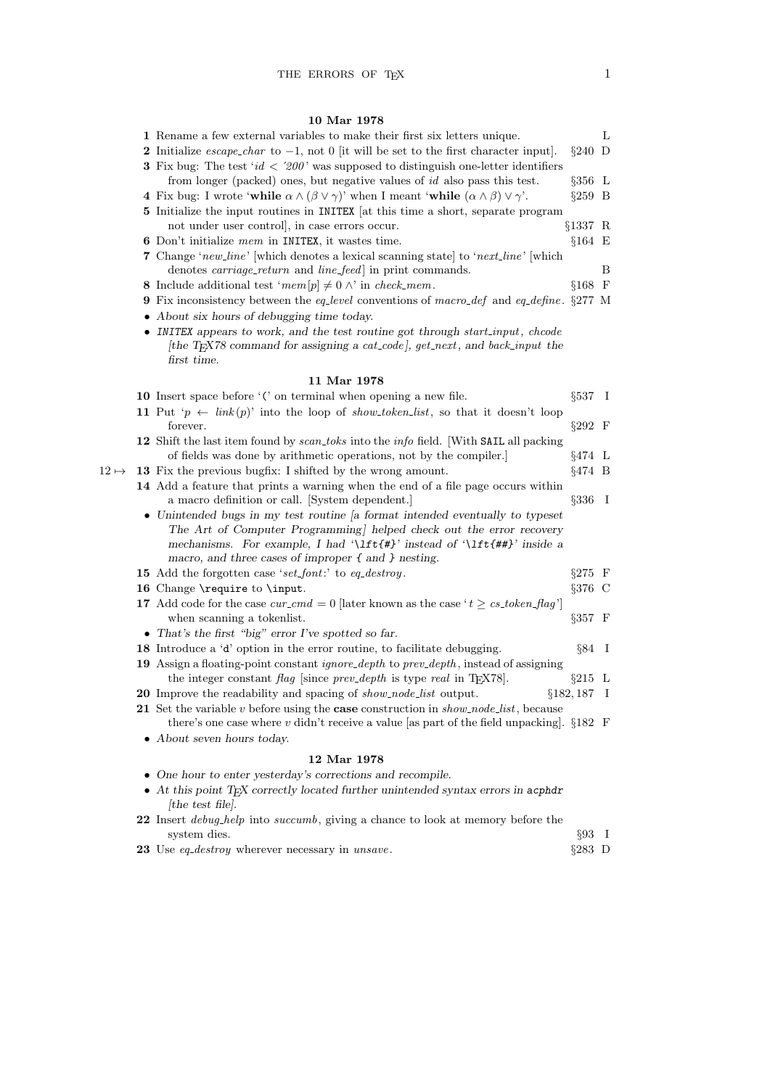# $10<sub>cm</sub>$

|              | 10 Mar 1978                                                                                                                                                                              |                  |   |
|--------------|------------------------------------------------------------------------------------------------------------------------------------------------------------------------------------------|------------------|---|
|              | 1 Rename a few external variables to make their first six letters unique.                                                                                                                |                  | L |
|              | 2 Initialize <i>escape_char</i> to $-1$ , not 0  it will be set to the first character input].                                                                                           | $\S 240$ D       |   |
|              | <b>3</b> Fix bug: The test ' $id < 200$ ' was supposed to distinguish one-letter identifiers                                                                                             |                  |   |
|              | from longer (packed) ones, but negative values of $id$ also pass this test.                                                                                                              | $\S 356$ L       |   |
|              | 4 Fix bug: I wrote 'while $\alpha \wedge (\beta \vee \gamma)$ ' when I meant 'while $(\alpha \wedge \beta) \vee \gamma'$ '.                                                              | $\S259$ B        |   |
|              | 5 Initialize the input routines in INITEX [at this time a short, separate program                                                                                                        |                  |   |
|              | not under user controll, in case errors occur.                                                                                                                                           | §1337 R          |   |
|              | <b>6</b> Don't initialize mem in INITEX, it was time.                                                                                                                                    | $§164$ E         |   |
|              | <b>7</b> Change 'new_line' which denotes a lexical scanning state to 'next_line' which                                                                                                   |                  |   |
|              | denotes <i>carriage_return</i> and <i>line_feed</i> in print commands.                                                                                                                   |                  | Β |
|              | 8 Include additional test 'mem $[p] \neq 0 \land$ ' in check_mem.                                                                                                                        | §168 F           |   |
|              | <b>9</b> Fix inconsistency between the eq-level conventions of macro-def and eq-define. §277 M                                                                                           |                  |   |
|              | • About six hours of debugging time today.                                                                                                                                               |                  |   |
|              | • INITEX appears to work, and the test routine got through start_input, chcode                                                                                                           |                  |   |
|              | [the T <sub>E</sub> X78 command for assigning a cat_code], get_next, and back_input the<br>first time.                                                                                   |                  |   |
|              | 11 Mar 1978                                                                                                                                                                              |                  |   |
|              | 10 Insert space before '(' on terminal when opening a new file.                                                                                                                          | $\S 537 \quad I$ |   |
|              | 11 Put 'p $\leftarrow$ link(p)' into the loop of show-token-list, so that it doesn't loop                                                                                                |                  |   |
|              | forever.                                                                                                                                                                                 | $\S 292$ F       |   |
|              | 12 Shift the last item found by scan_toks into the info field. With SAIL all packing                                                                                                     |                  |   |
|              | of fields was done by arithmetic operations, not by the compiler.                                                                                                                        | $§474$ L         |   |
| $12 \mapsto$ | 13 Fix the previous bugfix: I shifted by the wrong amount.                                                                                                                               | $§474$ B         |   |
|              | 14 Add a feature that prints a warning when the end of a file page occurs within                                                                                                         |                  |   |
|              | a macro definition or call. [System dependent.]                                                                                                                                          | $§336$ I         |   |
|              | • Unintended bugs in my test routine a format intended eventually to typeset                                                                                                             |                  |   |
|              | The Art of Computer Programming helped check out the error recovery                                                                                                                      |                  |   |
|              | mechanisms. For example, I had '\lft{#}' instead of '\lft{##}' inside a                                                                                                                  |                  |   |
|              | macro, and three cases of improper $\{$ and $\}$ nesting.                                                                                                                                |                  |   |
|              | 15 Add the forgotten case 'set_font:' to eq_destroy.                                                                                                                                     | $\S275$ F        |   |
|              | 16 Change \require to \input.                                                                                                                                                            | $§376$ C         |   |
|              | 17 Add code for the case $cur\_cmd = 0$ [later known as the case ' $t \geq cs\_token\_flag$ ']                                                                                           |                  |   |
|              | when scanning a token list.                                                                                                                                                              | $\S 357$ F       |   |
|              | • That's the first "big" error I've spotted so far.                                                                                                                                      |                  |   |
|              | 18 Introduce a 'd' option in the error routine, to facilitate debugging.                                                                                                                 | $\S 84$ I        |   |
|              | 19 Assign a floating-point constant <i>ignore_depth</i> to prev_depth, instead of assigning                                                                                              | $\S215$ L        |   |
|              | the integer constant flag since prev-depth is type real in T <sub>E</sub> X78.                                                                                                           |                  |   |
|              | <b>20</b> Improve the readability and spacing of <i>show_node_list</i> output.                                                                                                           | $§182, 187$ I    |   |
|              | 21 Set the variable v before using the case construction in $show\_node\_list$ , because<br>there's one case where v didn't receive a value [as part of the field unpacking]. $\S 182$ F |                  |   |
|              | • About seven hours today.                                                                                                                                                               |                  |   |
|              | 12 Mar 1978                                                                                                                                                                              |                  |   |
|              | $\bullet~$ One hour to enter yesterday's corrections and recompile.                                                                                                                      |                  |   |
|              | $\bullet$ At this point T <sub>E</sub> X correctly located further unintended syntax errors in acphdr                                                                                    |                  |   |
|              | [the test file].                                                                                                                                                                         |                  |   |
|              | 22 Insert <i>debug_help</i> into <i>succumb</i> , giving a chance to look at memory before the                                                                                           |                  |   |
|              | system dies.                                                                                                                                                                             | $§93$ I          |   |
|              | 23 Use eq_destroy wherever necessary in unsave.                                                                                                                                          | $§283$ D         |   |
|              |                                                                                                                                                                                          |                  |   |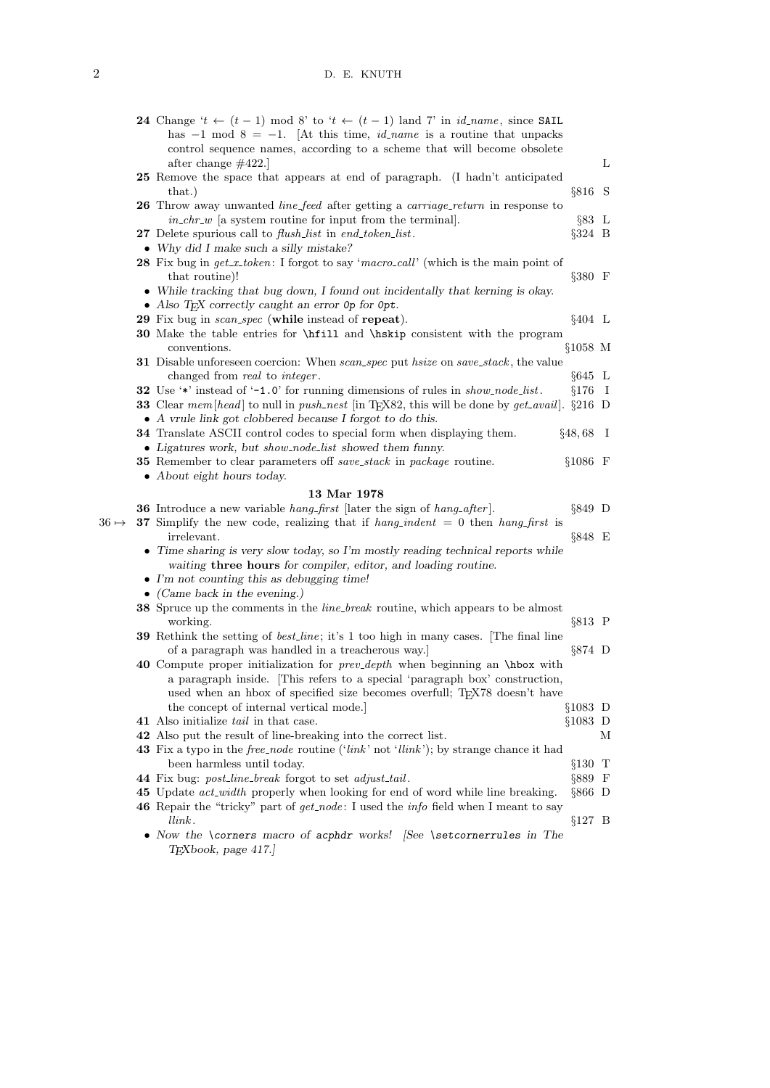|              | <b>24</b> Change ' $t \leftarrow (t-1)$ mod 8' to ' $t \leftarrow (t-1)$ land 7' in <i>id_name</i> , since SAIL<br>has $-1$ mod $8 = -1$ . [At this time, <i>id_name</i> is a routine that unpacks<br>control sequence names, according to a scheme that will become obsolete |                   |   |
|--------------|-------------------------------------------------------------------------------------------------------------------------------------------------------------------------------------------------------------------------------------------------------------------------------|-------------------|---|
|              | after change $\#422$ .                                                                                                                                                                                                                                                        |                   | L |
|              | 25 Remove the space that appears at end of paragraph. (I hadn't anticipated                                                                                                                                                                                                   |                   |   |
|              | that.)                                                                                                                                                                                                                                                                        | $§816$ S          |   |
|              | 26 Throw away unwanted <i>line_feed</i> after getting a <i>carriage_return</i> in response to                                                                                                                                                                                 |                   |   |
|              | $in_{\llbracket}$ in $_{\llbracket}$ a system routine for input from the terminal.                                                                                                                                                                                            | $\S 83 \text{ L}$ |   |
|              | <b>27</b> Delete spurious call to <i>flush_list</i> in end_token_list.                                                                                                                                                                                                        | $\S 324$ B        |   |
|              | • Why did I make such a silly mistake?                                                                                                                                                                                                                                        |                   |   |
|              | 28 Fix bug in get_x_token: I forgot to say 'macro_call' (which is the main point of<br>that routine)!                                                                                                                                                                         | $\S 380$ F        |   |
|              | • While tracking that bug down, I found out incidentally that kerning is okay.                                                                                                                                                                                                |                   |   |
|              | • Also TEX correctly caught an error Op for Opt.                                                                                                                                                                                                                              |                   |   |
|              | 29 Fix bug in scan_spec (while instead of repeat).                                                                                                                                                                                                                            | $§404$ L          |   |
|              | 30 Make the table entries for \hfill and \hskip consistent with the program                                                                                                                                                                                                   |                   |   |
|              | conventions.                                                                                                                                                                                                                                                                  | §1058 M           |   |
|              | <b>31</b> Disable unforeseen coercion: When scan_spec put hsize on save_stack, the value                                                                                                                                                                                      |                   |   |
|              | changed from real to integer.                                                                                                                                                                                                                                                 | $§645$ L          |   |
|              | 32 Use '*' instead of '-1.0' for running dimensions of rules in show_node_list.<br><b>33</b> Clear mem [head] to null in push_nest [in T <sub>F</sub> X82, this will be done by get_avail]. §216 D                                                                            | $§176$ I          |   |
|              |                                                                                                                                                                                                                                                                               |                   |   |
|              | • A vrule link got clobbered because I forgot to do this.<br>34 Translate ASCII control codes to special form when displaying them.                                                                                                                                           | $§48,68$ I        |   |
|              | • Ligatures work, but show_node_list showed them funny.                                                                                                                                                                                                                       |                   |   |
|              | <b>35</b> Remember to clear parameters off save_stack in package routine.                                                                                                                                                                                                     | $§1086$ F         |   |
|              | • About eight hours today.                                                                                                                                                                                                                                                    |                   |   |
|              | 13 Mar 1978                                                                                                                                                                                                                                                                   |                   |   |
| $36 \mapsto$ | <b>36</b> Introduce a new variable <i>hang_first</i> [later the sign of <i>hang_after</i> ].<br>37 Simplify the new code, realizing that if $hang\_indent = 0$ then hang-first is                                                                                             | $\S 849$ D        |   |
|              | irrelevant.<br>• Time sharing is very slow today, so I'm mostly reading technical reports while                                                                                                                                                                               | $\S 848$ E        |   |
|              | waiting <b>three hours</b> for compiler, editor, and loading routine.                                                                                                                                                                                                         |                   |   |
|              | $\bullet$ I'm not counting this as debugging time!                                                                                                                                                                                                                            |                   |   |
|              | • (Came back in the evening.)                                                                                                                                                                                                                                                 |                   |   |
|              | 38 Spruce up the comments in the <i>line_break</i> routine, which appears to be almost<br>working.                                                                                                                                                                            | $§813$ P          |   |
|              | <b>39</b> Rethink the setting of <i>best-line</i> ; it's 1 too high in many cases. The final line                                                                                                                                                                             |                   |   |
|              | of a paragraph was handled in a treacherous way.                                                                                                                                                                                                                              | $\S 874$ D        |   |
|              | 40 Compute proper initialization for <i>prev-depth</i> when beginning an \hbox with                                                                                                                                                                                           |                   |   |
|              | a paragraph inside. This refers to a special 'paragraph box' construction,<br>used when an hbox of specified size becomes overfull; TEX78 doesn't have                                                                                                                        |                   |   |
|              | the concept of internal vertical mode.                                                                                                                                                                                                                                        | $§1083$ D         |   |
|              | 41 Also initialize <i>tail</i> in that case.                                                                                                                                                                                                                                  | $§1083$ D         |   |
|              | 42 Also put the result of line-breaking into the correct list.                                                                                                                                                                                                                |                   | М |
|              | 43 Fix a typo in the <i>free_node</i> routine (' $link$ ' not ' $link$ '); by strange chance it had                                                                                                                                                                           |                   |   |
|              | been harmless until today.                                                                                                                                                                                                                                                    | $§130$ T          |   |
|              | 44 Fix bug: <i>post_line_break</i> forgot to set <i>adjust_tail</i> .                                                                                                                                                                                                         | $§889$ F          |   |
|              | 45 Update <i>act_width</i> properly when looking for end of word while line breaking.                                                                                                                                                                                         | $\S 866$ D        |   |
|              | <b>46</b> Repair the "tricky" part of get_node: I used the info field when I meant to say<br>$_{link.}$                                                                                                                                                                       | $§127$ B          |   |
|              | • Now the \corners macro of acphdr works! See \setcornerrules in The<br>TEXbook, page 417.                                                                                                                                                                                    |                   |   |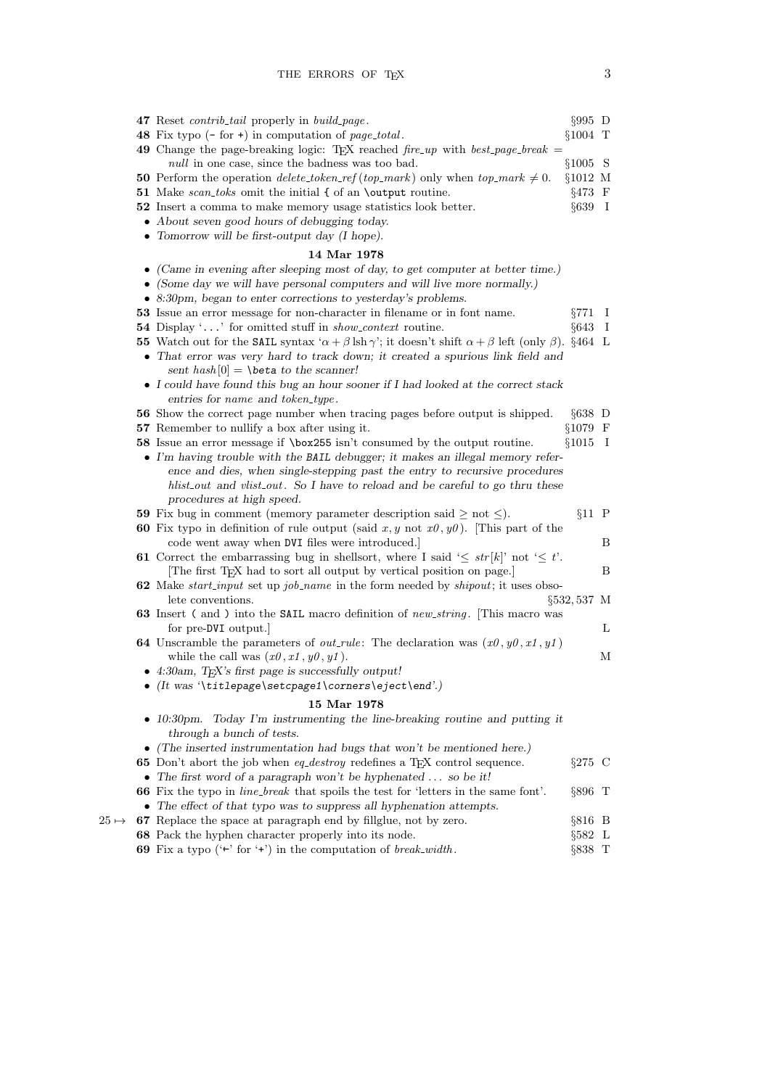|              | 47 Reset <i>contrib_tail</i> properly in <i>build_page</i> .                                                                                    | $\S 995$ D       |              |
|--------------|-------------------------------------------------------------------------------------------------------------------------------------------------|------------------|--------------|
|              | 48 Fix typo $(-$ for $+)$ in computation of <i>page_total</i> .                                                                                 | $$1004$ T        |              |
|              | 49 Change the page-breaking logic: T <sub>F</sub> X reached fire_up with best_page_break =                                                      |                  |              |
|              | <i>null</i> in one case, since the badness was too bad.                                                                                         | $§1005$ S        |              |
|              | <b>50</b> Perform the operation <i>delete_token_ref</i> ( <i>top_mark</i> ) only when <i>top_mark</i> $\neq$ 0.                                 | $§1012$ M        |              |
|              | <b>51</b> Make <i>scan_toks</i> omit the initial { of an \output routine.                                                                       | $§473$ F         |              |
|              | 52 Insert a comma to make memory usage statistics look better.                                                                                  | $§639$ I         |              |
|              | • About seven good hours of debugging today.                                                                                                    |                  |              |
|              | • Tomorrow will be first-output day $(I \text{ hope})$ .                                                                                        |                  |              |
|              | 14 Mar 1978                                                                                                                                     |                  |              |
|              | $\bullet$ (Came in evening after sleeping most of day, to get computer at better time.)                                                         |                  |              |
|              | • (Some day we will have personal computers and will live more normally.)                                                                       |                  |              |
|              | • 8:30pm, began to enter corrections to yesterday's problems.                                                                                   |                  |              |
|              | 53 Issue an error message for non-character in filename or in font name.                                                                        | $\S 771$         | $\perp$      |
|              | <b>54</b> Display '' for omitted stuff in <i>show_context</i> routine.                                                                          | §643             | $\mathbf{I}$ |
|              | 55 Watch out for the SAIL syntax ' $\alpha + \beta \operatorname{lsh} \gamma$ '; it doesn't shift $\alpha + \beta$ left (only $\beta$ ). §464 L |                  |              |
|              | • That error was very hard to track down; it created a spurious link field and<br>sent hash $[0] = \beta$ to the scanner!                       |                  |              |
|              | $\bullet$ I could have found this bug an hour sooner if I had looked at the correct stack<br>entries for name and token_type.                   |                  |              |
|              | 56 Show the correct page number when tracing pages before output is shipped.                                                                    | $§638$ D         |              |
|              | <b>57</b> Remember to nullify a box after using it.                                                                                             | §1079 F          |              |
|              | 58 Issue an error message if \box255 isn't consumed by the output routine.                                                                      | $§1015$ I        |              |
|              | • I'm having trouble with the BAIL debugger; it makes an illegal memory refer-                                                                  |                  |              |
|              | ence and dies, when single-stepping past the entry to recursive procedures                                                                      |                  |              |
|              | hlist_out and vlist_out. So I have to reload and be careful to go thru these                                                                    |                  |              |
|              | procedures at high speed.                                                                                                                       |                  |              |
|              | 59 Fix bug in comment (memory parameter description said $\geq$ not $\leq$ ).                                                                   | $§11$ P          |              |
|              | <b>60</b> Fix typo in definition of rule output (said x, y not $x0, y0$ ). This part of the                                                     |                  |              |
|              | code went away when DVI files were introduced.                                                                                                  |                  | B            |
|              | <b>61</b> Correct the embarrassing bug in shells ort, where I said ' $\leq str[k]$ ' not ' $\leq t$ '.                                          |                  |              |
|              | The first TEX had to sort all output by vertical position on page.]                                                                             |                  | B            |
|              | <b>62</b> Make <i>start_input</i> set up <i>job_name</i> in the form needed by <i>shipout</i> ; it uses obso-                                   |                  |              |
|              | lete conventions.                                                                                                                               | $\S 532, 537$ M  |              |
|              | <b>63</b> Insert (and) into the SAIL macro definition of new string. This macro was                                                             |                  | L            |
|              | for pre-DVI output.<br><b>64</b> Unscramble the parameters of <i>out_rule</i> : The declaration was $(x0, y0, x1, y1)$                          |                  |              |
|              | while the call was $(x0, x1, y0, y1)$ .                                                                                                         |                  | М            |
|              | • 4:30am, TEX's first page is successfully output!                                                                                              |                  |              |
|              | $\bullet$ (It was '\titlepage\setcpage1\corners\eject\end'.)                                                                                    |                  |              |
|              |                                                                                                                                                 |                  |              |
|              | 15 Mar 1978                                                                                                                                     |                  |              |
|              | • 10:30pm. Today I'm instrumenting the line-breaking routine and putting it<br>through a bunch of tests.                                        |                  |              |
|              | $\bullet$ (The inserted instrumentation had bugs that won't be mentioned here.)                                                                 |                  |              |
|              | 65 Don't abort the job when eq-destroy redefines a TEX control sequence.                                                                        | $\S 275$ C       |              |
|              | • The first word of a paragraph won't be hyphenated $\ldots$ so be it!                                                                          |                  |              |
|              | <b>66</b> Fix the typo in <i>line_break</i> that spoils the test for 'letters in the same font'.                                                | $\S 896$ T       |              |
|              | • The effect of that typo was to suppress all hyphenation attempts.                                                                             |                  |              |
| $25 \mapsto$ | 67 Replace the space at paragraph end by fillglue, not by zero.                                                                                 | $§816$ B         |              |
|              | 68 Pack the hyphen character properly into its node.                                                                                            | $§582 \text{ L}$ |              |
|              | 69 Fix a typo ( $\leftrightarrow$ for $\leftrightarrow$ ) in the computation of <i>break_width</i> .                                            | §838 T           |              |
|              |                                                                                                                                                 |                  |              |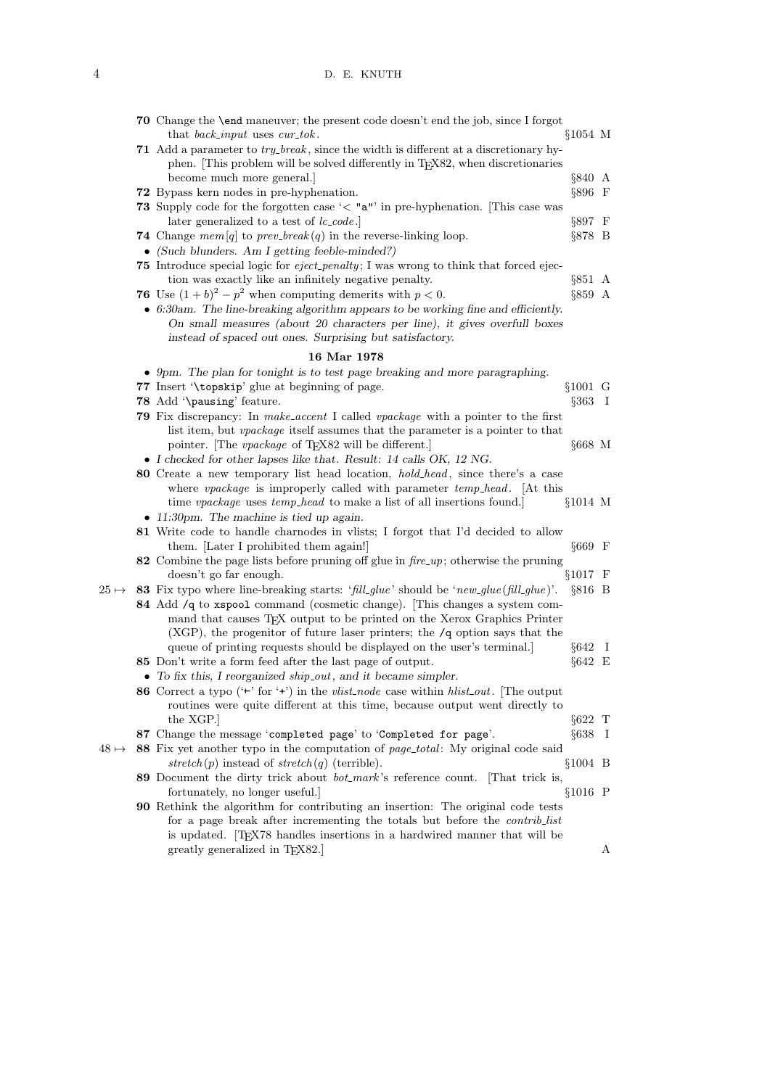## 4 D. E. KNUTH

|              | <b>70</b> Change the <b>\end</b> maneuver; the present code doesn't end the job, since I forgot                                              | §1054 M    |   |
|--------------|----------------------------------------------------------------------------------------------------------------------------------------------|------------|---|
|              | that <i>back_input</i> uses <i>cur_tok</i> .<br>71 Add a parameter to <i>try_break</i> , since the width is different at a discretionary hy- |            |   |
|              | phen. [This problem will be solved differently in TEX82, when discretionaries                                                                |            |   |
|              | become much more general.                                                                                                                    | §840 A     |   |
|              | 72 Bypass kern nodes in pre-hyphenation.                                                                                                     | $§896$ F   |   |
|              |                                                                                                                                              |            |   |
|              | 73 Supply code for the forgotten case ' $\lt$ "a"' in pre-hyphenation. [This case was<br>later generalized to a test of $lc\_code$ .         | $\S 897$ F |   |
|              | <b>74</b> Change mem[q] to prev_break(q) in the reverse-linking loop.                                                                        | $\S 878$ B |   |
|              | $\bullet$ (Such blunders. Am I getting feeble-minded?)                                                                                       |            |   |
|              | <b>75</b> Introduce special logic for <i>eject_penalty</i> ; I was wrong to think that forced ejec-                                          |            |   |
|              | tion was exactly like an infinitely negative penalty.                                                                                        | $§851$ A   |   |
|              | 76 Use $(1+b)^2 - p^2$ when computing demerits with $p < 0$ .                                                                                | $§859$ A   |   |
|              | $\bullet$ 6:30am. The line-breaking algorithm appears to be working fine and efficiently.                                                    |            |   |
|              |                                                                                                                                              |            |   |
|              | On small measures (about 20 characters per line), it gives overfull boxes<br>instead of spaced out ones. Surprising but satisfactory.        |            |   |
|              | 16 Mar 1978                                                                                                                                  |            |   |
|              | • 9pm. The plan for tonight is to test page breaking and more paragraphing.                                                                  |            |   |
|              | 77 Insert '\topskip' glue at beginning of page.                                                                                              | §1001 G    |   |
|              | 78 Add '\pausing' feature.                                                                                                                   | $§363$ I   |   |
|              | 79 Fix discrepancy: In make_accent I called vpackage with a pointer to the first                                                             |            |   |
|              | list item, but <i>vpackage</i> itself assumes that the parameter is a pointer to that                                                        |            |   |
|              | pointer. The <i>vpackage</i> of T <sub>E</sub> X82 will be different.                                                                        | $§668$ M   |   |
|              | • I checked for other lapses like that. Result: 14 calls OK, 12 NG.                                                                          |            |   |
|              | 80 Create a new temporary list head location, <i>hold_head</i> , since there's a case                                                        |            |   |
|              | where vpackage is improperly called with parameter temp_head. [At this                                                                       |            |   |
|              | time <i>vpackage</i> uses <i>temp_head</i> to make a list of all insertions found.                                                           | $§1014$ M  |   |
|              | • 11:30pm. The machine is tied up again.                                                                                                     |            |   |
|              | 81 Write code to handle charnodes in vlists; I forgot that I'd decided to allow                                                              |            |   |
|              | them. Later I prohibited them again!                                                                                                         | $§669$ F   |   |
|              | 82 Combine the page lists before pruning off glue in $fire \text{-}up$ ; otherwise the pruning                                               |            |   |
|              | doesn't go far enough.                                                                                                                       | $§1017$ F  |   |
| $25 \mapsto$ | 83 Fix typo where line-breaking starts: 'fill_glue' should be 'new_glue(fill_glue)'.                                                         | $§816$ B   |   |
|              | 84 Add /q to xspool command (cosmetic change). This changes a system com-                                                                    |            |   |
|              | mand that causes TEX output to be printed on the Xerox Graphics Printer                                                                      |            |   |
|              | (XGP), the progenitor of future laser printers; the $/q$ option says that the                                                                |            |   |
|              | queue of printing requests should be displayed on the user's terminal.                                                                       | $§642$ I   |   |
|              | 85 Don't write a form feed after the last page of output.                                                                                    | §642 E     |   |
|              | $\bullet$ To fix this, I reorganized ship_out, and it became simpler.                                                                        |            |   |
|              | 86 Correct a typo ( $\leftrightarrow$ for $\leftrightarrow$ ) in the vlist-node case within hlist-out. [The output                           |            |   |
|              | routines were quite different at this time, because output went directly to                                                                  |            |   |
|              | the XGP.                                                                                                                                     | $\S622$ T  |   |
|              | 87 Change the message 'completed page' to 'Completed for page'.                                                                              | $§638$ I   |   |
| $48 \mapsto$ | 88 Fix yet another typo in the computation of <i>page_total</i> : My original code said                                                      |            |   |
|              | stretch(p) instead of stretch(q) (terrible).                                                                                                 | $§1004$ B  |   |
|              | 89 Document the dirty trick about <i>bot_mark</i> 's reference count. [That trick is,                                                        |            |   |
|              | fortunately, no longer useful.]                                                                                                              | $§1016$ P  |   |
|              | <b>90</b> Rethink the algorithm for contributing an insertion: The original code tests                                                       |            |   |
|              | for a page break after incrementing the totals but before the <i>contrib_list</i>                                                            |            |   |
|              | is updated. [TEX78 handles insertions in a hardwired manner that will be                                                                     |            |   |
|              | greatly generalized in TEX82.                                                                                                                |            | А |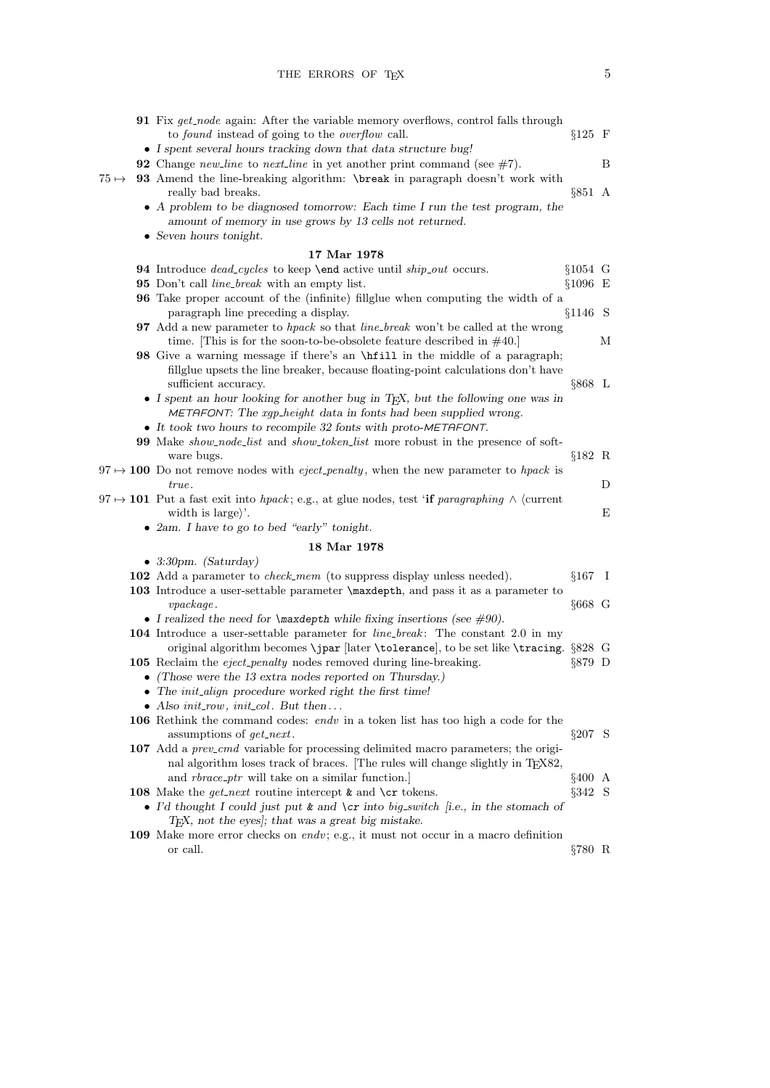|              | <b>91</b> Fix get_node again: After the variable memory overflows, control falls through<br>to <i>found</i> instead of going to the <i>overflow</i> call.          | $§125$ F   |   |
|--------------|--------------------------------------------------------------------------------------------------------------------------------------------------------------------|------------|---|
|              | • I spent several hours tracking down that data structure bug!                                                                                                     |            |   |
|              | <b>92</b> Change <i>new</i> -line to <i>next</i> -line in yet another print command (see $\#7$ ).                                                                  |            | В |
| $75 \mapsto$ | 93 Amend the line-breaking algorithm: \break in paragraph doesn't work with<br>really bad breaks.                                                                  | $§851$ A   |   |
|              | • A problem to be diagnosed tomorrow: Each time I run the test program, the                                                                                        |            |   |
|              | amount of memory in use grows by 13 cells not returned.                                                                                                            |            |   |
|              | • Seven hours tonight.                                                                                                                                             |            |   |
|              | 17 Mar 1978                                                                                                                                                        |            |   |
|              | 94 Introduce dead_cycles to keep \end active until ship_out occurs.                                                                                                | $§1054$ G  |   |
|              | 95 Don't call <i>line_break</i> with an empty list.                                                                                                                | $§1096$ E  |   |
|              | <b>96</b> Take proper account of the (infinite) filly give when computing the width of a<br>paragraph line preceding a display.                                    | $§1146$ S  |   |
|              |                                                                                                                                                                    |            |   |
|              | <b>97</b> Add a new parameter to hpack so that line-break won't be called at the wrong<br>time. [This is for the soon-to-be-obsolete feature described in $#40$ .] |            | М |
|              | 98 Give a warning message if there's an <b>\hfill</b> in the middle of a paragraph;                                                                                |            |   |
|              | fillglue upsets the line breaker, because floating-point calculations don't have                                                                                   |            |   |
|              | sufficient accuracy.                                                                                                                                               | $§868$ L   |   |
|              | • I spent an hour looking for another bug in T <sub>E</sub> X, but the following one was in<br>METAFONT: The xgp_height data in fonts had been supplied wrong.     |            |   |
|              | • It took two hours to recompile 32 fonts with proto-METAFONT.                                                                                                     |            |   |
|              | <b>99</b> Make <i>show_node_list</i> and <i>show_token_list</i> more robust in the presence of soft-                                                               |            |   |
|              | ware bugs.<br>$97 \rightarrow 100$ Do not remove nodes with <i>eject_penalty</i> , when the new parameter to <i>hpack</i> is                                       | $§182$ R   |   |
|              | true.                                                                                                                                                              |            | D |
|              | $97 \rightarrow 101$ Put a fast exit into hpack; e.g., at glue nodes, test 'if paragraphing $\wedge$ (current<br>width is large                                    |            | Ε |
|              | • 2am. I have to go to bed "early" tonight.                                                                                                                        |            |   |
|              | 18 Mar 1978                                                                                                                                                        |            |   |
|              | $\bullet$ 3:30pm. (Saturday)                                                                                                                                       |            |   |
|              | 102 Add a parameter to <i>check_mem</i> (to suppress display unless needed).                                                                                       | $§167$ I   |   |
|              | 103 Introduce a user-settable parameter <i>maxdepth</i> , and pass it as a parameter to                                                                            |            |   |
|              | vpackage.                                                                                                                                                          | $§668$ G   |   |
|              | • I realized the need for $\max$ depth while fixing insertions (see #90).                                                                                          |            |   |
|              | 104 Introduce a user-settable parameter for <i>line_break</i> : The constant 2.0 in my                                                                             |            |   |
|              | original algorithm becomes \jpar [later \tolerance], to be set like \tracing. §828 G                                                                               |            |   |
|              | 105 Reclaim the <i>eject_penalty</i> nodes removed during line-breaking.                                                                                           | $\S 879$ D |   |
|              | • (Those were the 13 extra nodes reported on Thursday.)                                                                                                            |            |   |
|              | • The <i>init_align</i> procedure worked right the first time!                                                                                                     |            |   |
|              | • Also $init\_row$ , $init\_col$ . But then                                                                                                                        |            |   |
|              | 106 Rethink the command codes: $endv$ in a token list has too high a code for the                                                                                  |            |   |
|              | assumptions of <i>get_next</i> .                                                                                                                                   | $\S 207$ S |   |
|              | 107 Add a <i>prev_cmd</i> variable for processing delimited macro parameters; the origi-                                                                           |            |   |
|              | nal algorithm loses track of braces. The rules will change slightly in $TFXX82$ ,                                                                                  |            |   |
|              | and <i>rbrace_ptr</i> will take on a similar function.                                                                                                             | §400 A     |   |
|              | <b>108</b> Make the <i>get-next</i> routine intercept $\&$ and $\c{cr}$ tokens.                                                                                    | §342 S     |   |
|              | • I'd thought I could just put $\&$ and \cr into big_switch [i.e., in the stomach of<br>T <sub>E</sub> X, not the eyes]; that was a great big mistake.             |            |   |
|              | 109 Make more error checks on <i>endv</i> ; e.g., it must not occur in a macro definition                                                                          |            |   |
|              | or call.                                                                                                                                                           | $\S 780$ R |   |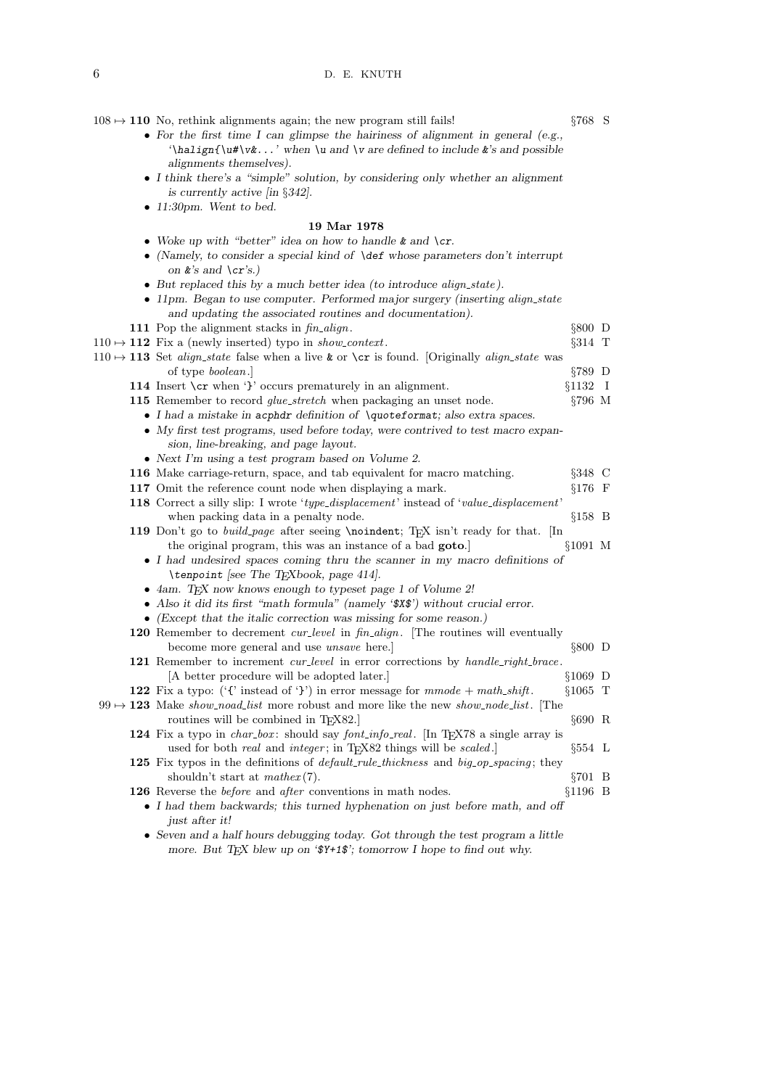$108 \rightarrow 110$  No, rethink alignments again; the new program still fails! §768 S

- For the first time I can glimpse the hairiness of alignment in general (e.g.,  $\lambda$ '\halign{\u#\v&...' when \u and \v are defined to include &'s and possible alignments themselves).
- I think there's a "simple" solution, by considering only whether an alignment is currently active [in §342].
- 11:30pm. Went to bed.

#### 19 Mar 1978

- Woke up with "better" idea on how to handle  $\&$  and  $\csc$ .
- (Namely, to consider a special kind of  $\def$  whose parameters don't interrupt on  $k$ 's and  $\c{c}$ 's.)
- But replaced this by a much better idea (to introduce align\_state).
- 11pm. Began to use computer. Performed major surgery (inserting align\_state and updating the associated routines and documentation).
- 111 Pop the alignment stacks in  $\mathit{fin\_align}$ .  $§ 800 \text{ D}$

## $110 \rightarrow 112$  Fix a (newly inserted) typo in *show\_context*. §314 T

 $110 \rightarrow 113$  Set align\_state false when a live & or \cr is found. [Originally align\_state was of type boolean.] §789 D 114 Insert \cr when '}' occurs prematurely in an alignment.  $\S 1132$  I 115 Remember to record *glue\_stretch* when packaging an unset node.  $\S796 \text{ M}$ • I had a mistake in acphdr definition of \quoteformat; also extra spaces. • My first test programs, used before today, were contrived to test macro expansion, line-breaking, and page layout. • Next I'm using a test program based on Volume 2. 116 Make carriage-return, space, and tab equivalent for macro matching. §348 C 117 Omit the reference count node when displaying a mark. §176 F 118 Correct a silly slip: I wrote 'type\_displacement' instead of 'value\_displacement' when packing data in a penalty node.  $\S 158$  B 119 Don't go to build page after seeing \noindent; TEX isn't ready for that. [In the original program, this was an instance of a bad goto.] §1091 M • I had undesired spaces coming thru the scanner in my macro definitions of \tenpoint [see The TEXbook, page 414]. • 4am. TFX now knows enough to typeset page 1 of Volume 2! • Also it did its first "math formula" (namely '\$X\$') without crucial error. • (Except that the italic correction was missing for some reason.) 120 Remember to decrement *cur-level* in fin-align. [The routines will eventually become more general and use *unsave* here. **EXECUTE:** \$800 D 121 Remember to increment *cur-level* in error corrections by handle-right-brace. [A better procedure will be adopted later.] §1069 D 122 Fix a typo: ('{' instead of '}') in error message for  $mmode + math\_shift$ . §1065 T  $99 \rightarrow 123$  Make show noad list more robust and more like the new show node list. [The routines will be combined in T<sub>E</sub>X82.]  $§690 \text{ R}$ 124 Fix a typo in *char-box*: should say *font-info-real*. [In TEX78 a single array is used for both *real* and *integer*; in T<sub>E</sub>X82 things will be *scaled*.]  $§554 \text{ L}$ 125 Fix typos in the definitions of *default\_rule\_thickness* and *big\_op\_spacing*; they shouldn't start at  $\mathit{matter}(7)$ . §701 B everse the *before* and *after* conventions in math nodes. §1196 B 126 Reverse the *before* and *after* conventions in math nodes.

- I had them backwards; this turned hyphenation on just before math, and off just after it!
- Seven and a half hours debugging today. Got through the test program a little more. But T<sub>E</sub>X blew up on ' $\mathcal{F}+1\mathcal{F}$ '; tomorrow I hope to find out why.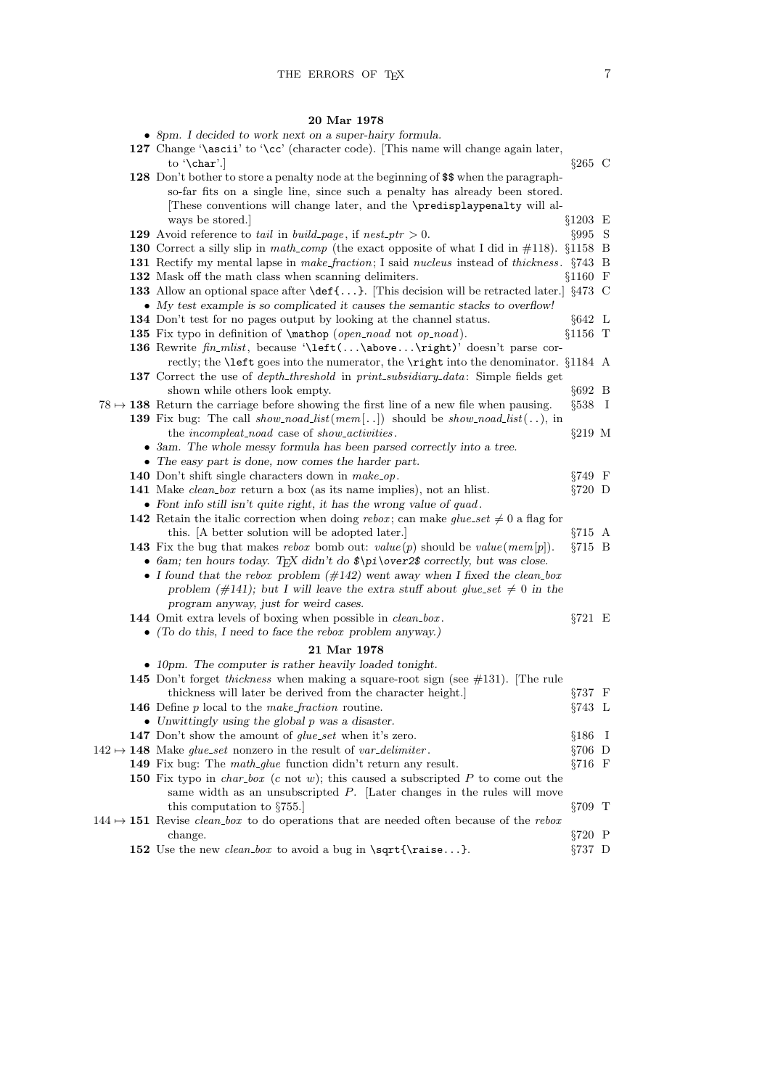## 20 Mar 1978

| ways be stored.                                             |                                                                                                                                                                                                                                                                                                                                                                                                                                                                                                                                                                                                                                                                                                                                                                                                                                                                                                                                                                                                                                                                                                                                                                                                                                                                                                                                                                                                                                                                                                                                                                                                                                                                                                                                                                                                                                                                                                                                                                                                                                                                                                                                                                                                                                                                                                                                                                                                                                                                                                                                                                                                                                                                                                                                                                                                                                                                                                                                                                                                                                                                                                                            |                                                                                                                                                                                                                                                                                                                                                                                                                                                                                                                                                                               |
|-------------------------------------------------------------|----------------------------------------------------------------------------------------------------------------------------------------------------------------------------------------------------------------------------------------------------------------------------------------------------------------------------------------------------------------------------------------------------------------------------------------------------------------------------------------------------------------------------------------------------------------------------------------------------------------------------------------------------------------------------------------------------------------------------------------------------------------------------------------------------------------------------------------------------------------------------------------------------------------------------------------------------------------------------------------------------------------------------------------------------------------------------------------------------------------------------------------------------------------------------------------------------------------------------------------------------------------------------------------------------------------------------------------------------------------------------------------------------------------------------------------------------------------------------------------------------------------------------------------------------------------------------------------------------------------------------------------------------------------------------------------------------------------------------------------------------------------------------------------------------------------------------------------------------------------------------------------------------------------------------------------------------------------------------------------------------------------------------------------------------------------------------------------------------------------------------------------------------------------------------------------------------------------------------------------------------------------------------------------------------------------------------------------------------------------------------------------------------------------------------------------------------------------------------------------------------------------------------------------------------------------------------------------------------------------------------------------------------------------------------------------------------------------------------------------------------------------------------------------------------------------------------------------------------------------------------------------------------------------------------------------------------------------------------------------------------------------------------------------------------------------------------------------------------------------------------|-------------------------------------------------------------------------------------------------------------------------------------------------------------------------------------------------------------------------------------------------------------------------------------------------------------------------------------------------------------------------------------------------------------------------------------------------------------------------------------------------------------------------------------------------------------------------------|
|                                                             | $§995$ S                                                                                                                                                                                                                                                                                                                                                                                                                                                                                                                                                                                                                                                                                                                                                                                                                                                                                                                                                                                                                                                                                                                                                                                                                                                                                                                                                                                                                                                                                                                                                                                                                                                                                                                                                                                                                                                                                                                                                                                                                                                                                                                                                                                                                                                                                                                                                                                                                                                                                                                                                                                                                                                                                                                                                                                                                                                                                                                                                                                                                                                                                                                   |                                                                                                                                                                                                                                                                                                                                                                                                                                                                                                                                                                               |
|                                                             |                                                                                                                                                                                                                                                                                                                                                                                                                                                                                                                                                                                                                                                                                                                                                                                                                                                                                                                                                                                                                                                                                                                                                                                                                                                                                                                                                                                                                                                                                                                                                                                                                                                                                                                                                                                                                                                                                                                                                                                                                                                                                                                                                                                                                                                                                                                                                                                                                                                                                                                                                                                                                                                                                                                                                                                                                                                                                                                                                                                                                                                                                                                            |                                                                                                                                                                                                                                                                                                                                                                                                                                                                                                                                                                               |
|                                                             |                                                                                                                                                                                                                                                                                                                                                                                                                                                                                                                                                                                                                                                                                                                                                                                                                                                                                                                                                                                                                                                                                                                                                                                                                                                                                                                                                                                                                                                                                                                                                                                                                                                                                                                                                                                                                                                                                                                                                                                                                                                                                                                                                                                                                                                                                                                                                                                                                                                                                                                                                                                                                                                                                                                                                                                                                                                                                                                                                                                                                                                                                                                            |                                                                                                                                                                                                                                                                                                                                                                                                                                                                                                                                                                               |
|                                                             |                                                                                                                                                                                                                                                                                                                                                                                                                                                                                                                                                                                                                                                                                                                                                                                                                                                                                                                                                                                                                                                                                                                                                                                                                                                                                                                                                                                                                                                                                                                                                                                                                                                                                                                                                                                                                                                                                                                                                                                                                                                                                                                                                                                                                                                                                                                                                                                                                                                                                                                                                                                                                                                                                                                                                                                                                                                                                                                                                                                                                                                                                                                            |                                                                                                                                                                                                                                                                                                                                                                                                                                                                                                                                                                               |
|                                                             |                                                                                                                                                                                                                                                                                                                                                                                                                                                                                                                                                                                                                                                                                                                                                                                                                                                                                                                                                                                                                                                                                                                                                                                                                                                                                                                                                                                                                                                                                                                                                                                                                                                                                                                                                                                                                                                                                                                                                                                                                                                                                                                                                                                                                                                                                                                                                                                                                                                                                                                                                                                                                                                                                                                                                                                                                                                                                                                                                                                                                                                                                                                            |                                                                                                                                                                                                                                                                                                                                                                                                                                                                                                                                                                               |
|                                                             |                                                                                                                                                                                                                                                                                                                                                                                                                                                                                                                                                                                                                                                                                                                                                                                                                                                                                                                                                                                                                                                                                                                                                                                                                                                                                                                                                                                                                                                                                                                                                                                                                                                                                                                                                                                                                                                                                                                                                                                                                                                                                                                                                                                                                                                                                                                                                                                                                                                                                                                                                                                                                                                                                                                                                                                                                                                                                                                                                                                                                                                                                                                            |                                                                                                                                                                                                                                                                                                                                                                                                                                                                                                                                                                               |
|                                                             |                                                                                                                                                                                                                                                                                                                                                                                                                                                                                                                                                                                                                                                                                                                                                                                                                                                                                                                                                                                                                                                                                                                                                                                                                                                                                                                                                                                                                                                                                                                                                                                                                                                                                                                                                                                                                                                                                                                                                                                                                                                                                                                                                                                                                                                                                                                                                                                                                                                                                                                                                                                                                                                                                                                                                                                                                                                                                                                                                                                                                                                                                                                            |                                                                                                                                                                                                                                                                                                                                                                                                                                                                                                                                                                               |
|                                                             |                                                                                                                                                                                                                                                                                                                                                                                                                                                                                                                                                                                                                                                                                                                                                                                                                                                                                                                                                                                                                                                                                                                                                                                                                                                                                                                                                                                                                                                                                                                                                                                                                                                                                                                                                                                                                                                                                                                                                                                                                                                                                                                                                                                                                                                                                                                                                                                                                                                                                                                                                                                                                                                                                                                                                                                                                                                                                                                                                                                                                                                                                                                            |                                                                                                                                                                                                                                                                                                                                                                                                                                                                                                                                                                               |
|                                                             |                                                                                                                                                                                                                                                                                                                                                                                                                                                                                                                                                                                                                                                                                                                                                                                                                                                                                                                                                                                                                                                                                                                                                                                                                                                                                                                                                                                                                                                                                                                                                                                                                                                                                                                                                                                                                                                                                                                                                                                                                                                                                                                                                                                                                                                                                                                                                                                                                                                                                                                                                                                                                                                                                                                                                                                                                                                                                                                                                                                                                                                                                                                            |                                                                                                                                                                                                                                                                                                                                                                                                                                                                                                                                                                               |
|                                                             |                                                                                                                                                                                                                                                                                                                                                                                                                                                                                                                                                                                                                                                                                                                                                                                                                                                                                                                                                                                                                                                                                                                                                                                                                                                                                                                                                                                                                                                                                                                                                                                                                                                                                                                                                                                                                                                                                                                                                                                                                                                                                                                                                                                                                                                                                                                                                                                                                                                                                                                                                                                                                                                                                                                                                                                                                                                                                                                                                                                                                                                                                                                            |                                                                                                                                                                                                                                                                                                                                                                                                                                                                                                                                                                               |
|                                                             |                                                                                                                                                                                                                                                                                                                                                                                                                                                                                                                                                                                                                                                                                                                                                                                                                                                                                                                                                                                                                                                                                                                                                                                                                                                                                                                                                                                                                                                                                                                                                                                                                                                                                                                                                                                                                                                                                                                                                                                                                                                                                                                                                                                                                                                                                                                                                                                                                                                                                                                                                                                                                                                                                                                                                                                                                                                                                                                                                                                                                                                                                                                            |                                                                                                                                                                                                                                                                                                                                                                                                                                                                                                                                                                               |
|                                                             |                                                                                                                                                                                                                                                                                                                                                                                                                                                                                                                                                                                                                                                                                                                                                                                                                                                                                                                                                                                                                                                                                                                                                                                                                                                                                                                                                                                                                                                                                                                                                                                                                                                                                                                                                                                                                                                                                                                                                                                                                                                                                                                                                                                                                                                                                                                                                                                                                                                                                                                                                                                                                                                                                                                                                                                                                                                                                                                                                                                                                                                                                                                            |                                                                                                                                                                                                                                                                                                                                                                                                                                                                                                                                                                               |
|                                                             |                                                                                                                                                                                                                                                                                                                                                                                                                                                                                                                                                                                                                                                                                                                                                                                                                                                                                                                                                                                                                                                                                                                                                                                                                                                                                                                                                                                                                                                                                                                                                                                                                                                                                                                                                                                                                                                                                                                                                                                                                                                                                                                                                                                                                                                                                                                                                                                                                                                                                                                                                                                                                                                                                                                                                                                                                                                                                                                                                                                                                                                                                                                            |                                                                                                                                                                                                                                                                                                                                                                                                                                                                                                                                                                               |
| the <i>incompleat_noad</i> case of <i>show_activities</i> . | $§219$ M                                                                                                                                                                                                                                                                                                                                                                                                                                                                                                                                                                                                                                                                                                                                                                                                                                                                                                                                                                                                                                                                                                                                                                                                                                                                                                                                                                                                                                                                                                                                                                                                                                                                                                                                                                                                                                                                                                                                                                                                                                                                                                                                                                                                                                                                                                                                                                                                                                                                                                                                                                                                                                                                                                                                                                                                                                                                                                                                                                                                                                                                                                                   |                                                                                                                                                                                                                                                                                                                                                                                                                                                                                                                                                                               |
|                                                             |                                                                                                                                                                                                                                                                                                                                                                                                                                                                                                                                                                                                                                                                                                                                                                                                                                                                                                                                                                                                                                                                                                                                                                                                                                                                                                                                                                                                                                                                                                                                                                                                                                                                                                                                                                                                                                                                                                                                                                                                                                                                                                                                                                                                                                                                                                                                                                                                                                                                                                                                                                                                                                                                                                                                                                                                                                                                                                                                                                                                                                                                                                                            |                                                                                                                                                                                                                                                                                                                                                                                                                                                                                                                                                                               |
|                                                             |                                                                                                                                                                                                                                                                                                                                                                                                                                                                                                                                                                                                                                                                                                                                                                                                                                                                                                                                                                                                                                                                                                                                                                                                                                                                                                                                                                                                                                                                                                                                                                                                                                                                                                                                                                                                                                                                                                                                                                                                                                                                                                                                                                                                                                                                                                                                                                                                                                                                                                                                                                                                                                                                                                                                                                                                                                                                                                                                                                                                                                                                                                                            |                                                                                                                                                                                                                                                                                                                                                                                                                                                                                                                                                                               |
|                                                             | $§749$ F                                                                                                                                                                                                                                                                                                                                                                                                                                                                                                                                                                                                                                                                                                                                                                                                                                                                                                                                                                                                                                                                                                                                                                                                                                                                                                                                                                                                                                                                                                                                                                                                                                                                                                                                                                                                                                                                                                                                                                                                                                                                                                                                                                                                                                                                                                                                                                                                                                                                                                                                                                                                                                                                                                                                                                                                                                                                                                                                                                                                                                                                                                                   |                                                                                                                                                                                                                                                                                                                                                                                                                                                                                                                                                                               |
|                                                             | $\S 720$ D                                                                                                                                                                                                                                                                                                                                                                                                                                                                                                                                                                                                                                                                                                                                                                                                                                                                                                                                                                                                                                                                                                                                                                                                                                                                                                                                                                                                                                                                                                                                                                                                                                                                                                                                                                                                                                                                                                                                                                                                                                                                                                                                                                                                                                                                                                                                                                                                                                                                                                                                                                                                                                                                                                                                                                                                                                                                                                                                                                                                                                                                                                                 |                                                                                                                                                                                                                                                                                                                                                                                                                                                                                                                                                                               |
|                                                             |                                                                                                                                                                                                                                                                                                                                                                                                                                                                                                                                                                                                                                                                                                                                                                                                                                                                                                                                                                                                                                                                                                                                                                                                                                                                                                                                                                                                                                                                                                                                                                                                                                                                                                                                                                                                                                                                                                                                                                                                                                                                                                                                                                                                                                                                                                                                                                                                                                                                                                                                                                                                                                                                                                                                                                                                                                                                                                                                                                                                                                                                                                                            |                                                                                                                                                                                                                                                                                                                                                                                                                                                                                                                                                                               |
|                                                             |                                                                                                                                                                                                                                                                                                                                                                                                                                                                                                                                                                                                                                                                                                                                                                                                                                                                                                                                                                                                                                                                                                                                                                                                                                                                                                                                                                                                                                                                                                                                                                                                                                                                                                                                                                                                                                                                                                                                                                                                                                                                                                                                                                                                                                                                                                                                                                                                                                                                                                                                                                                                                                                                                                                                                                                                                                                                                                                                                                                                                                                                                                                            |                                                                                                                                                                                                                                                                                                                                                                                                                                                                                                                                                                               |
|                                                             |                                                                                                                                                                                                                                                                                                                                                                                                                                                                                                                                                                                                                                                                                                                                                                                                                                                                                                                                                                                                                                                                                                                                                                                                                                                                                                                                                                                                                                                                                                                                                                                                                                                                                                                                                                                                                                                                                                                                                                                                                                                                                                                                                                                                                                                                                                                                                                                                                                                                                                                                                                                                                                                                                                                                                                                                                                                                                                                                                                                                                                                                                                                            |                                                                                                                                                                                                                                                                                                                                                                                                                                                                                                                                                                               |
|                                                             |                                                                                                                                                                                                                                                                                                                                                                                                                                                                                                                                                                                                                                                                                                                                                                                                                                                                                                                                                                                                                                                                                                                                                                                                                                                                                                                                                                                                                                                                                                                                                                                                                                                                                                                                                                                                                                                                                                                                                                                                                                                                                                                                                                                                                                                                                                                                                                                                                                                                                                                                                                                                                                                                                                                                                                                                                                                                                                                                                                                                                                                                                                                            |                                                                                                                                                                                                                                                                                                                                                                                                                                                                                                                                                                               |
|                                                             |                                                                                                                                                                                                                                                                                                                                                                                                                                                                                                                                                                                                                                                                                                                                                                                                                                                                                                                                                                                                                                                                                                                                                                                                                                                                                                                                                                                                                                                                                                                                                                                                                                                                                                                                                                                                                                                                                                                                                                                                                                                                                                                                                                                                                                                                                                                                                                                                                                                                                                                                                                                                                                                                                                                                                                                                                                                                                                                                                                                                                                                                                                                            |                                                                                                                                                                                                                                                                                                                                                                                                                                                                                                                                                                               |
|                                                             |                                                                                                                                                                                                                                                                                                                                                                                                                                                                                                                                                                                                                                                                                                                                                                                                                                                                                                                                                                                                                                                                                                                                                                                                                                                                                                                                                                                                                                                                                                                                                                                                                                                                                                                                                                                                                                                                                                                                                                                                                                                                                                                                                                                                                                                                                                                                                                                                                                                                                                                                                                                                                                                                                                                                                                                                                                                                                                                                                                                                                                                                                                                            |                                                                                                                                                                                                                                                                                                                                                                                                                                                                                                                                                                               |
| program anyway, just for weird cases.                       |                                                                                                                                                                                                                                                                                                                                                                                                                                                                                                                                                                                                                                                                                                                                                                                                                                                                                                                                                                                                                                                                                                                                                                                                                                                                                                                                                                                                                                                                                                                                                                                                                                                                                                                                                                                                                                                                                                                                                                                                                                                                                                                                                                                                                                                                                                                                                                                                                                                                                                                                                                                                                                                                                                                                                                                                                                                                                                                                                                                                                                                                                                                            |                                                                                                                                                                                                                                                                                                                                                                                                                                                                                                                                                                               |
|                                                             | $\S 721$ E                                                                                                                                                                                                                                                                                                                                                                                                                                                                                                                                                                                                                                                                                                                                                                                                                                                                                                                                                                                                                                                                                                                                                                                                                                                                                                                                                                                                                                                                                                                                                                                                                                                                                                                                                                                                                                                                                                                                                                                                                                                                                                                                                                                                                                                                                                                                                                                                                                                                                                                                                                                                                                                                                                                                                                                                                                                                                                                                                                                                                                                                                                                 |                                                                                                                                                                                                                                                                                                                                                                                                                                                                                                                                                                               |
|                                                             |                                                                                                                                                                                                                                                                                                                                                                                                                                                                                                                                                                                                                                                                                                                                                                                                                                                                                                                                                                                                                                                                                                                                                                                                                                                                                                                                                                                                                                                                                                                                                                                                                                                                                                                                                                                                                                                                                                                                                                                                                                                                                                                                                                                                                                                                                                                                                                                                                                                                                                                                                                                                                                                                                                                                                                                                                                                                                                                                                                                                                                                                                                                            |                                                                                                                                                                                                                                                                                                                                                                                                                                                                                                                                                                               |
| 21 Mar 1978                                                 |                                                                                                                                                                                                                                                                                                                                                                                                                                                                                                                                                                                                                                                                                                                                                                                                                                                                                                                                                                                                                                                                                                                                                                                                                                                                                                                                                                                                                                                                                                                                                                                                                                                                                                                                                                                                                                                                                                                                                                                                                                                                                                                                                                                                                                                                                                                                                                                                                                                                                                                                                                                                                                                                                                                                                                                                                                                                                                                                                                                                                                                                                                                            |                                                                                                                                                                                                                                                                                                                                                                                                                                                                                                                                                                               |
|                                                             |                                                                                                                                                                                                                                                                                                                                                                                                                                                                                                                                                                                                                                                                                                                                                                                                                                                                                                                                                                                                                                                                                                                                                                                                                                                                                                                                                                                                                                                                                                                                                                                                                                                                                                                                                                                                                                                                                                                                                                                                                                                                                                                                                                                                                                                                                                                                                                                                                                                                                                                                                                                                                                                                                                                                                                                                                                                                                                                                                                                                                                                                                                                            |                                                                                                                                                                                                                                                                                                                                                                                                                                                                                                                                                                               |
|                                                             |                                                                                                                                                                                                                                                                                                                                                                                                                                                                                                                                                                                                                                                                                                                                                                                                                                                                                                                                                                                                                                                                                                                                                                                                                                                                                                                                                                                                                                                                                                                                                                                                                                                                                                                                                                                                                                                                                                                                                                                                                                                                                                                                                                                                                                                                                                                                                                                                                                                                                                                                                                                                                                                                                                                                                                                                                                                                                                                                                                                                                                                                                                                            |                                                                                                                                                                                                                                                                                                                                                                                                                                                                                                                                                                               |
| thickness will later be derived from the character height.  | $\S 737$ F                                                                                                                                                                                                                                                                                                                                                                                                                                                                                                                                                                                                                                                                                                                                                                                                                                                                                                                                                                                                                                                                                                                                                                                                                                                                                                                                                                                                                                                                                                                                                                                                                                                                                                                                                                                                                                                                                                                                                                                                                                                                                                                                                                                                                                                                                                                                                                                                                                                                                                                                                                                                                                                                                                                                                                                                                                                                                                                                                                                                                                                                                                                 |                                                                                                                                                                                                                                                                                                                                                                                                                                                                                                                                                                               |
|                                                             | §743 L                                                                                                                                                                                                                                                                                                                                                                                                                                                                                                                                                                                                                                                                                                                                                                                                                                                                                                                                                                                                                                                                                                                                                                                                                                                                                                                                                                                                                                                                                                                                                                                                                                                                                                                                                                                                                                                                                                                                                                                                                                                                                                                                                                                                                                                                                                                                                                                                                                                                                                                                                                                                                                                                                                                                                                                                                                                                                                                                                                                                                                                                                                                     |                                                                                                                                                                                                                                                                                                                                                                                                                                                                                                                                                                               |
|                                                             |                                                                                                                                                                                                                                                                                                                                                                                                                                                                                                                                                                                                                                                                                                                                                                                                                                                                                                                                                                                                                                                                                                                                                                                                                                                                                                                                                                                                                                                                                                                                                                                                                                                                                                                                                                                                                                                                                                                                                                                                                                                                                                                                                                                                                                                                                                                                                                                                                                                                                                                                                                                                                                                                                                                                                                                                                                                                                                                                                                                                                                                                                                                            |                                                                                                                                                                                                                                                                                                                                                                                                                                                                                                                                                                               |
|                                                             |                                                                                                                                                                                                                                                                                                                                                                                                                                                                                                                                                                                                                                                                                                                                                                                                                                                                                                                                                                                                                                                                                                                                                                                                                                                                                                                                                                                                                                                                                                                                                                                                                                                                                                                                                                                                                                                                                                                                                                                                                                                                                                                                                                                                                                                                                                                                                                                                                                                                                                                                                                                                                                                                                                                                                                                                                                                                                                                                                                                                                                                                                                                            |                                                                                                                                                                                                                                                                                                                                                                                                                                                                                                                                                                               |
|                                                             |                                                                                                                                                                                                                                                                                                                                                                                                                                                                                                                                                                                                                                                                                                                                                                                                                                                                                                                                                                                                                                                                                                                                                                                                                                                                                                                                                                                                                                                                                                                                                                                                                                                                                                                                                                                                                                                                                                                                                                                                                                                                                                                                                                                                                                                                                                                                                                                                                                                                                                                                                                                                                                                                                                                                                                                                                                                                                                                                                                                                                                                                                                                            |                                                                                                                                                                                                                                                                                                                                                                                                                                                                                                                                                                               |
|                                                             |                                                                                                                                                                                                                                                                                                                                                                                                                                                                                                                                                                                                                                                                                                                                                                                                                                                                                                                                                                                                                                                                                                                                                                                                                                                                                                                                                                                                                                                                                                                                                                                                                                                                                                                                                                                                                                                                                                                                                                                                                                                                                                                                                                                                                                                                                                                                                                                                                                                                                                                                                                                                                                                                                                                                                                                                                                                                                                                                                                                                                                                                                                                            |                                                                                                                                                                                                                                                                                                                                                                                                                                                                                                                                                                               |
|                                                             |                                                                                                                                                                                                                                                                                                                                                                                                                                                                                                                                                                                                                                                                                                                                                                                                                                                                                                                                                                                                                                                                                                                                                                                                                                                                                                                                                                                                                                                                                                                                                                                                                                                                                                                                                                                                                                                                                                                                                                                                                                                                                                                                                                                                                                                                                                                                                                                                                                                                                                                                                                                                                                                                                                                                                                                                                                                                                                                                                                                                                                                                                                                            |                                                                                                                                                                                                                                                                                                                                                                                                                                                                                                                                                                               |
|                                                             | $\S 709$ T                                                                                                                                                                                                                                                                                                                                                                                                                                                                                                                                                                                                                                                                                                                                                                                                                                                                                                                                                                                                                                                                                                                                                                                                                                                                                                                                                                                                                                                                                                                                                                                                                                                                                                                                                                                                                                                                                                                                                                                                                                                                                                                                                                                                                                                                                                                                                                                                                                                                                                                                                                                                                                                                                                                                                                                                                                                                                                                                                                                                                                                                                                                 |                                                                                                                                                                                                                                                                                                                                                                                                                                                                                                                                                                               |
|                                                             |                                                                                                                                                                                                                                                                                                                                                                                                                                                                                                                                                                                                                                                                                                                                                                                                                                                                                                                                                                                                                                                                                                                                                                                                                                                                                                                                                                                                                                                                                                                                                                                                                                                                                                                                                                                                                                                                                                                                                                                                                                                                                                                                                                                                                                                                                                                                                                                                                                                                                                                                                                                                                                                                                                                                                                                                                                                                                                                                                                                                                                                                                                                            |                                                                                                                                                                                                                                                                                                                                                                                                                                                                                                                                                                               |
| change.                                                     | $\S 720$ P                                                                                                                                                                                                                                                                                                                                                                                                                                                                                                                                                                                                                                                                                                                                                                                                                                                                                                                                                                                                                                                                                                                                                                                                                                                                                                                                                                                                                                                                                                                                                                                                                                                                                                                                                                                                                                                                                                                                                                                                                                                                                                                                                                                                                                                                                                                                                                                                                                                                                                                                                                                                                                                                                                                                                                                                                                                                                                                                                                                                                                                                                                                 |                                                                                                                                                                                                                                                                                                                                                                                                                                                                                                                                                                               |
|                                                             | $\S 737$ D                                                                                                                                                                                                                                                                                                                                                                                                                                                                                                                                                                                                                                                                                                                                                                                                                                                                                                                                                                                                                                                                                                                                                                                                                                                                                                                                                                                                                                                                                                                                                                                                                                                                                                                                                                                                                                                                                                                                                                                                                                                                                                                                                                                                                                                                                                                                                                                                                                                                                                                                                                                                                                                                                                                                                                                                                                                                                                                                                                                                                                                                                                                 |                                                                                                                                                                                                                                                                                                                                                                                                                                                                                                                                                                               |
|                                                             | • 8pm. I decided to work next on a super-hairy formula.<br>127 Change '\ascii' to '\cc' (character code). [This name will change again later,<br>to '\char'.<br>128 Don't bother to store a penalty node at the beginning of \$\$ when the paragraph-<br>so-far fits on a single line, since such a penalty has already been stored.<br>These conventions will change later, and the \predisplaypenalty will al-<br>129 Avoid reference to tail in build page, if nest ptr $> 0$ .<br>132 Mask off the math class when scanning delimiters.<br>• My test example is so complicated it causes the semantic stacks to overflow!<br>134 Don't test for no pages output by looking at the channel status.<br>135 Fix typo in definition of \mathop (open_noad not op_noad).<br>136 Rewrite fin_mlist, because '\left(\above\right)' doesn't parse cor-<br>137 Correct the use of <i>depth_threshold</i> in <i>print_subsidiary_data</i> : Simple fields get<br>shown while others look empty.<br>$78 \rightarrow 138$ Return the carriage before showing the first line of a new file when pausing.<br><b>139</b> Fix bug: The call show_noad_list(mem[]) should be show_noad_list(), in<br>• 3am. The whole messy formula has been parsed correctly into a tree.<br>• The easy part is done, now comes the harder part.<br>140 Don't shift single characters down in make_op.<br>141 Make <i>clean_box</i> return a box (as its name implies), not an hlist.<br>• Font info still isn't quite right, it has the wrong value of $quad$ .<br><b>142</b> Retain the italic correction when doing rebox; can make glue set $\neq 0$ a flag for<br>this. [A better solution will be adopted later.]<br><b>143</b> Fix the bug that makes rebox bomb out: $value(p)$ should be $value(mem[p])$ .<br>• 6am; ten hours today. TEX didn't do $\pi\$ \pi \over2\$ correctly, but was close.<br>• I found that the rebox problem $(\#142)$ went away when I fixed the clean-box<br>problem (#141); but I will leave the extra stuff about glue_set $\neq 0$ in the<br>144 Omit extra levels of boxing when possible in <i>clean_box</i> .<br>$\bullet$ (To do this, I need to face the rebox problem anyway.)<br>• 10pm. The computer is rather heavily loaded tonight.<br>145 Don't forget <i>thickness</i> when making a square-root sign (see $\#131$ ). The rule<br>146 Define $p$ local to the make-fraction routine.<br>• Unwittingly using the global $p$ was a disaster.<br>147 Don't show the amount of <i>glue_set</i> when it's zero.<br>$142 \rightarrow 148$ Make <i>glue_set</i> nonzero in the result of <i>var_delimiter</i> .<br>149 Fix bug: The math_glue function didn't return any result.<br>150 Fix typo in <i>char-box</i> (c not w); this caused a subscripted $P$ to come out the<br>same width as an unsubscripted $P$ . [Later changes in the rules will move<br>this computation to $\S 755$ .<br>$144 \rightarrow 151$ Revise <i>clean-box</i> to do operations that are needed often because of the rebox<br>152 Use the new <i>clean-box</i> to avoid a bug in $\sqrt{\raisebox{6pt}{\texttt{raise}}.}.$ | $§265$ C<br>$§1203$ E<br><b>130</b> Correct a silly slip in math-comp (the exact opposite of what I did in $\#118$ ). §1158 B<br>131 Rectify my mental lapse in make_fraction; I said nucleus instead of thickness. §743 B<br>$§1160$ F<br><b>133</b> Allow an optional space after $\det\{ \}$ . [This decision will be retracted later.] §473 C<br>$§642$ L<br>$§1156$ T<br>rectly; the <b>\left</b> goes into the numerator, the <b>\right</b> into the denominator. $\S1184$ A<br>$§692$ B<br>$\S 538$ I<br>$§715$ A<br>$\S715$ B<br>$§186$ I<br>$\S 706$ D<br>$\S 716$ F |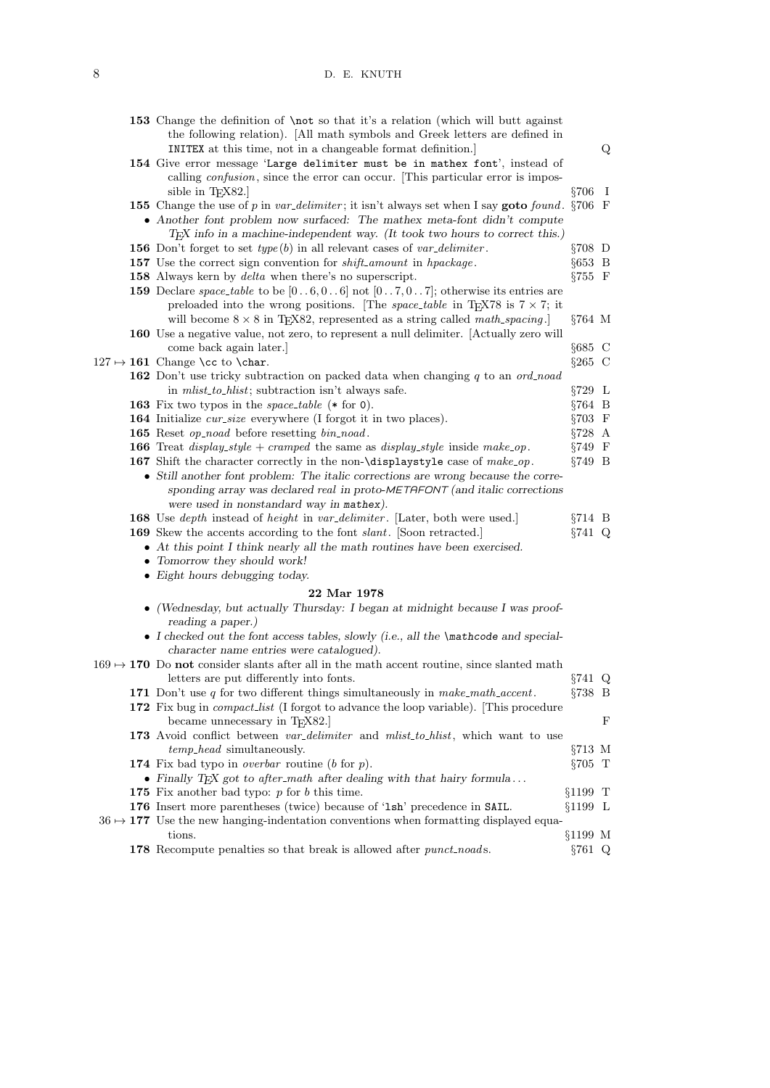## 8 D. E. KNUTH

|  | 153 Change the definition of \not so that it's a relation (which will butt against<br>the following relation). [All math symbols and Greek letters are defined in<br>INITEX at this time, not in a changeable format definition.                                                           |            | Q |
|--|--------------------------------------------------------------------------------------------------------------------------------------------------------------------------------------------------------------------------------------------------------------------------------------------|------------|---|
|  | 154 Give error message 'Large delimiter must be in mathex font', instead of<br>calling <i>confusion</i> , since the error can occur. This particular error is impos-                                                                                                                       |            |   |
|  | sible in $T_F X82.$                                                                                                                                                                                                                                                                        | $\S 706$ I |   |
|  | 155 Change the use of p in var_delimiter; it isn't always set when I say goto found. $\S706$ F                                                                                                                                                                                             |            |   |
|  | • Another font problem now surfaced: The mathex meta-font didn't compute                                                                                                                                                                                                                   |            |   |
|  | TEX info in a machine-independent way. (It took two hours to correct this.)                                                                                                                                                                                                                |            |   |
|  | <b>156</b> Don't forget to set $type(b)$ in all relevant cases of $var\_delimiter$ .                                                                                                                                                                                                       | $\S 708$ D |   |
|  | 157 Use the correct sign convention for <i>shift_amount</i> in <i>hpackage</i> .                                                                                                                                                                                                           | $§653$ B   |   |
|  | 158 Always kern by <i>delta</i> when there's no superscript.                                                                                                                                                                                                                               | $\S 755$ F |   |
|  | <b>159</b> Declare <i>space_table</i> to be $[06, 06]$ not $[07, 07]$ ; otherwise its entries are                                                                                                                                                                                          |            |   |
|  | preloaded into the wrong positions. [The <i>space_table</i> in T <sub>E</sub> X78 is $7 \times 7$ ; it<br>will become $8 \times 8$ in TEX82, represented as a string called math_spacing.                                                                                                  | $§764$ M   |   |
|  | <b>160</b> Use a negative value, not zero, to represent a null delimiter. Actually zero will                                                                                                                                                                                               |            |   |
|  | come back again later.                                                                                                                                                                                                                                                                     | $§685$ C   |   |
|  | $127 \mapsto 161$ Change \cc to \char.                                                                                                                                                                                                                                                     | $§265$ C   |   |
|  | <b>162</b> Don't use tricky subtraction on packed data when changing q to an ord_noad                                                                                                                                                                                                      |            |   |
|  | in <i>mlist_to_hlist</i> ; subtraction isn't always safe.                                                                                                                                                                                                                                  | $§729$ L   |   |
|  | 163 Fix two typos in the <i>space_table</i> $(*$ for 0).                                                                                                                                                                                                                                   | $§764$ B   |   |
|  | <b>164</b> Initialize cur-size everywhere (I forgot it in two places).                                                                                                                                                                                                                     | $\S 703$ F |   |
|  | <b>165</b> Reset <i>op_noad</i> before resetting <i>bin_noad</i> .                                                                                                                                                                                                                         | $\S 728$ A |   |
|  | <b>166</b> Treat <i>display_style</i> + <i>cramped</i> the same as <i>display_style</i> inside make_op.                                                                                                                                                                                    | $§749$ F   |   |
|  | 167 Shift the character correctly in the non-\displaystyle case of make_op.<br>• Still another font problem: The italic corrections are wrong because the corre-<br>sponding array was declared real in proto-METAFONT (and italic corrections<br>were used in nonstandard way in mathex). | $§749$ B   |   |
|  | 168 Use <i>depth</i> instead of <i>height</i> in <i>var_delimiter</i> . [Later, both were used.]                                                                                                                                                                                           | $§714$ B   |   |
|  | 169 Skew the accents according to the font <i>slant</i> . [Soon retracted.]                                                                                                                                                                                                                | $\S 741$ Q |   |
|  | • At this point I think nearly all the math routines have been exercised.                                                                                                                                                                                                                  |            |   |
|  | • Tomorrow they should work!                                                                                                                                                                                                                                                               |            |   |
|  | • Eight hours debugging today.                                                                                                                                                                                                                                                             |            |   |
|  | 22 Mar 1978                                                                                                                                                                                                                                                                                |            |   |
|  | • (Wednesday, but actually Thursday: I began at midnight because I was proof-<br>reading a paper.)                                                                                                                                                                                         |            |   |
|  | • I checked out the font access tables, slowly (i.e., all the $\mathbb{R}$ nathcode and special-<br>character name entries were catalogued).                                                                                                                                               |            |   |
|  | $169 \rightarrow 170$ Do not consider slants after all in the math accent routine, since slanted math<br>letters are put differently into fonts.                                                                                                                                           | $\S 741$ Q |   |
|  | 171 Don't use $q$ for two different things simultaneously in $make\_math\_accept$ .                                                                                                                                                                                                        | $§738$ B   |   |
|  | 172 Fix bug in <i>compact-list</i> (I forgot to advance the loop variable). This procedure<br>became unnecessary in T <sub>F</sub> X82.                                                                                                                                                    |            | F |
|  | 173 Avoid conflict between var_delimiter and mlist_to_hlist, which want to use                                                                                                                                                                                                             |            |   |
|  | <i>temp<sub>head</sub></i> simultaneously.                                                                                                                                                                                                                                                 | $\S713$ M  |   |
|  | 174 Fix bad typo in <i>overbar</i> routine ( $b$ for $p$ ).                                                                                                                                                                                                                                | $\S 705$ T |   |
|  | • Finally TEX got to after_math after dealing with that hairy formula                                                                                                                                                                                                                      |            |   |
|  | 175 Fix another bad typo: $p$ for $b$ this time.                                                                                                                                                                                                                                           | $§1199$ T  |   |
|  | 176 Insert more parentheses (twice) because of '1sh' precedence in SAIL.                                                                                                                                                                                                                   | $§1199$ L  |   |
|  | $36 \rightarrow 177$ Use the new hanging-indentation conventions when formatting displayed equa-                                                                                                                                                                                           |            |   |
|  | tions.                                                                                                                                                                                                                                                                                     | $§1199$ M  |   |
|  | 178 Recompute penalties so that break is allowed after <i>punct_noads</i> .                                                                                                                                                                                                                | $\S 761$ Q |   |
|  |                                                                                                                                                                                                                                                                                            |            |   |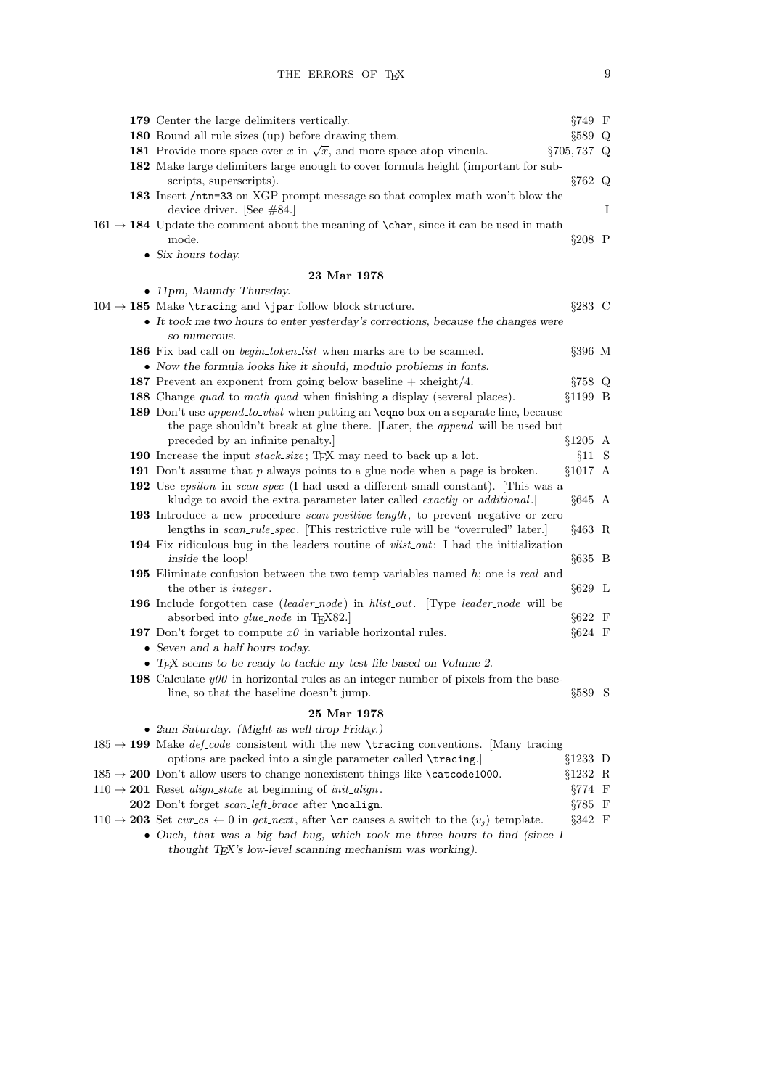|  | 179 Center the large delimiters vertically.                                                                                                                                | §749 F          |   |
|--|----------------------------------------------------------------------------------------------------------------------------------------------------------------------------|-----------------|---|
|  | 180 Round all rule sizes (up) before drawing them.                                                                                                                         | $\S 589$ Q      |   |
|  | <b>181</b> Provide more space over x in $\sqrt{x}$ , and more space atop vincula.                                                                                          | $\S 705, 737$ Q |   |
|  | 182 Make large delimiters large enough to cover formula height (important for sub-                                                                                         |                 |   |
|  | scripts, superscripts).                                                                                                                                                    | §762 Q          |   |
|  | 183 Insert /ntn=33 on XGP prompt message so that complex math won't blow the                                                                                               |                 |   |
|  | device driver. [See $\#84$ .]                                                                                                                                              |                 | I |
|  | $161 \rightarrow 184$ Update the comment about the meaning of <b>\char</b> , since it can be used in math                                                                  |                 |   |
|  | mode.                                                                                                                                                                      | $§208$ P        |   |
|  | $\bullet$ Six hours today.                                                                                                                                                 |                 |   |
|  | $23\ \mathrm{Mar}\ 1978$                                                                                                                                                   |                 |   |
|  | • 11pm, Maundy Thursday.                                                                                                                                                   |                 |   |
|  | $104 \rightarrow 185$ Make \tracing and \jpar follow block structure.                                                                                                      | $\S 283$ C      |   |
|  | • It took me two hours to enter yesterday's corrections, because the changes were                                                                                          |                 |   |
|  | so numerous.                                                                                                                                                               |                 |   |
|  | 186 Fix bad call on <i>begin_token_list</i> when marks are to be scanned.                                                                                                  | $§396$ M        |   |
|  | • Now the formula looks like it should, modulo problems in fonts.                                                                                                          |                 |   |
|  | 187 Prevent an exponent from going below baseline $+$ xheight/4.                                                                                                           | §758 Q          |   |
|  | <b>188</b> Change <i>quad</i> to <i>math_quad</i> when finishing a display (several places).                                                                               | $§1199$ B       |   |
|  | 189 Don't use <i>append_to_vlist</i> when putting an <b>\eqno</b> box on a separate line, because                                                                          |                 |   |
|  | the page shouldn't break at glue there. [Later, the append will be used but                                                                                                |                 |   |
|  | preceded by an infinite penalty.                                                                                                                                           | $§1205$ A       |   |
|  | 190 Increase the input stack_size; TEX may need to back up a lot.                                                                                                          | §11 S           |   |
|  | 191 Don't assume that $p$ always points to a glue node when a page is broken.                                                                                              | §1017 A         |   |
|  | 192 Use epsilon in scan_spec (I had used a different small constant). This was a<br>kludge to avoid the extra parameter later called <i>exactly</i> or <i>additional</i> . | $§645$ A        |   |
|  | 193 Introduce a new procedure <i>scan-positive-length</i> , to prevent negative or zero                                                                                    |                 |   |
|  | lengths in <i>scan_rule_spec</i> . This restrictive rule will be "overruled" later.                                                                                        | $§463 \; R$     |   |
|  | 194 Fix ridiculous bug in the leaders routine of <i>vlist_out</i> : I had the initialization                                                                               |                 |   |
|  | inside the loop!                                                                                                                                                           | $§635$ B        |   |
|  | 195 Eliminate confusion between the two temp variables named $h$ ; one is real and                                                                                         | $§629$ L        |   |
|  | the other is <i>integer</i> .<br>196 Include forgotten case (leader_node) in hlist_out. [Type leader_node will be                                                          |                 |   |
|  | absorbed into <i>glue_node</i> in TFX82.]                                                                                                                                  | $\S622$ F       |   |
|  | 197 Don't forget to compute $x\theta$ in variable horizontal rules.                                                                                                        | $§624$ F        |   |
|  | • Seven and a half hours today.                                                                                                                                            |                 |   |
|  | • TEX seems to be ready to tackle my test file based on Volume 2.                                                                                                          |                 |   |
|  | <b>198</b> Calculate $y00$ in horizontal rules as an integer number of pixels from the base-                                                                               |                 |   |
|  | line, so that the baseline doesn't jump.                                                                                                                                   | $\S 589$ S      |   |
|  |                                                                                                                                                                            |                 |   |
|  | 25 Mar 1978                                                                                                                                                                |                 |   |
|  | • 2am Saturday. (Might as well drop Friday.)<br>$185 \rightarrow 199$ Make <i>def-code</i> consistent with the new <b>\tracing</b> conventions. [Many tracing              |                 |   |
|  | options are packed into a single parameter called \tracing.                                                                                                                | $§1233$ D       |   |
|  | $185 \rightarrow 200$ Don't allow users to change nonexistent things like $\text{categorical}$                                                                             | §1232 R         |   |
|  | $110 \rightarrow 201$ Reset <i>align_state</i> at beginning of <i>init_align</i> .                                                                                         | $\S 774$ F      |   |
|  | 202 Don't forget scan_left_brace after \noalign.                                                                                                                           | $\S 785$ F      |   |
|  | $110 \rightarrow 203$ Set cur_cs $\leftarrow 0$ in get_next, after \cr causes a switch to the $\langle v_j \rangle$ template.                                              | $\S 342$ F      |   |
|  |                                                                                                                                                                            |                 |   |

• Ouch, that was a big bad bug, which took me three hours to find (since I thought TEX's low-level scanning mechanism was working).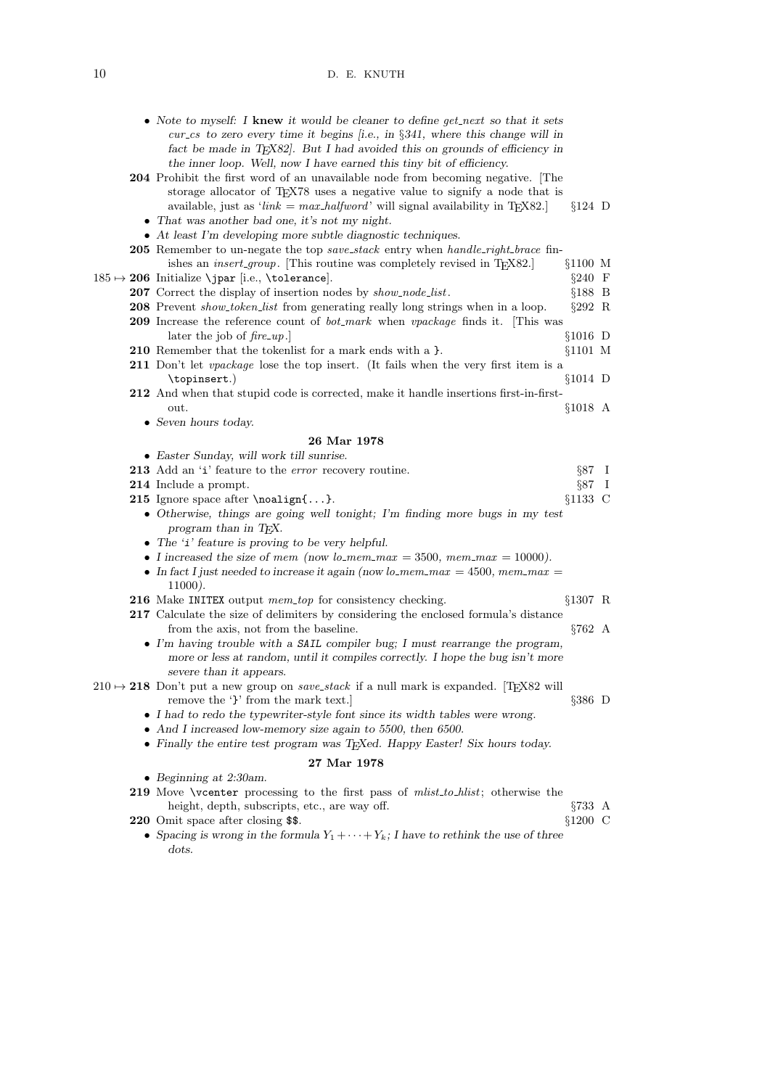## 10 D. E. KNUTH

|  | • Note to myself: I knew it would be cleaner to define get next so that it sets<br>$cur\_cs$ to zero every time it begins [i.e., in §341, where this change will in<br>fact be made in TEX82. But I had avoided this on grounds of efficiency in<br>the inner loop. Well, now I have earned this tiny bit of efficiency. |                  |     |
|--|--------------------------------------------------------------------------------------------------------------------------------------------------------------------------------------------------------------------------------------------------------------------------------------------------------------------------|------------------|-----|
|  | <b>204</b> Prohibit the first word of an unavailable node from becoming negative. The<br>storage allocator of TEX78 uses a negative value to signify a node that is<br>available, just as ' $link = max\_halfword$ ' will signal availability in T <sub>E</sub> X82.                                                     | $§124$ D         |     |
|  | • That was another bad one, it's not my night.                                                                                                                                                                                                                                                                           |                  |     |
|  | $\bullet$ At least I'm developing more subtle diagnostic techniques.                                                                                                                                                                                                                                                     |                  |     |
|  | <b>205</b> Remember to un-negate the top <i>save_stack</i> entry when <i>handle_right_brace</i> fin-<br>ishes an <i>insert_group</i> . [This routine was completely revised in T <sub>F</sub> X82.]                                                                                                                      | $§1100$ M        |     |
|  | $185 \mapsto 206$ Initialize \jpar [i.e., \tolerance].                                                                                                                                                                                                                                                                   | $§240 \text{ F}$ |     |
|  | 207 Correct the display of insertion nodes by show_node_list.                                                                                                                                                                                                                                                            | $§188$ B         |     |
|  | 208 Prevent show_token_list from generating really long strings when in a loop.                                                                                                                                                                                                                                          | $\S 292$ R       |     |
|  | 209 Increase the reference count of <i>bot_mark</i> when <i>vpackage</i> finds it. [This was                                                                                                                                                                                                                             |                  |     |
|  | later the job of $\text{fire\_up.}$                                                                                                                                                                                                                                                                                      | $§1016$ D        |     |
|  | 210 Remember that the token list for a mark ends with a }.<br>211 Don't let <i>vpackage</i> lose the top insert. (It fails when the very first item is a                                                                                                                                                                 | $§1101$ M        |     |
|  | \topinsert.)                                                                                                                                                                                                                                                                                                             | $§1014$ D        |     |
|  | 212 And when that stupid code is corrected, make it handle insertions first-in-first-                                                                                                                                                                                                                                    |                  |     |
|  | out.                                                                                                                                                                                                                                                                                                                     | $§1018$ A        |     |
|  | $\bullet$ Seven hours today.                                                                                                                                                                                                                                                                                             |                  |     |
|  | 26 Mar 1978                                                                                                                                                                                                                                                                                                              |                  |     |
|  | • Easter Sunday, will work till sunrise.                                                                                                                                                                                                                                                                                 |                  |     |
|  | 213 Add an 'i' feature to the <i>error</i> recovery routine.                                                                                                                                                                                                                                                             | $\S 87 \quad I$  |     |
|  | 214 Include a prompt.                                                                                                                                                                                                                                                                                                    | §87              | - 1 |
|  | 215 Ignore space after \noalign{}.                                                                                                                                                                                                                                                                                       | $§1133$ C        |     |
|  | • Otherwise, things are going well tonight; I'm finding more bugs in my test                                                                                                                                                                                                                                             |                  |     |
|  | program than in TEX.                                                                                                                                                                                                                                                                                                     |                  |     |
|  | • The 'i' feature is proving to be very helpful.                                                                                                                                                                                                                                                                         |                  |     |
|  | • I increased the size of mem (now lo_mem_max = 3500, mem_max = 10000).                                                                                                                                                                                                                                                  |                  |     |
|  | • In fact I just needed to increase it again (now lo_mem_max = 4500, mem_max =<br>$11000$ ).                                                                                                                                                                                                                             |                  |     |
|  | 216 Make INITEX output mem_top for consistency checking.                                                                                                                                                                                                                                                                 | $§1307$ R        |     |
|  | 217 Calculate the size of delimiters by considering the enclosed formula's distance<br>from the axis, not from the baseline.                                                                                                                                                                                             | $§762 \; A$      |     |
|  | $\bullet$ I'm having trouble with a SAIL compiler bug; I must rearrange the program,<br>more or less at random, until it compiles correctly. I hope the bug isn't more<br>severe than it appears.                                                                                                                        |                  |     |
|  | $210 \rightarrow 218$ Don't put a new group on <i>save_stack</i> if a null mark is expanded. [T <sub>E</sub> X82 will<br>remove the '}' from the mark text.]                                                                                                                                                             | $\S 386$ D       |     |
|  | • I had to redo the typewriter-style font since its width tables were wrong.                                                                                                                                                                                                                                             |                  |     |
|  | • And I increased low-memory size again to 5500, then 6500.                                                                                                                                                                                                                                                              |                  |     |
|  | • Finally the entire test program was T <sub>E</sub> Xed. Happy Easter! Six hours today.                                                                                                                                                                                                                                 |                  |     |
|  | 27 Mar 1978                                                                                                                                                                                                                                                                                                              |                  |     |
|  | • Beginning at $2:30$ am.                                                                                                                                                                                                                                                                                                |                  |     |
|  | 219 Move \vcenter processing to the first pass of <i>mlist_to_hlist</i> ; otherwise the                                                                                                                                                                                                                                  |                  |     |
|  | height, depth, subscripts, etc., are way off.                                                                                                                                                                                                                                                                            | $\S733 \; A$     |     |
|  | 220 Omit space after closing \$\$.                                                                                                                                                                                                                                                                                       | $§1200$ C        |     |

• Spacing is wrong in the formula  $Y_1 + \cdots + Y_k$ ; I have to rethink the use of three dots.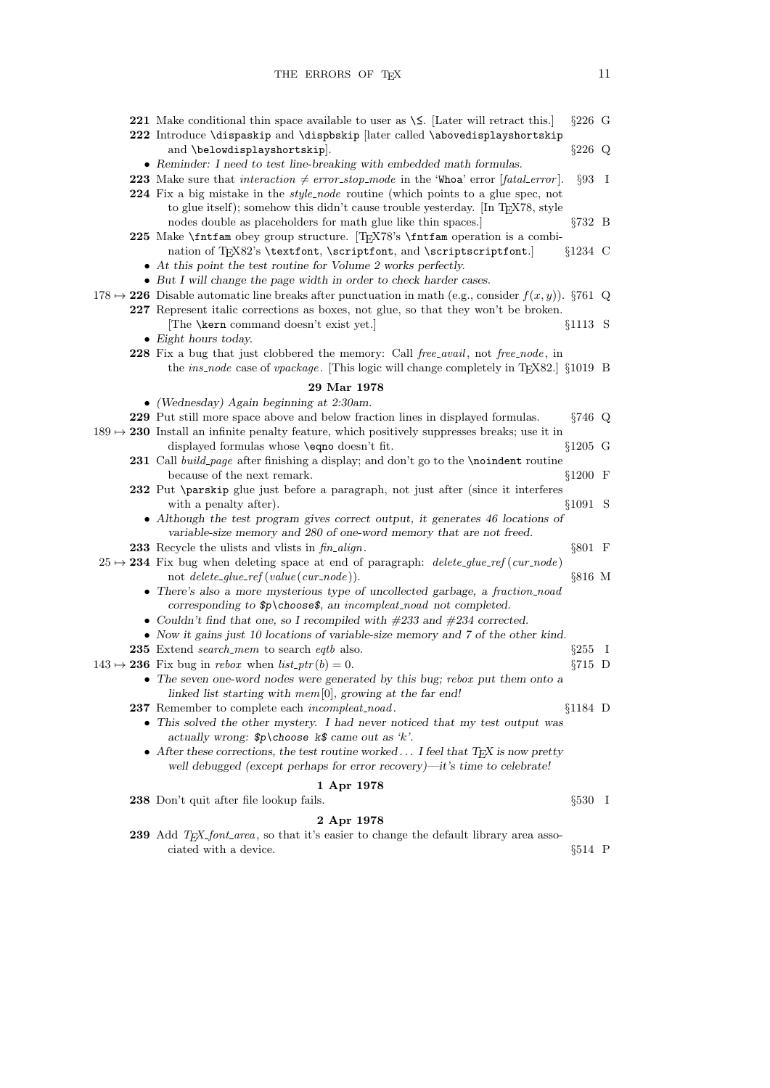THE ERRORS OF  $T<sub>E</sub>X$  11

| <b>221</b> Make conditional thin space available to user as $\le$ . [Later will retract this.]                                                                    | $§226$ G   |  |
|-------------------------------------------------------------------------------------------------------------------------------------------------------------------|------------|--|
| 222 Introduce \dispaskip and \dispbskip [later called \abovedisplayshortskip                                                                                      |            |  |
| and \belowdisplayshortskip].                                                                                                                                      | $§226$ Q   |  |
| • Reminder: I need to test line-breaking with embedded math formulas.                                                                                             |            |  |
| <b>223</b> Make sure that <i>interaction</i> $\neq$ error_stop_mode in the 'Whoa' error [fatal_error].                                                            | $\S 93$ I  |  |
| 224 Fix a big mistake in the <i>style_node</i> routine (which points to a glue spec, not                                                                          |            |  |
| to glue itself); somehow this didn't cause trouble yesterday. [In TEX78, style                                                                                    |            |  |
| nodes double as placeholders for math glue like thin spaces.                                                                                                      | $§732$ B   |  |
| 225 Make <i>\fintfam</i> obey group structure. T <sub>F</sub> X78's <i>\fintfam</i> operation is a combi-                                                         |            |  |
| nation of TEX82's \textfont, \scriptfont, and \scriptscriptfont.]                                                                                                 | $§1234$ C  |  |
| $\bullet$ At this point the test routine for Volume 2 works perfectly.                                                                                            |            |  |
| • But I will change the page width in order to check harder cases.                                                                                                |            |  |
| $178 \rightarrow 226$ Disable automatic line breaks after punctuation in math (e.g., consider $f(x, y)$ ). §761 Q                                                 |            |  |
| 227 Represent italic corrections as boxes, not glue, so that they won't be broken.                                                                                |            |  |
| The <b>\kern</b> command doesn't exist yet.]                                                                                                                      | $§1113$ S  |  |
| $\bullet$ Eight hours today.                                                                                                                                      |            |  |
| 228 Fix a bug that just clobbered the memory: Call free_avail, not free_node, in                                                                                  |            |  |
| the <i>ins_node</i> case of <i>vpackage</i> . [This logic will change completely in TEX82.] §1019 B                                                               |            |  |
| 29 Mar 1978                                                                                                                                                       |            |  |
| • (Wednesday) Again beginning at $2:30$ am.                                                                                                                       |            |  |
| 229 Put still more space above and below fraction lines in displayed formulas.                                                                                    | $\S 746$ Q |  |
| $189 \rightarrow 230$ Install an infinite penalty feature, which positively suppresses breaks; use it in                                                          |            |  |
| displayed formulas whose \eqno doesn't fit.                                                                                                                       | $§1205$ G  |  |
| 231 Call build_page after finishing a display; and don't go to the \noindent routine                                                                              |            |  |
| because of the next remark.<br>232 Put \parskip glue just before a paragraph, not just after (since it interferes                                                 | $$1200$ F  |  |
| with a penalty after).                                                                                                                                            | §1091 S    |  |
| • Although the test program gives correct output, it generates 46 locations of                                                                                    |            |  |
| variable-size memory and 280 of one-word memory that are not freed.                                                                                               |            |  |
| 233 Recycle the ulists and vlists in $\mathit{fin\_align}$ .                                                                                                      | $§801$ F   |  |
| $25 \rightarrow 234$ Fix bug when deleting space at end of paragraph: <i>delete_glue_ref</i> ( <i>cur_node</i> )                                                  |            |  |
| not $delete\_glue\_ref(value(cur\_node)).$                                                                                                                        | §816 M     |  |
| • There's also a more mysterious type of uncollected garbage, a fraction_noad                                                                                     |            |  |
| corresponding to $p\cdot s$ , an incompleat noad not completed.                                                                                                   |            |  |
| • Couldn't find that one, so I recompiled with $\#233$ and $\#234$ corrected.                                                                                     |            |  |
| • Now it gains just 10 locations of variable-size memory and 7 of the other kind.                                                                                 |            |  |
| 235 Extend <i>search_mem</i> to search <i>eqtb</i> also.                                                                                                          | $§255$ I   |  |
| $143 \rightarrow 236$ Fix bug in <i>rebox</i> when $list\_ptr(b) = 0$ .                                                                                           | $§715$ D   |  |
| • The seven one-word nodes were generated by this bug; rebox put them onto a                                                                                      |            |  |
| linked list starting with mem $[0]$ , growing at the far end!                                                                                                     |            |  |
| <b>237</b> Remember to complete each <i>incompleat_noad</i> .                                                                                                     | $§1184$ D  |  |
| • This solved the other mystery. I had never noticed that my test output was                                                                                      |            |  |
| actually wrong: $p\cdot k$ choose $k$ came out as 'k'.                                                                                                            |            |  |
| • After these corrections, the test routine worked I feel that $T_F X$ is now pretty<br>well debugged (except perhaps for error recovery)—it's time to celebrate! |            |  |
|                                                                                                                                                                   |            |  |
| 1 Apr 1978                                                                                                                                                        |            |  |
| 238 Don't quit after file lookup fails.                                                                                                                           | $\S 530$ I |  |
| 2 Apr 1978                                                                                                                                                        |            |  |

239 Add TEX\_font\_area, so that it's easier to change the default library area associated with a device.  $$514$  P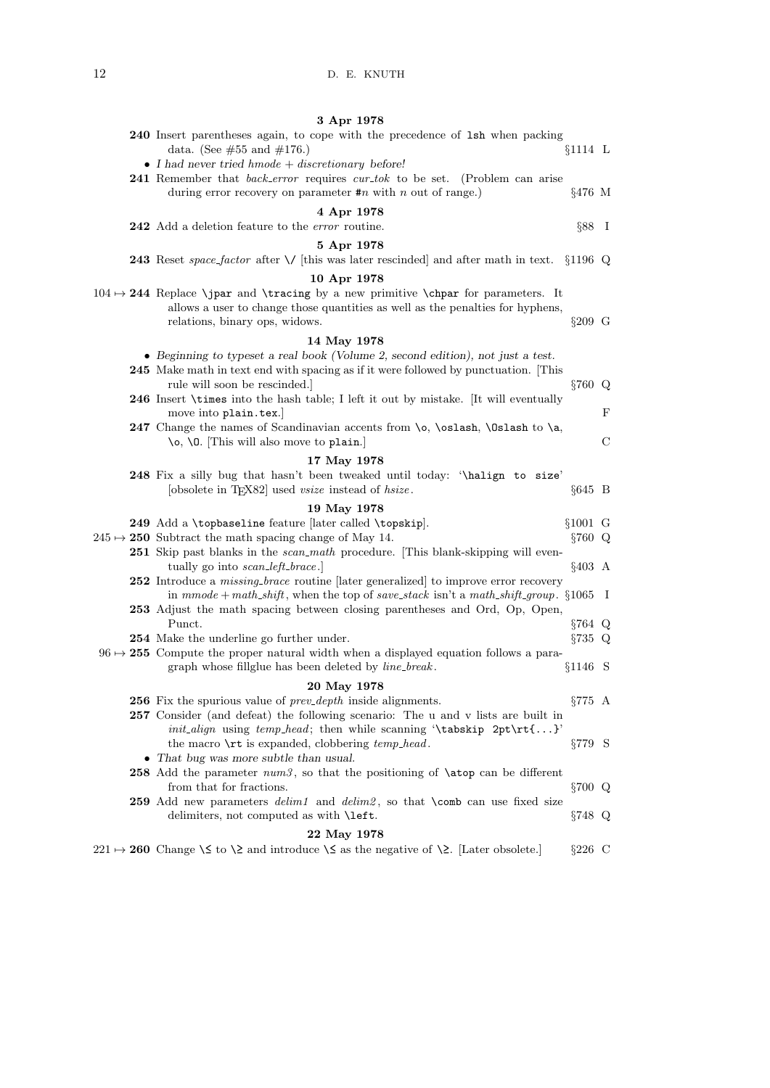|  | 3 Apr 1978                                                                                                   |                |               |
|--|--------------------------------------------------------------------------------------------------------------|----------------|---------------|
|  | 240 Insert parentheses again, to cope with the precedence of 1sh when packing                                |                |               |
|  | data. (See $\#55$ and $\#176$ .)                                                                             | $§1114$ L      |               |
|  | • I had never tried $h$ mode + discretionary before!                                                         |                |               |
|  | <b>241</b> Remember that <i>back_error</i> requires <i>cur_tok</i> to be set. (Problem can arise             |                |               |
|  | during error recovery on parameter $\#n$ with n out of range.)                                               | $§476$ M       |               |
|  | 4 Apr 1978                                                                                                   |                |               |
|  | 242 Add a deletion feature to the <i>error</i> routine.                                                      | $\S 88$ I      |               |
|  | 5 Apr 1978                                                                                                   |                |               |
|  | 243 Reset space_factor after $\setminus$ [this was later rescinded] and after math in text. §1196 Q          |                |               |
|  |                                                                                                              |                |               |
|  | 10 Apr 1978                                                                                                  |                |               |
|  | $104 \rightarrow 244$ Replace \jpar and \tracing by a new primitive \chpar for parameters. It                |                |               |
|  | allows a user to change those quantities as well as the penalties for hyphens,                               |                |               |
|  | relations, binary ops, widows.                                                                               | $§209$ G       |               |
|  | 14 May 1978                                                                                                  |                |               |
|  | • Beginning to typeset a real book (Volume 2, second edition), not just a test.                              |                |               |
|  | 245 Make math in text end with spacing as if it were followed by punctuation. [This                          |                |               |
|  | rule will soon be rescinded.                                                                                 | §760 Q         |               |
|  | 246 Insert \times into the hash table; I left it out by mistake. [It will eventually                         |                |               |
|  | move into plain.tex.                                                                                         |                | $_{\rm F}$    |
|  | 247 Change the names of Scandinavian accents from \o, \oslash, \Oslash to \a,                                |                |               |
|  | $\lozenge$ , $\lozenge$ . This will also move to plain.                                                      |                | $\mathcal{C}$ |
|  | 17 May 1978                                                                                                  |                |               |
|  | 248 Fix a silly bug that hasn't been tweaked until today: '\halign to size'                                  |                |               |
|  | [obsolete in T <sub>F</sub> X82] used <i>usize</i> instead of <i>hsize</i> .                                 | $§645 \quad B$ |               |
|  | 19 May 1978                                                                                                  |                |               |
|  | 249 Add a \topbaseline feature [later called \topskip].                                                      | $$1001$ G      |               |
|  | $245 \rightarrow 250$ Subtract the math spacing change of May 14.                                            | $§760$ Q       |               |
|  | <b>251</b> Skip past blanks in the <i>scan math</i> procedure. This blank-skipping will even-                |                |               |
|  | tually go into <i>scan_left_brace</i> .                                                                      | $§403 \; A$    |               |
|  | <b>252</b> Introduce a <i>missing-brace</i> routine [later generalized] to improve error recovery            |                |               |
|  | in mmode + math_shift, when the top of save_stack isn't a math_shift_group. $\S 1065$ I                      |                |               |
|  | 253 Adjust the math spacing between closing parentheses and Ord, Op, Open,                                   |                |               |
|  | Punct.                                                                                                       | $\S 764$ Q     |               |
|  | 254 Make the underline go further under.                                                                     | $\S 735$ Q     |               |
|  | $96 \rightarrow 255$ Compute the proper natural width when a displayed equation follows a para-              |                |               |
|  | graph whose fillglue has been deleted by <i>line_break</i> .                                                 | $§1146$ S      |               |
|  | 20 May 1978                                                                                                  |                |               |
|  | <b>256</b> Fix the spurious value of <i>prev_depth</i> inside alignments.                                    | $\S 775 \; A$  |               |
|  | <b>257</b> Consider (and defeat) the following scenario: The u and v lists are built in                      |                |               |
|  | <i>init_align</i> using <i>temp_head</i> ; then while scanning '\tabskip 2pt\rt{}'                           |                |               |
|  | the macro $\mathcal{r}$ t is expanded, clobbering temp_head.                                                 | $\S 779$ S     |               |
|  | • That bug was more subtle than usual.                                                                       |                |               |
|  | 258 Add the parameter $num3$ , so that the positioning of $\atop$ atop can be different                      |                |               |
|  | from that for fractions.                                                                                     | §700 Q         |               |
|  | 259 Add new parameters <i>delim1</i> and <i>delim2</i> , so that <b>\comb</b> can use fixed size             |                |               |
|  | delimiters, not computed as with <b>\left</b> .                                                              | $\S 748$ Q     |               |
|  | 22 May 1978                                                                                                  |                |               |
|  | $221 \mapsto 260$ Change $\leq$ to $\geq$ and introduce $\leq$ as the negative of $\geq$ . [Later obsolete.] | $\S 226$ C     |               |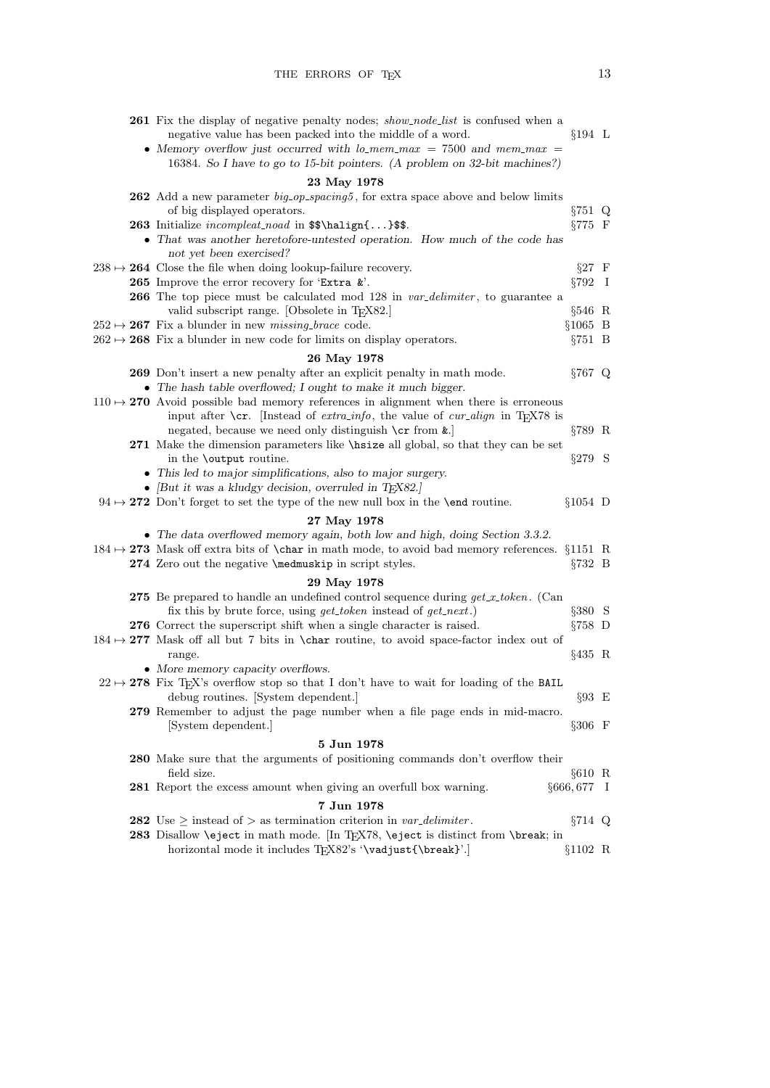| <b>261</b> Fix the display of negative penalty nodes; <i>show_node_list</i> is confused when a                                              |                  |         |
|---------------------------------------------------------------------------------------------------------------------------------------------|------------------|---------|
| negative value has been packed into the middle of a word.<br>• Memory overflow just occurred with $lo$ -mem-max = 7500 and mem-max =        | $§194$ L         |         |
| 16384. So I have to go to 15-bit pointers. (A problem on 32-bit machines?)                                                                  |                  |         |
| 23 May 1978                                                                                                                                 |                  |         |
| <b>262</b> Add a new parameter <i>big_op_spacing5</i> , for extra space above and below limits                                              |                  |         |
| of big displayed operators.                                                                                                                 | $\S 751$ Q       |         |
| 263 Initialize incompleat_noad in \$\$\halign{}\$\$.                                                                                        | $\S 775$ F       |         |
| • That was another heretofore-untested operation. How much of the code has                                                                  |                  |         |
| not yet been exercised?                                                                                                                     |                  |         |
| $238 \rightarrow 264$ Close the file when doing lookup-failure recovery.                                                                    | $\S 27 \quad F$  |         |
| 265 Improve the error recovery for 'Extra $k$ '.                                                                                            | §792             | - 1     |
| <b>266</b> The top piece must be calculated mod 128 in var-delimiter, to guarantee a<br>valid subscript range. [Obsolete in TEX82.]         | §546 R           |         |
| $252 \rightarrow 267$ Fix a blunder in new <i>missing-brace</i> code.                                                                       | $§1065$ B        |         |
| $262 \rightarrow 268$ Fix a blunder in new code for limits on display operators.                                                            | $\S 751 \quad B$ |         |
| 26 May 1978                                                                                                                                 |                  |         |
| 269 Don't insert a new penalty after an explicit penalty in math mode.                                                                      | $§767$ Q         |         |
| • The hash table overflowed; I ought to make it much bigger.                                                                                |                  |         |
| $110 \rightarrow 270$ Avoid possible bad memory references in alignment when there is erroneous                                             |                  |         |
| input after $\csc$ . [Instead of <i>extra-info</i> , the value of <i>cur-align</i> in TEX78 is                                              |                  |         |
| negated, because we need only distinguish $\c{rr}$ from $\&$ .                                                                              | $\S 789$ R       |         |
| 271 Make the dimension parameters like \hisize all global, so that they can be set                                                          |                  |         |
| in the <b>\output</b> routine.                                                                                                              | $\S 279$ S       |         |
| • This led to major simplifications, also to major surgery.<br>• [But it was a kludgy decision, overruled in TEX82.]                        |                  |         |
| $94 \rightarrow 272$ Don't forget to set the type of the new null box in the <b>\end</b> routine.                                           | $§1054$ D        |         |
| 27 May 1978                                                                                                                                 |                  |         |
| • The data overflowed memory again, both low and high, doing Section 3.3.2.                                                                 |                  |         |
| $184 \rightarrow 273$ Mask off extra bits of \char in math mode, to avoid bad memory references. §1151 R                                    |                  |         |
| 274 Zero out the negative \medmuskip in script styles.                                                                                      | $\S 732 \quad B$ |         |
| 29 May 1978                                                                                                                                 |                  |         |
| <b>275</b> Be prepared to handle an undefined control sequence during $get\_x\_token$ . (Can                                                |                  |         |
| fix this by brute force, using <i>get_token</i> instead of <i>get_next</i> .)                                                               | $§380$ S         |         |
| 276 Correct the superscript shift when a single character is raised.                                                                        | $\S 758$ D       |         |
| $184 \rightarrow 277$ Mask off all but 7 bits in \char routine, to avoid space-factor index out of                                          |                  |         |
| range.<br>• More memory capacity overflows.                                                                                                 | $§435$ R         |         |
| $22 \rightarrow 278$ Fix T <sub>E</sub> X's overflow stop so that I don't have to wait for loading of the BAIL                              |                  |         |
| debug routines. [System dependent.]                                                                                                         | $§93$ E          |         |
| 279 Remember to adjust the page number when a file page ends in mid-macro.                                                                  |                  |         |
| [System dependent.]                                                                                                                         | $§306 \t F$      |         |
| 5 Jun 1978                                                                                                                                  |                  |         |
| <b>280</b> Make sure that the arguments of positioning commands don't overflow their                                                        |                  |         |
| field size.                                                                                                                                 | 610 R            |         |
| 281 Report the excess amount when giving an overfull box warning.                                                                           | §666,677         | $\perp$ |
| 7 Jun 1978                                                                                                                                  |                  |         |
| <b>282</b> Use $\geq$ instead of $>$ as termination criterion in var <sub>-delimiter</sub> .                                                | $\S 714$ Q       |         |
| 283 Disallow \eject in math mode. [In TEX78, \eject is distinct from \break; in<br>horizontal mode it includes TEX82's '\vadjust{\break}'.] | §1102 R          |         |
|                                                                                                                                             |                  |         |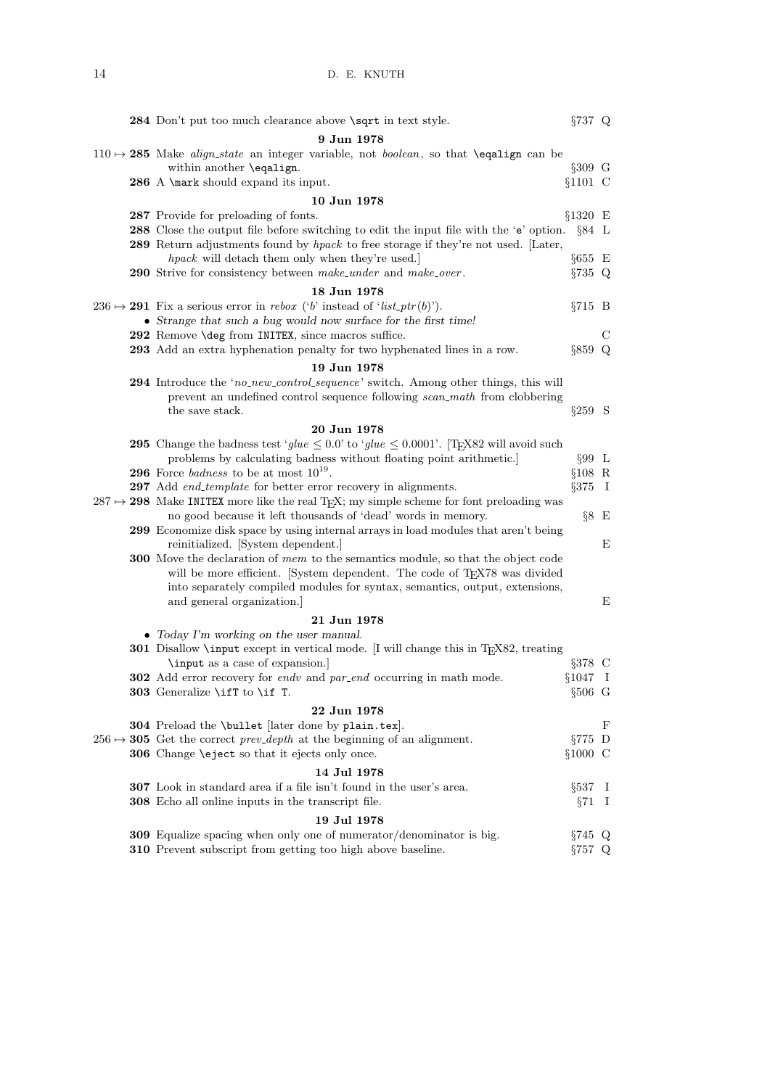|  | 284 Don't put too much clearance above \sqrt in text style.                                                                      | $\S 737$ Q               |              |
|--|----------------------------------------------------------------------------------------------------------------------------------|--------------------------|--------------|
|  | 9 Jun 1978                                                                                                                       |                          |              |
|  | $110 \rightarrow 285$ Make <i>align_state</i> an integer variable, not <i>boolean</i> , so that <b>\equalign</b> can be          |                          |              |
|  | within another \eqalign.                                                                                                         | $§309$ G                 |              |
|  | 286 A \mark should expand its input.                                                                                             | $§1101 \text{ C}$        |              |
|  | 10 Jun 1978                                                                                                                      |                          |              |
|  | 287 Provide for preloading of fonts.                                                                                             | $\S 1320$ $\,\mathrm{E}$ |              |
|  | <b>288</b> Close the output file before switching to edit the input file with the 'e' option.                                    | §84 L                    |              |
|  | 289 Return adjustments found by hpack to free storage if they're not used. [Later,                                               |                          |              |
|  | hpack will detach them only when they're used.                                                                                   | $§655$ E                 |              |
|  | 290 Strive for consistency between make_under and make_over.                                                                     | $\S 735$ Q               |              |
|  | 18 Jun 1978                                                                                                                      |                          |              |
|  | $236 \rightarrow 291$ Fix a serious error in <i>rebox</i> ('b' instead of 'list_ptr(b)').                                        | $§715$ B                 |              |
|  | • Strange that such a bug would now surface for the first time!                                                                  |                          |              |
|  | 292 Remove \deg from INITEX, since macros suffice.                                                                               |                          | С            |
|  | <b>293</b> Add an extra hyphenation penalty for two hyphenated lines in a row.                                                   | $§859$ Q                 |              |
|  | 19 Jun 1978                                                                                                                      |                          |              |
|  | 294 Introduce the 'no_new_control_sequence' switch. Among other things, this will                                                |                          |              |
|  | prevent an undefined control sequence following scan_math from clobbering                                                        |                          |              |
|  | the save stack.                                                                                                                  | $\S 259$ S               |              |
|  | 20 Jun 1978                                                                                                                      |                          |              |
|  | <b>295</b> Change the badness test 'glue $\leq 0.0$ ' to 'glue $\leq 0.0001$ '. [TEX82 will avoid such                           |                          |              |
|  | problems by calculating badness without floating point arithmetic.]<br><b>296</b> Force <i>badness</i> to be at most $10^{19}$ . | $\S 99$ L                |              |
|  | 297 Add end_template for better error recovery in alignments.                                                                    | $§108$ R<br>$§375$ I     |              |
|  | $287 \rightarrow 298$ Make INITEX more like the real T <sub>F</sub> X; my simple scheme for font preloading was                  |                          |              |
|  | no good because it left thousands of 'dead' words in memory.                                                                     | $\S 8 E$                 |              |
|  | 299 Economize disk space by using internal arrays in load modules that aren't being                                              |                          |              |
|  | reinitialized. [System dependent.]                                                                                               |                          | E            |
|  | <b>300</b> Move the declaration of mem to the semantics module, so that the object code                                          |                          |              |
|  | will be more efficient. [System dependent. The code of TEX78 was divided                                                         |                          |              |
|  | into separately compiled modules for syntax, semantics, output, extensions,                                                      |                          |              |
|  | and general organization.                                                                                                        |                          | E            |
|  | 21 Jun 1978                                                                                                                      |                          |              |
|  | • Today I'm working on the user manual.                                                                                          |                          |              |
|  | <b>301</b> Disallow <b>\input</b> except in vertical mode. [I will change this in T <sub>F</sub> X82, treating                   |                          |              |
|  | \input as a case of expansion.]                                                                                                  | $§378$ C                 |              |
|  | 302 Add error recovery for endv and par_end occurring in math mode.                                                              | $§1047$ I                |              |
|  | <b>303</b> Generalize \ifT to \if T.                                                                                             | $\S 506\,$ G             |              |
|  | 22 Jun 1978                                                                                                                      |                          |              |
|  | <b>304</b> Preload the \bullet [later done by plain.tex].                                                                        |                          | F            |
|  | $256 \rightarrow 305$ Get the correct <i>prev-depth</i> at the beginning of an alignment.                                        | $\S 775$ D               |              |
|  | 306 Change \eject so that it ejects only once.                                                                                   | $§1000 \text{ C}$        |              |
|  | 14 Jul 1978                                                                                                                      |                          |              |
|  | <b>307</b> Look in standard area if a file isn't found in the user's area.                                                       | §537                     | $\perp$      |
|  | <b>308</b> Echo all online inputs in the transcript file.                                                                        | §71                      | $\mathbf{I}$ |
|  | 19 Jul 1978                                                                                                                      |                          |              |
|  | 309 Equalize spacing when only one of numerator/denominator is big.                                                              | $\S 745$ Q               |              |
|  | 310 Prevent subscript from getting too high above baseline.                                                                      | $\S 757$ Q               |              |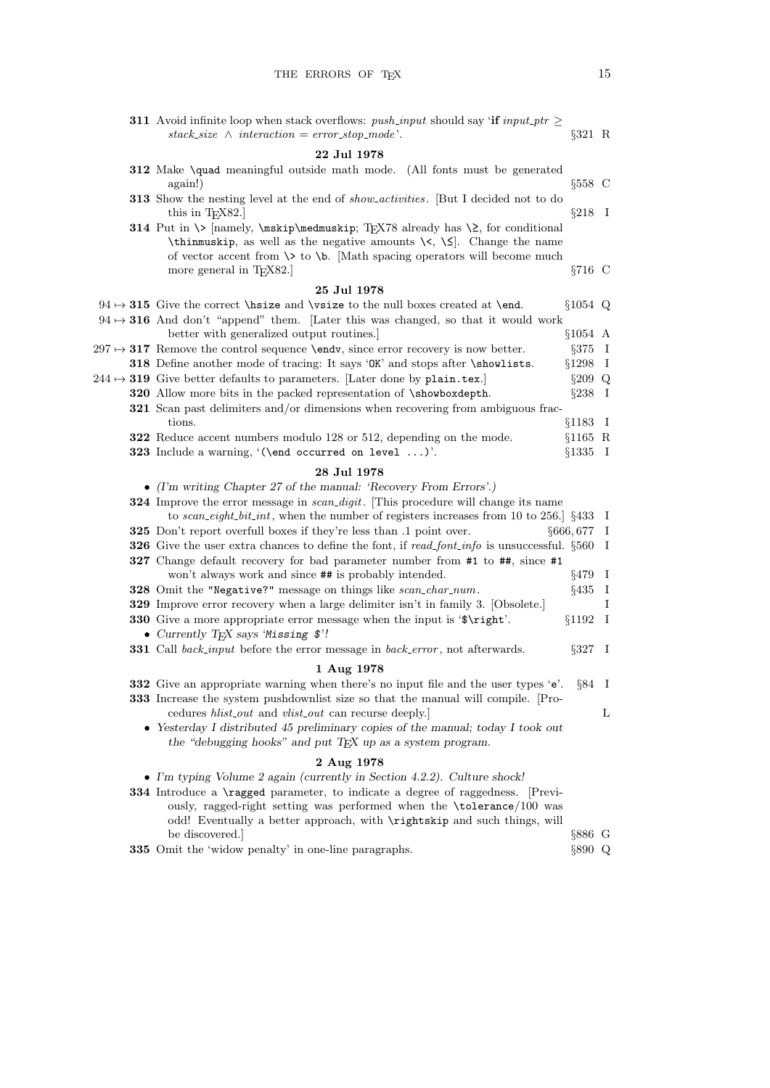|  | <b>311</b> Avoid infinite loop when stack overflows: <i>push_input</i> should say 'if input_ptr $\geq$<br>stack_size $\land$ interaction = error_stop_mode'.                                                                                                                      | $$321$ R         |              |
|--|-----------------------------------------------------------------------------------------------------------------------------------------------------------------------------------------------------------------------------------------------------------------------------------|------------------|--------------|
|  | 22 Jul 1978                                                                                                                                                                                                                                                                       |                  |              |
|  | 312 Make \quad meaningful outside math mode. (All fonts must be generated<br>again!)                                                                                                                                                                                              | $§558$ C         |              |
|  | 313 Show the nesting level at the end of <i>show_activities</i> . [But I decided not to do<br>this in $T_F X82$ .                                                                                                                                                                 | $\S 218$ I       |              |
|  | 314 Put in \> [namely, \mskip\medmuskip; TEX78 already has \2, for conditional<br>\thinmuskip, as well as the negative amounts $\setminus \setminus$ . Change the name<br>of vector accent from $\>$ to $\b$ . Math spacing operators will become much<br>more general in TEX82.] | $\S 716$ C       |              |
|  | 25 Jul 1978                                                                                                                                                                                                                                                                       |                  |              |
|  | $94 \rightarrow 315$ Give the correct \hisze and \vsize to the null boxes created at \end.                                                                                                                                                                                        | $§1054$ Q        |              |
|  | $94 \rightarrow 316$ And don't "append" them. [Later this was changed, so that it would work<br>better with generalized output routines.]                                                                                                                                         | $§1054$ A        |              |
|  | $297 \rightarrow 317$ Remove the control sequence <b>\endv</b> , since error recovery is now better.                                                                                                                                                                              | $§375$ I         |              |
|  | 318 Define another mode of tracing: It says 'OK' and stops after \showlists.                                                                                                                                                                                                      | $§1298$ I        |              |
|  | $244 \rightarrow 319$ Give better defaults to parameters. [Later done by plain.tex.]                                                                                                                                                                                              | $§209$ Q         |              |
|  | 320 Allow more bits in the packed representation of \showboxdepth.                                                                                                                                                                                                                | $\S 238$ I       |              |
|  | <b>321</b> Scan past delimiters and/or dimensions when recovering from ambiguous frac-                                                                                                                                                                                            |                  |              |
|  | tions.                                                                                                                                                                                                                                                                            | $§1183$ I        |              |
|  | 322 Reduce accent numbers modulo 128 or 512, depending on the mode.                                                                                                                                                                                                               | $§1165$ R        |              |
|  | 323 Include a warning, $(\end{math}$ occurred on level ).                                                                                                                                                                                                                         | $§1335$ I        |              |
|  | 28 Jul 1978                                                                                                                                                                                                                                                                       |                  |              |
|  | $\bullet$ (I'm writing Chapter 27 of the manual: 'Recovery From Errors'.)                                                                                                                                                                                                         |                  |              |
|  | <b>324</b> Improve the error message in <i>scan_digit</i> . This procedure will change its name<br>to scan_eight_bit_int, when the number of registers increases from 10 to 256. $\S 433 \text{ I}$                                                                               |                  |              |
|  | 325 Don't report overfull boxes if they're less than .1 point over.                                                                                                                                                                                                               | $§666, 677$ I    |              |
|  | <b>326</b> Give the user extra chances to define the font, if read-font-info is unsuccessful. $\S560$ I                                                                                                                                                                           |                  |              |
|  | 327 Change default recovery for bad parameter number from #1 to ##, since #1                                                                                                                                                                                                      |                  |              |
|  | won't always work and since $#$ # is probably intended.                                                                                                                                                                                                                           | $§479$ I         |              |
|  | 328 Omit the "Negative?" message on things like scan_char_num.                                                                                                                                                                                                                    | §435             | $\mathbf{I}$ |
|  | <b>329</b> Improve error recovery when a large delimiter isn't in family 3. [Obsolete.]<br>330 Give a more appropriate error message when the input is '\$\right'.                                                                                                                | $§1192$ I        | Ι            |
|  | • Currently TEX says 'Missing \$'!                                                                                                                                                                                                                                                |                  |              |
|  | 331 Call back_input before the error message in back_error, not afterwards.                                                                                                                                                                                                       | $\S 327 \quad I$ |              |
|  | 1 Aug 1978                                                                                                                                                                                                                                                                        |                  |              |
|  | 332 Give an appropriate warning when there's no input file and the user types 'e'.                                                                                                                                                                                                | $\S 84$ I        |              |
|  | <b>333</b> Increase the system pushdown is tize so that the manual will compile. Pro-                                                                                                                                                                                             |                  |              |
|  | cedures <i>hlist_out</i> and <i>vlist_out</i> can recurse deeply.]                                                                                                                                                                                                                |                  | L            |
|  | • Yesterday I distributed 45 preliminary copies of the manual; today I took out<br>the "debugging hooks" and put TEX up as a system program.                                                                                                                                      |                  |              |
|  | 2 Aug 1978                                                                                                                                                                                                                                                                        |                  |              |
|  | • I'm typing Volume 2 again (currently in Section 4.2.2). Culture shock!                                                                                                                                                                                                          |                  |              |
|  | 334 Introduce a <b>\ragged</b> parameter, to indicate a degree of raggedness. [Previ-                                                                                                                                                                                             |                  |              |
|  | ously, ragged-right setting was performed when the \tolerance/100 was<br>odd! Eventually a better approach, with \rightskip and such things, will                                                                                                                                 |                  |              |
|  | be discovered.                                                                                                                                                                                                                                                                    | $\S 886$ G       |              |
|  | 335 Omit the 'widow penalty' in one-line paragraphs.                                                                                                                                                                                                                              | §890 Q           |              |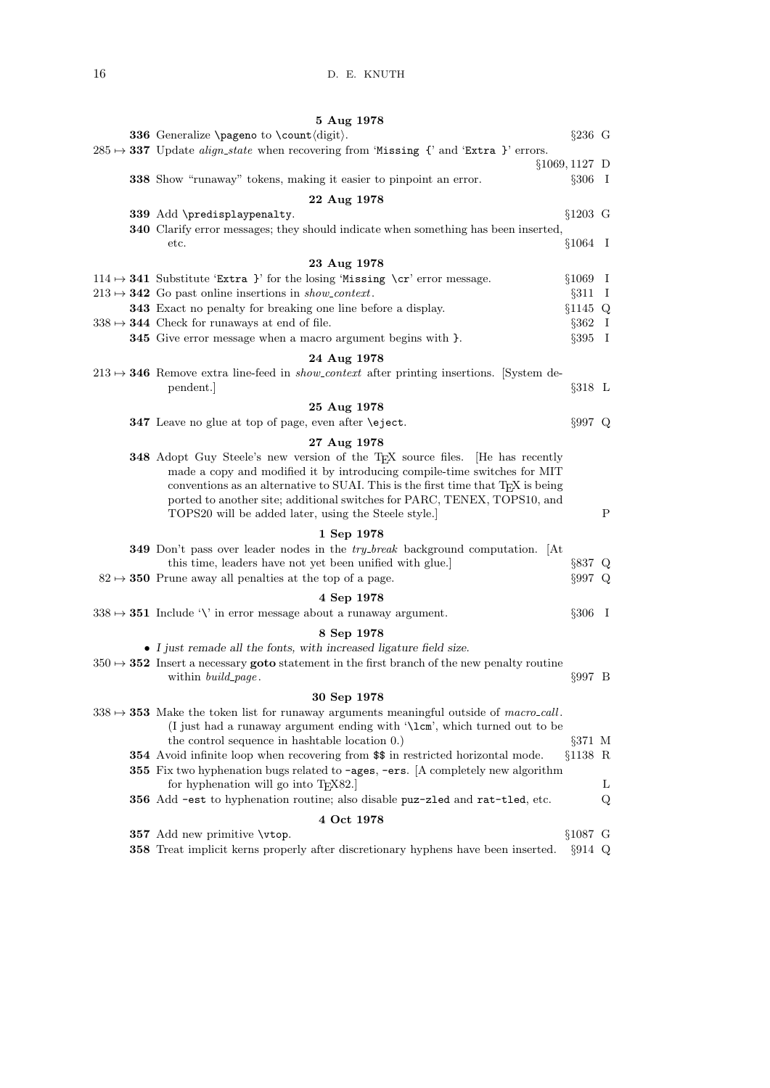| 5 Aug 1978                                                                                                                                                                                                                                                                                                                                               |                  |             |
|----------------------------------------------------------------------------------------------------------------------------------------------------------------------------------------------------------------------------------------------------------------------------------------------------------------------------------------------------------|------------------|-------------|
| <b>336</b> Generalize <b>\pageno</b> to <b>\count</b> $\langle$ digit $\rangle$ .                                                                                                                                                                                                                                                                        | $\S 236$ G       |             |
| $285 \rightarrow 337$ Update <i>align_state</i> when recovering from 'Missing {' and 'Extra }' errors.                                                                                                                                                                                                                                                   |                  |             |
| $§1069, 1127$ D                                                                                                                                                                                                                                                                                                                                          |                  |             |
| <b>338</b> Show "runaway" tokens, making it easier to pinpoint an error.                                                                                                                                                                                                                                                                                 | $\S 306$ I       |             |
| 22 Aug 1978                                                                                                                                                                                                                                                                                                                                              |                  |             |
| 339 Add \predisplaypenalty.                                                                                                                                                                                                                                                                                                                              | $§1203$ G        |             |
| 340 Clarify error messages; they should indicate when something has been inserted,                                                                                                                                                                                                                                                                       |                  |             |
| etc.                                                                                                                                                                                                                                                                                                                                                     | $§1064$ I        |             |
| 23 Aug 1978                                                                                                                                                                                                                                                                                                                                              |                  |             |
| $114 \rightarrow 341$ Substitute 'Extra }' for the losing 'Missing \cr' error message.                                                                                                                                                                                                                                                                   | $§1069$ I        |             |
| $213 \rightarrow 342$ Go past online insertions in <i>show_context</i> .                                                                                                                                                                                                                                                                                 | $§311$ I         |             |
| 343 Exact no penalty for breaking one line before a display.                                                                                                                                                                                                                                                                                             | §1145 Q          |             |
| $338 \rightarrow 344$ Check for runaways at end of file.                                                                                                                                                                                                                                                                                                 | $\S 362 \quad I$ |             |
| <b>345</b> Give error message when a macro argument begins with $\}$ .                                                                                                                                                                                                                                                                                   | $\S 395$ I       |             |
| 24 Aug 1978                                                                                                                                                                                                                                                                                                                                              |                  |             |
| $213 \rightarrow 346$ Remove extra line-feed in <i>show_context</i> after printing insertions. System de-                                                                                                                                                                                                                                                |                  |             |
| pendent.                                                                                                                                                                                                                                                                                                                                                 | $\S 318$ L       |             |
| 25 Aug 1978                                                                                                                                                                                                                                                                                                                                              |                  |             |
| 347 Leave no glue at top of page, even after <b>\eject</b> .                                                                                                                                                                                                                                                                                             | $§997$ Q         |             |
| 27 Aug 1978                                                                                                                                                                                                                                                                                                                                              |                  |             |
| <b>348</b> Adopt Guy Steele's new version of the T <sub>F</sub> X source files. [He has recently<br>made a copy and modified it by introducing compile-time switches for MIT<br>conventions as an alternative to SUAI. This is the first time that T <sub>F</sub> X is being<br>ported to another site; additional switches for PARC, TENEX, TOPS10, and |                  |             |
| TOPS20 will be added later, using the Steele style.                                                                                                                                                                                                                                                                                                      |                  | $\mathbf P$ |
| 1 Sep 1978                                                                                                                                                                                                                                                                                                                                               |                  |             |
| <b>349</b> Don't pass over leader nodes in the <i>try_break</i> background computation. [At                                                                                                                                                                                                                                                              |                  |             |
| this time, leaders have not yet been unified with glue.                                                                                                                                                                                                                                                                                                  | $\S 837$ Q       |             |
| $82 \rightarrow 350$ Prune away all penalties at the top of a page.                                                                                                                                                                                                                                                                                      | §997 Q           |             |
| 4 Sep 1978                                                                                                                                                                                                                                                                                                                                               |                  |             |
| $338 \rightarrow 351$ Include '\' in error message about a runaway argument.                                                                                                                                                                                                                                                                             | $\S 306$ I       |             |
| 8 Sep 1978                                                                                                                                                                                                                                                                                                                                               |                  |             |
| • I just remade all the fonts, with increased ligature field size.                                                                                                                                                                                                                                                                                       |                  |             |
| $350 \rightarrow 352$ Insert a necessary goto statement in the first branch of the new penalty routine                                                                                                                                                                                                                                                   |                  |             |
| within <i>build_page</i> .                                                                                                                                                                                                                                                                                                                               | $\S 997 \quad B$ |             |
| 30 Sep 1978                                                                                                                                                                                                                                                                                                                                              |                  |             |
| $338 \rightarrow 353$ Make the token list for runaway arguments meaningful outside of macro-call.<br>(I just had a runaway argument ending with '\lcm', which turned out to be                                                                                                                                                                           |                  |             |
| the control sequence in hashtable location 0.)                                                                                                                                                                                                                                                                                                           | $\S 371$ M       |             |
| 354 Avoid infinite loop when recovering from \$\$ in restricted horizontal mode.<br>355 Fix two hyphenation bugs related to -ages, -ers. [A completely new algorithm<br>for hyphenation will go into T <sub>F</sub> X82.                                                                                                                                 | $§1138$ R        | L           |
| 356 Add -est to hyphenation routine; also disable puz-zled and rat-tled, etc.                                                                                                                                                                                                                                                                            |                  | Q           |
|                                                                                                                                                                                                                                                                                                                                                          |                  |             |
| 4 Oct 1978                                                                                                                                                                                                                                                                                                                                               | $$1087$ G        |             |
| 357 Add new primitive \vtop.                                                                                                                                                                                                                                                                                                                             |                  |             |
| 358 Treat implicit kerns properly after discretionary hyphens have been inserted.                                                                                                                                                                                                                                                                        | $\S914$ Q        |             |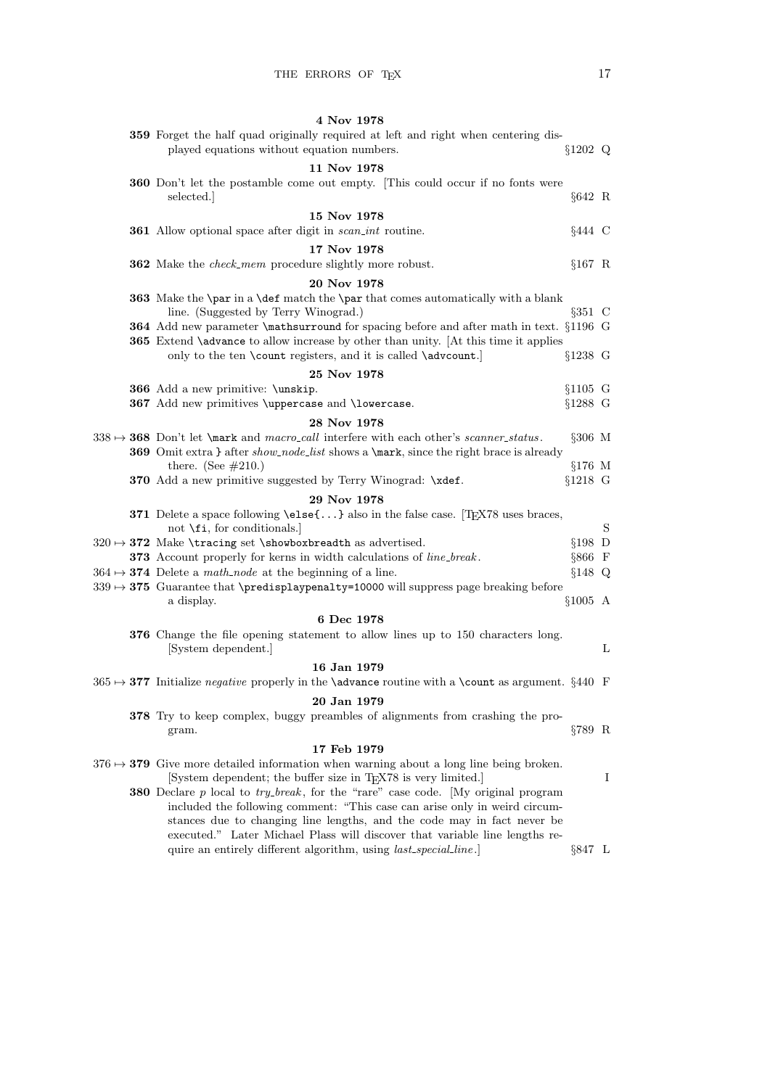|  | 4 Nov 1978                                                                                                                                                                                                                                                                                                                          |            |   |
|--|-------------------------------------------------------------------------------------------------------------------------------------------------------------------------------------------------------------------------------------------------------------------------------------------------------------------------------------|------------|---|
|  | 359 Forget the half quad originally required at left and right when centering dis-<br>played equations without equation numbers.                                                                                                                                                                                                    | §1202 Q    |   |
|  | 11 Nov 1978                                                                                                                                                                                                                                                                                                                         |            |   |
|  | <b>360</b> Don't let the postamble come out empty. [This could occur if no fonts were<br>selected.                                                                                                                                                                                                                                  | $§642 \R$  |   |
|  | 15 Nov 1978                                                                                                                                                                                                                                                                                                                         |            |   |
|  | 361 Allow optional space after digit in scan_int routine.                                                                                                                                                                                                                                                                           | §444 C     |   |
|  | 17 Nov 1978                                                                                                                                                                                                                                                                                                                         |            |   |
|  | <b>362</b> Make the <i>check_mem</i> procedure slightly more robust.                                                                                                                                                                                                                                                                | $§167$ R   |   |
|  | 20 Nov 1978                                                                                                                                                                                                                                                                                                                         |            |   |
|  | 363 Make the \par in a \def match the \par that comes automatically with a blank<br>line. (Suggested by Terry Winograd.)                                                                                                                                                                                                            | $§351$ C   |   |
|  | <b>364</b> Add new parameter <b>\mathsurround</b> for spacing before and after math in text. §1196 G                                                                                                                                                                                                                                |            |   |
|  | <b>365</b> Extend <b>\advance</b> to allow increase by other than unity. [At this time it applies<br>only to the ten \count registers, and it is called \advcount.]                                                                                                                                                                 | §1238 G    |   |
|  | 25 Nov 1978                                                                                                                                                                                                                                                                                                                         |            |   |
|  | 366 Add a new primitive: \unskip.                                                                                                                                                                                                                                                                                                   | $§1105$ G  |   |
|  | 367 Add new primitives \uppercase and \lowercase.                                                                                                                                                                                                                                                                                   | $§1288$ G  |   |
|  | 28 Nov 1978                                                                                                                                                                                                                                                                                                                         |            |   |
|  | $338 \rightarrow 368$ Don't let \mark and macro_call interfere with each other's scanner_status.<br>369 Omit extra } after show_node_list shows a \mark, since the right brace is already                                                                                                                                           | $\S 306$ M |   |
|  | there. (See $#210$ .)                                                                                                                                                                                                                                                                                                               | $§176$ M   |   |
|  | 370 Add a new primitive suggested by Terry Winograd: \xdef.                                                                                                                                                                                                                                                                         | $§1218$ G  |   |
|  | 29 Nov 1978                                                                                                                                                                                                                                                                                                                         |            |   |
|  | 371 Delete a space following \else{} also in the false case. [TEX78 uses braces,<br>not $\forall$ fi, for conditionals.                                                                                                                                                                                                             |            | S |
|  | $320 \mapsto 372$ Make \tracing set \showboxbreadth as advertised.                                                                                                                                                                                                                                                                  | $§198$ D   |   |
|  | 373 Account properly for kerns in width calculations of line_break.                                                                                                                                                                                                                                                                 | §866 F     |   |
|  | $364 \rightarrow 374$ Delete a <i>math_node</i> at the beginning of a line.                                                                                                                                                                                                                                                         | §148 Q     |   |
|  | $339 \rightarrow 375$ Guarantee that \predisplaypenalty=10000 will suppress page breaking before<br>a display.                                                                                                                                                                                                                      | $§1005$ A  |   |
|  | 6 Dec 1978                                                                                                                                                                                                                                                                                                                          |            |   |
|  | 376 Change the file opening statement to allow lines up to 150 characters long.<br>[System dependent.]                                                                                                                                                                                                                              |            | L |
|  | 16 Jan 1979                                                                                                                                                                                                                                                                                                                         |            |   |
|  | $365 \rightarrow 377$ Initialize <i>negative</i> properly in the <b>\advance</b> routine with a <b>\count</b> as argument. §440 F                                                                                                                                                                                                   |            |   |
|  | 20 Jan 1979                                                                                                                                                                                                                                                                                                                         |            |   |
|  | 378 Try to keep complex, buggy preambles of alignments from crashing the pro-<br>gram.                                                                                                                                                                                                                                              | §789 R     |   |
|  | 17 Feb 1979                                                                                                                                                                                                                                                                                                                         |            |   |
|  | $376 \rightarrow 379$ Give more detailed information when warning about a long line being broken.<br>[System dependent; the buffer size in T <sub>F</sub> X78 is very limited.]                                                                                                                                                     |            | Ι |
|  | <b>380</b> Declare p local to $try\_break$ , for the "rare" case code. [My original program<br>included the following comment: "This case can arise only in weird circum-<br>stances due to changing line lengths, and the code may in fact never be<br>executed." Later Michael Plass will discover that variable line lengths re- |            |   |

quire an entirely different algorithm, using *last\_special\_line*. **§847** L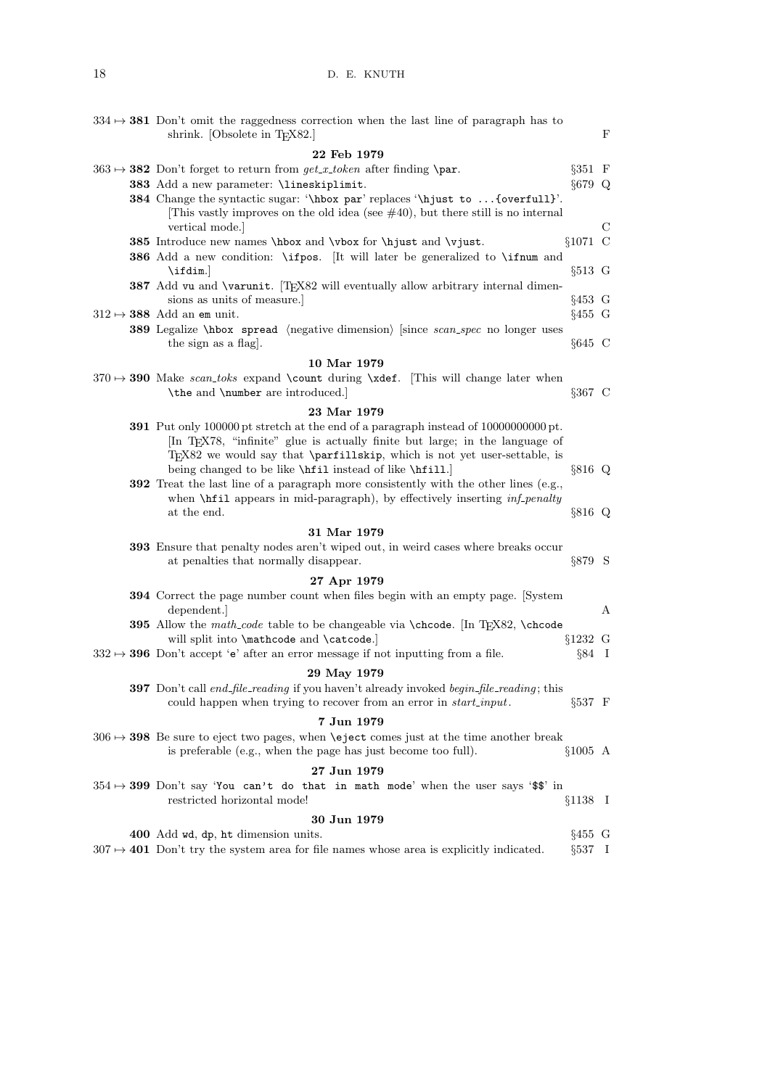| $334 \rightarrow 381$ Don't omit the raggedness correction when the last line of paragraph has to<br>shrink. [Obsolete in T $EX82$ .]                               |                              | $\mathbf F$ |
|---------------------------------------------------------------------------------------------------------------------------------------------------------------------|------------------------------|-------------|
|                                                                                                                                                                     |                              |             |
| 22 Feb 1979                                                                                                                                                         |                              |             |
| $363 \rightarrow 382$ Don't forget to return from $get_x\text{-}token$ after finding \par.                                                                          | $\S 351 \quad F$<br>$§679$ Q |             |
| 383 Add a new parameter: \lineskiplimit.                                                                                                                            |                              |             |
| 384 Change the syntactic sugar: '\hbox par' replaces '\hjust to  {overfull}'.<br>This vastly improves on the old idea (see $\#40$ ), but there still is no internal |                              |             |
| vertical mode.                                                                                                                                                      |                              | С           |
| 385 Introduce new names \hbox and \vbox for \hjust and \vjust.                                                                                                      | $§1071$ C                    |             |
| 386 Add a new condition: \ifpos. It will later be generalized to \ifnum and                                                                                         |                              |             |
| $\tilde{\iota}$                                                                                                                                                     | $§513$ G                     |             |
| 387 Add vu and \varunit. [TEX82 will eventually allow arbitrary internal dimen-                                                                                     |                              |             |
| sions as units of measure.                                                                                                                                          | $§453 \tG$                   |             |
| $312 \mapsto 388$ Add an em unit.                                                                                                                                   | $§455$ G                     |             |
| <b>389</b> Legalize \hbox spread \megative dimension\ since scan_spec no longer uses                                                                                |                              |             |
| the sign as a flag.                                                                                                                                                 | $§645$ C                     |             |
|                                                                                                                                                                     |                              |             |
| 10 Mar 1979                                                                                                                                                         |                              |             |
| $370 \rightarrow 390$ Make scan_toks expand \count during \xdef. This will change later when                                                                        |                              |             |
| \the and \number are introduced.                                                                                                                                    | $§367 \text{ C}$             |             |
| 23 Mar 1979                                                                                                                                                         |                              |             |
| <b>391</b> Put only 100000 pt stretch at the end of a paragraph instead of 10000000000 pt.                                                                          |                              |             |
| In T <sub>E</sub> X78, "infinite" glue is actually finite but large; in the language of                                                                             |                              |             |
| $TFX82$ we would say that <b>\parfillskip</b> , which is not yet user-settable, is                                                                                  |                              |             |
| being changed to be like \hfill instead of like \hfill.]                                                                                                            | $§816$ Q                     |             |
| <b>392</b> Treat the last line of a paragraph more consistently with the other lines (e.g.,                                                                         |                              |             |
| when <b>\hfil</b> appears in mid-paragraph), by effectively inserting <i>inf-penalty</i>                                                                            |                              |             |
| at the end.                                                                                                                                                         | §816 Q                       |             |
| 31 Mar 1979                                                                                                                                                         |                              |             |
| 393 Ensure that penalty nodes aren't wiped out, in weird cases where breaks occur                                                                                   |                              |             |
| at penalties that normally disappear.                                                                                                                               | $§879$ S                     |             |
| 27 Apr 1979                                                                                                                                                         |                              |             |
| 394 Correct the page number count when files begin with an empty page. [System                                                                                      |                              |             |
| dependent.                                                                                                                                                          |                              | А           |
| <b>395</b> Allow the math-code table to be changeable via $\check{\text{Tr}}X82$ , $\check{\text{Chcode}}$                                                          |                              |             |
| will split into \mathcode and \catcode.                                                                                                                             | $§1232 \tG$                  |             |
| $332 \mapsto 396$ Don't accept 'e' after an error message if not inputting from a file.                                                                             | $\S 84$ I                    |             |
| 29 May 1979                                                                                                                                                         |                              |             |
| <b>397</b> Don't call end_file_reading if you haven't already invoked begin_file_reading; this                                                                      |                              |             |
| could happen when trying to recover from an error in <i>start_input</i> .                                                                                           | $\S 537$ F                   |             |
| 7 Jun 1979                                                                                                                                                          |                              |             |
| $306 \rightarrow 398$ Be sure to eject two pages, when <b>\eject</b> comes just at the time another break                                                           |                              |             |
| is preferable (e.g., when the page has just become too full).                                                                                                       | $$1005 \text{ A}$            |             |
|                                                                                                                                                                     |                              |             |
| 27 Jun 1979                                                                                                                                                         |                              |             |
| $354 \rightarrow 399$ Don't say 'You can't do that in math mode' when the user says '\$\$' in<br>restricted horizontal mode!                                        |                              |             |
|                                                                                                                                                                     | §1138 I                      |             |
| 30 Jun 1979                                                                                                                                                         |                              |             |
| 400 Add wd, dp, ht dimension units.                                                                                                                                 | $§455 \text{ G}$             |             |
| $307 \rightarrow 401$ Don't try the system area for file names whose area is explicitly indicated.                                                                  | $\S 537 \quad I$             |             |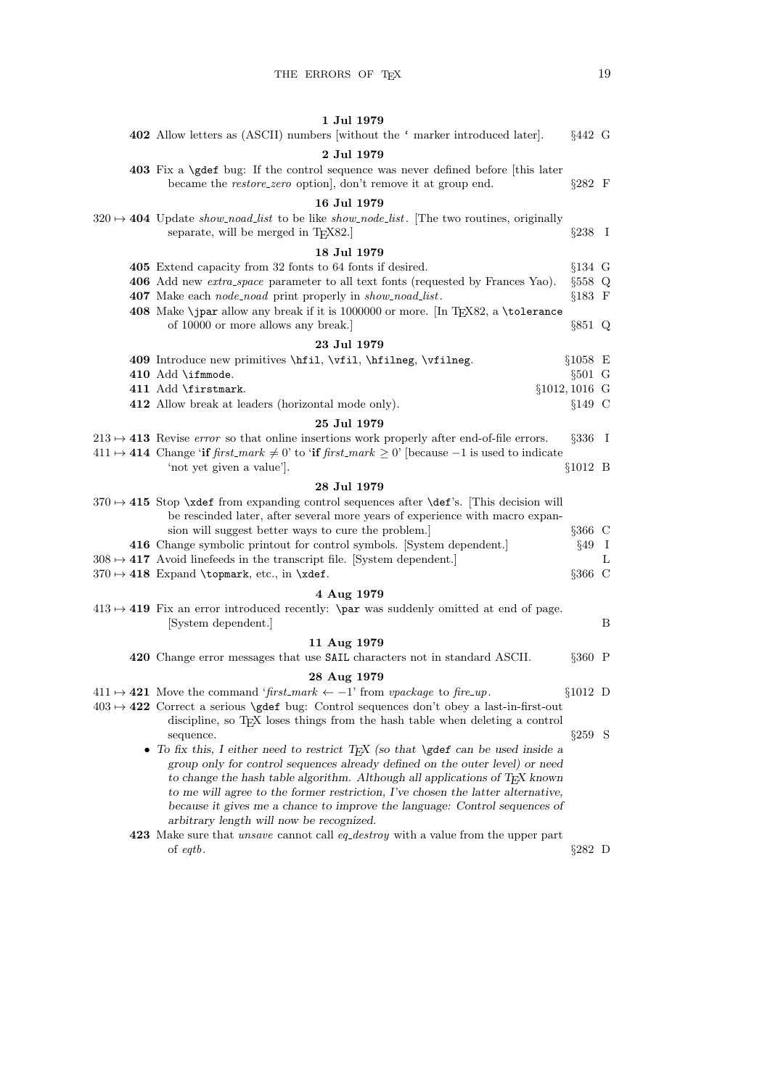|  | 1 Jul 1979<br>402 Allow letters as (ASCII) numbers without the 'marker introduced later.                                                                                | $§442 \ G$       |     |
|--|-------------------------------------------------------------------------------------------------------------------------------------------------------------------------|------------------|-----|
|  |                                                                                                                                                                         |                  |     |
|  | 2 Jul 1979<br>403 Fix a \gdef bug: If the control sequence was never defined before [this later<br>became the <i>restore_zero</i> option, don't remove it at group end. | $\S 282$ F       |     |
|  | 16 Jul 1979                                                                                                                                                             |                  |     |
|  | $320 \rightarrow 404$ Update <i>show_noad_list</i> to be like <i>show_node_list</i> . The two routines, originally<br>separate, will be merged in $TEX82.]$             | $\S 238 \quad I$ |     |
|  | 18 Jul 1979                                                                                                                                                             |                  |     |
|  | 405 Extend capacity from 32 fonts to 64 fonts if desired.                                                                                                               | $§134$ G         |     |
|  | 406 Add new <i>extra_space</i> parameter to all text fonts (requested by Frances Yao).                                                                                  | $§558$ Q         |     |
|  | 407 Make each <i>node_noad</i> print properly in <i>show_noad_list</i> .                                                                                                | $§183 \tF$       |     |
|  | 408 Make \jpar allow any break if it is 1000000 or more. [In TEX82, a \tolerance<br>of 10000 or more allows any break.                                                  | $\S 851$ Q       |     |
|  | 23 Jul 1979                                                                                                                                                             |                  |     |
|  | 409 Introduce new primitives \hfil, \vfil, \hfilmeg, \vfilmeg.                                                                                                          | $§1058$ E        |     |
|  | $410$ $\text{Add }$ ifmmode.                                                                                                                                            | $§501$ G         |     |
|  | 411 Add \firstmark.<br>$§1012, 1016$ G                                                                                                                                  |                  |     |
|  | 412 Allow break at leaders (horizontal mode only).                                                                                                                      | $§149$ C         |     |
|  | 25 Jul 1979                                                                                                                                                             |                  |     |
|  | $213 \rightarrow 413$ Revise error so that online insertions work properly after end-of-file errors.                                                                    | $\S 336$ I       |     |
|  | $411 \mapsto 414$ Change 'if first_mark $\neq 0$ ' to 'if first_mark $\geq 0$ ' [because -1 is used to indicate                                                         |                  |     |
|  | 'not yet given a value'.                                                                                                                                                | $§1012$ B        |     |
|  | 28 Jul 1979                                                                                                                                                             |                  |     |
|  | $370 \rightarrow 415$ Stop \xdef from expanding control sequences after \def's. This decision will                                                                      |                  |     |
|  | be rescinded later, after several more years of experience with macro expan-                                                                                            |                  |     |
|  | sion will suggest better ways to cure the problem.                                                                                                                      | $\S 366$ C       |     |
|  | 416 Change symbolic printout for control symbols. [System dependent.]                                                                                                   | §49              | - 1 |
|  | $308 \mapsto 417$ Avoid linefeeds in the transcript file. System dependent.                                                                                             |                  | L   |
|  | $370 \mapsto 418$ Expand \topmark, etc., in \xdef.                                                                                                                      | §366 C           |     |
|  | 4 Aug 1979                                                                                                                                                              |                  |     |
|  | $413 \rightarrow 419$ Fix an error introduced recently: <b>\par</b> was suddenly omitted at end of page.                                                                |                  |     |
|  | [System dependent.]                                                                                                                                                     |                  | B   |
|  | 11 Aug 1979                                                                                                                                                             |                  |     |
|  | 420 Change error messages that use SAIL characters not in standard ASCII.                                                                                               | $§360$ P         |     |
|  | 28 Aug 1979                                                                                                                                                             |                  |     |
|  | $411 \mapsto 421$ Move the command 'first_mark $\leftarrow -1$ ' from vpackage to fire_up.                                                                              | $§1012$ D        |     |
|  | $403 \rightarrow 422$ Correct a serious \gdef bug: Control sequences don't obey a last-in-first-out                                                                     |                  |     |
|  | discipline, so TEX loses things from the hash table when deleting a control                                                                                             |                  |     |
|  | sequence.                                                                                                                                                               | $\S 259$ S       |     |
|  | • To fix this, I either need to restrict T <sub>E</sub> X (so that \gdef can be used inside a                                                                           |                  |     |
|  | group only for control sequences already defined on the outer level) or need                                                                                            |                  |     |
|  | to change the hash table algorithm. Although all applications of TEX known                                                                                              |                  |     |
|  | to me will agree to the former restriction, I've chosen the latter alternative,                                                                                         |                  |     |
|  | because it gives me a chance to improve the language: Control sequences of                                                                                              |                  |     |
|  | arbitrary length will now be recognized.                                                                                                                                |                  |     |
|  | 423 Make sure that <i>unsave</i> cannot call <i>eq_destroy</i> with a value from the upper part                                                                         |                  |     |
|  | of $\epsilon q t b$ .                                                                                                                                                   | $\S 282$ D       |     |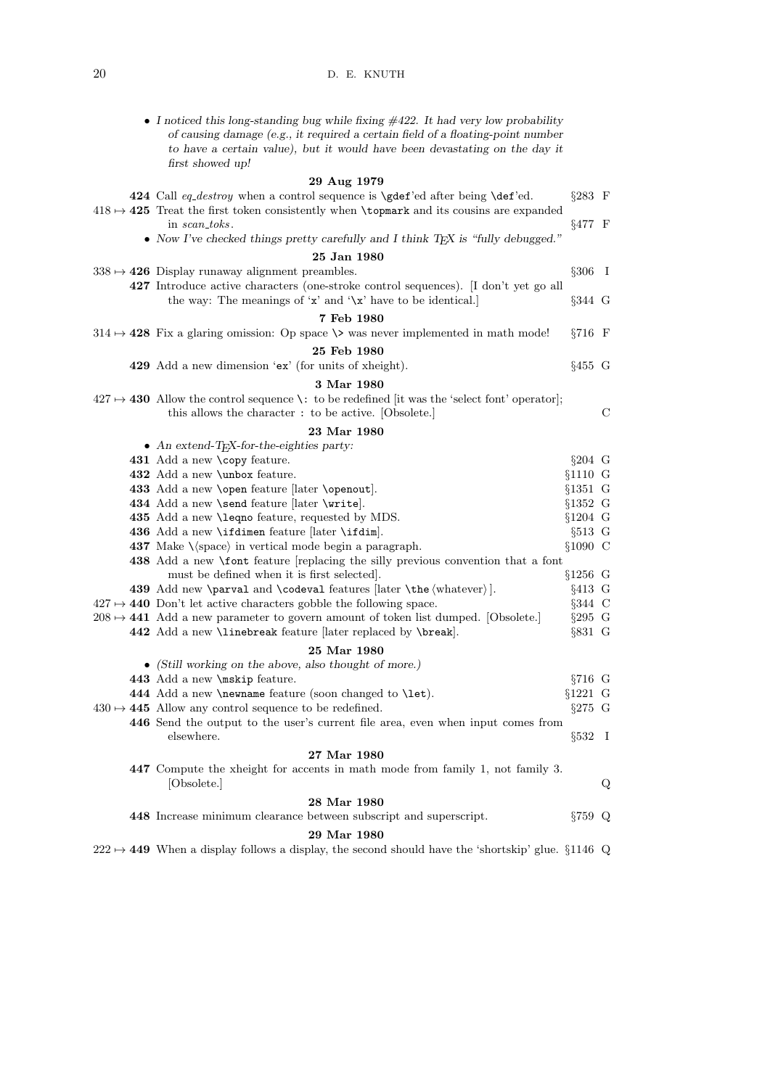| • I noticed this long-standing bug while fixing $\#422$ . It had very low probability<br>of causing damage (e.g., it required a certain field of a floating-point number<br>to have a certain value), but it would have been devastating on the day it<br>first showed up! |                    |   |
|----------------------------------------------------------------------------------------------------------------------------------------------------------------------------------------------------------------------------------------------------------------------------|--------------------|---|
| 29 Aug 1979                                                                                                                                                                                                                                                                |                    |   |
| 424 Call eq_destroy when a control sequence is \gdef'ed after being \def'ed.                                                                                                                                                                                               | $§283 \t F$        |   |
| $418 \rightarrow 425$ Treat the first token consistently when <b>\topmark</b> and its cousins are expanded                                                                                                                                                                 |                    |   |
| in scan_toks.                                                                                                                                                                                                                                                              | §477 F             |   |
| • Now I've checked things pretty carefully and I think TEX is "fully debugged."                                                                                                                                                                                            |                    |   |
| 25 Jan 1980                                                                                                                                                                                                                                                                |                    |   |
| $338 \rightarrow 426$ Display runaway alignment preambles.                                                                                                                                                                                                                 | $§306$ I           |   |
|                                                                                                                                                                                                                                                                            |                    |   |
| 427 Introduce active characters (one-stroke control sequences). [I don't yet go all<br>the way: The meanings of 'x' and '\x' have to be identical.]                                                                                                                        | $\S 344 \text{ G}$ |   |
| 7 Feb 1980                                                                                                                                                                                                                                                                 |                    |   |
| $314 \rightarrow 428$ Fix a glaring omission: Op space $\>$ was never implemented in math mode!                                                                                                                                                                            | $\S716$ F          |   |
| 25 Feb 1980                                                                                                                                                                                                                                                                |                    |   |
| 429 Add a new dimension 'ex' (for units of xheight).                                                                                                                                                                                                                       | $§455$ G           |   |
|                                                                                                                                                                                                                                                                            |                    |   |
| 3 Mar 1980                                                                                                                                                                                                                                                                 |                    |   |
| $427 \rightarrow 430$ Allow the control sequence \: to be redefined [it was the 'select font' operator];                                                                                                                                                                   |                    |   |
| this allows the character : to be active. [Obsolete.]                                                                                                                                                                                                                      |                    | С |
| 23 Mar 1980                                                                                                                                                                                                                                                                |                    |   |
| • An extend-T <sub>F</sub> X-for-the-eighties party:                                                                                                                                                                                                                       |                    |   |
| 431 Add a new \copy feature.                                                                                                                                                                                                                                               | $§204$ G           |   |
| 432 Add a new \unbox feature.                                                                                                                                                                                                                                              | $§1110 \tG$        |   |
| 433 Add a new <b>\open</b> feature [later <b>\openout</b> ].                                                                                                                                                                                                               | $§1351 \tG$        |   |
| 434 Add a new \send feature [later \write].                                                                                                                                                                                                                                | $§1352 \text{ G}$  |   |
| 435 Add a new <b>\leqno</b> feature, requested by MDS.                                                                                                                                                                                                                     | $§1204$ G          |   |
| 436 Add a new \ifdimen feature $\lvert \text{later } \ifmmode \text{idim } \else$ at $\fi$ .                                                                                                                                                                               | $§513$ G           |   |
| <b>437</b> Make $\langle$ space $\rangle$ in vertical mode begin a paragraph.                                                                                                                                                                                              | $§1090 \text{ C}$  |   |
| 438 Add a new <i>\font</i> feature [replacing the silly previous convention that a font                                                                                                                                                                                    |                    |   |
| must be defined when it is first selected.                                                                                                                                                                                                                                 | $§1256$ G          |   |
| 439 Add new \parval and \codeval features $\langle \theta \rangle$ .                                                                                                                                                                                                       | $§413$ G           |   |
| $427 \rightarrow 440$ Don't let active characters gobble the following space.                                                                                                                                                                                              | $\S 344$ C         |   |
| $208 \rightarrow 441$ Add a new parameter to govern amount of token list dumped. [Obsolete.]                                                                                                                                                                               | $\S 295$ G         |   |
| 442 Add a new <i>\linebreak</i> feature [later replaced by <i>\break</i> ].                                                                                                                                                                                                | $§831$ G           |   |
| 25 Mar 1980                                                                                                                                                                                                                                                                |                    |   |
| • (Still working on the above, also thought of more.)                                                                                                                                                                                                                      |                    |   |
| 443 Add a new \mskip feature.                                                                                                                                                                                                                                              | $§716$ G           |   |
| 444 Add a new <b>\newname</b> feature (soon changed to <b>\let</b> ).                                                                                                                                                                                                      | $§1221$ G          |   |
| $430 \rightarrow 445$ Allow any control sequence to be redefined.                                                                                                                                                                                                          | $\S 275$ G         |   |
| 446 Send the output to the user's current file area, even when input comes from                                                                                                                                                                                            |                    |   |
| elsewhere.                                                                                                                                                                                                                                                                 | $\S 532 \quad I$   |   |
| 27 Mar 1980                                                                                                                                                                                                                                                                |                    |   |
| 447 Compute the xheight for accents in math mode from family 1, not family 3.                                                                                                                                                                                              |                    |   |
| [Obsolete.]                                                                                                                                                                                                                                                                |                    | Q |
| 28 Mar 1980                                                                                                                                                                                                                                                                |                    |   |
| 448 Increase minimum clearance between subscript and superscript.                                                                                                                                                                                                          | $\S 759$ Q         |   |
| 29 Mar 1980                                                                                                                                                                                                                                                                |                    |   |
| $222 \rightarrow 449$ When a display follows a display, the second should have the 'shortskip' glue. §1146 Q                                                                                                                                                               |                    |   |
|                                                                                                                                                                                                                                                                            |                    |   |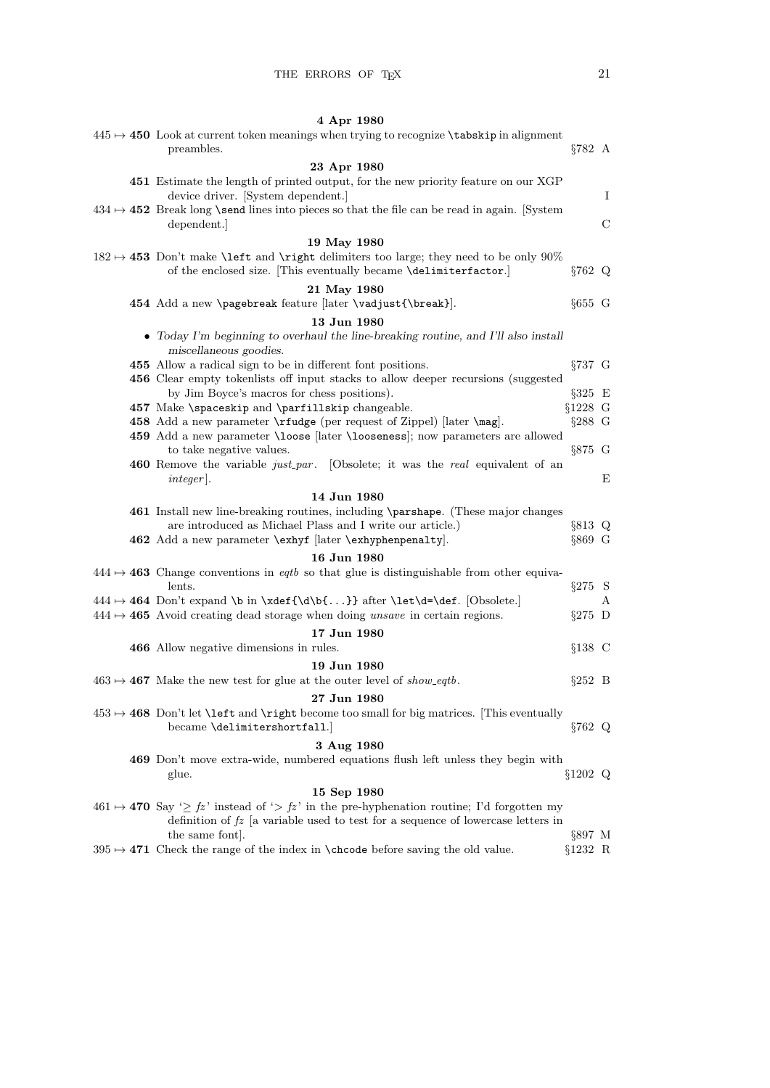|  | 4 Apr 1980                                                                                                                                                                                       |                         |   |
|--|--------------------------------------------------------------------------------------------------------------------------------------------------------------------------------------------------|-------------------------|---|
|  | $445 \rightarrow 450$ Look at current token meanings when trying to recognize <b>\tabskip</b> in alignment<br>preambles.                                                                         | $\S 782$ A              |   |
|  | 23 Apr 1980                                                                                                                                                                                      |                         |   |
|  | 451 Estimate the length of printed output, for the new priority feature on our XGP<br>device driver. [System dependent.]                                                                         |                         | Ι |
|  | $434 \rightarrow 452$ Break long \send lines into pieces so that the file can be read in again. [System]<br>dependent.                                                                           |                         | С |
|  | 19 May 1980                                                                                                                                                                                      |                         |   |
|  | $182 \rightarrow 453$ Don't make <b>\left</b> and <b>\right</b> delimiters too large; they need to be only 90%<br>of the enclosed size. [This eventually became \delimiterfactor.]               | $\S 762$ Q              |   |
|  | 21 May 1980                                                                                                                                                                                      |                         |   |
|  | 454 Add a new \pagebreak feature [later \vadjust{\break}].                                                                                                                                       | $§655$ G                |   |
|  | 13 Jun 1980                                                                                                                                                                                      |                         |   |
|  | • Today I'm beginning to overhaul the line-breaking routine, and I'll also install<br>miscellaneous goodies.                                                                                     |                         |   |
|  | 455 Allow a radical sign to be in different font positions.                                                                                                                                      | $\S 737$ G              |   |
|  | 456 Clear empty tokenlists off input stacks to allow deeper recursions (suggested                                                                                                                |                         |   |
|  | by Jim Boyce's macros for chess positions).                                                                                                                                                      | $\S 325$ E              |   |
|  | 457 Make \spaceskip and \parfillskip changeable.                                                                                                                                                 | $§1228$ G               |   |
|  | 458 Add a new parameter <b>\rfudge</b> (per request of Zippel) [later <b>\mag</b> ].                                                                                                             | $\S 288$ G              |   |
|  | 459 Add a new parameter \loose [later \looseness]; now parameters are allowed<br>to take negative values.                                                                                        | $\S 875$ G              |   |
|  | <b>460</b> Remove the variable <i>just_par</i> . [Obsolete; it was the <i>real</i> equivalent of an<br>$integer$ .                                                                               |                         | Е |
|  | 14 Jun 1980                                                                                                                                                                                      |                         |   |
|  | 461 Install new line-breaking routines, including \parshape. (These major changes<br>are introduced as Michael Plass and I write our article.)                                                   | $§813$ Q                |   |
|  | 462 Add a new parameter \exhyf [later \exhyphenpenalty].                                                                                                                                         | $§869$ G                |   |
|  | 16 Jun 1980                                                                                                                                                                                      |                         |   |
|  | $444 \rightarrow 463$ Change conventions in <i>eqtb</i> so that glue is distinguishable from other equiva-<br>lents.                                                                             | $§275$ S                |   |
|  | $444 \mapsto 464$ Don't expand \b in \xdef{\d\b{}} after \let\d=\def. [Obsolete.]                                                                                                                |                         | А |
|  | $444 \mapsto 465$ Avoid creating dead storage when doing unsave in certain regions.                                                                                                              | $\S 275$ D              |   |
|  | 17 Jun 1980                                                                                                                                                                                      |                         |   |
|  | 466 Allow negative dimensions in rules.                                                                                                                                                          | $§138$ C                |   |
|  | 19 Jun 1980                                                                                                                                                                                      |                         |   |
|  | $463 \rightarrow 467$ Make the new test for glue at the outer level of show-eqtb.                                                                                                                | $\S252$ B               |   |
|  | 27 Jun 1980                                                                                                                                                                                      |                         |   |
|  | $453 \rightarrow 468$ Don't let <b>\left</b> and <b>\right</b> become too small for big matrices. [This eventually<br>became \delimitershortfall.                                                | $§762$ Q                |   |
|  | 3 Aug 1980                                                                                                                                                                                       |                         |   |
|  | 469 Don't move extra-wide, numbered equations flush left unless they begin with<br>glue.                                                                                                         | $§1202$ Q               |   |
|  | 15 Sep 1980                                                                                                                                                                                      |                         |   |
|  | $461 \mapsto 470$ Say ' $\geq fz$ ' instead of ' $> fz$ ' in the pre-hyphenation routine; I'd forgotten my<br>definition of $fz$ [a variable used to test for a sequence of lowercase letters in |                         |   |
|  | the same font.<br>395 $\rightarrow$ 471 Check the range of the index in \chcode before saving the old value.                                                                                     | $\S 897$ M<br>$§1232$ R |   |
|  |                                                                                                                                                                                                  |                         |   |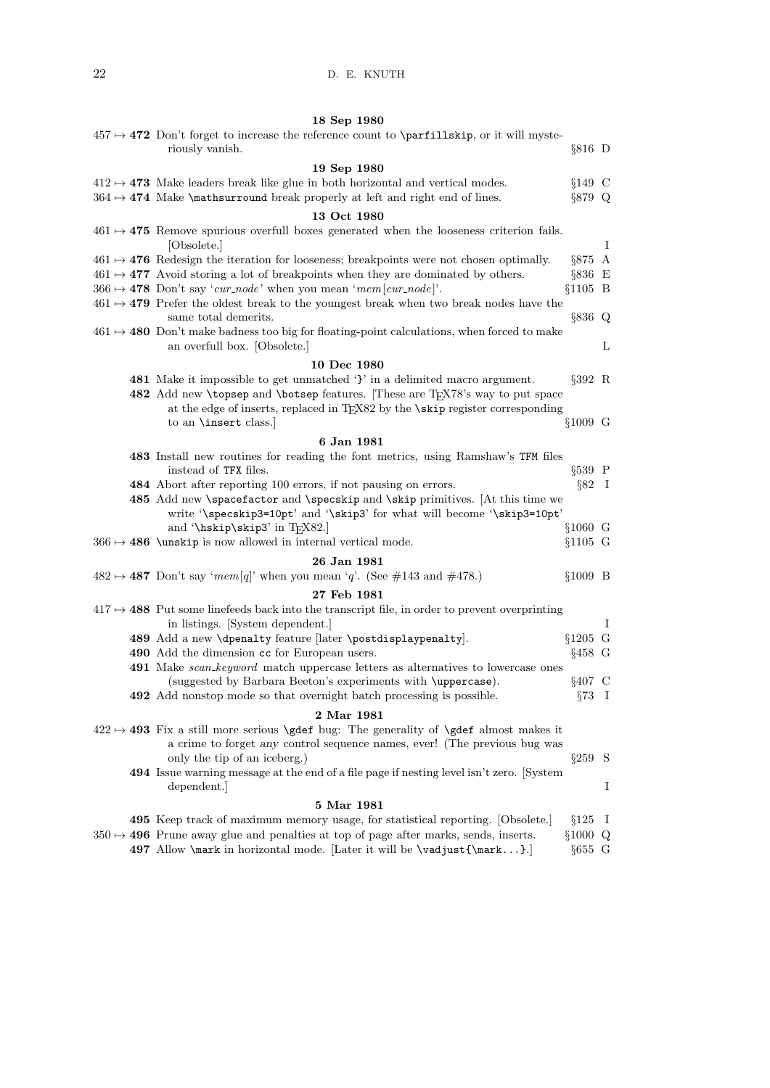## 18 Sep 1980

| $457 \rightarrow 472$ Don't forget to increase the reference count to <b>\parfillskip</b> , or it will myste-<br>riously vanish.                                                | $§816$ D              |              |
|---------------------------------------------------------------------------------------------------------------------------------------------------------------------------------|-----------------------|--------------|
|                                                                                                                                                                                 |                       |              |
| 19 Sep 1980<br>$412 \rightarrow 473$ Make leaders break like glue in both horizontal and vertical modes.                                                                        | $§149$ C              |              |
| $364 \rightarrow 474$ Make <i>\mathsurround</i> break properly at left and right end of lines.                                                                                  | $\S 879$ Q            |              |
|                                                                                                                                                                                 |                       |              |
| 13 Oct 1980                                                                                                                                                                     |                       |              |
| $461 \rightarrow 475$ Remove spurious overfull boxes generated when the looseness criterion fails.<br>[Obsolete.]                                                               |                       | Ι            |
| $461 \mapsto 476$ Redesign the iteration for looseness; breakpoints were not chosen optimally.                                                                                  | $§875$ A              |              |
| $461 \rightarrow 477$ Avoid storing a lot of breakpoints when they are dominated by others.                                                                                     | $\S 836$ E            |              |
| $366 \rightarrow 478$ Don't say 'cur_node' when you mean 'mem[cur_node]'.                                                                                                       | $§1105$ B             |              |
| $461 \rightarrow 479$ Prefer the oldest break to the youngest break when two break nodes have the                                                                               |                       |              |
| same total demerits.                                                                                                                                                            | $§836$ Q              |              |
| $461 \rightarrow 480$ Don't make badness too big for floating-point calculations, when forced to make<br>an overfull box. [Obsolete.]                                           |                       | L            |
| 10 Dec 1980                                                                                                                                                                     |                       |              |
| 481 Make it impossible to get unmatched '}' in a delimited macro argument.                                                                                                      | $\S 392$ R            |              |
| 482 Add new \topsep and \botsep features. These are TFX78's way to put space                                                                                                    |                       |              |
| at the edge of inserts, replaced in TFX82 by the <b>\skip</b> register corresponding                                                                                            |                       |              |
| to an <b>\insert</b> class.                                                                                                                                                     | §1009 G               |              |
| 6 Jan 1981                                                                                                                                                                      |                       |              |
| 483 Install new routines for reading the font metrics, using Ramshaw's TFM files<br>instead of TFX files.                                                                       | $§539$ P              |              |
| 484 Abort after reporting 100 errors, if not pausing on errors.                                                                                                                 | $\S 82 \quad I$       |              |
| 485 Add new \spacefactor and \specskip and \skip primitives. [At this time we<br>write '\specskip3=10pt' and '\skip3' for what will become '\skip3=10pt'                        |                       |              |
| and '\hskip\skip3' in TEX82.]                                                                                                                                                   | $§1060$ G             |              |
| $366 \rightarrow 486$ \unskip is now allowed in internal vertical mode.                                                                                                         | $§1105$ G             |              |
| 26 Jan 1981                                                                                                                                                                     |                       |              |
| $482 \rightarrow 487$ Don't say 'mem[q]' when you mean 'q'. (See #143 and #478.)                                                                                                | $§1009$ B             |              |
| 27 Feb 1981                                                                                                                                                                     |                       |              |
| $417 \rightarrow 488$ Put some line feeds back into the transcript file, in order to prevent overprinting                                                                       |                       |              |
| in listings. [System dependent.]                                                                                                                                                |                       | Ι            |
| 489 Add a new \dpenalty feature [later \postdisplaypenalty].                                                                                                                    | $§1205$ G             |              |
| 490 Add the dimension cc for European users.                                                                                                                                    | $§458$ G              |              |
| <b>491</b> Make <i>scan_keyword</i> match uppercase letters as alternatives to lowercase ones                                                                                   |                       |              |
| (suggested by Barbara Beeton's experiments with \uppercase).<br>492 Add nonstop mode so that overnight batch processing is possible.                                            | $§407$ C<br>$\S 73$ I |              |
|                                                                                                                                                                                 |                       |              |
| 2 Mar 1981                                                                                                                                                                      |                       |              |
| $422 \rightarrow 493$ Fix a still more serious <b>\gdef</b> bug: The generality of <b>\gdef</b> almost makes it                                                                 |                       |              |
| a crime to forget any control sequence names, ever! (The previous bug was<br>only the tip of an iceberg.)                                                                       | $§259$ S              |              |
| 494 Issue warning message at the end of a file page if nesting level isn't zero. [System]                                                                                       |                       |              |
| dependent.                                                                                                                                                                      |                       | Ι            |
|                                                                                                                                                                                 |                       |              |
| 5 Mar 1981                                                                                                                                                                      | §125                  |              |
| 495 Keep track of maximum memory usage, for statistical reporting. Obsolete.<br>$350 \rightarrow 496$ Prune away glue and penalties at top of page after marks, sends, inserts. | $§1000 \ Q$           | $\mathbf{I}$ |
| 497 Allow \mark in horizontal mode. [Later it will be \vadjust{\mark}.]                                                                                                         | $§655 \text{ G}$      |              |
|                                                                                                                                                                                 |                       |              |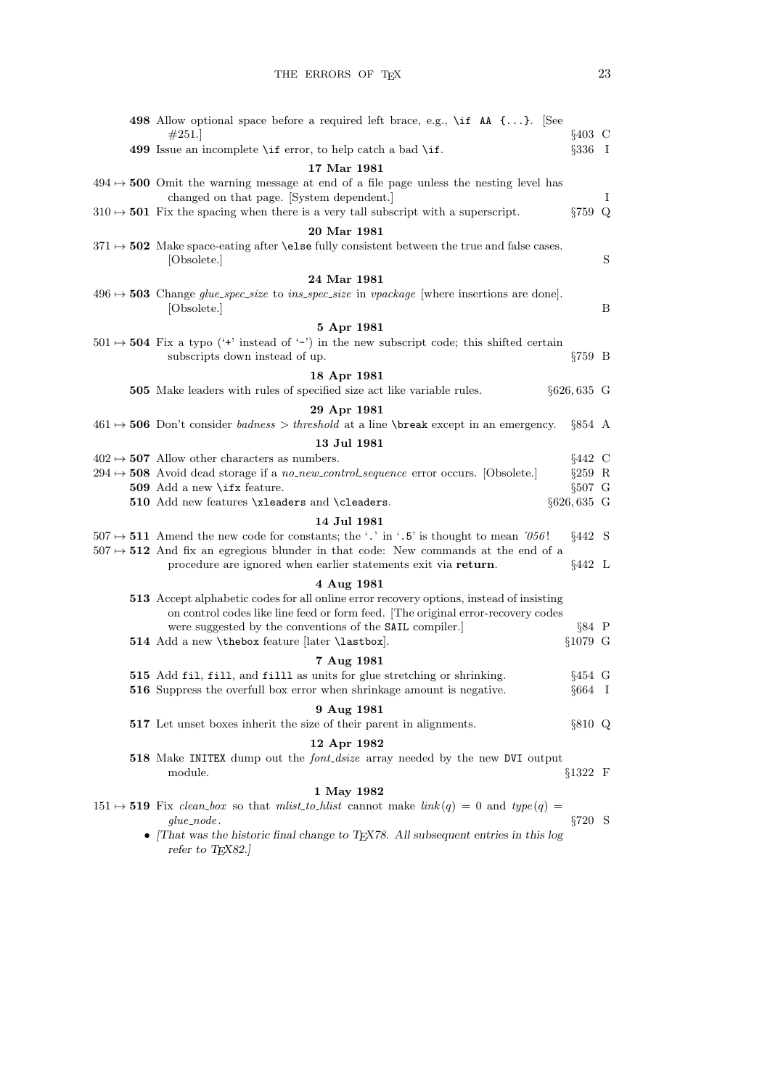| <b>498</b> Allow optional space before a required left brace, e.g., $\setminus$ if AA $\{ \}$ . See<br>#251.                                                               | $§403$ C       |   |
|----------------------------------------------------------------------------------------------------------------------------------------------------------------------------|----------------|---|
| 499 Issue an incomplete $\iota$ f error, to help catch a bad $\iota$ .                                                                                                     | $\S 336$ I     |   |
| 17 Mar 1981                                                                                                                                                                |                |   |
| $494 \rightarrow 500$ Omit the warning message at end of a file page unless the nesting level has<br>changed on that page. [System dependent.]                             |                | Ι |
| $310 \rightarrow 501$ Fix the spacing when there is a very tall subscript with a superscript.                                                                              | §759 Q         |   |
| 20 Mar 1981                                                                                                                                                                |                |   |
| $371 \rightarrow 502$ Make space-eating after <b>\else</b> fully consistent between the true and false cases.<br>[Obsolete.]                                               |                | S |
| 24 Mar 1981                                                                                                                                                                |                |   |
| $496 \rightarrow 503$ Change glue_spec_size to ins_spec_size in vpackage [where insertions are done].<br>[Obsolete.]                                                       |                | В |
| 5 Apr 1981                                                                                                                                                                 |                |   |
| $501 \rightarrow 504$ Fix a typo ('+' instead of '-') in the new subscript code; this shifted certain<br>subscripts down instead of up.                                    | $\S759$ B      |   |
| 18 Apr 1981                                                                                                                                                                |                |   |
| 505 Make leaders with rules of specified size act like variable rules.                                                                                                     | $\S626, 635$ G |   |
| 29 Apr 1981                                                                                                                                                                |                |   |
| $461 \rightarrow 506$ Don't consider <i>badness</i> > <i>threshold</i> at a line \break except in an emergency.                                                            | $§854$ A       |   |
| 13 Jul 1981                                                                                                                                                                |                |   |
| $402 \rightarrow 507$ Allow other characters as numbers.                                                                                                                   | $§442$ C       |   |
| $294 \rightarrow 508$ Avoid dead storage if a no_new_control_sequence error occurs. [Obsolete.]                                                                            | $§259$ R       |   |
| 509 Add a new \ifx feature.                                                                                                                                                | $§507$ G       |   |
| 510 Add new features \xleaders and \cleaders.                                                                                                                              | $\S626, 635$ G |   |
|                                                                                                                                                                            |                |   |
| 14 Jul 1981                                                                                                                                                                |                |   |
| $507 \mapsto 511$ Amend the new code for constants; the '.' in '.5' is thought to mean '056!                                                                               | $§442$ S       |   |
| $507 \rightarrow 512$ And fix an egregious blunder in that code: New commands at the end of a<br>procedure are ignored when earlier statements exit via return.            | $§442$ L       |   |
| 4 Aug 1981                                                                                                                                                                 |                |   |
| 513 Accept alphabetic codes for all online error recovery options, instead of insisting<br>on control codes like line feed or form feed. The original error-recovery codes |                |   |
| were suggested by the conventions of the SAIL compiler.                                                                                                                    | $§84$ P        |   |
| 514 Add a new \thebox feature [later \lastbox].                                                                                                                            | §1079 G        |   |
| 7 Aug 1981                                                                                                                                                                 |                |   |
| 515 Add fil, fill, and filll as units for glue stretching or shrinking.                                                                                                    | $§454$ G       |   |
| 516 Suppress the overfull box error when shrinkage amount is negative.                                                                                                     | $§664$ I       |   |
| 9 Aug 1981<br>517 Let unset boxes inherit the size of their parent in alignments.                                                                                          | §810 Q         |   |
| 12 Apr 1982                                                                                                                                                                |                |   |
| 518 Make INITEX dump out the font_dsize array needed by the new DVI output<br>module.                                                                                      | $§1322$ F      |   |
| 1 May 1982                                                                                                                                                                 |                |   |
| $151 \mapsto$ 519 Fix clean-box so that milist-to-hilist cannot make $link(q) = 0$ and $type(q) =$<br>$glue-node.$                                                         | $\S 720$ S     |   |
| • That was the historic final change to T <sub>F</sub> X78. All subsequent entries in this log<br>refer to TEX82.]                                                         |                |   |
|                                                                                                                                                                            |                |   |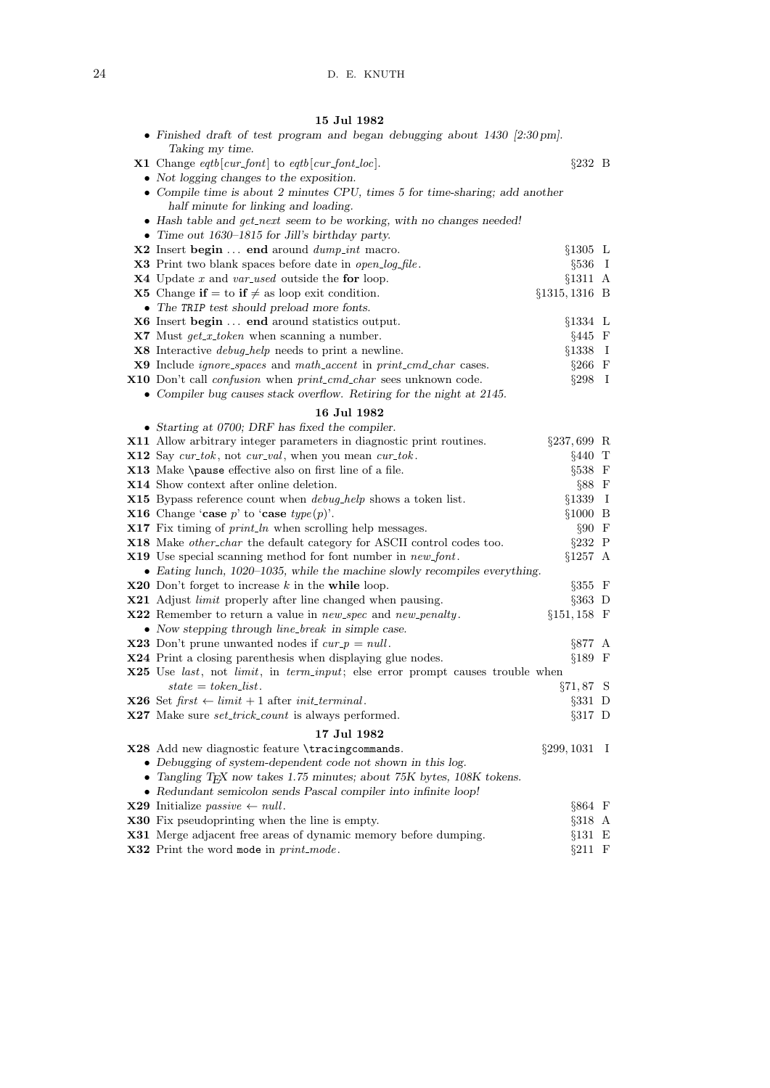## 15 Jul 1982

| • Finished draft of test program and began debugging about $1430$ [2:30 pm].                                 |                   |  |
|--------------------------------------------------------------------------------------------------------------|-------------------|--|
| Taking my time.                                                                                              |                   |  |
| <b>X1</b> Change $eqtb$ [ <i>cur_font</i> ] to $eqtb$ [ <i>cur_font_loc</i> ].                               | $\S 232 \quad B$  |  |
| • Not logging changes to the exposition.                                                                     |                   |  |
| • Compile time is about 2 minutes CPU, times $5$ for time-sharing; add another                               |                   |  |
| half minute for linking and loading.                                                                         |                   |  |
| • Hash table and get_next seem to be working, with no changes needed!                                        |                   |  |
| • Time out $1630-1815$ for Jill's birthday party.                                                            |                   |  |
| X2 Insert begin  end around <i>dump_int</i> macro.                                                           | $§1305$ L         |  |
| X3 Print two blank spaces before date in open_log_file.                                                      | $\S 536$ I        |  |
| $X4$ Update x and var-used outside the for loop.                                                             | $§1311$ A         |  |
| <b>X5</b> Change if = to if $\neq$ as loop exit condition.                                                   | $\S 1315, 1316$ B |  |
| • The TRIP test should preload more fonts.                                                                   |                   |  |
| X6 Insert begin  end around statistics output.                                                               | $§1334$ L         |  |
| $X7$ Must $get_x\_token$ when scanning a number.                                                             | $§445$ F          |  |
| <b>X8</b> Interactive <i>debug_help</i> needs to print a newline.                                            | $§1338$ I         |  |
| <b>X9</b> Include <i>ignore_spaces</i> and <i>math_accent</i> in <i>print_cmd_char</i> cases.                | $§266$ F          |  |
| X10 Don't call <i>confusion</i> when <i>print_cmd_char</i> sees unknown code.                                | $\S 298$ I        |  |
| • Compiler bug causes stack overflow. Retiring for the night at 2145.                                        |                   |  |
| 16 Jul 1982                                                                                                  |                   |  |
| $\bullet$ Starting at 0700; DRF has fixed the compiler.                                                      |                   |  |
| X11 Allow arbitrary integer parameters in diagnostic print routines.                                         | $\S 237, 699$ R   |  |
| <b>X12</b> Say $cur\_tok$ , not $cur\_val$ , when you mean $cur\_tok$ .                                      | $§440$ T          |  |
| X13 Make \pause effective also on first line of a file.                                                      | §538 F            |  |
| X14 Show context after online deletion.                                                                      | $§88$ F           |  |
| X15 Bypass reference count when <i>debug_help</i> shows a token list.                                        | $§1339$ I         |  |
| <b>X16</b> Change 'case p' to 'case $type(p)$ '.                                                             | $§1000$ B         |  |
| <b>X17</b> Fix timing of $print\_ln$ when scrolling help messages.                                           | $§90$ F           |  |
| <b>X18</b> Make <i>other_char</i> the default category for ASCII control codes too.                          | $§232$ P          |  |
| <b>X19</b> Use special scanning method for font number in <i>new_font</i> .                                  | $§1257$ A         |  |
| • Eating lunch, 1020-1035, while the machine slowly recompiles everything.                                   |                   |  |
| <b>X20</b> Don't forget to increase $k$ in the while loop.                                                   | $\S 355$ F        |  |
| X21 Adjust <i>limit</i> properly after line changed when pausing.                                            | $\S 363$ D        |  |
| X22 Remember to return a value in new_spec and new_penalty.                                                  | $§151, 158$ F     |  |
| • Now stepping through line_break in simple case.                                                            |                   |  |
| <b>X23</b> Don't prune unwanted nodes if $cur_p = null$ .                                                    | §877 A            |  |
| X24 Print a closing parenthesis when displaying glue nodes.                                                  | $§189$ F          |  |
| <b>X25</b> Use <i>last</i> , not <i>limit</i> , in <i>term_input</i> ; else error prompt causes trouble when |                   |  |
| $state = token\_list$ .                                                                                      | $\S 71, 87$ S     |  |
| <b>X26</b> Set $first \leftarrow limit + 1$ after <i>init_terminal</i> .                                     | $\S 331$ D        |  |
| <b>X27</b> Make sure <i>set_trick_count</i> is always performed.                                             | $\S 317$ D        |  |
| 17 Jul 1982                                                                                                  |                   |  |
| X28 Add new diagnostic feature \tracingcommands.                                                             | $\S 299, 1031$ I  |  |
| • Debugging of system-dependent code not shown in this log.                                                  |                   |  |
| • Tangling TEX now takes 1.75 minutes; about 75K bytes, 108K tokens.                                         |                   |  |
| • Redundant semicolon sends Pascal compiler into infinite loop!                                              |                   |  |
| <b>X29</b> Initialize <i>passive</i> $\leftarrow null$ .                                                     | $§864$ F          |  |
| <b>X30</b> Fix pseudoprinting when the line is empty.                                                        | §318 A            |  |
| X31 Merge adjacent free areas of dynamic memory before dumping.                                              | $§131$ E          |  |
| X32 Print the word mode in print_mode.                                                                       | $§211$ F          |  |
|                                                                                                              |                   |  |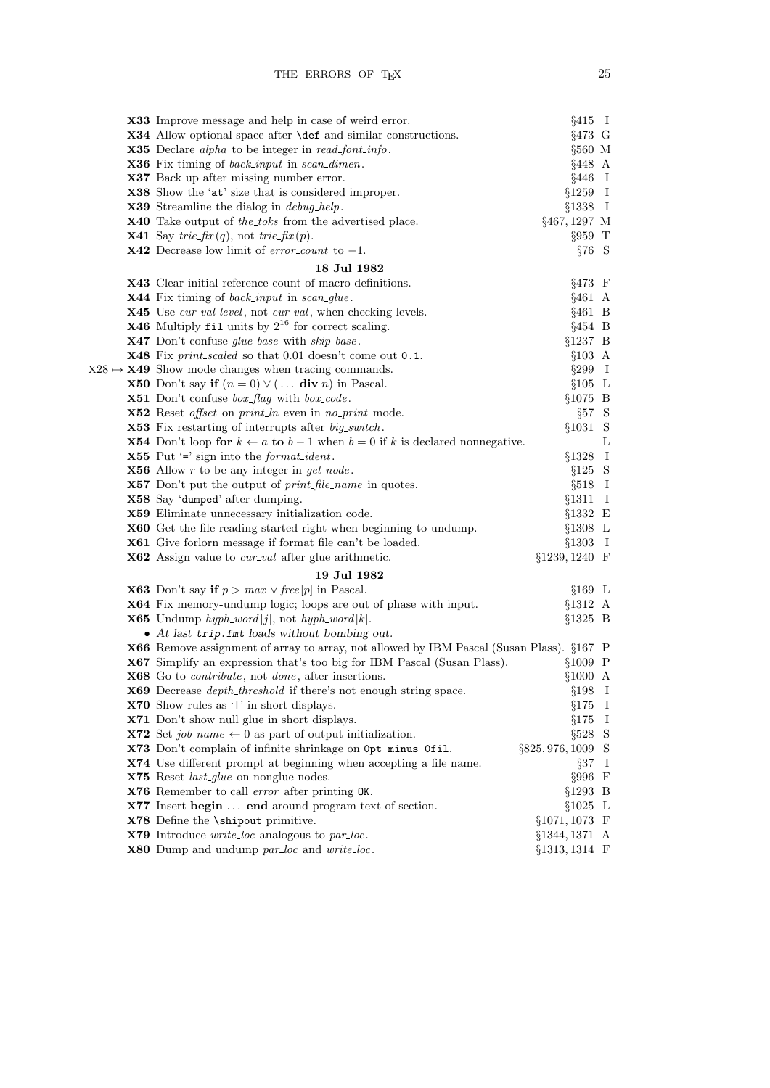|  | <b>X33</b> Improve message and help in case of weird error.                                                                                  | $§415$ I              |   |
|--|----------------------------------------------------------------------------------------------------------------------------------------------|-----------------------|---|
|  | <b>X34</b> Allow optional space after <b>\def</b> and similar constructions.                                                                 | $§473$ G              |   |
|  | <b>X35</b> Declare alpha to be integer in read-font-info.                                                                                    | §560 M                |   |
|  | <b>X36</b> Fix timing of <i>back_input</i> in <i>scan_dimen</i> .                                                                            | $§448$ A              |   |
|  | X37 Back up after missing number error.                                                                                                      | $§446$ I              |   |
|  | X38 Show the 'at' size that is considered improper.                                                                                          | $§1259$ I             |   |
|  | <b>X39</b> Streamline the dialog in <i>debug_help</i> .                                                                                      | $§1338$ I             |   |
|  | <b>X40</b> Take output of the toks from the advertised place.                                                                                | §467, 1297 M          |   |
|  | <b>X41</b> Say trie-fix (q), not trie-fix (p).                                                                                               | $\S 959$ T            |   |
|  | <b>X42</b> Decrease low limit of <i>error_count</i> to $-1$ .                                                                                | $§76$ S               |   |
|  | 18 Jul 1982                                                                                                                                  |                       |   |
|  | X43 Clear initial reference count of macro definitions.                                                                                      | $§473$ F              |   |
|  | X44 Fix timing of back_input in scan_glue.                                                                                                   | $§461$ A              |   |
|  | X45 Use cur_val_level, not cur_val, when checking levels.                                                                                    | $§461$ B              |   |
|  | <b>X46</b> Multiply fil units by $2^{16}$ for correct scaling.                                                                               | $§454$ B              |   |
|  | X47 Don't confuse glue_base with skip_base.                                                                                                  | $§1237$ B             |   |
|  | X48 Fix print_scaled so that 0.01 doesn't come out 0.1.                                                                                      | $§103$ A              |   |
|  | $X28 \rightarrow X49$ Show mode changes when tracing commands.                                                                               | $§299$ I              |   |
|  | <b>X50</b> Don't say if $(n = 0) \vee (\dots$ div n) in Pascal.                                                                              | $§105$ L              |   |
|  | <b>X51</b> Don't confuse $box_{flag}$ with $box_{code}$ .                                                                                    | $§1075$ B             |   |
|  | X52 Reset offset on print_ln even in no_print mode.                                                                                          | $\S 57 S$             |   |
|  | <b>X53</b> Fix restarting of interrupts after big-switch.                                                                                    | $§1031$ S             |   |
|  | <b>X54</b> Don't loop for $k \leftarrow a$ to $b-1$ when $b=0$ if k is declared nonnegative.                                                 |                       | L |
|  | <b>X55</b> Put $\equiv$ sign into the <i>format_ident</i> .                                                                                  | $§1328$ I             |   |
|  | <b>X56</b> Allow $r$ to be any integer in $get\_node$ .                                                                                      | $§125$ S              |   |
|  | <b>X57</b> Don't put the output of <i>print_file_name</i> in quotes.                                                                         | $§518$ I              |   |
|  | X58 Say 'dumped' after dumping.                                                                                                              | $§1311$ I             |   |
|  | X59 Eliminate unnecessary initialization code.                                                                                               | $§1332 \t E$          |   |
|  | <b>X60</b> Get the file reading started right when beginning to undump.                                                                      | $§1308$ L             |   |
|  | <b>X61</b> Give forlorn message if format file can't be loaded.                                                                              | $§1303$ I             |   |
|  | <b>X62</b> Assign value to <i>cur-val</i> after glue arithmetic.                                                                             | $§1239, 1240$ F       |   |
|  | 19 Jul 1982                                                                                                                                  |                       |   |
|  | <b>X63</b> Don't say if $p > max \lor free[p]$ in Pascal.                                                                                    | $§169$ L              |   |
|  | <b>X64</b> Fix memory-undump logic; loops are out of phase with input.                                                                       | $§1312$ A             |   |
|  | <b>X65</b> Undump hyph_word[j], not hyph_word[k].                                                                                            | $§1325$ B             |   |
|  | • At last trip. fmt loads without bombing out.                                                                                               |                       |   |
|  | X66 Remove assignment of array to array, not allowed by IBM Pascal (Susan Plass). §167 P                                                     |                       |   |
|  | X67 Simplify an expression that's too big for IBM Pascal (Susan Plass).<br>X68 Go to <i>contribute</i> , not <i>done</i> , after insertions. | $§1009$ P             |   |
|  | X69 Decrease depth_threshold if there's not enough string space.                                                                             | §1000 A               |   |
|  | X70 Show rules as ' ' in short displays.                                                                                                     | $§198$ I<br>$§175$ I  |   |
|  | X71 Don't show null glue in short displays.                                                                                                  | $§175$ I              |   |
|  | <b>X72</b> Set job_name $\leftarrow$ 0 as part of output initialization.                                                                     | $§528$ S              |   |
|  | X73 Don't complain of infinite shrinkage on Opt minus Ofil.                                                                                  | $\S 825, 976, 1009$ S |   |
|  | X74 Use different prompt at beginning when accepting a file name.                                                                            | $\S 37 \quad I$       |   |
|  | X75 Reset last_glue on nonglue nodes.                                                                                                        | $\S 996$ F            |   |
|  | X76 Remember to call error after printing OK.                                                                                                | $§1293$ B             |   |
|  | X77 Insert begin  end around program text of section.                                                                                        | $§1025$ L             |   |
|  | X78 Define the <i>\shipout</i> primitive.                                                                                                    | $§1071, 1073$ F       |   |
|  | $X79$ Introduce write_loc analogous to $par\_loc$ .                                                                                          | $§1344, 1371$ A       |   |
|  | <b>X80</b> Dump and undump par_loc and write_loc.                                                                                            | §1313, 1314 F         |   |
|  |                                                                                                                                              |                       |   |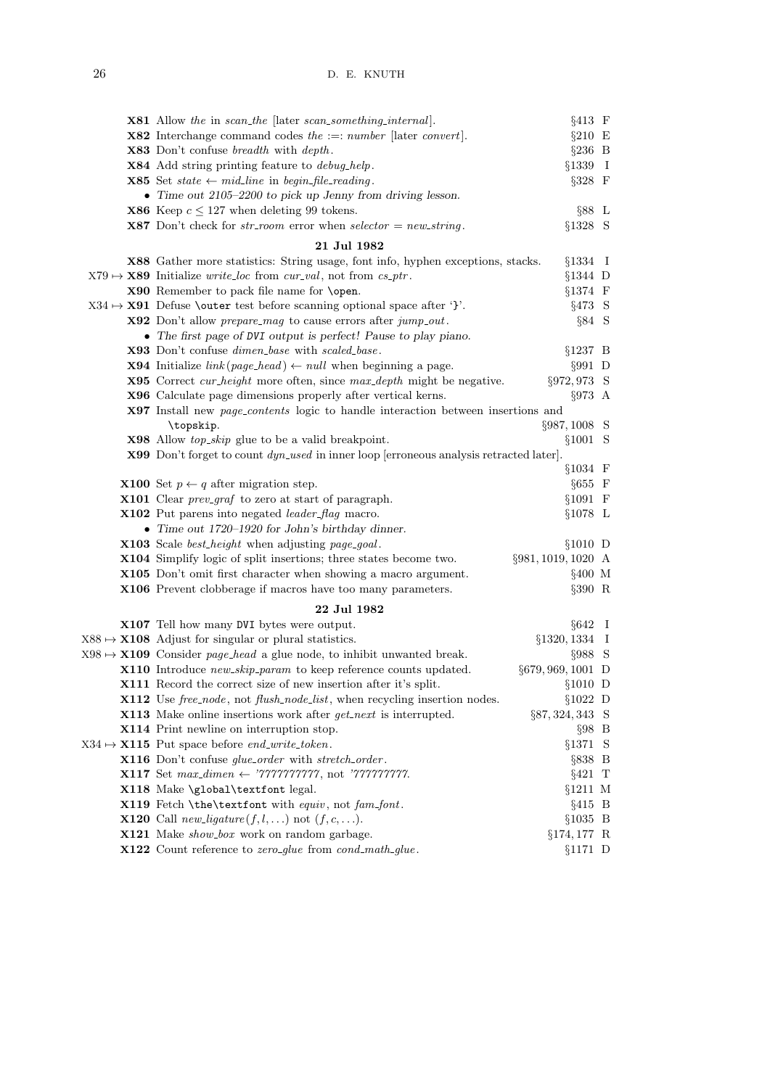| <b>X81</b> Allow the in scan_the [later scan_something_internal].                                | $§413 \tF$          |  |
|--------------------------------------------------------------------------------------------------|---------------------|--|
| <b>X82</b> Interchange command codes the $:=: number$ [later convert].                           | $§210$ E            |  |
| <b>X83</b> Don't confuse <i>breadth</i> with <i>depth</i> .                                      | $\S 236$ B          |  |
| X84 Add string printing feature to <i>debug-help</i> .                                           | $§1339$ I           |  |
| <b>X85</b> Set state $\leftarrow$ mid_line in begin_file_reading.                                | $§328$ F            |  |
| • Time out $2105-2200$ to pick up Jenny from driving lesson.                                     |                     |  |
| <b>X86</b> Keep $c \le 127$ when deleting 99 tokens.                                             | $\S 88 L$           |  |
| <b>X87</b> Don't check for $str\_room$ error when $selector = new\_string$ .                     | §1328 S             |  |
| 21 Jul 1982                                                                                      |                     |  |
| X88 Gather more statistics: String usage, font info, hyphen exceptions, stacks.                  | $§1334$ I           |  |
| $X79 \rightarrow X89$ Initialize <i>write_loc</i> from <i>cur_val</i> , not from <i>cs_ptr</i> . | $§1344$ D           |  |
| X90 Remember to pack file name for \open.                                                        | $§1374$ F           |  |
| $X34 \rightarrow X91$ Defuse \outer test before scanning optional space after '}'.               | $§473$ S            |  |
| <b>X92</b> Don't allow <i>prepare_mag</i> to cause errors after $jump\_out$ .                    | $\S 84$ S           |  |
| • The first page of DVI output is perfect! Pause to play piano.                                  |                     |  |
| X93 Don't confuse <i>dimen_base</i> with <i>scaled_base</i> .                                    | $§1237$ B           |  |
| <b>X94</b> Initialize $link(page\_head) \leftarrow null$ when beginning a page.                  | $\S 991$ D          |  |
| <b>X95</b> Correct <i>cur_height</i> more often, since <i>max_depth</i> might be negative.       | §972,973 S          |  |
| X96 Calculate page dimensions properly after vertical kerns.                                     | $\S 973 A$          |  |
| X97 Install new page_contents logic to handle interaction between insertions and                 |                     |  |
| \topskip.                                                                                        | §987, 1008 S        |  |
| <b>X98</b> Allow <i>top_skip</i> glue to be a valid breakpoint.                                  | §1001 S             |  |
| X99 Don't forget to count dyn_used in inner loop [erroneous analysis retracted later].           |                     |  |
|                                                                                                  | $§1034$ F           |  |
| <b>X100</b> Set $p \leftarrow q$ after migration step.                                           | $§655$ F            |  |
| <b>X101</b> Clear <i>prev_graf</i> to zero at start of paragraph.                                | $§1091$ F           |  |
| <b>X102</b> Put parens into negated <i>leader_flag</i> macro.                                    | $§1078$ L           |  |
| • Time out 1720-1920 for John's birthday dinner.                                                 |                     |  |
| <b>X103</b> Scale <i>best_height</i> when adjusting <i>page_goal</i> .                           | $§1010$ D           |  |
| X104 Simplify logic of split insertions; three states become two.                                | §981, 1019, 1020 A  |  |
| X105 Don't omit first character when showing a macro argument.                                   | $§400$ M            |  |
| X106 Prevent clobberage if macros have too many parameters.                                      | $\S 390$ R          |  |
| 22 Jul 1982                                                                                      |                     |  |
| <b>X107</b> Tell how many DVI bytes were output.                                                 | $§642$ I            |  |
| $X88 \rightarrow X108$ Adjust for singular or plural statistics.                                 | §1320, 1334 I       |  |
| $X98 \rightarrow X109$ Consider page-head a glue node, to inhibit unwanted break.                | $\S 988$ S          |  |
| X110 Introduce new_skip_param to keep reference counts updated.                                  | §679, 969, 1001 D   |  |
| <b>X111</b> Record the correct size of new insertion after it's split.                           | $§1010$ D           |  |
| X112 Use free_node, not flush_node_list, when recycling insertion nodes.                         | $§1022$ D           |  |
| <b>X113</b> Make online insertions work after $get\_next$ is interrupted.                        | $\S 87, 324, 343$ S |  |
| X114 Print newline on interruption stop.                                                         | $\S 98$ B           |  |
| $X34 \rightarrow X115$ Put space before <i>end_write_token</i> .                                 | §1371 S             |  |
| X116 Don't confuse glue_order with stretch_order.                                                | $\S 838$ B          |  |
| <b>X117</b> Set $max\_dimen \leftarrow \text{'77777777777}$ , not '7777777777.                   | $§421$ T            |  |
| X118 Make \global\textfont legal.                                                                | $§1211$ M           |  |
| X119 Fetch \the\textfont with equiv, not fam_font.                                               | $§415$ B            |  |
| <b>X120</b> Call <i>new_ligature</i> ( $f, l, $ ) not ( $f, c, $ ).                              | $§1035$ B           |  |
| X121 Make show_box work on random garbage.                                                       | $\S 174, 177$ R     |  |
| X122 Count reference to zero_glue from cond_math_glue.                                           | $§1171$ D           |  |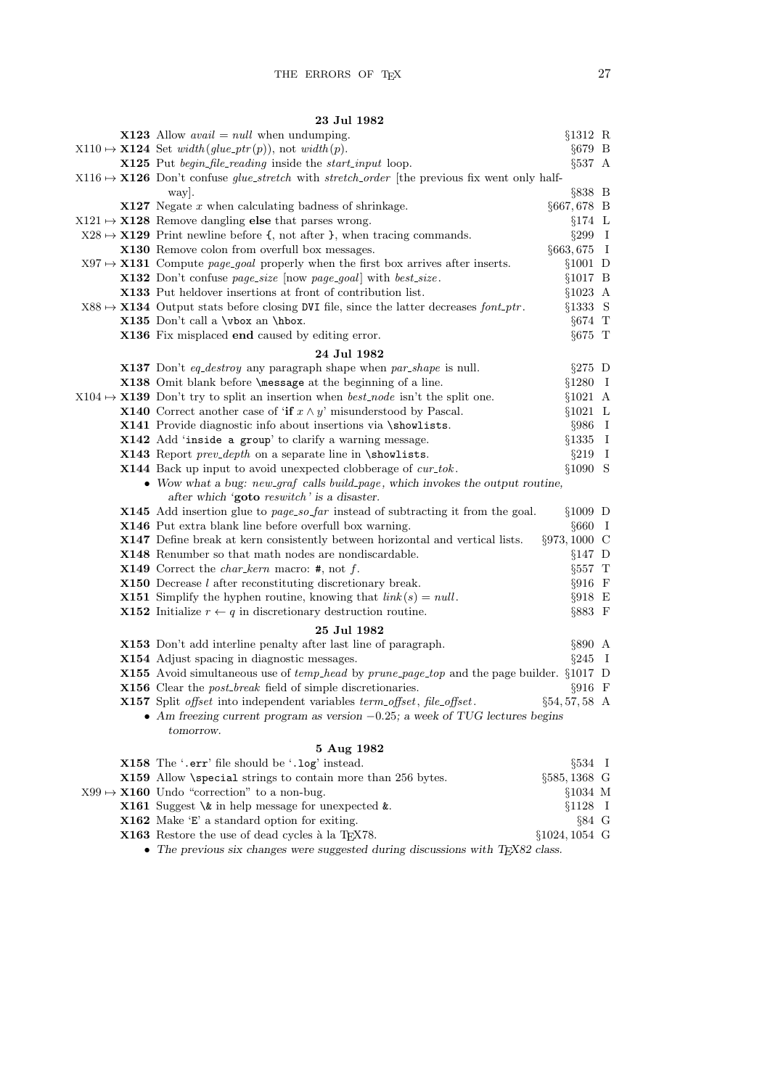## 23 Jul 1982

| <b>X123</b> Allow <i>avail</i> = <i>null</i> when undumping.                                                  | §1312 R           |  |
|---------------------------------------------------------------------------------------------------------------|-------------------|--|
| $X110 \mapsto \mathbf{X124}$ Set <i>width</i> ( <i>glue_ptr</i> ( <i>p</i> )), not <i>width</i> ( <i>p</i> ). | $§679$ B          |  |
| <b>X125</b> Put <i>begin_file_reading</i> inside the <i>start_input</i> loop.                                 | $\S 537 A$        |  |
| $X116 \rightarrow X126$ Don't confuse glue_stretch with stretch_order [the previous fix went only half-       |                   |  |
| way.                                                                                                          | $\S 838$ B        |  |
| $X127$ Negate x when calculating badness of shrinkage.                                                        | $§667,678$ B      |  |
| $X121 \rightarrow X128$ Remove dangling else that parses wrong.                                               | $§174$ L          |  |
| $X28 \rightarrow X129$ Print newline before {, not after }, when tracing commands.                            | $§299$ I          |  |
| X130 Remove colon from overfull box messages.                                                                 | $§663,675$ I      |  |
| $X97 \rightarrow X131$ Compute <i>page_goal</i> properly when the first box arrives after inserts.            | $§1001$ D         |  |
| X132 Don't confuse page_size [now page_goal] with best_size.                                                  | $§1017$ B         |  |
| X133 Put heldover insertions at front of contribution list.                                                   | $§1023$ A         |  |
| $X88 \rightarrow X134$ Output stats before closing DVI file, since the latter decreases font-ptr.             | §1333 S           |  |
| X135 Don't call a $\forall$ box an $\forall$ hbox.                                                            | $§674$ T          |  |
| X136 Fix misplaced end caused by editing error.                                                               | $§675$ T          |  |
| 24 Jul 1982                                                                                                   |                   |  |
| <b>X137</b> Don't eq_destroy any paragraph shape when par_shape is null.                                      | $\S275$ D         |  |
| X138 Omit blank before <i>\message</i> at the beginning of a line.                                            | $§1280$ I         |  |
| $X104 \rightarrow X139$ Don't try to split an insertion when <i>best-node</i> isn't the split one.            | $§1021$ A         |  |
| <b>X140</b> Correct another case of 'if $x \wedge y$ ' misunderstood by Pascal.                               | $§1021$ L         |  |
| X141 Provide diagnostic info about insertions via \showlists.                                                 | $§986$ I          |  |
| X142 Add 'inside a group' to clarify a warning message.                                                       | $§1335$ I         |  |
| <b>X143</b> Report <i>prev-depth</i> on a separate line in $\simeq$ showlists.                                | $\S 219$ I        |  |
| X144 Back up input to avoid unexpected clobberage of cur_tok.                                                 | §1090 S           |  |
| • Wow what a bug: new_graf calls build_page, which invokes the output routine,                                |                   |  |
| after which 'goto reswitch' is a disaster.                                                                    |                   |  |
| <b>X145</b> Add insertion glue to page_so_far instead of subtracting it from the goal.                        | $§1009$ D         |  |
| X146 Put extra blank line before overfull box warning.                                                        | $§660$ I          |  |
| X147 Define break at kern consistently between horizontal and vertical lists.                                 | §973,1000 C       |  |
| X148 Renumber so that math nodes are nondiscardable.                                                          | $§147$ D          |  |
| <b>X149</b> Correct the <i>char_kern</i> macro: $#$ , not $f$ .                                               | $§557$ T          |  |
| $X150$ Decrease $l$ after reconstituting discretionary break.                                                 | $\S916$ F         |  |
| <b>X151</b> Simplify the hyphen routine, knowing that $link(s) = null$ .                                      | $\S918$ E         |  |
| <b>X152</b> Initialize $r \leftarrow q$ in discretionary destruction routine.                                 | §883 F            |  |
| 25 Jul 1982                                                                                                   |                   |  |
| X153 Don't add interline penalty after last line of paragraph.                                                | §890 A            |  |
| X154 Adjust spacing in diagnostic messages.                                                                   | $\S 245$ I        |  |
| X155 Avoid simultaneous use of temp_head by prune_page_top and the page builder. §1017 D                      |                   |  |
| X156 Clear the <i>post_break</i> field of simple discretionaries.                                             | $\S916$ F         |  |
| X157 Split offset into independent variables term_offset, file_offset.                                        | $\S 54, 57, 58$ A |  |
| • Am freezing current program as version $-0.25$ ; a week of TUG lectures begins                              |                   |  |
| tomorrow.                                                                                                     |                   |  |
|                                                                                                               |                   |  |
| 5 Aug 1982                                                                                                    |                   |  |
| X158 The '.err' file should be '.log' instead.                                                                | $\S 534$ I        |  |
| X159 Allow \special strings to contain more than 256 bytes.                                                   | $\S 585, 1368$ G  |  |
| $X99 \rightarrow X160$ Undo "correction" to a non-bug.                                                        | §1034 M           |  |
| X161 Suggest \& in help message for unexpected $\&$ .                                                         | $§1128$ I         |  |
| X162 Make 'E' a standard option for exiting.                                                                  | $§84$ G           |  |
| X163 Restore the use of dead cycles à la TFX78.                                                               | $§1024, 1054$ G   |  |
| • The previous six changes were suggested during discussions with $T_F X82$ class.                            |                   |  |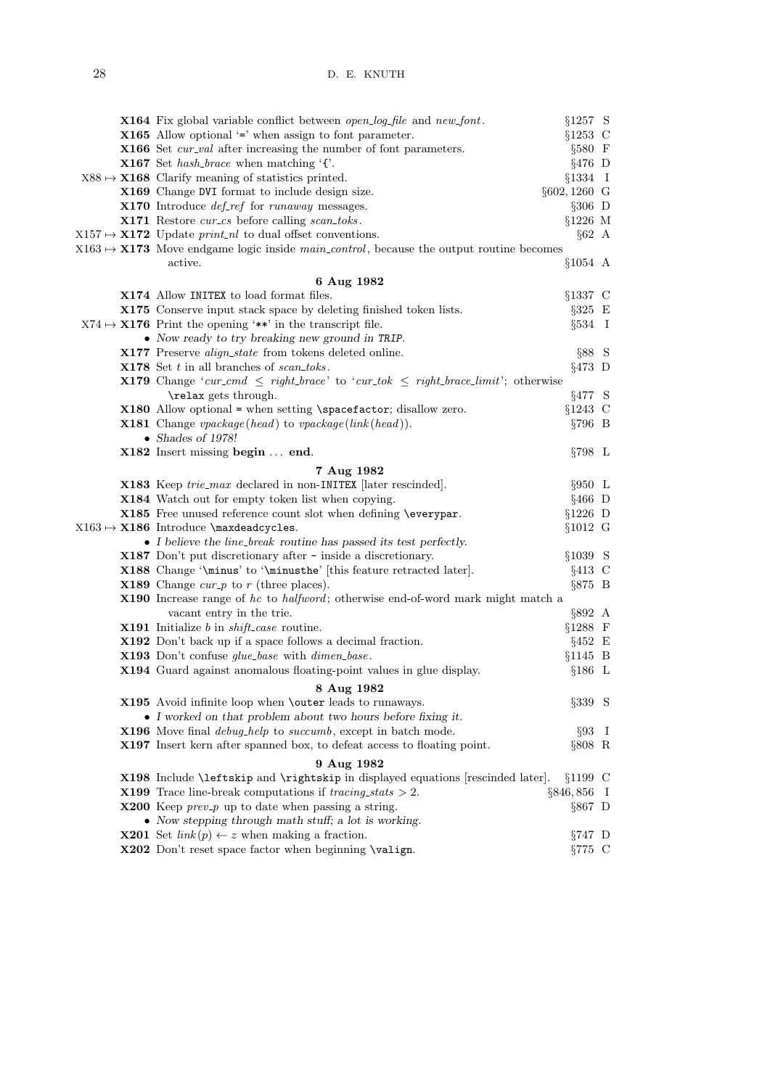| X164 Fix global variable conflict between open-log-file and new-font.                                      | §1257 S         |  |
|------------------------------------------------------------------------------------------------------------|-----------------|--|
| <b>X165</b> Allow optional $\equiv$ when assign to font parameter.                                         | $§1253$ C       |  |
| <b>X166</b> Set <i>cur-val</i> after increasing the number of font parameters.                             | $§580$ F        |  |
| <b>X167</b> Set <i>hash_brace</i> when matching $\lq$ .                                                    | $§476$ D        |  |
| $X88 \rightarrow X168$ Clarify meaning of statistics printed.                                              | $§1334$ I       |  |
| X169 Change DVI format to include design size.                                                             | $§602,1260$ G   |  |
| X170 Introduce <i>def_ref</i> for <i>runaway</i> messages.                                                 | $\S 306$ D      |  |
| X171 Restore cur_cs before calling scan_toks.                                                              | $§1226$ M       |  |
| $X157 \rightarrow X172$ Update <i>print_nl</i> to dual offset conventions.                                 | $§62$ A         |  |
| $X163 \rightarrow X173$ Move endgame logic inside <i>main_control</i> , because the output routine becomes |                 |  |
| active.                                                                                                    | $§1054$ A       |  |
| 6 Aug 1982                                                                                                 |                 |  |
| X174 Allow INITEX to load format files.                                                                    | $§1337$ C       |  |
| X175 Conserve input stack space by deleting finished token lists.                                          | $\S 325$ E      |  |
| $X74 \rightarrow X176$ Print the opening '**' in the transcript file.                                      | $\S 534$ I      |  |
| • Now ready to try breaking new ground in TRIP.                                                            |                 |  |
| X177 Preserve <i>align_state</i> from tokens deleted online.                                               | §88 S           |  |
| <b>X178</b> Set $t$ in all branches of scan_toks.                                                          | $§473$ D        |  |
| <b>X179</b> Change 'cur_cmd $\leq$ right_brace' to 'cur_tok $\leq$ right_brace_limit'; otherwise           |                 |  |
| \relax gets through.                                                                                       | §477 S          |  |
| $X180$ Allow optional = when setting \spacefactor; disallow zero.                                          | $§1243$ C       |  |
| <b>X181</b> Change $\text{vpackage}(\text{head})$ to $\text{vpackage}(\text{link}(\text{head}))$ .         | $§796$ B        |  |
| • Shades of 1978!                                                                                          |                 |  |
| X182 Insert missing begin  end.                                                                            | $\S 798$ L      |  |
|                                                                                                            |                 |  |
| 7 Aug 1982                                                                                                 | $§950$ L        |  |
| <b>X183</b> Keep trie_max declared in non-INITEX [later rescinded].                                        |                 |  |
| X184 Watch out for empty token list when copying.                                                          | $§466$ D        |  |
| X185 Free unused reference count slot when defining \everypar.                                             | $§1226$ D       |  |
| $X163 \mapsto X186$ Introduce \maxdeadcycles.                                                              | $§1012 \ G$     |  |
| • I believe the line-break routine has passed its test perfectly.                                          |                 |  |
| X187 Don't put discretionary after - inside a discretionary.                                               | §1039 S         |  |
| <b>X188</b> Change $\mathcal{S}$ to $\mathcal{S}$ (this feature retracted later).                          | $§413$ C        |  |
| <b>X189</b> Change $cur\_p$ to r (three places).                                                           | $\S 875$ B      |  |
| <b>X190</b> Increase range of hc to halfword; otherwise end-of-word mark might match a                     |                 |  |
| vacant entry in the trie.                                                                                  | $\S 892 \; A$   |  |
| <b>X191</b> Initialize $b$ in $shift\_case$ routine.                                                       | $§1288$ F       |  |
| <b>X192</b> Don't back up if a space follows a decimal fraction.                                           | $§452 \tE$      |  |
| X193 Don't confuse glue_base with dimen_base.                                                              | $§1145$ B       |  |
| X194 Guard against anomalous floating-point values in glue display.                                        | $§186$ L        |  |
| 8 Aug 1982                                                                                                 |                 |  |
| X195 Avoid infinite loop when <b>\outer</b> leads to runaways.                                             | $\S 339$ S      |  |
| • I worked on that problem about two hours before fixing it.                                               |                 |  |
| X196 Move final <i>debug-help</i> to <i>succumb</i> , except in batch mode.                                | $\S 93$ I       |  |
| <b>X197</b> Insert kern after spanned box, to defeat access to floating point.                             | $§808$ R        |  |
| 9 Aug 1982                                                                                                 |                 |  |
| X198 Include \leftskip and \rightskip in displayed equations [rescinded later].                            | §1199C          |  |
| <b>X199</b> Trace line-break computations if <i>tracing_stats</i> $> 2$ .                                  | $\S 846, 856$ I |  |
| <b>X200</b> Keep <i>prev_p</i> up to date when passing a string.                                           | $\S 867$ D      |  |
| • Now stepping through math stuff; a lot is working.                                                       |                 |  |
| <b>X201</b> Set $link(p) \leftarrow z$ when making a fraction.                                             | $\S 747$ D      |  |
| X202 Don't reset space factor when beginning \valign.                                                      | $\S 775$ C      |  |
|                                                                                                            |                 |  |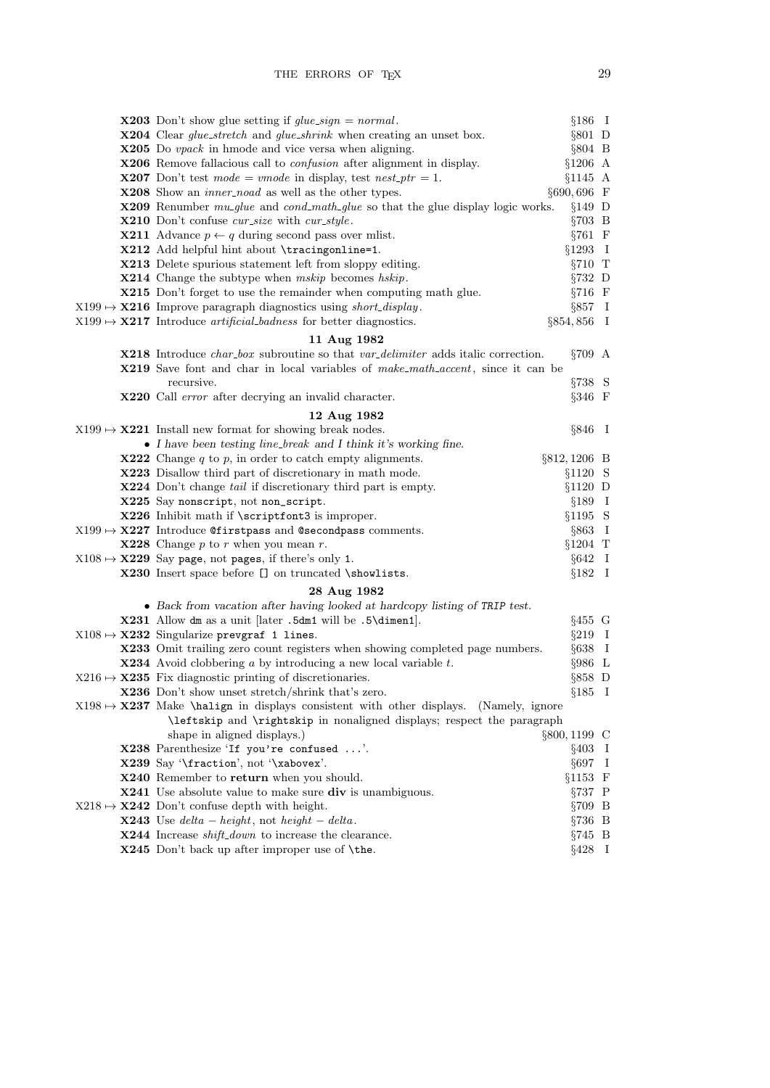| <b>X203</b> Don't show glue setting if $glue\_sign = normal$ .                                        | $§186$ I         |  |
|-------------------------------------------------------------------------------------------------------|------------------|--|
| <b>X204</b> Clear <i>glue_stretch</i> and <i>glue_shrink</i> when creating an unset box.              | $§801$ D         |  |
| $\mathbf{X}$ 205 Do <i>vpack</i> in hmode and vice versa when aligning.                               | $§804$ B         |  |
| X206 Remove fallacious call to <i>confusion</i> after alignment in display.                           | $§1206$ A        |  |
| <b>X207</b> Don't test mode = vmode in display, test nest_ptr = 1.                                    | $§1145$ A        |  |
| <b>X208</b> Show an <i>inner-noad</i> as well as the other types.                                     | $§690,696$ F     |  |
| <b>X209</b> Renumber mu_glue and cond_math_glue so that the glue display logic works.                 | $§149$ D         |  |
| X210 Don't confuse cur_size with cur_style.                                                           | $\S 703$ B       |  |
| <b>X211</b> Advance $p \leftarrow q$ during second pass over mlist.                                   | $§761$ F         |  |
| X212 Add helpful hint about \tracingonline=1.                                                         | $§1293$ I        |  |
| <b>X213</b> Delete spurious statement left from sloppy editing.                                       | $\S 710$ T       |  |
| X214 Change the subtype when mskip becomes hskip.                                                     | $\S 732$ D       |  |
| X215 Don't forget to use the remainder when computing math glue.                                      | $\S 716$ F       |  |
| $X199 \rightarrow X216$ Improve paragraph diagnostics using <i>short_display</i> .                    | $\S 857$ I       |  |
| $X199 \rightarrow X217$ Introduce artificial badness for better diagnostics.                          | $\S 854, 856$ I  |  |
| 11 Aug 1982                                                                                           |                  |  |
| <b>X218</b> Introduce <i>char_box</i> subroutine so that <i>var_delimiter</i> adds italic correction. | $\S709$ A        |  |
| <b>X219</b> Save font and char in local variables of make_math_accent, since it can be                |                  |  |
| recursive.                                                                                            | $\S 738$ S       |  |
| X220 Call error after decrying an invalid character.                                                  | $\S 346$ F       |  |
| 12 Aug 1982                                                                                           |                  |  |
| $X199 \rightarrow X221$ Install new format for showing break nodes.                                   | $\S 846$ I       |  |
| • I have been testing line_break and I think it's working fine.                                       |                  |  |
| <b>X222</b> Change $q$ to $p$ , in order to catch empty alignments.                                   | $\S812, 1206$ B  |  |
| X223 Disallow third part of discretionary in math mode.                                               | $§1120$ S        |  |
| <b>X224</b> Don't change tail if discretionary third part is empty.                                   | §1120 D          |  |
| X225 Say nonscript, not non_script.                                                                   | $§189$ I         |  |
| X226 Inhibit math if \scriptfont3 is improper.                                                        | $§1195$ S        |  |
| $X199 \rightarrow X227$ Introduce Constraints and Csecond pass comments.                              | $§863$ I         |  |
| <b>X228</b> Change $p$ to $r$ when you mean $r$ .                                                     | $§1204$ T        |  |
| $X108 \mapsto X229$ Say page, not pages, if there's only 1.                                           | $§642$ I         |  |
| X230 Insert space before [] on truncated \showlists.                                                  | $§182$ I         |  |
| 28 Aug 1982                                                                                           |                  |  |
| • Back from vacation after having looked at hardcopy listing of TRIP test.                            |                  |  |
| $X231$ Allow dm as a unit [later .5dm1 will be .5\dimen1].                                            | $§455$ G         |  |
| $X108 \mapsto X232$ Singularize prevgraf 1 lines.                                                     | $§219$ I         |  |
| X233 Omit trailing zero count registers when showing completed page numbers.                          | $§638$ I         |  |
| $\textbf{X}$ 234 Avoid clobbering a by introducing a new local variable t.                            | $§986$ L         |  |
| $X216 \rightarrow X235$ Fix diagnostic printing of discretionaries.                                   | $§858$ D         |  |
| X236 Don't show unset stretch/shrink that's zero.                                                     | $§185$ I         |  |
| $X198 \rightarrow X237$ Make \halign in displays consistent with other displays. (Namely, ignore      |                  |  |
| \leftskip and \rightskip in nonaligned displays; respect the paragraph                                |                  |  |
| shape in aligned displays.)                                                                           | $\S 800, 1199$ C |  |
| X238 Parenthesize 'If you're confused '.                                                              | $§403$ I         |  |
| X239 Say '\fraction', not '\xabovex'.                                                                 | $\S697$ I        |  |
| X240 Remember to return when you should.                                                              | $§1153$ F        |  |
| <b>X241</b> Use absolute value to make sure div is unambiguous.                                       | $\S 737$ P       |  |
| $X218 \rightarrow X242$ Don't confuse depth with height.                                              | $\S 709$ B       |  |
| <b>X243</b> Use $delta - height$ , not $height - delta$ .                                             | $\S 736$ B       |  |
| <b>X244</b> Increase <i>shift_down</i> to increase the clearance.                                     | $\S 745$ B       |  |
| X245 Don't back up after improper use of \the.                                                        | $\S 428$ I       |  |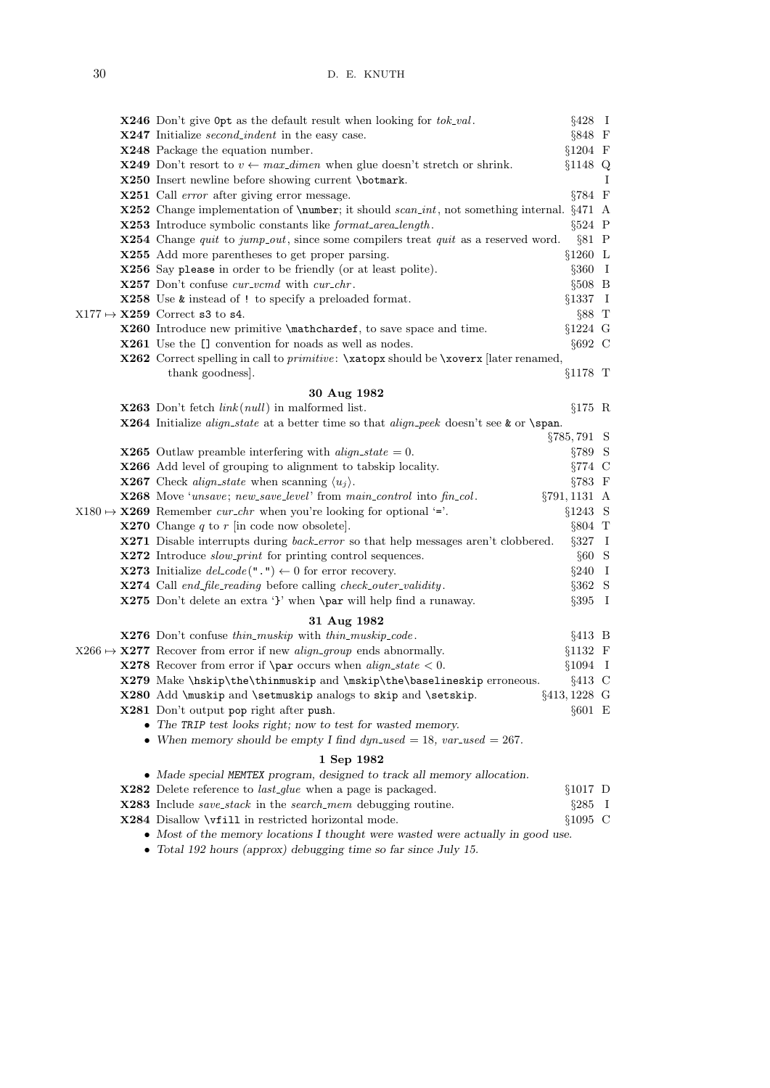|  | <b>X246</b> Don't give $0pt$ as the default result when looking for $tok\_val$ .                                 | $§428$ I        |   |
|--|------------------------------------------------------------------------------------------------------------------|-----------------|---|
|  | <b>X247</b> Initialize <i>second_indent</i> in the easy case.                                                    | $§848$ F        |   |
|  | X248 Package the equation number.                                                                                | §1204 F         |   |
|  | <b>X249</b> Don't resort to $v \leftarrow max\_dimen$ when glue doesn't stretch or shrink.                       | §1148 Q         |   |
|  | X250 Insert newline before showing current \botmark.                                                             |                 | Ι |
|  | <b>X251</b> Call <i>error</i> after giving error message.                                                        | $\S 784$ F      |   |
|  | <b>X252</b> Change implementation of <b>\number</b> ; it should <i>scan_int</i> , not something internal. §471 A |                 |   |
|  | <b>X253</b> Introduce symbolic constants like <i>format_area_length</i> .                                        | $§524$ P        |   |
|  | <b>X254</b> Change <i>quit</i> to <i>jump_out</i> , since some compilers treat <i>quit</i> as a reserved word.   | $§81$ P         |   |
|  | X255 Add more parentheses to get proper parsing.                                                                 | $§1260$ L       |   |
|  | X256 Say please in order to be friendly (or at least polite).                                                    | $\S 360$ I      |   |
|  | <b>X257</b> Don't confuse <i>cur_vcmd</i> with <i>cur_chr</i> .                                                  | $§508$ B        |   |
|  | <b>X258</b> Use <b>k</b> instead of ! to specify a preloaded format.                                             | §1337 I         |   |
|  | $X177 \mapsto X259$ Correct s3 to s4.                                                                            | $§88$ T         |   |
|  | X260 Introduce new primitive \mathchardef, to save space and time.                                               | $§1224$ G       |   |
|  | <b>X261</b> Use the [] convention for noads as well as nodes.                                                    | $§692$ C        |   |
|  | X262 Correct spelling in call to <i>primitive</i> : \xatopx should be \xoverx [later renamed,                    |                 |   |
|  | thank goodness.                                                                                                  | §1178 T         |   |
|  | 30 Aug 1982                                                                                                      |                 |   |
|  | <b>X263</b> Don't fetch $link(null)$ in malformed list.                                                          | $§175$ R        |   |
|  | X264 Initialize align_state at a better time so that align_peek doesn't see & or \span.                          |                 |   |
|  |                                                                                                                  | §785,791 S      |   |
|  | <b>X265</b> Outlaw preamble interfering with $align\_state = 0$ .                                                | $§789$ S        |   |
|  | X266 Add level of grouping to alignment to tabskip locality.                                                     | $§774$ C        |   |
|  | <b>X267</b> Check align_state when scanning $\langle u_i \rangle$ .                                              | $§783 \t F$     |   |
|  | X268 Move 'unsave; new_save_level' from main_control into fin_col.                                               | §791, 1131 A    |   |
|  | $X180 \rightarrow X269$ Remember <i>cur_chr</i> when you're looking for optional '='.                            | §1243 S         |   |
|  | <b>X270</b> Change q to r in code now obsolete.                                                                  | §804 T          |   |
|  | <b>X271</b> Disable interrupts during <i>back_error</i> so that help messages aren't clobbered.                  | $§327$ I        |   |
|  | X272 Introduce slow_print for printing control sequences.                                                        | $§60$ S         |   |
|  | <b>X273</b> Initialize $del\_code(" .") \leftarrow 0$ for error recovery.                                        | $\S 240$ I      |   |
|  | X274 Call end_file_reading before calling check_outer_validity.                                                  | $§362$ S        |   |
|  | X275 Don't delete an extra '}' when \par will help find a runaway.                                               | $§395$ I        |   |
|  | 31 Aug 1982                                                                                                      |                 |   |
|  | X276 Don't confuse thin_muskip with thin_muskip_code.                                                            | $§413$ B        |   |
|  | $X266 \mapsto \mathbf{X277}$ Recover from error if new <i>align_group</i> ends abnormally.                       | $§1132$ F       |   |
|  | <b>X278</b> Recover from error if <b>\par</b> occurs when $align\_state < 0$ .                                   | $§1094$ I       |   |
|  | X279 Make \hskip\the\thinmuskip and \mskip\the\baselineskip erroneous.                                           | $§413$ C        |   |
|  | X280 Add \muskip and \setmuskip analogs to skip and \setskip.                                                    | $\S413, 1228$ G |   |
|  | X281 Don't output pop right after push.                                                                          | $§601$ E        |   |
|  | • The TRIP test looks right; now to test for wasted memory.                                                      |                 |   |
|  | • When memory should be empty I find $dyn\_used = 18$ , $var\_used = 267$ .                                      |                 |   |
|  | 1 Sep 1982                                                                                                       |                 |   |
|  | • Made special MEMTEX program, designed to track all memory allocation.                                          |                 |   |
|  | X282 Delete reference to <i>last_glue</i> when a page is packaged.                                               | $§1017$ D       |   |
|  | <b>X283</b> Include <i>save_stack</i> in the <i>search_mem</i> debugging routine.                                | $§285$ I        |   |
|  | $X284$ Disallow \viill in restricted horizontal mode.                                                            | $$1095$ C       |   |
|  | • Most of the memory locations I thought were wasted were actually in good use.                                  |                 |   |
|  |                                                                                                                  |                 |   |

• Total 192 hours (approx) debugging time so far since July 15.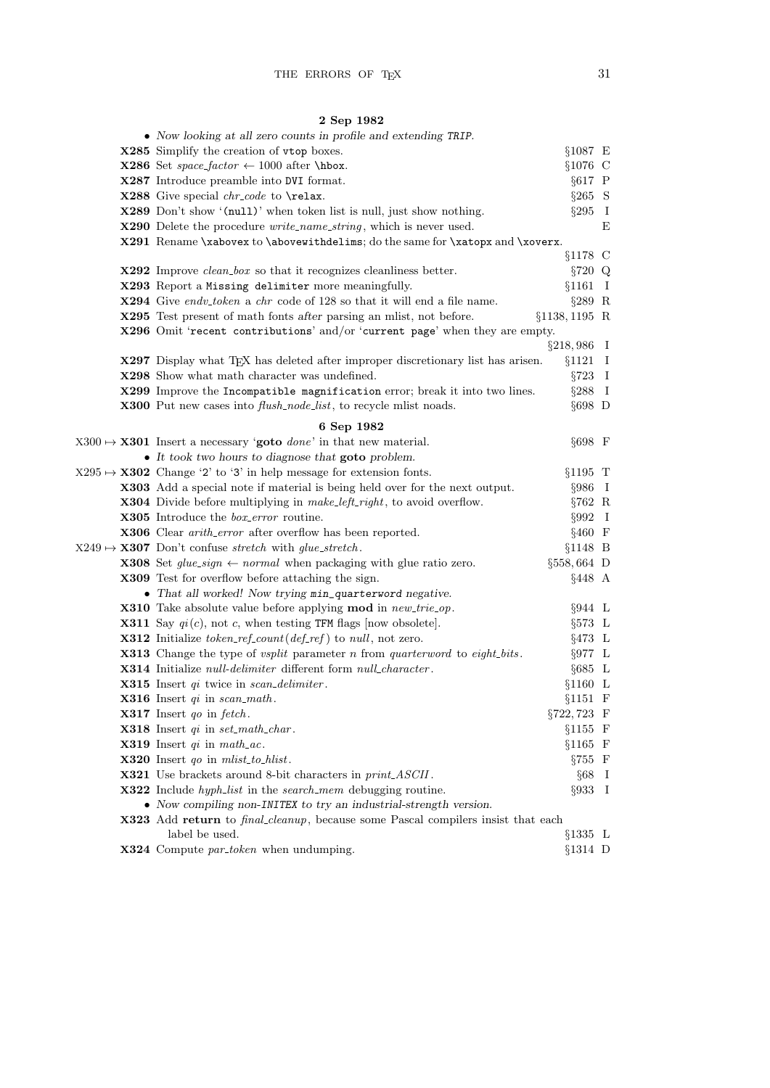## 2 Sep 1982

| • Now looking at all zero counts in profile and extending TRIP.                                                |                  |              |
|----------------------------------------------------------------------------------------------------------------|------------------|--------------|
| X285 Simplify the creation of vtop boxes.                                                                      | $§1087 \t E$     |              |
| <b>X286</b> Set <i>space_factor</i> $\leftarrow$ 1000 after \hbox.                                             | $§1076$ C        |              |
| X287 Introduce preamble into DVI format.                                                                       | $§617$ P         |              |
| X288 Give special chr_code to \relax.                                                                          | $§265$ S         |              |
| X289 Don't show '(null)' when token list is null, just show nothing.                                           | $\S 295 \quad I$ |              |
| <b>X290</b> Delete the procedure <i>write_name_string</i> , which is never used.                               |                  | Ε            |
| X291 Rename \xabovex to \abovewithdelims; do the same for \xatopx and \xoverx.                                 |                  |              |
|                                                                                                                | §1178 C          |              |
| $\textbf{X}$ 292 Improve <i>clean_box</i> so that it recognizes cleanliness better.                            | $\S 720$ Q       |              |
| X293 Report a Missing delimiter more meaningfully.                                                             | §1161            | $\mathbf{I}$ |
| <b>X294</b> Give endv_token a chr code of 128 so that it will end a file name.                                 | $§289$ R         |              |
| X295 Test present of math fonts after parsing an mlist, not before.                                            | $§1138, 1195$ R  |              |
| X296 Omit 'recent contributions' and/or 'current page' when they are empty.                                    |                  |              |
|                                                                                                                | $\S 218,986$ I   |              |
| X297 Display what TEX has deleted after improper discretionary list has arisen.                                | $§1121$ I        |              |
| X298 Show what math character was undefined.                                                                   | $\S 723$ I       |              |
| X299 Improve the Incompatible magnification error; break it into two lines.                                    | $§288$ I         |              |
| <b>X300</b> Put new cases into <i>flush_node_list</i> , to recycle mlist noads.                                | $§698$ D         |              |
| 6 Sep 1982                                                                                                     |                  |              |
| $X300 \rightarrow X301$ Insert a necessary 'goto <i>done</i> ' in that new material.                           | $§698$ F         |              |
| $\bullet$ It took two hours to diagnose that goto problem.                                                     |                  |              |
| $X295 \mapsto X302$ Change '2' to '3' in help message for extension fonts.                                     | $§1195$ T        |              |
| <b>X303</b> Add a special note if material is being held over for the next output.                             | $§986$ I         |              |
| <b>X304</b> Divide before multiplying in <i>make_left_right</i> , to avoid overflow.                           | $§762$ R         |              |
| X305 Introduce the <i>box_error</i> routine.                                                                   | $\S 992$ I       |              |
| <b>X306</b> Clear <i>arith_error</i> after overflow has been reported.                                         | $§460$ F         |              |
| $X249 \rightarrow X307$ Don't confuse stretch with glue-stretch.                                               | $§1148$ B        |              |
| <b>X308</b> Set $glue\_sign \leftarrow normal$ when packaging with glue ratio zero.                            | $\S 558, 664$ D  |              |
| <b>X309</b> Test for overflow before attaching the sign.                                                       | $§448$ A         |              |
| • That all worked! Now trying min_quarterword negative.                                                        |                  |              |
| <b>X310</b> Take absolute value before applying mod in new-trie-op.                                            | $\S 944 \quad L$ |              |
| <b>X311</b> Say $qi(c)$ , not c, when testing TFM flags [now obsolete].                                        | $\S 573 \quad L$ |              |
| <b>X312</b> Initialize <i>token_ref_count</i> ( <i>def_ref</i> ) to <i>null</i> , not zero.                    | $\S 473 \quad L$ |              |
| <b>X313</b> Change the type of <i>vsplit</i> parameter <i>n</i> from <i>quarterword</i> to <i>eight_bits</i> . | $\S977 \quad L$  |              |
| <b>X314</b> Initialize <i>null-delimiter</i> different form <i>null_character</i> .                            | $§685 \text{ L}$ |              |
| <b>X315</b> Insert $qi$ twice in scan_delimiter.                                                               | $§1160$ L        |              |
| <b>X316</b> Insert $qi$ in scan math.                                                                          | $§1151$ F        |              |
| <b>X317</b> Insert <i>qo</i> in <i>fetch</i> .                                                                 | §722,723 F       |              |
| <b>X318</b> Insert $qi$ in $set\_math\_char$ .                                                                 | $§1155$ F        |              |
| <b>X319</b> Insert $qi$ in math_ac.                                                                            | $§1165$ F        |              |
| <b>X320</b> Insert <i>qo</i> in <i>mlist_to_hlist</i> .                                                        | $\S 755$ F       |              |
| <b>X321</b> Use brackets around 8-bit characters in <i>print_ASCII</i> .                                       | $§68$ I          |              |
| X322 Include hyph_list in the search_mem debugging routine.                                                    | $\S 933$ I       |              |
| • Now compiling non-INITEX to try an industrial-strength version.                                              |                  |              |
| <b>X323</b> Add return to <i>final cleanup</i> , because some Pascal compilers insist that each                |                  |              |
| label be used.                                                                                                 | $§1335$ L        |              |
| X324 Compute par_token when undumping.                                                                         | $§1314$ D        |              |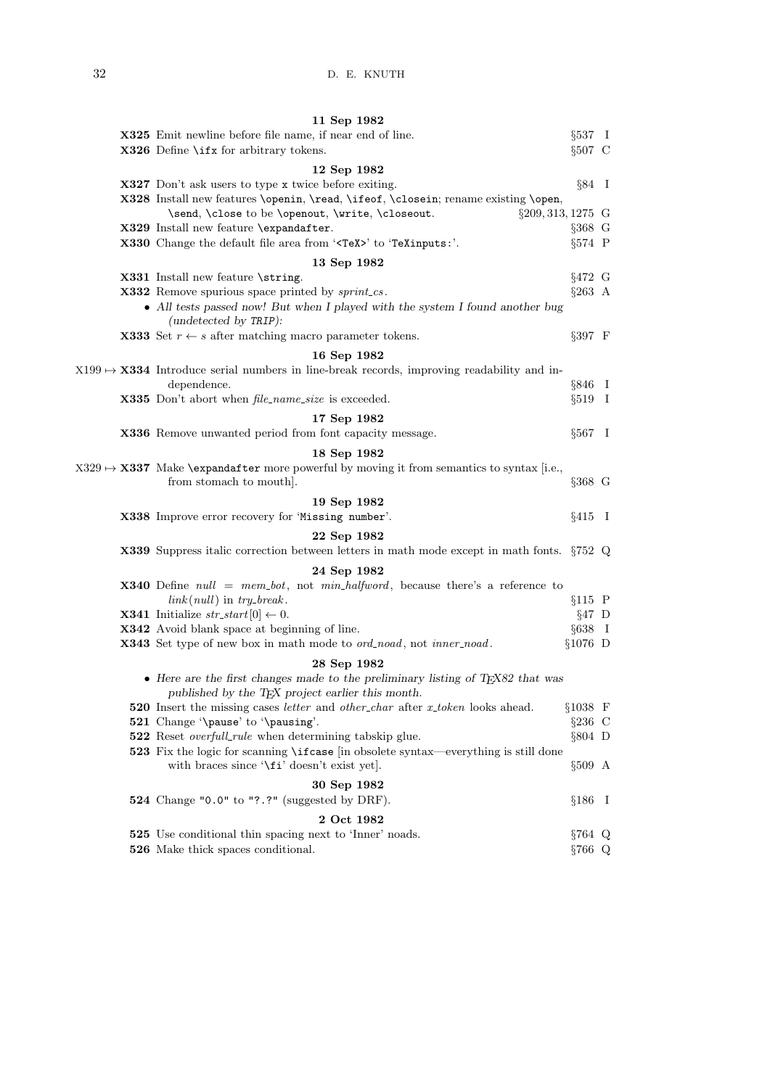| 11 Sep 1982                                                                                                                                                       |            |  |
|-------------------------------------------------------------------------------------------------------------------------------------------------------------------|------------|--|
| <b>X325</b> Emit newline before file name, if near end of line.                                                                                                   | $\S 537$ I |  |
| $X326$ Define \ifx for arbitrary tokens.                                                                                                                          | $§507$ C   |  |
| 12 Sep 1982                                                                                                                                                       |            |  |
| <b>X327</b> Don't ask users to type x twice before exiting.                                                                                                       | $\S 84$ I  |  |
| X328 Install new features \openin, \read, \ifeof, \closein; rename existing \open,                                                                                |            |  |
| §209, 313, 1275 G<br>\send, \close to be \openout, \write, \closeout.                                                                                             |            |  |
| X329 Install new feature \expandafter.                                                                                                                            | $§368$ G   |  |
| X330 Change the default file area from ' <tex>' to 'TeXinputs:'.</tex>                                                                                            | $§574$ P   |  |
|                                                                                                                                                                   |            |  |
| 13 Sep 1982                                                                                                                                                       |            |  |
| X331 Install new feature \string.                                                                                                                                 | $§472$ G   |  |
| <b>X332</b> Remove spurious space printed by sprint_cs.<br>• All tests passed now! But when I played with the system I found another bug<br>(undetected by TRIP): | $\S 263$ A |  |
| <b>X333</b> Set $r \leftarrow s$ after matching macro parameter tokens.                                                                                           | $§397$ F   |  |
|                                                                                                                                                                   |            |  |
| 16 Sep 1982<br>$X199 \rightarrow X334$ Introduce serial numbers in line-break records, improving readability and in-                                              |            |  |
| dependence.                                                                                                                                                       | $\S 846$ I |  |
| X335 Don't abort when <i>file_name_size</i> is exceeded.                                                                                                          | $\S519$ I  |  |
|                                                                                                                                                                   |            |  |
| 17 Sep 1982                                                                                                                                                       |            |  |
| X336 Remove unwanted period from font capacity message.                                                                                                           | $§567$ I   |  |
| 18 Sep 1982                                                                                                                                                       |            |  |
| $X329 \rightarrow X337$ Make \expandafter more powerful by moving it from semantics to syntax [i.e.,                                                              |            |  |
| from stomach to mouth.                                                                                                                                            | $§368$ G   |  |
| 19 Sep 1982                                                                                                                                                       |            |  |
| X338 Improve error recovery for 'Missing number'.                                                                                                                 | $§415$ I   |  |
| 22 Sep 1982                                                                                                                                                       |            |  |
| <b>X339</b> Suppress italic correction between letters in math mode except in math fonts. §752 Q                                                                  |            |  |
|                                                                                                                                                                   |            |  |
| 24 Sep 1982                                                                                                                                                       |            |  |
| <b>X340</b> Define $null = mem\_bot$ , not $min\_halfword$ , because there's a reference to                                                                       |            |  |
| $link(null)$ in $try\_break$ .                                                                                                                                    | $§115$ P   |  |
| <b>X341</b> Initialize $str\_start[0] \leftarrow 0$ .                                                                                                             | $§47$ D    |  |
| X342 Avoid blank space at beginning of line.<br><b>X343</b> Set type of new box in math mode to ord_noad, not inner_noad.                                         | $§638$ I   |  |
|                                                                                                                                                                   | $§1076$ D  |  |
| 28 Sep 1982                                                                                                                                                       |            |  |
| • Here are the first changes made to the preliminary listing of $TEXX82$ that was<br>published by the T <sub>E</sub> X project earlier this month.                |            |  |
| <b>520</b> Insert the missing cases <i>letter</i> and <i>other_char</i> after x_token looks ahead.                                                                | $§1038$ F  |  |
| 521 Change '\pause' to '\pausing'.                                                                                                                                | $§236$ C   |  |
| 522 Reset overfull_rule when determining tabskip glue.                                                                                                            | $§804$ D   |  |
| 523 Fix the logic for scanning \ifcase [in obsolete syntax—everything is still done<br>with braces since '\fi' doesn't exist yet].                                | $§509$ A   |  |
| 30 Sep 1982                                                                                                                                                       |            |  |
| 524 Change "0.0" to "?.?" (suggested by DRF).                                                                                                                     | $§186$ I   |  |
| 2 Oct 1982                                                                                                                                                        |            |  |
| <b>525</b> Use conditional thin spacing next to 'Inner' noads.                                                                                                    | §764 Q     |  |
| 526 Make thick spaces conditional.                                                                                                                                | §766 Q     |  |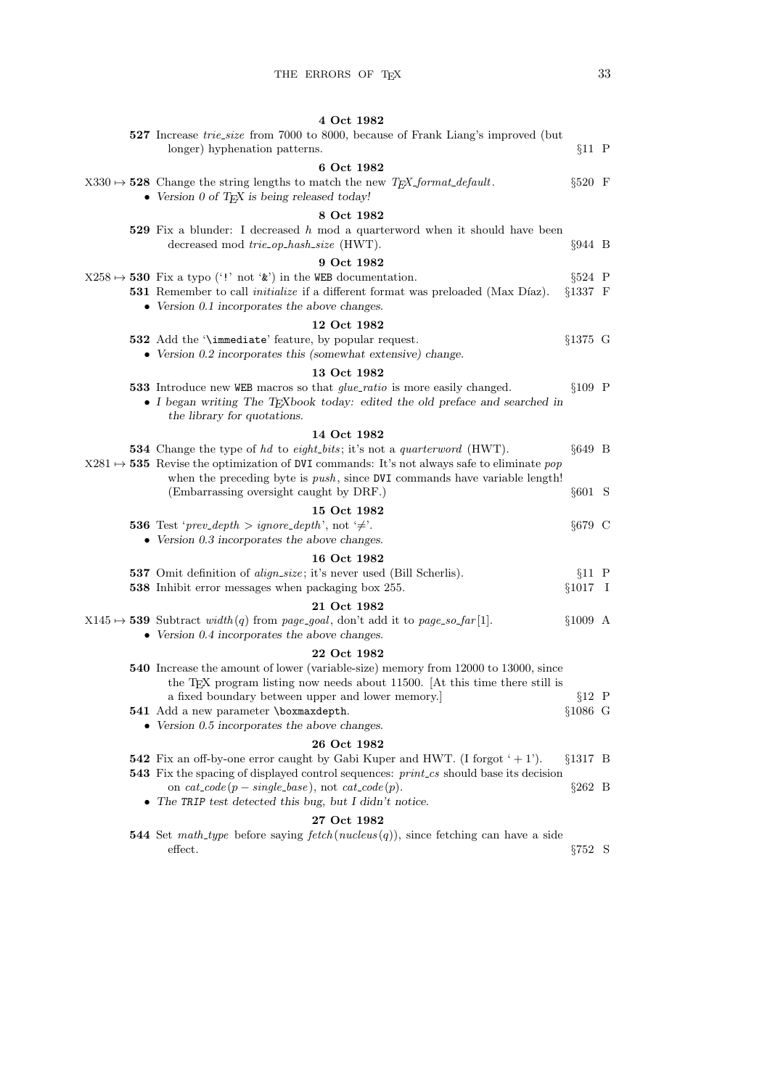| 4 Oct 1982                                                                                                                                                                                                                                                                  |            |  |
|-----------------------------------------------------------------------------------------------------------------------------------------------------------------------------------------------------------------------------------------------------------------------------|------------|--|
| 527 Increase trie-size from 7000 to 8000, because of Frank Liang's improved (but<br>longer) hyphenation patterns.                                                                                                                                                           | $§11$ P    |  |
| 6 Oct 1982<br>$X330 \rightarrow 528$ Change the string lengths to match the new T <sub>F</sub> X <sub>-format-default.</sub><br>$\bullet$ Version 0 of T <sub>F</sub> X is being released today!                                                                            | $§520$ F   |  |
| 8 Oct 1982                                                                                                                                                                                                                                                                  |            |  |
| 529 Fix a blunder: I decreased $h$ mod a quarterword when it should have been<br>decreased mod trie_op_hash_size (HWT).                                                                                                                                                     | $§944$ B   |  |
| 9 Oct 1982                                                                                                                                                                                                                                                                  |            |  |
| $X258 \rightarrow 530$ Fix a typo ('!' not '&') in the WEB documentation.<br>531 Remember to call <i>initialize</i> if a different format was preloaded (Max Díaz).<br>$§1337$ F<br>$\bullet$ Version 0.1 incorporates the above changes.                                   | $§524$ P   |  |
| 12 Oct 1982                                                                                                                                                                                                                                                                 |            |  |
| §1375 G<br>532 Add the '\immediate' feature, by popular request.<br>• Version 0.2 incorporates this (somewhat extensive) change.                                                                                                                                            |            |  |
| 13 Oct 1982                                                                                                                                                                                                                                                                 |            |  |
| <b>533</b> Introduce new WEB macros so that <i>glue_ratio</i> is more easily changed.<br>• I began writing The TEXbook today: edited the old preface and searched in<br>the library for quotations.                                                                         | $§109$ P   |  |
| 14 Oct 1982                                                                                                                                                                                                                                                                 |            |  |
| <b>534</b> Change the type of hd to eight_bits; it's not a quarterword (HWT).<br>$X281 \rightarrow 535$ Revise the optimization of DVI commands: It's not always safe to eliminate pop<br>when the preceding byte is <i>push</i> , since DVI commands have variable length! | $§649$ B   |  |
| (Embarrassing oversight caught by DRF.)                                                                                                                                                                                                                                     | $§601$ S   |  |
| 15 Oct 1982                                                                                                                                                                                                                                                                 |            |  |
| <b>536</b> Test ' <i>prev_depth</i> > <i>ignore_depth</i> ', not ' $\neq$ '.<br>$\bullet$ Version 0.3 incorporates the above changes.                                                                                                                                       | §679 C     |  |
| 16 Oct 1982                                                                                                                                                                                                                                                                 |            |  |
| 537 Omit definition of <i>align_size</i> ; it's never used (Bill Scherlis).<br>$§1017$ I<br><b>538</b> Inhibit error messages when packaging box 255.                                                                                                                       | $§11$ P    |  |
| 21 Oct 1982                                                                                                                                                                                                                                                                 |            |  |
| $X145 \mapsto$ 539 Subtract width(q) from page_goal, don't add it to page_so_far[1].<br>$§1009$ A<br>$\bullet$ Version 0.4 incorporates the above changes.                                                                                                                  |            |  |
| 22 Oct 1982                                                                                                                                                                                                                                                                 |            |  |
| <b>540</b> Increase the amount of lower (variable-size) memory from 12000 to 13000, since<br>the T <sub>E</sub> X program listing now needs about 11500. [At this time there still is                                                                                       |            |  |
| a fixed boundary between upper and lower memory.]                                                                                                                                                                                                                           | $§12$ P    |  |
| §1086 G<br>541 Add a new parameter \boxmaxdepth.<br>$\bullet$ Version 0.5 incorporates the above changes.                                                                                                                                                                   |            |  |
| 26 Oct 1982                                                                                                                                                                                                                                                                 |            |  |
| 542 Fix an off-by-one error caught by Gabi Kuper and HWT. (I forgot $+1$ ).<br>$§1317$ B<br>543 Fix the spacing of displayed control sequences: print_cs should base its decision                                                                                           |            |  |
| on $cat\_code(p-single\_base)$ , not $cat\_code(p)$ .<br>$\bullet$ The TRIP test detected this bug, but I didn't notice.                                                                                                                                                    | $\S 262$ B |  |
| 27 Oct 1982                                                                                                                                                                                                                                                                 |            |  |
| <b>544</b> Set math-type before saying $fetch(nucleus(q))$ , since fetching can have a side<br>effect.                                                                                                                                                                      | $\S 752$ S |  |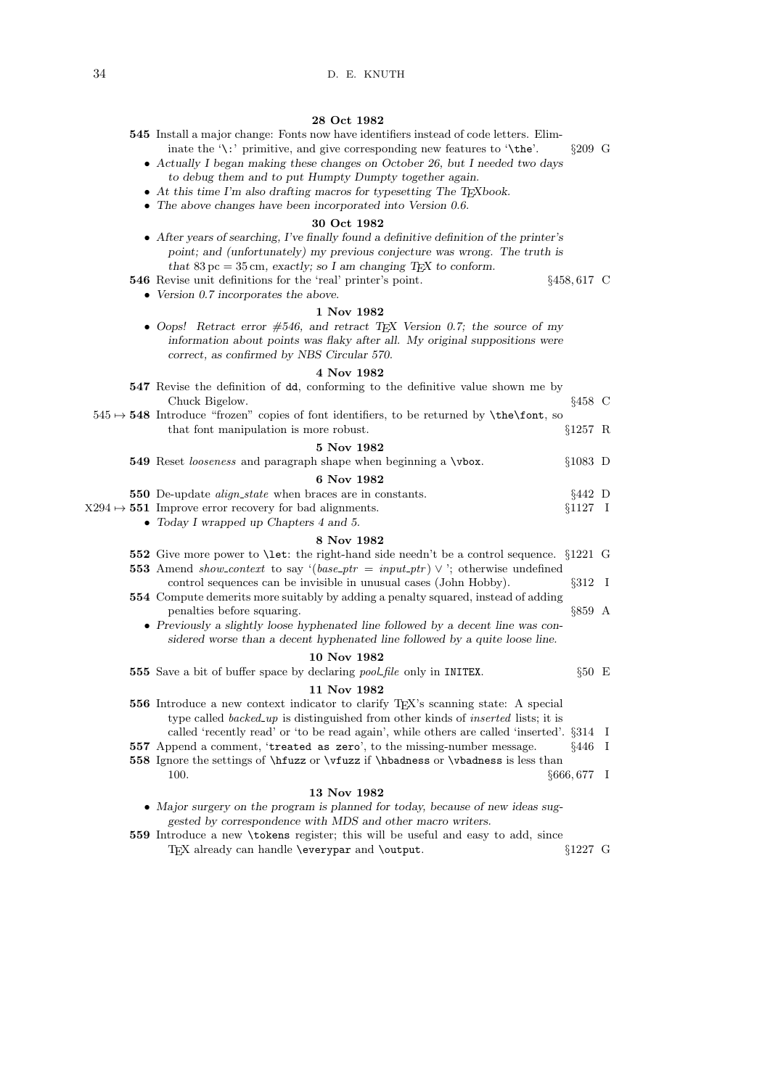| 28 Oct 1982                                                                                                                                                                                                                                                                                                                                                                                                                                                                                                                 |               |         |
|-----------------------------------------------------------------------------------------------------------------------------------------------------------------------------------------------------------------------------------------------------------------------------------------------------------------------------------------------------------------------------------------------------------------------------------------------------------------------------------------------------------------------------|---------------|---------|
| <b>545</b> Install a major change: Fonts now have identifiers instead of code letters. Elim-<br>inate the $\langle \cdot \rangle$ : primitive, and give corresponding new features to $\langle \cdot \rangle$ the'.<br>• Actually I began making these changes on October 26, but I needed two days<br>to debug them and to put Humpty Dumpty together again.<br>• At this time I'm also drafting macros for type setting The T <sub>E</sub> Xbook.<br>$\bullet$ The above changes have been incorporated into Version 0.6. | $\S 209$ G    |         |
| 30 Oct 1982                                                                                                                                                                                                                                                                                                                                                                                                                                                                                                                 |               |         |
| • After years of searching, I've finally found a definitive definition of the printer's<br>point; and (unfortunately) my previous conjecture was wrong. The truth is<br>that 83 pc = 35 cm, exactly; so I am changing T <sub>F</sub> X to conform.<br>546 Revise unit definitions for the 'real' printer's point.<br>$§458,617$ C                                                                                                                                                                                           |               |         |
| $\bullet$ Version 0.7 incorporates the above.                                                                                                                                                                                                                                                                                                                                                                                                                                                                               |               |         |
| 1 Nov 1982                                                                                                                                                                                                                                                                                                                                                                                                                                                                                                                  |               |         |
| • Oops! Retract error $\#546$ , and retract T <sub>E</sub> X Version 0.7; the source of my<br>information about points was flaky after all. My original suppositions were<br>correct, as confirmed by NBS Circular 570.                                                                                                                                                                                                                                                                                                     |               |         |
| 4 Nov 1982                                                                                                                                                                                                                                                                                                                                                                                                                                                                                                                  |               |         |
| 547 Revise the definition of dd, conforming to the definitive value shown me by<br>Chuck Bigelow.                                                                                                                                                                                                                                                                                                                                                                                                                           | $§458$ C      |         |
| $545 \rightarrow 548$ Introduce "frozen" copies of font identifiers, to be returned by \the\font, so<br>that font manipulation is more robust.<br>§1257 R                                                                                                                                                                                                                                                                                                                                                                   |               |         |
| 5 Nov 1982                                                                                                                                                                                                                                                                                                                                                                                                                                                                                                                  |               |         |
| 549 Reset looseness and paragraph shape when beginning a \vbox.<br>$§1083$ D                                                                                                                                                                                                                                                                                                                                                                                                                                                |               |         |
| 6 Nov 1982                                                                                                                                                                                                                                                                                                                                                                                                                                                                                                                  |               |         |
| <b>550</b> De-update <i>align_state</i> when braces are in constants.<br>$§442$ D                                                                                                                                                                                                                                                                                                                                                                                                                                           |               |         |
| $X294 \rightarrow 551$ Improve error recovery for bad alignments.<br>$§1127$ I<br>$\bullet$ Today I wrapped up Chapters 4 and 5.                                                                                                                                                                                                                                                                                                                                                                                            |               |         |
| 8 Nov 1982                                                                                                                                                                                                                                                                                                                                                                                                                                                                                                                  |               |         |
| <b>552</b> Give more power to <b>\let:</b> the right-hand side needn't be a control sequence. §1221 G                                                                                                                                                                                                                                                                                                                                                                                                                       |               |         |
| <b>553</b> Amend <i>show_context</i> to say '( <i>base_ptr</i> = <i>input_ptr</i> ) $\vee$ '; otherwise undefined<br>control sequences can be invisible in unusual cases (John Hobby).                                                                                                                                                                                                                                                                                                                                      | $\S 312$ I    |         |
| <b>554</b> Compute demerits more suitably by adding a penalty squared, instead of adding                                                                                                                                                                                                                                                                                                                                                                                                                                    |               |         |
| penalties before squaring.<br>• Previously a slightly loose hyphenated line followed by a decent line was con-<br>sidered worse than a decent hyphenated line followed by a quite loose line.                                                                                                                                                                                                                                                                                                                               | $§859$ A      |         |
| 10 Nov 1982                                                                                                                                                                                                                                                                                                                                                                                                                                                                                                                 |               |         |
| 555 Save a bit of buffer space by declaring <i>pool-file</i> only in INITEX.                                                                                                                                                                                                                                                                                                                                                                                                                                                | $§50 \quad E$ |         |
| 11 Nov 1982                                                                                                                                                                                                                                                                                                                                                                                                                                                                                                                 |               |         |
| 556 Introduce a new context indicator to clarify T <sub>E</sub> X's scanning state: A special<br>type called <i>backed_up</i> is distinguished from other kinds of <i>inserted</i> lists; it is                                                                                                                                                                                                                                                                                                                             |               |         |
| called 'recently read' or 'to be read again', while others are called 'inserted'. §314 I<br>557 Append a comment, 'treated as zero', to the missing-number message.                                                                                                                                                                                                                                                                                                                                                         | $§446$ I      |         |
| 558 Ignore the settings of \hfuzz or \vfuzz if \hbadness or \vbadness is less than                                                                                                                                                                                                                                                                                                                                                                                                                                          |               |         |
| 100.<br>§666,677                                                                                                                                                                                                                                                                                                                                                                                                                                                                                                            |               | $\perp$ |
| 13 Nov 1982                                                                                                                                                                                                                                                                                                                                                                                                                                                                                                                 |               |         |
| • Major surgery on the program is planned for today, because of new ideas sug-                                                                                                                                                                                                                                                                                                                                                                                                                                              |               |         |

- gested by correspondence with MDS and other macro writers.
- 559 Introduce a new \tokens register; this will be useful and easy to add, since TEX already can handle \everypar and \output.  $\S 1227 \text{ G}$ TEX already can handle  $\operatorname{\mathsf{querypar}}$  and  $\operatorname{\mathsf{output}}$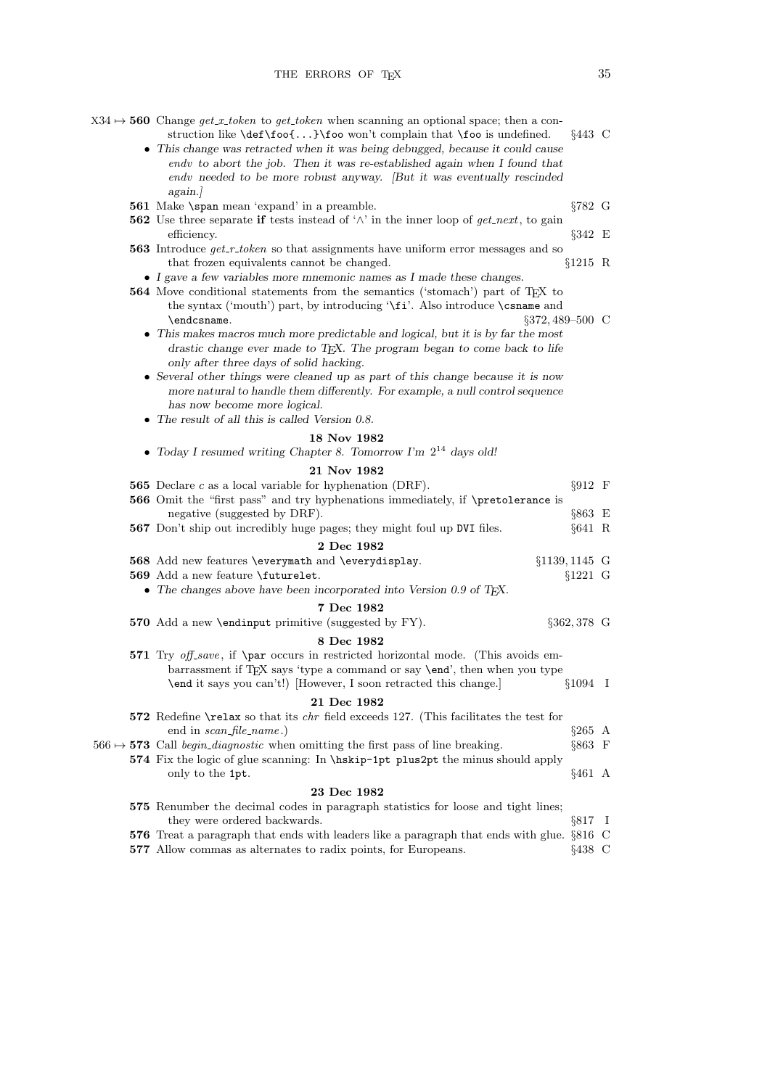| $X34 \rightarrow 560$ Change get_x_token to get_token when scanning an optional space; then a con-<br>struction like $\det\{foo\{ \}\}$ o won't complain that $\f{oo}$ is undefined.<br>• This change was retracted when it was being debugged, because it could cause<br>endv to abort the job. Then it was re-established again when I found that<br>endv needed to be more robust anyway. [But it was eventually rescinded<br>again. | $§443$ C         |  |
|-----------------------------------------------------------------------------------------------------------------------------------------------------------------------------------------------------------------------------------------------------------------------------------------------------------------------------------------------------------------------------------------------------------------------------------------|------------------|--|
| <b>561</b> Make \span mean 'expand' in a preamble.                                                                                                                                                                                                                                                                                                                                                                                      | §782 G           |  |
| <b>562</b> Use three separate if tests instead of ' $\wedge$ ' in the inner loop of <i>get_next</i> , to gain<br>efficiency.                                                                                                                                                                                                                                                                                                            | $\S 342 \quad E$ |  |
| <b>563</b> Introduce $get_r$ -token so that assignments have uniform error messages and so<br>that frozen equivalents cannot be changed.                                                                                                                                                                                                                                                                                                | $§1215$ R        |  |
| $\bullet$ $\;$ I gave a few variables more mnemonic names as I made these changes.                                                                                                                                                                                                                                                                                                                                                      |                  |  |
| 564 Move conditional statements from the semantics ('stomach') part of T <sub>E</sub> X to<br>the syntax ('mouth') part, by introducing '\fi'. Also introduce \csname and<br>\endcsname.<br>$\S 372, 489 - 500$ C<br>• This makes macros much more predictable and logical, but it is by far the most<br>drastic change ever made to TEX. The program began to come back to life                                                        |                  |  |
| only after three days of solid hacking.<br>• Several other things were cleaned up as part of this change because it is now<br>more natural to handle them differently. For example, a null control sequence<br>has now become more logical.<br>• The result of all this is called Version $0.8$ .                                                                                                                                       |                  |  |
| 18 Nov 1982                                                                                                                                                                                                                                                                                                                                                                                                                             |                  |  |
| • Today I resumed writing Chapter 8. Tomorrow I'm $2^{14}$ days old!                                                                                                                                                                                                                                                                                                                                                                    |                  |  |
| 21 Nov 1982                                                                                                                                                                                                                                                                                                                                                                                                                             |                  |  |
| <b>565</b> Declare $c$ as a local variable for hyphenation (DRF).                                                                                                                                                                                                                                                                                                                                                                       | $§912 \quad F$   |  |
| 566 Omit the "first pass" and try hyphenations immediately, if \pretolerance is<br>negative (suggested by DRF).                                                                                                                                                                                                                                                                                                                         | §863 E           |  |
| 567 Don't ship out incredibly huge pages; they might foul up DVI files.                                                                                                                                                                                                                                                                                                                                                                 | $§641$ R         |  |
| 2 Dec 1982                                                                                                                                                                                                                                                                                                                                                                                                                              |                  |  |
| 568 Add new features \everymath and \everydisplay.<br>$§1139, 1145$ G                                                                                                                                                                                                                                                                                                                                                                   |                  |  |
| 569 Add a new feature \futurelet.                                                                                                                                                                                                                                                                                                                                                                                                       | $§1221$ G        |  |
| • The changes above have been incorporated into Version 0.9 of T <sub>E</sub> X.                                                                                                                                                                                                                                                                                                                                                        |                  |  |
| 7 Dec 1982                                                                                                                                                                                                                                                                                                                                                                                                                              |                  |  |
| 570 Add a new \endinput primitive (suggested by FY).                                                                                                                                                                                                                                                                                                                                                                                    | §362,378 G       |  |
| 8 Dec 1982<br>571 Try off-save, if \par occurs in restricted horizontal mode. (This avoids em-<br>barrassment if T <sub>F</sub> X says 'type a command or say <b>\end'</b> , then when you type<br>\end it says you can't!) [However, I soon retracted this change.]                                                                                                                                                                    | $§1094$ I        |  |
| 21 Dec 1982                                                                                                                                                                                                                                                                                                                                                                                                                             |                  |  |
| 572 Redefine \relax so that its <i>chr</i> field exceeds 127. (This facilitates the test for<br>end in <i>scan_file_name</i> .)                                                                                                                                                                                                                                                                                                         | $§265$ A         |  |
| $566 \rightarrow 573$ Call <i>begin_diagnostic</i> when omitting the first pass of line breaking.                                                                                                                                                                                                                                                                                                                                       | $§863 \t F$      |  |
| 574 Fix the logic of glue scanning: In \hiskip-1pt plus2pt the minus should apply<br>only to the 1pt.                                                                                                                                                                                                                                                                                                                                   | $§461$ A         |  |
| 23 Dec 1982                                                                                                                                                                                                                                                                                                                                                                                                                             |                  |  |
| 575 Renumber the decimal codes in paragraph statistics for loose and tight lines;<br>they were ordered backwards.                                                                                                                                                                                                                                                                                                                       | $§817$ I         |  |
| 576 Treat a paragraph that ends with leaders like a paragraph that ends with glue. §816 C                                                                                                                                                                                                                                                                                                                                               |                  |  |
| 577 Allow commas as alternates to radix points, for Europeans.                                                                                                                                                                                                                                                                                                                                                                          | $\S 438$ C       |  |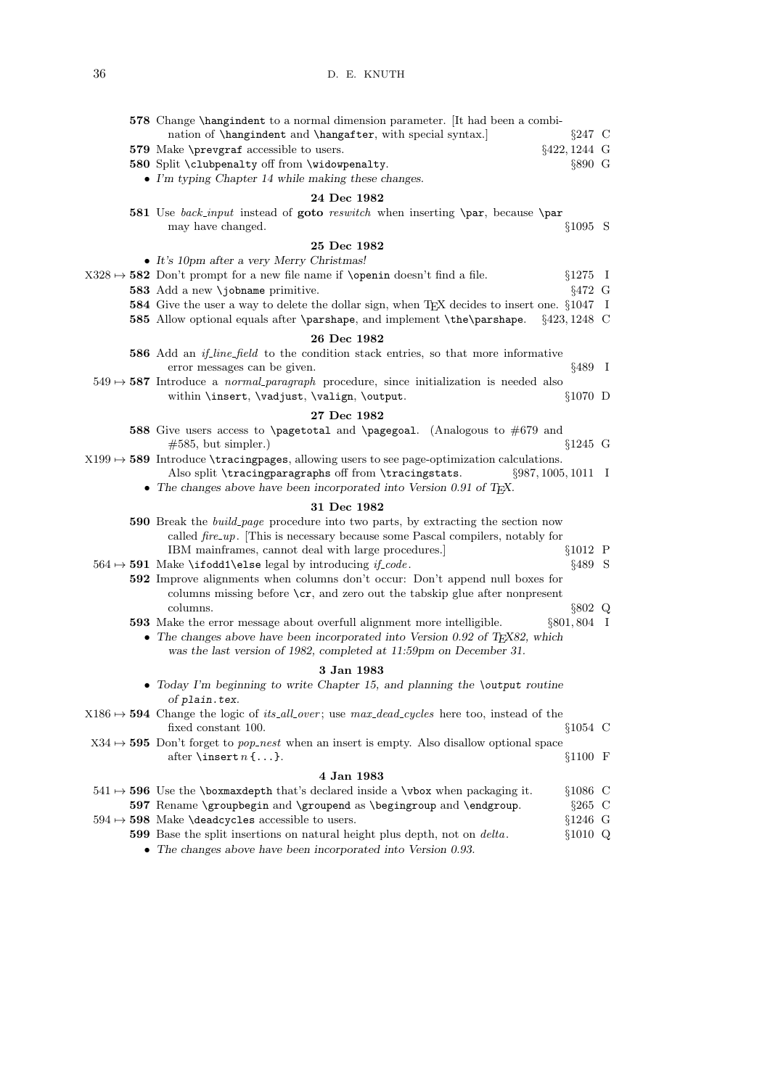|  | 578 Change \hangindent to a normal dimension parameter. [It had been a combi-<br>nation of \hangindent and \hangafter, with special syntax.]<br>$\S 247$ C             |  |
|--|------------------------------------------------------------------------------------------------------------------------------------------------------------------------|--|
|  | $§422, 1244$ G<br>579 Make \prevgraf accessible to users.                                                                                                              |  |
|  | 580 Split \clubpenalty off from \widowpenalty.<br>$\S 890$ G                                                                                                           |  |
|  | • I'm typing Chapter 14 while making these changes.                                                                                                                    |  |
|  | 24 Dec 1982                                                                                                                                                            |  |
|  | 581 Use back_input instead of goto reswitch when inserting \par, because \par                                                                                          |  |
|  | $§1095$ S<br>may have changed.                                                                                                                                         |  |
|  | 25 Dec 1982                                                                                                                                                            |  |
|  | $\bullet$ It's 10pm after a very Merry Christmas!                                                                                                                      |  |
|  | $X328 \rightarrow 582$ Don't prompt for a new file name if <b>\openin</b> doesn't find a file.<br>$§1275$ I                                                            |  |
|  | 583 Add a new \jobname primitive.<br>$§472$ G                                                                                                                          |  |
|  | 584 Give the user a way to delete the dollar sign, when TEX decides to insert one. §1047 I                                                                             |  |
|  | 585 Allow optional equals after \parshape, and implement \the\parshape.<br>$§423,1248$ C                                                                               |  |
|  | 26 Dec 1982                                                                                                                                                            |  |
|  | 586 Add an <i>if-line-field</i> to the condition stack entries, so that more informative                                                                               |  |
|  | $§489$ I<br>error messages can be given.                                                                                                                               |  |
|  | $549 \rightarrow 587$ Introduce a <i>normal-paragraph</i> procedure, since initialization is needed also                                                               |  |
|  | within \insert, \vadjust, \valign, \output.<br>$$1070$ D                                                                                                               |  |
|  | 27 Dec 1982                                                                                                                                                            |  |
|  | 588 Give users access to <b>\pagetotal</b> and <b>\pagegoal.</b> (Analogous to $\#679$ and                                                                             |  |
|  | $\#585$ , but simpler.)<br>$§1245$ G                                                                                                                                   |  |
|  | $X199 \rightarrow 589$ Introduce \tracingpages, allowing users to see page-optimization calculations.                                                                  |  |
|  | Also split \tracingparagraphs off from \tracingstats.<br>$\S 987, 1005, 1011$ I                                                                                        |  |
|  | • The changes above have been incorporated into Version 0.91 of T <sub>F</sub> X.                                                                                      |  |
|  | 31 Dec 1982                                                                                                                                                            |  |
|  | <b>590</b> Break the <i>build-page</i> procedure into two parts, by extracting the section now                                                                         |  |
|  | called $\text{fire\_up}.$ [This is necessary because some Pascal compilers, notably for                                                                                |  |
|  | $§1012$ P<br>IBM mainframes, cannot deal with large procedures.                                                                                                        |  |
|  | §489 S<br>$564 \rightarrow 591$ Make \ifodd1\else legal by introducing <i>if-code</i> .                                                                                |  |
|  | <b>592</b> Improve alignments when columns don't occur: Don't append null boxes for<br>columns missing before $\zeta$ , and zero out the tabskip glue after nonpresent |  |
|  | columns.<br>$\S 802$ Q                                                                                                                                                 |  |
|  | §801,804 I<br><b>593</b> Make the error message about overfull alignment more intelligible.                                                                            |  |
|  | • The changes above have been incorporated into Version 0.92 of T <sub>F</sub> X82, which                                                                              |  |
|  | was the last version of 1982, completed at 11:59pm on December 31.                                                                                                     |  |
|  | 3 Jan 1983                                                                                                                                                             |  |
|  | $\bullet$ Today I'm beginning to write Chapter 15, and planning the \output routine<br>of plain.tex.                                                                   |  |
|  | $X186 \rightarrow 594$ Change the logic of <i>its_all_over</i> ; use max_dead_cycles here too, instead of the                                                          |  |
|  | $§1054$ C<br>fixed constant 100.                                                                                                                                       |  |
|  | $X34 \rightarrow 595$ Don't forget to <i>pop_nest</i> when an insert is empty. Also disallow optional space                                                            |  |
|  | after \insert $n \ldots$ }.<br>$§1100$ F                                                                                                                               |  |
|  | 4 Jan 1983                                                                                                                                                             |  |
|  | $541 \mapsto 596$ Use the \boxmaxdepth that's declared inside a \vbox when packaging it.<br>$$1086$ C                                                                  |  |
|  | 597 Rename \groupbegin and \groupend as \begingroup and \endgroup.<br>$§265$ C                                                                                         |  |
|  | $594 \rightarrow 598$ Make \deadcycles accessible to users.<br>$§1246$ G                                                                                               |  |
|  | 599 Base the split insertions on natural height plus depth, not on delta.<br>$§1010$ Q                                                                                 |  |

• The changes above have been incorporated into Version 0.93.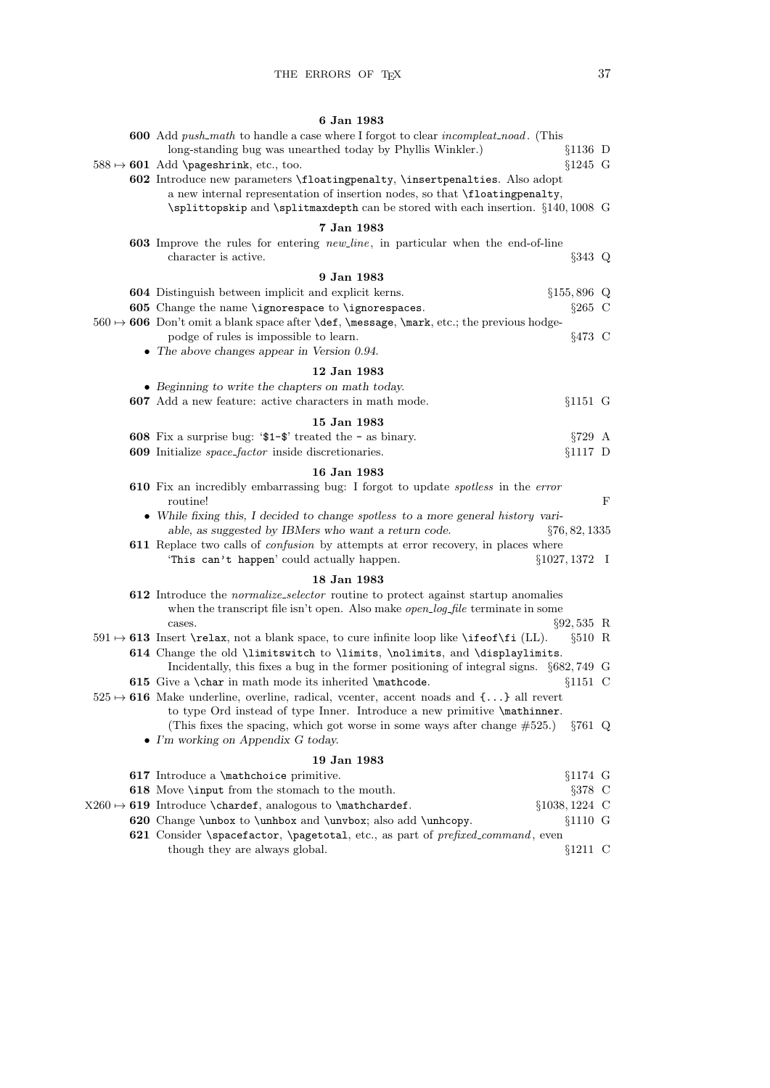## 6 Jan 1983

| <b>600</b> Add <i>push_math</i> to handle a case where I forgot to clear <i>incompleat_noad</i> . (This                                                                          |                   |             |
|----------------------------------------------------------------------------------------------------------------------------------------------------------------------------------|-------------------|-------------|
| long-standing bug was unearthed today by Phyllis Winkler.)                                                                                                                       | $§1136$ D         |             |
| $588 \mapsto 601$ Add \pageshrink, etc., too.                                                                                                                                    | $§1245$ G         |             |
| 602 Introduce new parameters \floatingpenalty, \insertpenalties. Also adopt                                                                                                      |                   |             |
| a new internal representation of insertion nodes, so that \floatingpenalty,                                                                                                      |                   |             |
| \splittopskip and \splitmaxdepth can be stored with each insertion. §140,1008 G                                                                                                  |                   |             |
| 7 Jan 1983                                                                                                                                                                       |                   |             |
| 603 Improve the rules for entering new-line, in particular when the end-of-line                                                                                                  |                   |             |
| character is active.                                                                                                                                                             | $\S 343$ Q        |             |
| 9 Jan 1983                                                                                                                                                                       |                   |             |
| <b>604</b> Distinguish between implicit and explicit kerns.                                                                                                                      | $§155,896$ Q      |             |
| 605 Change the name \ignorespace to \ignorespaces.                                                                                                                               | $§265$ C          |             |
| $560 \leftrightarrow 606$ Don't omit a blank space after <b>\def</b> , <b>\message</b> , <b>\mark</b> , etc.; the previous hodge-                                                |                   |             |
| podge of rules is impossible to learn.                                                                                                                                           | $§473$ C          |             |
| $\bullet$ The above changes appear in Version 0.94.                                                                                                                              |                   |             |
| 12 Jan 1983                                                                                                                                                                      |                   |             |
| • Beginning to write the chapters on math today.                                                                                                                                 |                   |             |
| 607 Add a new feature: active characters in math mode.                                                                                                                           | $§1151$ G         |             |
|                                                                                                                                                                                  |                   |             |
| 15 Jan 1983                                                                                                                                                                      |                   |             |
| 608 Fix a surprise bug: ' $1-\$ ' treated the - as binary.                                                                                                                       | $\S729$ A         |             |
| 609 Initialize space_factor inside discretionaries.                                                                                                                              | $§1117$ D         |             |
| 16 Jan 1983                                                                                                                                                                      |                   |             |
| <b>610</b> Fix an incredibly embarrassing bug: I forgot to update <i>spotless</i> in the <i>error</i>                                                                            |                   |             |
| routine!                                                                                                                                                                         |                   | $\mathbf F$ |
| • While fixing this, I decided to change spotless to a more general history vari-                                                                                                |                   |             |
| able, as suggested by IBMers who want a return code.                                                                                                                             | $\S 76, 82, 1335$ |             |
| 611 Replace two calls of <i>confusion</i> by attempts at error recovery, in places where                                                                                         |                   |             |
| 'This can't happen' could actually happen.                                                                                                                                       | $§1027, 1372$ I   |             |
| 18 Jan 1983                                                                                                                                                                      |                   |             |
| 612 Introduce the <i>normalize_selector</i> routine to protect against startup anomalies                                                                                         |                   |             |
| when the transcript file isn't open. Also make <i>open_log_file</i> terminate in some                                                                                            |                   |             |
| cases.                                                                                                                                                                           | $§92,535$ R       |             |
| $591 \rightarrow 613$ Insert \relax, not a blank space, to cure infinite loop like \ifeof\fi (LL).<br>614 Change the old \limitswitch to \limits, \nolimits, and \displaylimits. | $§510$ R          |             |
| Incidentally, this fixes a bug in the former positioning of integral signs. §682,749 G                                                                                           |                   |             |
| 615 Give a \char in math mode its inherited \mathcode.                                                                                                                           | $§1151$ C         |             |
| $525 \rightarrow 616$ Make underline, overline, radical, veenter, accent noads and {} all revert                                                                                 |                   |             |
| to type Ord instead of type Inner. Introduce a new primitive \mathinner.                                                                                                         |                   |             |
| (This fixes the spacing, which got worse in some ways after change $#525$ .)                                                                                                     | $\S 761 \; Q$     |             |
| • I'm working on Appendix G today.                                                                                                                                               |                   |             |
| 19 Jan 1983                                                                                                                                                                      |                   |             |
| 617 Introduce a <i>\mathchoice</i> primitive.                                                                                                                                    | $§1174 \text{ G}$ |             |
| <b>618</b> Move <b>\input</b> from the stomach to the mouth.                                                                                                                     | $\S 378$ C        |             |
| $X260 \rightarrow 619$ Introduce \chardef, analogous to \mathchardef.                                                                                                            | $§1038, 1224$ C   |             |
| 620 Change \unbox to \unhbox and \unvbox; also add \unhcopy.                                                                                                                     | $§1110 \ G$       |             |
| 621 Consider \spacefactor, \pagetotal, etc., as part of prefixed_command, even                                                                                                   |                   |             |
| though they are always global.                                                                                                                                                   | $§1211$ C         |             |
|                                                                                                                                                                                  |                   |             |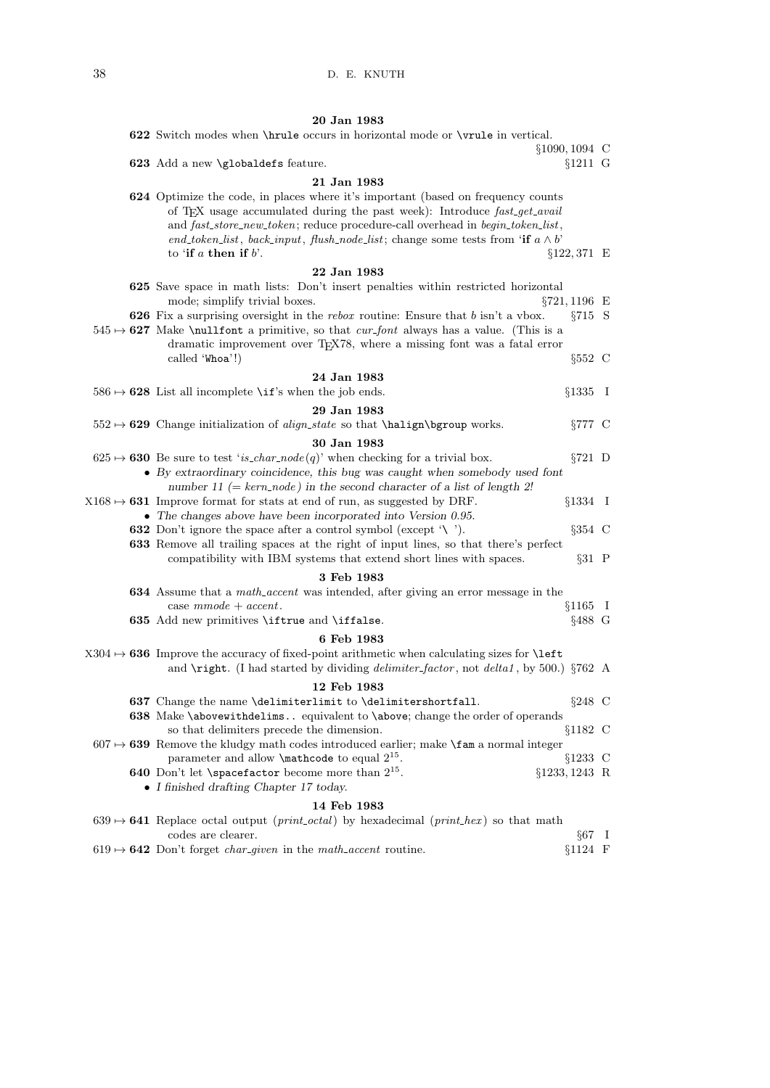| 20 Jan 1983                                                                                                                                                                                                                                                                                                                                                                    |                  |  |
|--------------------------------------------------------------------------------------------------------------------------------------------------------------------------------------------------------------------------------------------------------------------------------------------------------------------------------------------------------------------------------|------------------|--|
| 622 Switch modes when <b>\hrule</b> occurs in horizontal mode or <b>\vrule</b> in vertical.                                                                                                                                                                                                                                                                                    |                  |  |
| $§1090, 1094$ C                                                                                                                                                                                                                                                                                                                                                                |                  |  |
| 623 Add a new \globaldefs feature.                                                                                                                                                                                                                                                                                                                                             | $§1211$ G        |  |
| 21 Jan 1983                                                                                                                                                                                                                                                                                                                                                                    |                  |  |
| 624 Optimize the code, in places where it's important (based on frequency counts<br>of T <sub>F</sub> X usage accumulated during the past week): Introduce fast_get_avail<br>and fast_store_new_token; reduce procedure-call overhead in begin_token_list,<br>end_token_list, back_input, flush_node_list; change some tests from 'if $a \wedge b'$<br>to 'if a then if $b$ '. | $§122,371 \tE$   |  |
| 22 Jan 1983                                                                                                                                                                                                                                                                                                                                                                    |                  |  |
| 625 Save space in math lists: Don't insert penalties within restricted horizontal                                                                                                                                                                                                                                                                                              |                  |  |
| $\S 721, 1196$ E<br>mode; simplify trivial boxes.                                                                                                                                                                                                                                                                                                                              |                  |  |
| <b>626</b> Fix a surprising oversight in the rebox routine: Ensure that $b$ isn't a vbox.                                                                                                                                                                                                                                                                                      | $\S715$ S        |  |
| $545 \rightarrow 627$ Make \nullfont a primitive, so that <i>cur_font</i> always has a value. (This is a                                                                                                                                                                                                                                                                       |                  |  |
| dramatic improvement over T <sub>E</sub> X78, where a missing font was a fatal error                                                                                                                                                                                                                                                                                           |                  |  |
| called 'Whoa'!)                                                                                                                                                                                                                                                                                                                                                                | $§552 \text{ C}$ |  |
| 24 Jan 1983                                                                                                                                                                                                                                                                                                                                                                    |                  |  |
| $586 \rightarrow 628$ List all incomplete \if's when the job ends.                                                                                                                                                                                                                                                                                                             | $§1335$ I        |  |
| 29 Jan 1983                                                                                                                                                                                                                                                                                                                                                                    |                  |  |
| $552 \rightarrow 629$ Change initialization of <i>align_state</i> so that \halign\bgroup works.                                                                                                                                                                                                                                                                                | $\S 777$ C       |  |
| 30 Jan 1983                                                                                                                                                                                                                                                                                                                                                                    |                  |  |
| $625 \rightarrow 630$ Be sure to test 'is_char_node(q)' when checking for a trivial box.                                                                                                                                                                                                                                                                                       | $\S 721$ D       |  |
| • By extraordinary coincidence, this bug was caught when somebody used font<br>number 11 (= $kern-node$ ) in the second character of a list of length 2!                                                                                                                                                                                                                       |                  |  |
| $X168 \rightarrow 631$ Improve format for stats at end of run, as suggested by DRF.                                                                                                                                                                                                                                                                                            | $§1334$ I        |  |
| $\bullet$ The changes above have been incorporated into Version 0.95.                                                                                                                                                                                                                                                                                                          |                  |  |
| <b>632</b> Don't ignore the space after a control symbol (except $\'$ ).                                                                                                                                                                                                                                                                                                       | $\S 354$ C       |  |
| 633 Remove all trailing spaces at the right of input lines, so that there's perfect                                                                                                                                                                                                                                                                                            |                  |  |
| compatibility with IBM systems that extend short lines with spaces.                                                                                                                                                                                                                                                                                                            | $§31$ P          |  |
| 3 Feb 1983                                                                                                                                                                                                                                                                                                                                                                     |                  |  |
| <b>634</b> Assume that a <i>math<sub>-accent</sub></i> was intended, after giving an error message in the<br>case $mmode + accent.$                                                                                                                                                                                                                                            | $§1165$ I        |  |
| 635 Add new primitives \iftrue and \iffalse.                                                                                                                                                                                                                                                                                                                                   | $§488 \text{ G}$ |  |
| 6 Feb 1983                                                                                                                                                                                                                                                                                                                                                                     |                  |  |
| $X304 \rightarrow 636$ Improve the accuracy of fixed-point arithmetic when calculating sizes for <b>\left</b>                                                                                                                                                                                                                                                                  |                  |  |
| and <b>\right</b> . (I had started by dividing <i>delimiter_factor</i> , not <i>delta1</i> , by 500.) §762 A                                                                                                                                                                                                                                                                   |                  |  |
| 12 Feb 1983                                                                                                                                                                                                                                                                                                                                                                    |                  |  |
| 637 Change the name \delimiterlimit to \delimitershortfall.                                                                                                                                                                                                                                                                                                                    | $\S 248$ C       |  |
| 638 Make \abovewithdelims equivalent to \above; change the order of operands                                                                                                                                                                                                                                                                                                   |                  |  |
| so that delimiters precede the dimension.                                                                                                                                                                                                                                                                                                                                      | §1182C           |  |
| $607 \rightarrow 639$ Remove the kludgy math codes introduced earlier; make <b>\fam</b> a normal integer                                                                                                                                                                                                                                                                       |                  |  |
| parameter and allow $\mathcal{L}^{15}$ .                                                                                                                                                                                                                                                                                                                                       | $§1233$ C        |  |
| <b>640</b> Don't let <b>\spacefactor</b> become more than $2^{15}$ .<br>$§1233, 1243$ R                                                                                                                                                                                                                                                                                        |                  |  |
| • I finished drafting Chapter 17 today.                                                                                                                                                                                                                                                                                                                                        |                  |  |
| 14 Feb 1983                                                                                                                                                                                                                                                                                                                                                                    |                  |  |
| $639 \rightarrow 641$ Replace octal output ( <i>print_octal</i> ) by hexadecimal ( <i>print_hex</i> ) so that math<br>codes are clearer.                                                                                                                                                                                                                                       | $§67$ I          |  |
| $619 \rightarrow 642$ Don't forget <i>char-given</i> in the <i>math-accent</i> routine.                                                                                                                                                                                                                                                                                        | $§1124$ F        |  |
|                                                                                                                                                                                                                                                                                                                                                                                |                  |  |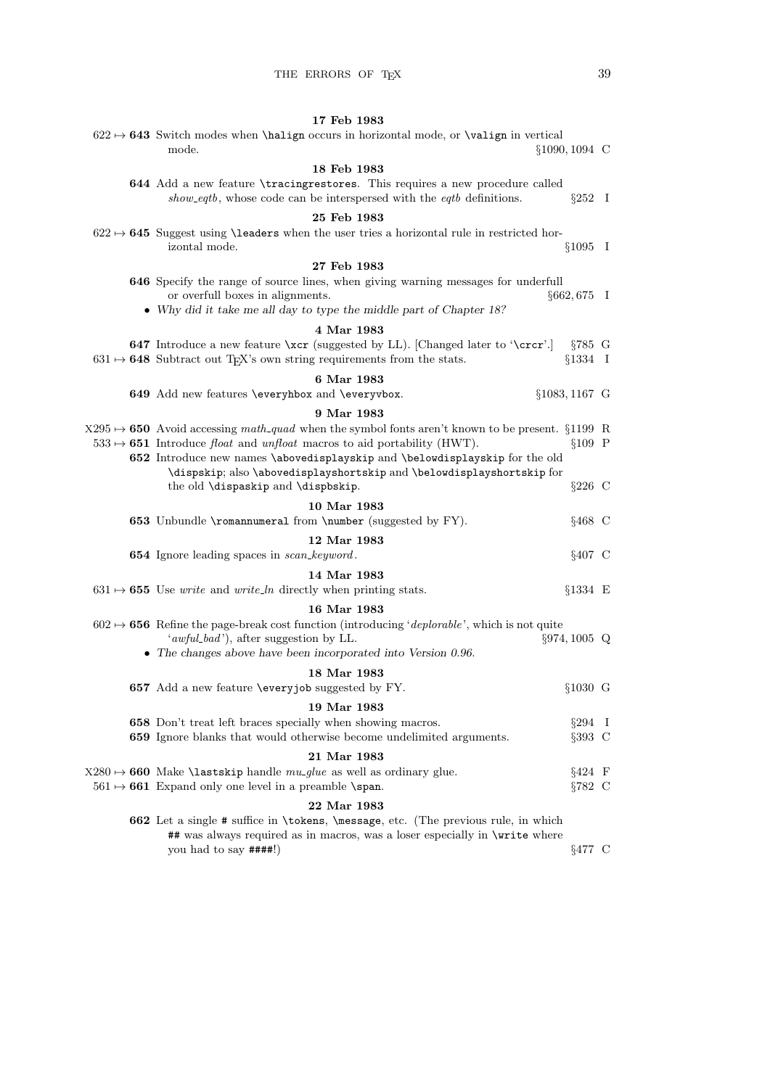## 17 Feb 1983  $622 \mapsto 643$  Switch modes when \halign occurs in horizontal mode, or \valign in vertical

| $§1090, 1094$ C<br>mode.                                                                                                                                                                                                                                                                    |  |
|---------------------------------------------------------------------------------------------------------------------------------------------------------------------------------------------------------------------------------------------------------------------------------------------|--|
| 18 Feb 1983                                                                                                                                                                                                                                                                                 |  |
| 644 Add a new feature \tracingrestores. This requires a new procedure called<br>show_eqtb, whose code can be interspersed with the eqtb definitions.<br>$\S 252$ I                                                                                                                          |  |
| 25 Feb 1983                                                                                                                                                                                                                                                                                 |  |
| $622 \rightarrow 645$ Suggest using \leaders when the user tries a horizontal rule in restricted hor-<br>$§1095$ I<br>izontal mode.                                                                                                                                                         |  |
| 27 Feb 1983                                                                                                                                                                                                                                                                                 |  |
| 646 Specify the range of source lines, when giving warning messages for underfull<br>or overfull boxes in alignments.<br>$\S662, 675$ I<br>• Why did it take me all day to type the middle part of Chapter 18?                                                                              |  |
| 4 Mar 1983                                                                                                                                                                                                                                                                                  |  |
| <b>647</b> Introduce a new feature \xcr (suggested by LL). [Changed later to '\crcr'.]<br>$§785$ G<br>$631 \rightarrow 648$ Subtract out T <sub>E</sub> X's own string requirements from the stats.<br>$§1334$ I                                                                            |  |
| 6 Mar 1983                                                                                                                                                                                                                                                                                  |  |
| 649 Add new features \everyhbox and \everyvbox.<br>$§1083, 1167$ G                                                                                                                                                                                                                          |  |
| 9 Mar 1983                                                                                                                                                                                                                                                                                  |  |
| $X295 \rightarrow 650$ Avoid accessing math-quad when the symbol fonts aren't known to be present. §1199 R<br>$533 \rightarrow 651$ Introduce float and unfloat macros to aid portability (HWT).<br>$§109$ P<br>652 Introduce new names \abovedisplayskip and \belowdisplayskip for the old |  |
| \dispskip; also \abovedisplayshortskip and \belowdisplayshortskip for<br>$\S226$ C<br>the old \dispaskip and \dispbskip.                                                                                                                                                                    |  |
| 10 Mar 1983                                                                                                                                                                                                                                                                                 |  |
| 653 Unbundle \romannumeral from \number (suggested by FY).<br>$§468$ C                                                                                                                                                                                                                      |  |
| 12 Mar 1983                                                                                                                                                                                                                                                                                 |  |
| 654 Ignore leading spaces in scan_keyword.<br>$§407$ C                                                                                                                                                                                                                                      |  |
| 14 Mar 1983<br>$631 \rightarrow 655$ Use <i>write</i> and <i>write_ln</i> directly when printing stats.<br>$§1334 \t E$                                                                                                                                                                     |  |
| 16 Mar 1983                                                                                                                                                                                                                                                                                 |  |
| $602 \rightarrow 656$ Refine the page-break cost function (introducing 'deplorable', which is not quite<br>'awful_bad'), after suggestion by LL.<br>$\S 974, 1005$ Q<br>• The changes above have been incorporated into Version $0.96$ .                                                    |  |
| 18 Mar 1983                                                                                                                                                                                                                                                                                 |  |
| 657 Add a new feature \everyjob suggested by FY.<br>$§1030$ G                                                                                                                                                                                                                               |  |
| 19 Mar 1983                                                                                                                                                                                                                                                                                 |  |
| 658 Don't treat left braces specially when showing macros.<br>$\S 294$ I                                                                                                                                                                                                                    |  |
| <b>659</b> Ignore blanks that would otherwise become undelimited arguments.<br>$\S 393$ C                                                                                                                                                                                                   |  |
| 21 Mar 1983<br>$§424$ F<br>$X280 \rightarrow 660$ Make <b>\lastskip</b> handle $mu\_glue$ as well as ordinary glue.<br>$561 \rightarrow 661$ Expand only one level in a preamble \span.<br>$\S 782$ C                                                                                       |  |
| 22 Mar 1983                                                                                                                                                                                                                                                                                 |  |
| 662 Let a single # suffice in \tokens, \message, etc. (The previous rule, in which<br>## was always required as in macros, was a loser especially in \write where<br>you had to say $\# \# \# \#$ !)<br>$§477$ C                                                                            |  |
|                                                                                                                                                                                                                                                                                             |  |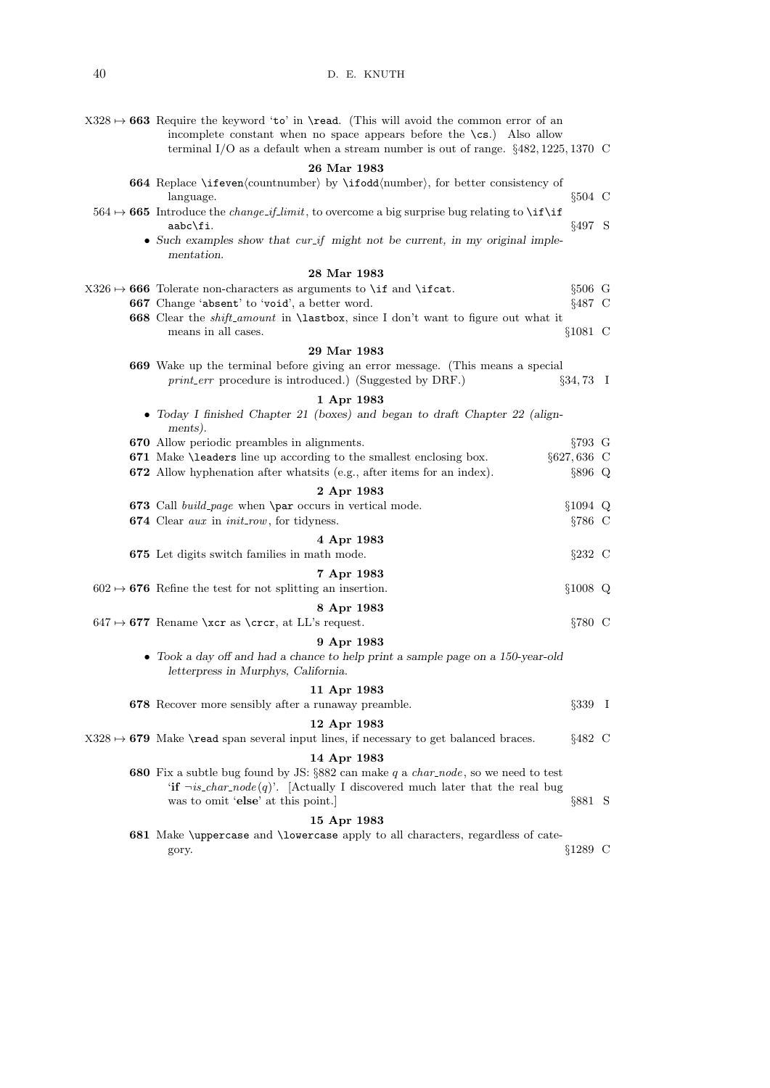| $X328 \rightarrow 663$ Require the keyword 'to' in <b>\read.</b> (This will avoid the common error of an<br>incomplete constant when no space appears before the $\operatorname{cs.}$ ) Also allow<br>terminal I/O as a default when a stream number is out of range. $\S 482, 1225, 1370$ C |                    |  |
|----------------------------------------------------------------------------------------------------------------------------------------------------------------------------------------------------------------------------------------------------------------------------------------------|--------------------|--|
| 26 Mar 1983                                                                                                                                                                                                                                                                                  |                    |  |
| 664 Replace \ifeven(countnumber) by \ifodd(number), for better consistency of<br>language.                                                                                                                                                                                                   | $§504$ C           |  |
| $564 \rightarrow 665$ Introduce the <i>change-if-limit</i> , to overcome a big surprise bug relating to <b>\if</b> \if<br>aabc\fi.                                                                                                                                                           | §497 S             |  |
| $\bullet$ Such examples show that cur_if might not be current, in my original imple-<br>mentation.                                                                                                                                                                                           |                    |  |
| 28 Mar 1983                                                                                                                                                                                                                                                                                  |                    |  |
| $X326 \rightarrow 666$ Tolerate non-characters as arguments to \if and \ifcat.                                                                                                                                                                                                               | $§506$ G           |  |
| 667 Change 'absent' to 'void', a better word.                                                                                                                                                                                                                                                | $§487$ C           |  |
| <b>668</b> Clear the <i>shift_amount</i> in <b>\lastbox</b> , since I don't want to figure out what it<br>means in all cases.                                                                                                                                                                | $$1081$ C          |  |
| 29 Mar 1983                                                                                                                                                                                                                                                                                  |                    |  |
| 669 Wake up the terminal before giving an error message. (This means a special                                                                                                                                                                                                               |                    |  |
| <i>print_err</i> procedure is introduced.) (Suggested by DRF.)                                                                                                                                                                                                                               | $§34,73$ I         |  |
| 1 Apr 1983                                                                                                                                                                                                                                                                                   |                    |  |
| • Today I finished Chapter 21 (boxes) and began to draft Chapter 22 (align-<br>ments).                                                                                                                                                                                                       |                    |  |
| 670 Allow periodic preambles in alignments.                                                                                                                                                                                                                                                  | $\S 793 \text{ G}$ |  |
| 671 Make \leaders line up according to the smallest enclosing box.                                                                                                                                                                                                                           | $§627,636$ C       |  |
| <b>672</b> Allow hyphenation after what its (e.g., after items for an index).                                                                                                                                                                                                                | §896 Q             |  |
| 2 Apr 1983                                                                                                                                                                                                                                                                                   |                    |  |
| <b>673</b> Call <i>build_page</i> when <b>\par</b> occurs in vertical mode.                                                                                                                                                                                                                  | $§1094$ Q          |  |
| 674 Clear aux in init_row, for tidyness.                                                                                                                                                                                                                                                     | $\S 786$ C         |  |
| 4 Apr 1983                                                                                                                                                                                                                                                                                   |                    |  |
| 675 Let digits switch families in math mode.                                                                                                                                                                                                                                                 | $\S 232$ C         |  |
| 7 Apr 1983                                                                                                                                                                                                                                                                                   |                    |  |
| $602 \rightarrow 676$ Refine the test for not splitting an insertion.                                                                                                                                                                                                                        | $§1008$ Q          |  |
| 8 Apr 1983                                                                                                                                                                                                                                                                                   |                    |  |
| $647 \rightarrow 677$ Rename \xcr as \crcr, at LL's request.                                                                                                                                                                                                                                 | $\S 780$ C         |  |
| 9 Apr 1983                                                                                                                                                                                                                                                                                   |                    |  |
| • Took a day off and had a chance to help print a sample page on a 150-year-old<br>letterpress in Murphys, California.                                                                                                                                                                       |                    |  |
| 11 Apr 1983                                                                                                                                                                                                                                                                                  |                    |  |
| 678 Recover more sensibly after a runaway preamble.                                                                                                                                                                                                                                          | $\S 339$ I         |  |
| 12 Apr 1983                                                                                                                                                                                                                                                                                  |                    |  |
| $X328 \rightarrow 679$ Make \read span several input lines, if necessary to get balanced braces.                                                                                                                                                                                             | $§482 \text{ C}$   |  |
| 14 Apr 1983<br><b>680</b> Fix a subtle bug found by JS: $\S 882$ can make q a <i>char_node</i> , so we need to test                                                                                                                                                                          |                    |  |
| 'if $\neg$ is_char_node(q)'. [Actually I discovered much later that the real bug<br>was to omit 'else' at this point.                                                                                                                                                                        | $\S 881$ S         |  |
| 15 Apr 1983                                                                                                                                                                                                                                                                                  |                    |  |
| 681 Make \uppercase and \lowercase apply to all characters, regardless of cate-                                                                                                                                                                                                              |                    |  |
| gory.                                                                                                                                                                                                                                                                                        | $§1289$ C          |  |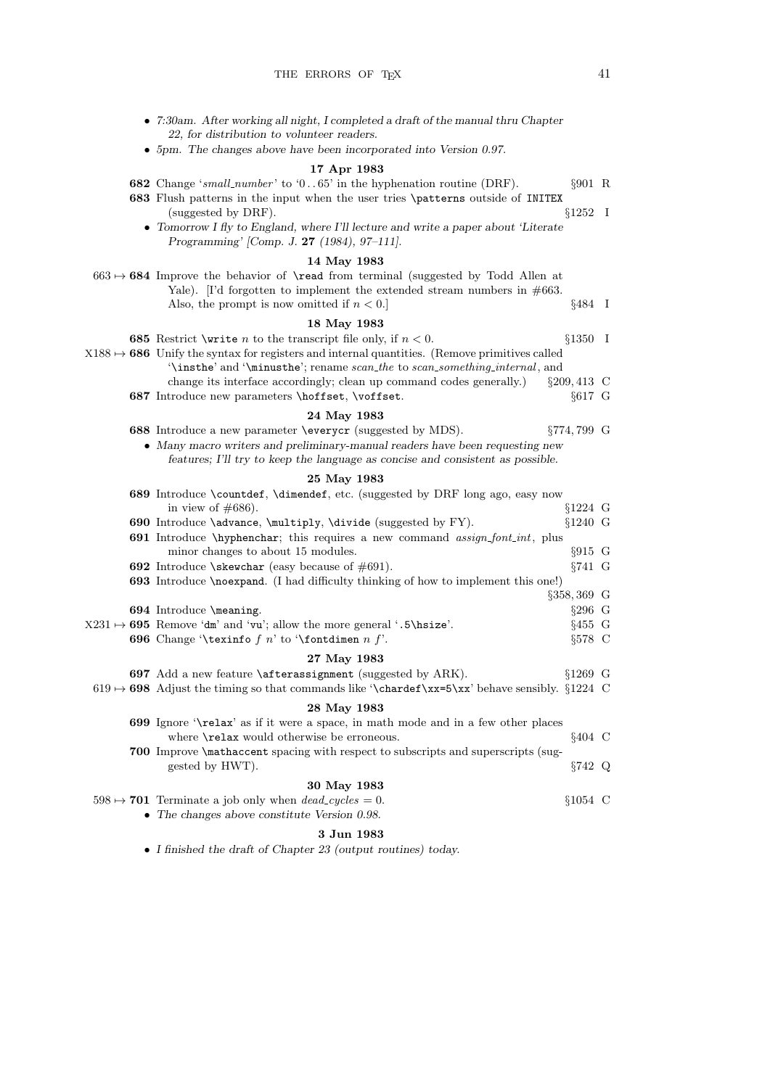• 5pm. The changes above have been incorporated into Version 0.97.

22, for distribution to volunteer readers.

• 7:30am. After working all night, I completed a draft of the manual thru Chapter

17 Apr 1983

| <b>682</b> Change 'small_number' to '065' in the hyphenation routine (DRF).<br>$\S 901$ R                                                                                                                                               |  |
|-----------------------------------------------------------------------------------------------------------------------------------------------------------------------------------------------------------------------------------------|--|
| 683 Flush patterns in the input when the user tries \patterns outside of INITEX                                                                                                                                                         |  |
| $§1252$ I<br>(suggested by DRF).                                                                                                                                                                                                        |  |
| • Tomorrow I fly to England, where I'll lecture and write a paper about 'Literate<br>Programming' [Comp. J. 27 (1984), 97-111].                                                                                                         |  |
| 14 May 1983                                                                                                                                                                                                                             |  |
| $663 \rightarrow 684$ Improve the behavior of \read from terminal (suggested by Todd Allen at<br>Yale). I'd forgotten to implement the extended stream numbers in $\#663$ .<br>$§484$ I<br>Also, the prompt is now omitted if $n < 0$ . |  |
|                                                                                                                                                                                                                                         |  |
| 18 May 1983<br><b>685</b> Restrict <i>\write n</i> to the transcript file only, if $n < 0$ .<br>$§1350$ I                                                                                                                               |  |
| $X188 \rightarrow 686$ Unify the syntax for registers and internal quantities. (Remove primitives called<br>$\lambda$ insthe' and $\lambda$ inimusthe'; rename scan_the to scan_something_internal, and                                 |  |
| $§209, 413$ C<br>change its interface accordingly; clean up command codes generally.)                                                                                                                                                   |  |
| 687 Introduce new parameters \hoffset, \voffset.<br>$§617$ G                                                                                                                                                                            |  |
| 24 May 1983                                                                                                                                                                                                                             |  |
| 688 Introduce a new parameter \everycr (suggested by MDS).<br>$\S 774, 799$ G                                                                                                                                                           |  |
| • Many macro writers and preliminary-manual readers have been requesting new<br>features; I'll try to keep the language as concise and consistent as possible.                                                                          |  |
| 25 May 1983                                                                                                                                                                                                                             |  |
| 689 Introduce \countdef, \dimendef, etc. (suggested by DRF long ago, easy now                                                                                                                                                           |  |
| $§1224$ G<br>in view of $\#686$ ).                                                                                                                                                                                                      |  |
| 690 Introduce \advance, \multiply, \divide (suggested by FY).<br>$$1240 \text{ G}$                                                                                                                                                      |  |
| 691 Introduce \hyphenchar; this requires a new command assign_font_int, plus<br>$§915$ G<br>minor changes to about 15 modules.                                                                                                          |  |
| $\S 741 \text{ G}$<br><b>692</b> Introduce \skewchar (easy because of $\#691$ ).                                                                                                                                                        |  |
| 693 Introduce \noexpand. (I had difficulty thinking of how to implement this one!)                                                                                                                                                      |  |
| $\S 358, 369$ G                                                                                                                                                                                                                         |  |
| $\S 296$ G<br>694 Introduce \meaning.                                                                                                                                                                                                   |  |
| $X231 \rightarrow 695$ Remove 'dm' and 'vu'; allow the more general '.5\hsize'.<br>$§455$ G                                                                                                                                             |  |
| <b>696</b> Change '\texinfo $f$ n' to '\fontdimen $n$ $f$ '.<br>$§578$ C                                                                                                                                                                |  |
| 27 May 1983                                                                                                                                                                                                                             |  |
| 697 Add a new feature $\text{atterassignment}$ (suggested by ARK).<br>$$1269$ G                                                                                                                                                         |  |
| $619 \rightarrow 698$ Adjust the timing so that commands like '\chardef\xx=5\xx' behave sensibly. $\S 1224$ C                                                                                                                           |  |
| 28 May 1983                                                                                                                                                                                                                             |  |
| <b>699</b> Ignore '\relax' as if it were a space, in math mode and in a few other places                                                                                                                                                |  |
| $§404$ C<br>where <b>\relax</b> would otherwise be erroneous.                                                                                                                                                                           |  |
| <b>700</b> Improve \mathaccent spacing with respect to subscripts and superscripts (sug-<br>$\S 742$ Q<br>gested by HWT.                                                                                                                |  |
| 30 May 1983                                                                                                                                                                                                                             |  |
| $598 \rightarrow 701$ Terminate a job only when $dead\_cycles = 0$ .<br>$§1054$ C<br>• The changes above constitute Version $0.98$ .                                                                                                    |  |
|                                                                                                                                                                                                                                         |  |
| 3 Jun 1983                                                                                                                                                                                                                              |  |

• I finished the draft of Chapter 23 (output routines) today.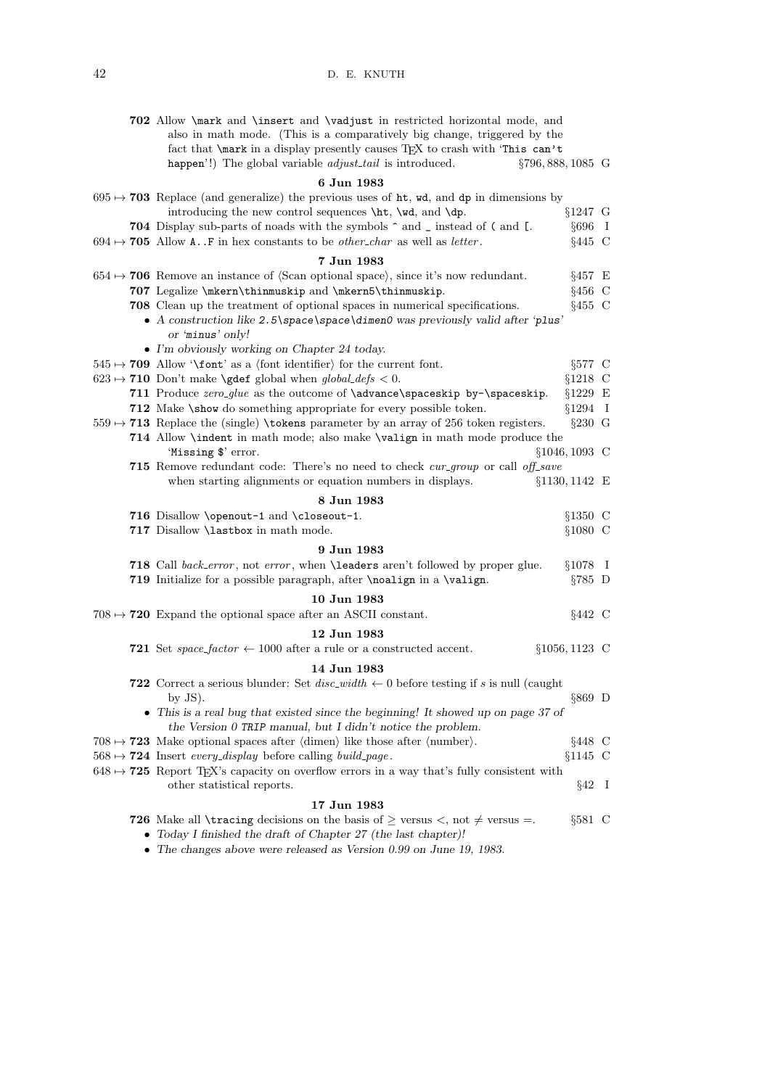|  | 702 Allow \mark and \insert and \vadjust in restricted horizontal mode, and<br>also in math mode. (This is a comparatively big change, triggered by the<br>fact that <b>\mark</b> in a display presently causes TEX to crash with 'This can't<br>happen'!) The global variable <i>adjust_tail</i> is introduced.<br>§796, 888, 1085 G |         |
|--|---------------------------------------------------------------------------------------------------------------------------------------------------------------------------------------------------------------------------------------------------------------------------------------------------------------------------------------|---------|
|  | 6 Jun 1983                                                                                                                                                                                                                                                                                                                            |         |
|  | $695 \rightarrow 703$ Replace (and generalize) the previous uses of ht, wd, and dp in dimensions by                                                                                                                                                                                                                                   |         |
|  | introducing the new control sequences $\ht$ , $\wd$ , and $\dp$ .<br>$§1247$ G                                                                                                                                                                                                                                                        |         |
|  | <b>704</b> Display sub-parts of noads with the symbols $\hat{\ }$ and _ instead of ( and [.<br>$§696$ I                                                                                                                                                                                                                               |         |
|  | $694 \rightarrow 705$ Allow A. F in hex constants to be <i>other_char</i> as well as <i>letter</i> .<br>$§445$ C                                                                                                                                                                                                                      |         |
|  | 7 Jun 1983                                                                                                                                                                                                                                                                                                                            |         |
|  | $654 \rightarrow 706$ Remove an instance of $\langle$ Scan optional space $\rangle$ , since it's now redundant.<br>$§457 \tE$                                                                                                                                                                                                         |         |
|  | 707 Legalize \mkern\thinmuskip and \mkern5\thinmuskip.<br>$§456$ C                                                                                                                                                                                                                                                                    |         |
|  | <b>708</b> Clean up the treatment of optional spaces in numerical specifications.<br>$§455$ C                                                                                                                                                                                                                                         |         |
|  | • A construction like $2.5\$ space \space \dimen0 was previously valid after 'plus'<br>or 'minus' only!                                                                                                                                                                                                                               |         |
|  | • I'm obviously working on Chapter 24 today.                                                                                                                                                                                                                                                                                          |         |
|  | $§577$ C<br>$545 \rightarrow 709$ Allow '\font' as a (font identifier) for the current font.                                                                                                                                                                                                                                          |         |
|  | $623 \mapsto 710$ Don't make <b>\gdef</b> global when $global\_defs < 0$ .<br>$§1218$ C                                                                                                                                                                                                                                               |         |
|  | 711 Produce zero_glue as the outcome of \advance\spaceskip by-\spaceskip.<br>$§1229$ E                                                                                                                                                                                                                                                |         |
|  | $§1294$ I<br>712 Make \show do something appropriate for every possible token.                                                                                                                                                                                                                                                        |         |
|  | $559 \rightarrow 713$ Replace the (single) \tokens parameter by an array of 256 token registers.<br>$\S 230$ G                                                                                                                                                                                                                        |         |
|  | 714 Allow <i>\indent</i> in math mode; also make <b>\valign</b> in math mode produce the                                                                                                                                                                                                                                              |         |
|  | 'Missing \$' error.<br>$§1046, 1093$ C<br><b>715</b> Remove redundant code: There's no need to check cur-group or call off-save                                                                                                                                                                                                       |         |
|  | when starting alignments or equation numbers in displays.<br>§1130, 1142 E                                                                                                                                                                                                                                                            |         |
|  | 8 Jun 1983                                                                                                                                                                                                                                                                                                                            |         |
|  | 716 Disallow \openout-1 and \closeout-1.<br>$§1350$ C                                                                                                                                                                                                                                                                                 |         |
|  | 717 Disallow \lastbox in math mode.<br>$§1080$ C                                                                                                                                                                                                                                                                                      |         |
|  | 9 Jun 1983                                                                                                                                                                                                                                                                                                                            |         |
|  | 718 Call back_error, not error, when \leaders aren't followed by proper glue.<br>$§1078$ I                                                                                                                                                                                                                                            |         |
|  | 719 Initialize for a possible paragraph, after <b>\noalign</b> in a <b>\valign</b> .<br>$\S 785$ D                                                                                                                                                                                                                                    |         |
|  | 10 Jun 1983                                                                                                                                                                                                                                                                                                                           |         |
|  | $708 \rightarrow 720$ Expand the optional space after an ASCII constant.<br>$§442$ C                                                                                                                                                                                                                                                  |         |
|  | 12 Jun 1983                                                                                                                                                                                                                                                                                                                           |         |
|  | 721 Set space_factor $\leftarrow$ 1000 after a rule or a constructed accent.<br>$§1056, 1123$ C                                                                                                                                                                                                                                       |         |
|  | 14 Jun 1983                                                                                                                                                                                                                                                                                                                           |         |
|  | <b>722</b> Correct a serious blunder: Set $disc\_width \leftarrow 0$ before testing if s is null (caught<br>by $JS$ ).<br>$\S 869$ D                                                                                                                                                                                                  |         |
|  | • This is a real bug that existed since the beginning! It showed up on page 37 of<br>the Version 0 TRIP manual, but I didn't notice the problem.                                                                                                                                                                                      |         |
|  | $708 \rightarrow 723$ Make optional spaces after $\langle$ dimen $\rangle$ like those after $\langle$ number $\rangle$ .<br>$§448$ C                                                                                                                                                                                                  |         |
|  | $568 \rightarrow 724$ Insert <i>every_display</i> before calling <i>build_page</i> .<br>$§1145$ C                                                                                                                                                                                                                                     |         |
|  | $648 \rightarrow 725$ Report T <sub>E</sub> X's capacity on overflow errors in a way that's fully consistent with<br>other statistical reports.                                                                                                                                                                                       | $§42$ I |
|  | 17 Jun 1983                                                                                                                                                                                                                                                                                                                           |         |
|  | <b>726</b> Make all <b>\tracing</b> decisions on the basis of $\geq$ versus $\lt$ , not $\neq$ versus $=$ .<br>$§581$ C<br>• Today I finished the draft of Chapter 27 (the last chapter)!                                                                                                                                             |         |

• The changes above were released as Version 0.99 on June 19, 1983.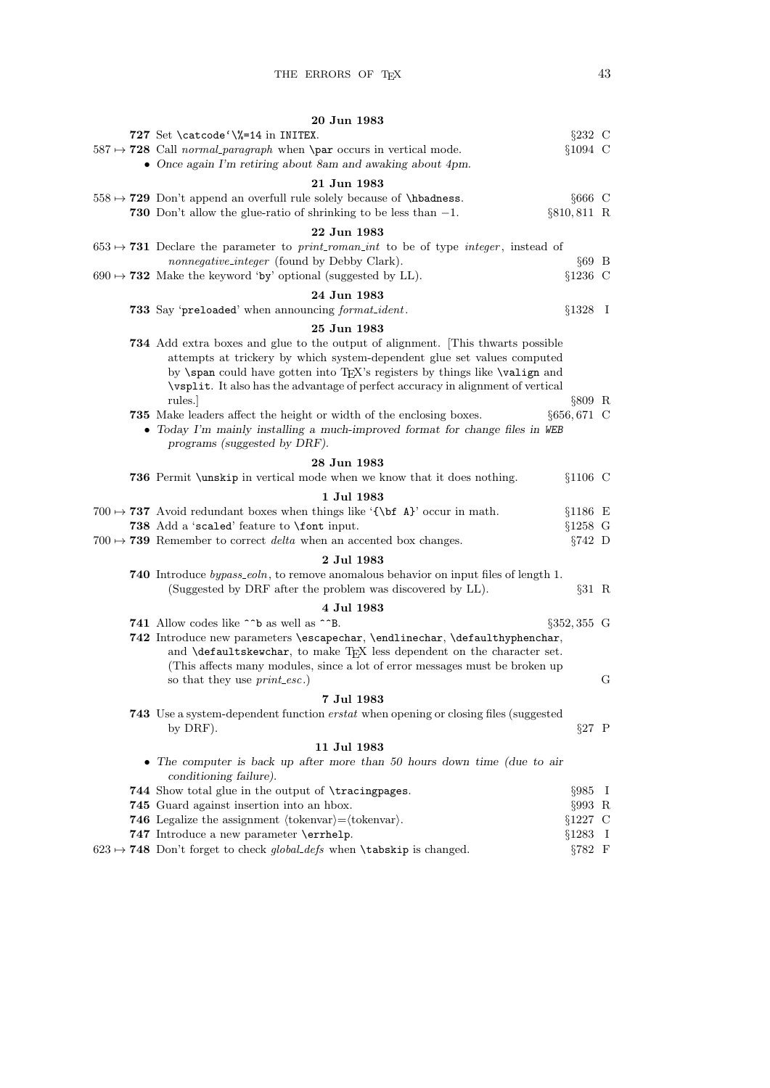|  | 20 Jun 1983                                                                                                           |         |
|--|-----------------------------------------------------------------------------------------------------------------------|---------|
|  | 727 Set \catcode '\%=14 in INITEX.<br>$\S 232$ C                                                                      |         |
|  | $$1094$ C<br>$587 \rightarrow 728$ Call normal paragraph when <b>\par</b> occurs in vertical mode.                    |         |
|  | • Once again I'm retiring about 8am and awaking about 4pm.                                                            |         |
|  | 21 Jun 1983                                                                                                           |         |
|  | $558 \mapsto 729$ Don't append an overfull rule solely because of \hbadness.<br>$§666$ C                              |         |
|  |                                                                                                                       |         |
|  | 730 Don't allow the glue-ratio of shrinking to be less than $-1$ .<br>$§810, 811$ R                                   |         |
|  | 22 Jun 1983                                                                                                           |         |
|  | $653 \rightarrow 731$ Declare the parameter to <i>print_roman_int</i> to be of type <i>integer</i> , instead of       |         |
|  | nonnegative_integer (found by Debby Clark).<br>$§69$ B                                                                |         |
|  | $690 \rightarrow 732$ Make the keyword 'by' optional (suggested by LL).<br>$§1236$ C                                  |         |
|  | 24 Jun 1983                                                                                                           |         |
|  | 733 Say 'preloaded' when announcing format_ident.<br>$§1328$ I                                                        |         |
|  |                                                                                                                       |         |
|  | 25 Jun 1983                                                                                                           |         |
|  | <b>734</b> Add extra boxes and glue to the output of alignment. This thwarts possible                                 |         |
|  | attempts at trickery by which system-dependent glue set values computed                                               |         |
|  | by <b>\span</b> could have gotten into TFX's registers by things like <b>\valign</b> and                              |         |
|  | \vsplit. It also has the advantage of perfect accuracy in alignment of vertical                                       |         |
|  | rules.<br>$§809$ R                                                                                                    |         |
|  | §656,671 C<br>735 Make leaders affect the height or width of the enclosing boxes.                                     |         |
|  | • Today I'm mainly installing a much-improved format for change files in WEB                                          |         |
|  | programs (suggested by DRF).                                                                                          |         |
|  | 28 Jun 1983                                                                                                           |         |
|  | 736 Permit \unskip in vertical mode when we know that it does nothing.<br>$§1106$ C                                   |         |
|  | 1 Jul 1983                                                                                                            |         |
|  | 700 $\rightarrow$ 737 Avoid redundant boxes when things like '{\bi A}' occur in math.<br>$§1186$ E                    |         |
|  | 738 Add a 'scaled' feature to \font input.<br>$§1258$ G                                                               |         |
|  | $700 \rightarrow 739$ Remember to correct <i>delta</i> when an accented box changes.<br>$\S 742$ D                    |         |
|  |                                                                                                                       |         |
|  | 2 Jul 1983                                                                                                            |         |
|  | 740 Introduce bypass_eoln, to remove anomalous behavior on input files of length 1.                                   |         |
|  | (Suggested by DRF after the problem was discovered by LL).<br>$§31$ R                                                 |         |
|  | 4 Jul 1983                                                                                                            |         |
|  | 741 Allow codes like <sup><math>\sim</math></sup> b as well as $\sim$ <sup>-</sup> B.<br>$\S 352, 355$ G              |         |
|  | 742 Introduce new parameters \escapechar, \endlinechar, \defaulthyphenchar,                                           |         |
|  | and <b>\defaultskewchar</b> , to make TEX less dependent on the character set.                                        |         |
|  | (This affects many modules, since a lot of error messages must be broken up                                           |         |
|  | so that they use <i>print_esc</i> .)                                                                                  | G       |
|  | 7 Jul 1983                                                                                                            |         |
|  | 743 Use a system-dependent function <i>erstat</i> when opening or closing files (suggested                            |         |
|  | $§27$ P<br>by DRF).                                                                                                   |         |
|  |                                                                                                                       |         |
|  | 11 Jul 1983                                                                                                           |         |
|  | • The computer is back up after more than 50 hours down time (due to air                                              |         |
|  | conditioning failure).                                                                                                |         |
|  | 744 Show total glue in the output of \tracingpages.<br>$§985$ I                                                       |         |
|  | 745 Guard against insertion into an hbox.<br>$\S 993$ R                                                               |         |
|  | <b>746</b> Legalize the assignment $\langle \text{tokenvar} \rangle = \langle \text{tokenvar} \rangle$ .<br>$§1227$ C |         |
|  | 747 Introduce a new parameter \errhelp.<br>§1283                                                                      | $\perp$ |
|  | $623 \rightarrow 748$ Don't forget to check global-defs when <b>\tabskip</b> is changed.<br>$§782$ F                  |         |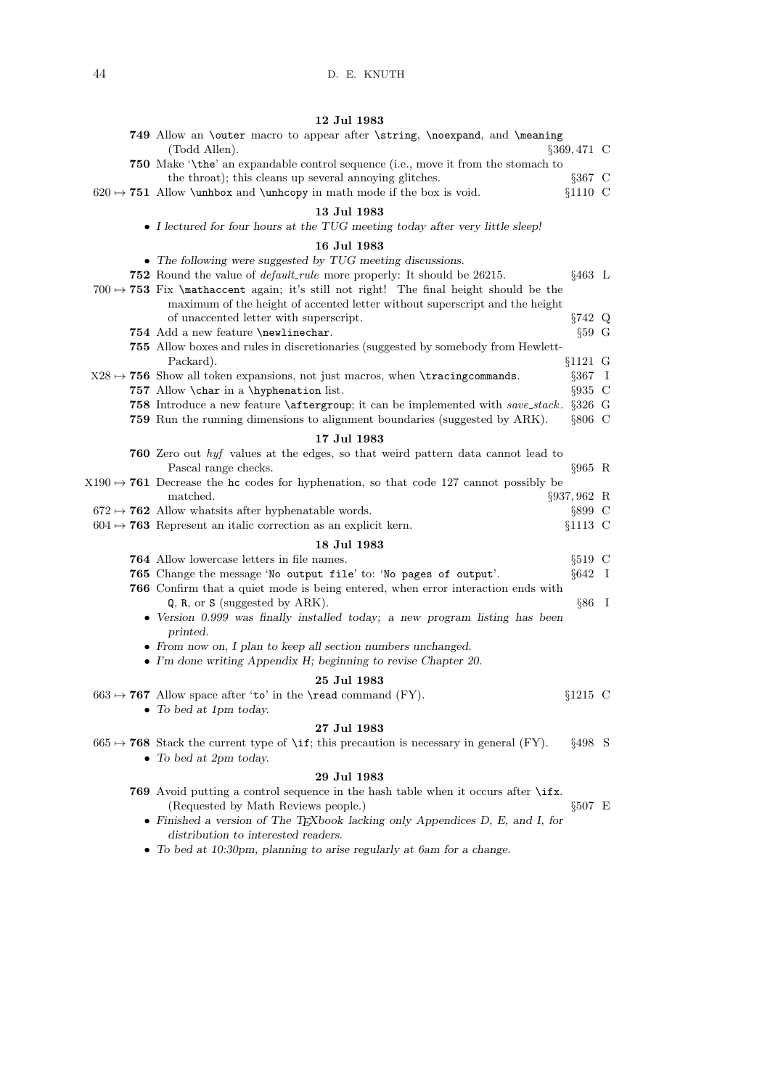## 12 Jul 1983

|  | 749 Allow an \outer macro to appear after \string, \noexpand, and \meaning<br>(Todd Allen).<br>§369,471 C                                                                        |  |
|--|----------------------------------------------------------------------------------------------------------------------------------------------------------------------------------|--|
|  | <b>750</b> Make '\the' an expandable control sequence (i.e., move it from the stomach to                                                                                         |  |
|  | the throat); this cleans up several annoying glitches.<br>$§367$ C<br>$$1110$ C<br>$620 \rightarrow 751$ Allow \unhbox and \unhcopy in math mode if the box is void.             |  |
|  | 13 Jul 1983                                                                                                                                                                      |  |
|  | • I lectured for four hours at the TUG meeting today after very little sleep!                                                                                                    |  |
|  | 16 Jul 1983                                                                                                                                                                      |  |
|  | • The following were suggested by TUG meeting discussions.                                                                                                                       |  |
|  | <b>752</b> Round the value of <i>default_rule</i> more properly: It should be 26215.<br>$§463$ L                                                                                 |  |
|  | 700 $\rightarrow$ 753 Fix \mathaccent again; it's still not right! The final height should be the<br>maximum of the height of accented letter without superscript and the height |  |
|  | $§742$ Q<br>of unaccented letter with superscript.                                                                                                                               |  |
|  | 754 Add a new feature \newlinechar.<br>$§59$ G                                                                                                                                   |  |
|  | 755 Allow boxes and rules in discretionaries (suggested by somebody from Hewlett-<br>Packard).<br>$§1121$ G                                                                      |  |
|  | $X28 \rightarrow 756$ Show all token expansions, not just macros, when \tracingcommands.<br>$\S 367$ I                                                                           |  |
|  | 757 Allow \char in a \hyphenation list.<br>$§935$ C                                                                                                                              |  |
|  | 758 Introduce a new feature <i>\aftergroup</i> ; it can be implemented with save_stack.<br>$\S 326$ G                                                                            |  |
|  | 759 Run the running dimensions to alignment boundaries (suggested by ARK).<br>$§806$ C                                                                                           |  |
|  | 17 Jul 1983                                                                                                                                                                      |  |
|  | 760 Zero out hyf values at the edges, so that weird pattern data cannot lead to                                                                                                  |  |
|  | Pascal range checks.<br>$§965$ R                                                                                                                                                 |  |
|  | $X190 \rightarrow 761$ Decrease the hc codes for hyphenation, so that code 127 cannot possibly be<br>matched.                                                                    |  |
|  | §937,962 R<br>$672 \rightarrow 762$ Allow what sits after hyphenatable words.<br>$\S 899$ C                                                                                      |  |
|  | $604 \rightarrow 763$ Represent an italic correction as an explicit kern.<br>$§1113$ C                                                                                           |  |
|  | 18 Jul 1983                                                                                                                                                                      |  |
|  | 764 Allow lowercase letters in file names.<br>$§519$ C                                                                                                                           |  |
|  | 765 Change the message 'No output file' to: 'No pages of output'.<br>$§642$ I                                                                                                    |  |
|  | 766 Confirm that a quiet mode is being entered, when error interaction ends with                                                                                                 |  |
|  | $Q$ , R, or S (suggested by ARK).<br>$§86$ I                                                                                                                                     |  |
|  | • Version 0.999 was finally installed today; a new program listing has been<br>printed.                                                                                          |  |
|  | • From now on, I plan to keep all section numbers unchanged.                                                                                                                     |  |
|  | $\bullet$ I'm done writing Appendix H; beginning to revise Chapter 20.                                                                                                           |  |
|  | 25 Jul 1983                                                                                                                                                                      |  |
|  | $663 \rightarrow 767$ Allow space after 'to' in the <b>\read</b> command (FY).<br>$$1215$ C                                                                                      |  |
|  | • To bed at 1pm today.                                                                                                                                                           |  |
|  | 27 Jul 1983                                                                                                                                                                      |  |
|  | $§498$ S<br>$665 \rightarrow 768$ Stack the current type of \if; this precaution is necessary in general (FY).<br>$\bullet$ To bed at 2pm today.                                 |  |
|  | 29 Jul 1983                                                                                                                                                                      |  |
|  | 769 Avoid putting a control sequence in the hash table when it occurs after \ifx.                                                                                                |  |
|  | (Requested by Math Reviews people.)<br>$§507$ E                                                                                                                                  |  |
|  | • Finished a version of The TEX book lacking only Appendices D, E, and I, for<br>distribution to interested readers.                                                             |  |

 $\bullet~$  To bed at 10:30pm, planning to arise regularly at 6am for a change.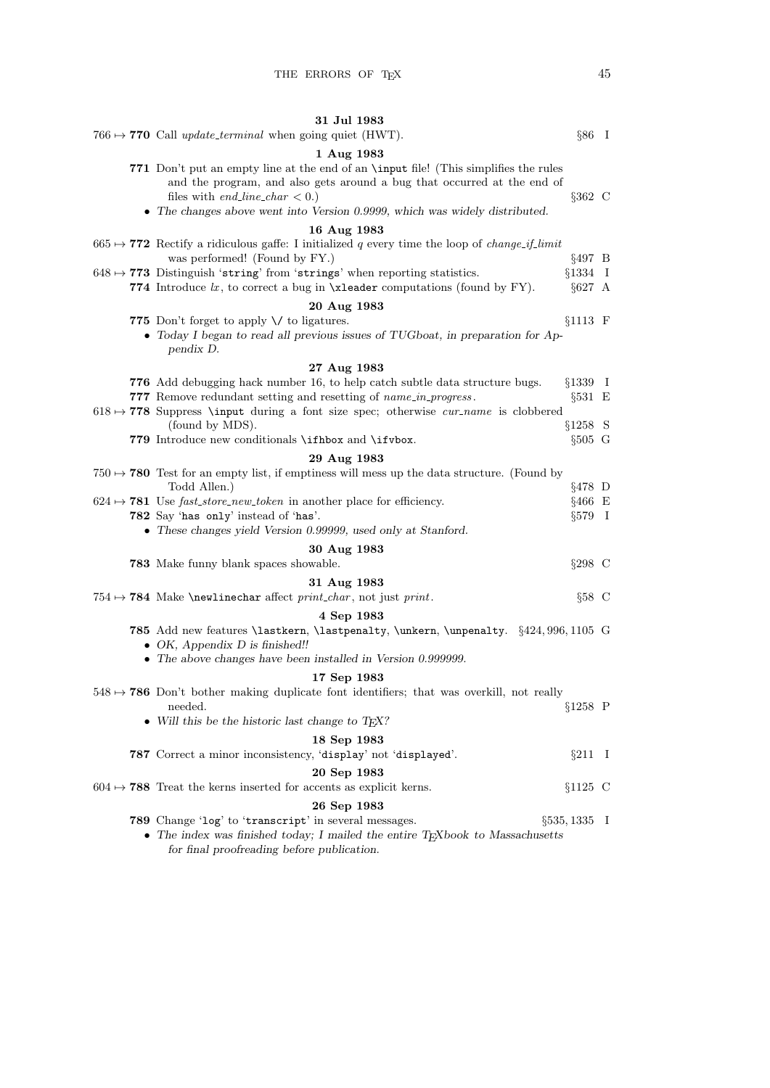| 31 Jul 1983                                                                                                                                                                                                                                                                                                           |  |
|-----------------------------------------------------------------------------------------------------------------------------------------------------------------------------------------------------------------------------------------------------------------------------------------------------------------------|--|
| 766 $\rightarrow$ 770 Call update_terminal when going quiet (HWT).<br>$§86$ I                                                                                                                                                                                                                                         |  |
| 1 Aug 1983                                                                                                                                                                                                                                                                                                            |  |
| 771 Don't put an empty line at the end of an <b>\input</b> file! (This simplifies the rules<br>and the program, and also gets around a bug that occurred at the end of<br>$§362$ C<br>files with <i>end_line_char</i> $< 0$ .)<br>$\bullet$ The changes above went into Version 0.9999, which was widely distributed. |  |
| 16 Aug 1983                                                                                                                                                                                                                                                                                                           |  |
| 665 $\rightarrow$ 772 Rectify a ridiculous gaffe: I initialized q every time the loop of <i>change_if_limit</i>                                                                                                                                                                                                       |  |
| was performed! (Found by FY.)<br>$§497$ B                                                                                                                                                                                                                                                                             |  |
| $§1334$ I<br>$648 \mapsto 773$ Distinguish 'string' from 'strings' when reporting statistics.                                                                                                                                                                                                                         |  |
| 774 Introduce $lx$ , to correct a bug in $xleader$ computations (found by FY).<br>$§627$ A                                                                                                                                                                                                                            |  |
| 20 Aug 1983                                                                                                                                                                                                                                                                                                           |  |
| 775 Don't forget to apply $\setminus$ to ligatures.<br>$§1113$ F                                                                                                                                                                                                                                                      |  |
| • Today I began to read all previous issues of TUGboat, in preparation for Ap-                                                                                                                                                                                                                                        |  |
| pendix D.                                                                                                                                                                                                                                                                                                             |  |
| 27 Aug 1983                                                                                                                                                                                                                                                                                                           |  |
| 776 Add debugging hack number 16, to help catch subtle data structure bugs.<br>$§1339$ I                                                                                                                                                                                                                              |  |
| 777 Remove redundant setting and resetting of <i>name_in_progress</i> .<br>$§531 \t E$                                                                                                                                                                                                                                |  |
| $618 \rightarrow 778$ Suppress \input during a font size spec; otherwise <i>cur-name</i> is clobbered<br>$§1258$ S                                                                                                                                                                                                    |  |
| (found by MDS).<br>779 Introduce new conditionals \ifhbox and \ifvbox.<br>$§505 \text{ G}$                                                                                                                                                                                                                            |  |
|                                                                                                                                                                                                                                                                                                                       |  |
| 29 Aug 1983<br>750 $\rightarrow$ 780 Test for an empty list, if emptiness will mess up the data structure. (Found by                                                                                                                                                                                                  |  |
| Todd Allen.)<br>$§478$ D                                                                                                                                                                                                                                                                                              |  |
| $624 \rightarrow 781$ Use fast_store_new_token in another place for efficiency.<br>$§466$ E                                                                                                                                                                                                                           |  |
| 782 Say 'has only' instead of 'has'.<br>$\S 579$ I                                                                                                                                                                                                                                                                    |  |
| • These changes yield Version 0.99999, used only at Stanford.                                                                                                                                                                                                                                                         |  |
| 30 Aug 1983                                                                                                                                                                                                                                                                                                           |  |
| $\S 298$ C<br><b>783</b> Make funny blank spaces showable.                                                                                                                                                                                                                                                            |  |
| 31 Aug 1983                                                                                                                                                                                                                                                                                                           |  |
| $§58$ C<br>754 $\rightarrow$ 784 Make \newlinechar affect print_char, not just print.                                                                                                                                                                                                                                 |  |
| 4 Sep 1983                                                                                                                                                                                                                                                                                                            |  |
| <b>785</b> Add new features <i>lastkern</i> , <i>lastpenalty</i> , <i>lunkern</i> , <i>lunpenalty.</i> §424,996,1105 G                                                                                                                                                                                                |  |
| • OK, Appendix $D$ is finished!!                                                                                                                                                                                                                                                                                      |  |
| $\bullet$ The above changes have been installed in Version 0.999999.                                                                                                                                                                                                                                                  |  |
| 17 Sep 1983                                                                                                                                                                                                                                                                                                           |  |
| $548 \rightarrow 786$ Don't bother making duplicate font identifiers; that was overkill, not really                                                                                                                                                                                                                   |  |
| $§1258$ P<br>needed.<br>• Will this be the historic last change to $T_F X$ ?                                                                                                                                                                                                                                          |  |
|                                                                                                                                                                                                                                                                                                                       |  |
| 18 Sep 1983                                                                                                                                                                                                                                                                                                           |  |
| 787 Correct a minor inconsistency, 'display' not 'displayed'.<br>$\S 211$ I                                                                                                                                                                                                                                           |  |
| 20 Sep 1983                                                                                                                                                                                                                                                                                                           |  |
| $604 \rightarrow 788$ Treat the kerns inserted for accents as explicit kerns.<br>$§1125$ C                                                                                                                                                                                                                            |  |
| 26 Sep 1983                                                                                                                                                                                                                                                                                                           |  |
| 789 Change 'log' to 'transcript' in several messages.<br>$\S 535, 1335$ I                                                                                                                                                                                                                                             |  |
| $\bullet$ The index was finished today; I mailed the entire TEXbook to Massachusetts<br>for final proofreading before publication.                                                                                                                                                                                    |  |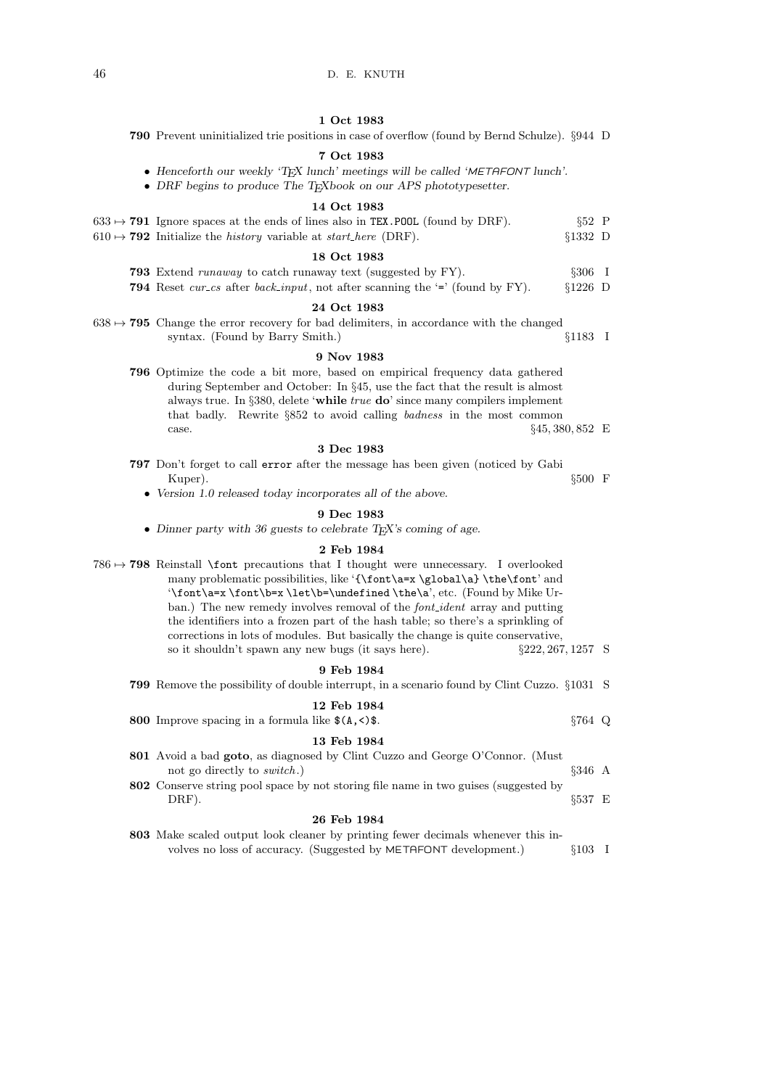## 1 Oct 1983

790 Prevent uninitialized trie positions in case of overflow (found by Bernd Schulze). §944 D

#### 7 Oct 1983

- $\bullet\,$  Henceforth our weekly 'TEX lunch' meetings will be called 'METAFONT lunch'.
- DRF begins to produce The TEXbook on our APS phototypesetter.

#### 14 Oct 1983

| $633 \rightarrow 791$ Ignore spaces at the ends of lines also in TEX. POOL (found by DRF). | $§52$ P   |  |
|--------------------------------------------------------------------------------------------|-----------|--|
| $610 \rightarrow 792$ Initialize the <i>history</i> variable at <i>start_here</i> (DRF).   | $$1332$ D |  |

#### 18 Oct 1983

793 Extend runaway to catch runaway text (suggested by FY). §306 I 794 Reset cur cs after back input, not after scanning the '=' (found by FY).  $\S 1226$  D

#### 24 Oct 1983

 $638 \rightarrow 795$  Change the error recovery for bad delimiters, in accordance with the changed syntax. (Found by Barry Smith.) §1183 I

#### 9 Nov 1983

796 Optimize the code a bit more, based on empirical frequency data gathered during September and October: In §45, use the fact that the result is almost always true. In §380, delete 'while true do' since many compilers implement that badly. Rewrite §852 to avoid calling badness in the most common case. §45, 380, 852 E

#### 3 Dec 1983

- 797 Don't forget to call error after the message has been given (noticed by Gabi  $\rm{Kuper}. \hspace{2cm} \S 500 \hspace{1.5cm} F$ 
	- Version 1.0 released today incorporates all of the above.

### 9 Dec 1983

• Dinner party with 36 guests to celebrate TEX's coming of age.

#### 2 Feb 1984

| 0.51.1004                                                                                              |                      |  |
|--------------------------------------------------------------------------------------------------------|----------------------|--|
| so it shouldn't spawn any new bugs (it says here).                                                     | $\S222, 267, 1257$ S |  |
| corrections in lots of modules. But basically the change is quite conservative,                        |                      |  |
| the identifiers into a frozen part of the hash table; so there's a sprinkling of                       |                      |  |
| ban.) The new remedy involves removal of the <i>font-ident</i> array and putting                       |                      |  |
| $\forall x \font \texttt{b=x \let\be}\undefined \the\a', etc.$ (Found by Mike Ur-                      |                      |  |
| many problematic possibilities, like '{\font\a=x\global\a}\the\font' and                               |                      |  |
| $786 \rightarrow 798$ Reinstall <b>\font</b> precautions that I thought were unnecessary. I overlooked |                      |  |

#### 9 Feb 1984

| <b>799</b> Remove the possibility of double interrupt, in a scenario found by Clint Cuzzo. §1031 S |             |  |
|----------------------------------------------------------------------------------------------------|-------------|--|
| 12 Feb 1984                                                                                        |             |  |
| 800 Improve spacing in a formula like $$(A,\leq)$ .                                                | $$764$ Q    |  |
| 13 Feb 1984                                                                                        |             |  |
| <b>801</b> Avoid a bad <b>goto</b> , as diagnosed by Clint Cuzzo and George O'Connor. (Must        |             |  |
| not go directly to <i>switch</i> .)                                                                | $$346\;\;A$ |  |
| 802 Conserve string pool space by not storing file name in two guises (suggested by                |             |  |

 $\text{DRF}$ ).  $\S$ 537 E

#### 26 Feb 1984

803 Make scaled output look cleaner by printing fewer decimals whenever this involves no loss of accuracy. (Suggested by METAFONT development.)  $§103$  I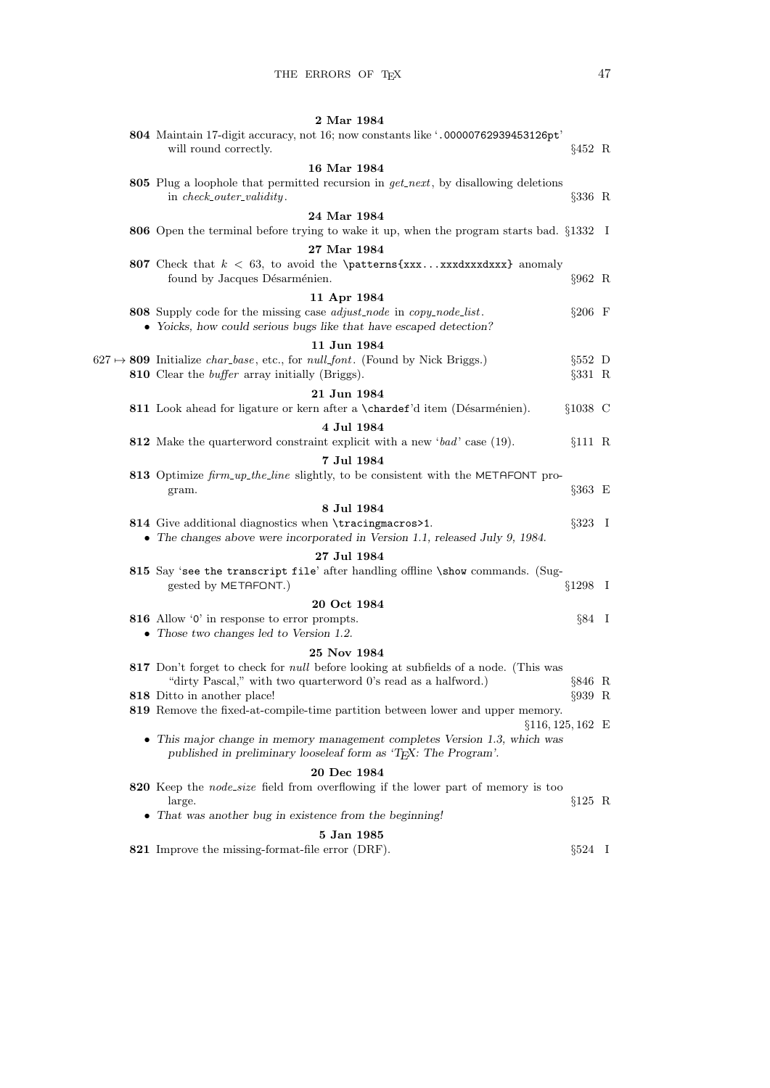|  | 2 Mar 1984                                                                                                                                                                 |                |  |
|--|----------------------------------------------------------------------------------------------------------------------------------------------------------------------------|----------------|--|
|  | 804 Maintain 17-digit accuracy, not 16; now constants like '.00000762939453126pt'<br>will round correctly.                                                                 | $§452$ R       |  |
|  | 16 Mar 1984                                                                                                                                                                |                |  |
|  | 805 Plug a loophole that permitted recursion in $get.next$ , by disallowing deletions<br>in check_outer_validity.                                                          | $§336$ R       |  |
|  | 24 Mar 1984                                                                                                                                                                |                |  |
|  | 806 Open the terminal before trying to wake it up, when the program starts bad. §1332 I                                                                                    |                |  |
|  | 27 Mar 1984                                                                                                                                                                |                |  |
|  | 807 Check that $k < 63$ , to avoid the <b>\patterns{xxxxxdxxxdxxx}</b> anomaly<br>found by Jacques Désarménien.                                                            | $§962 \ R$     |  |
|  | 11 Apr 1984                                                                                                                                                                |                |  |
|  | 808 Supply code for the missing case <i>adjust_node</i> in <i>copy_node_list</i> .<br>• Yoicks, how could serious bugs like that have escaped detection?                   | $§206 \t F$    |  |
|  | 11 Jun 1984                                                                                                                                                                |                |  |
|  | $627 \rightarrow 809$ Initialize <i>char_base</i> , etc., for <i>null_font</i> . (Found by Nick Briggs.)                                                                   | $§552$ D       |  |
|  | 810 Clear the <i>buffer</i> array initially (Briggs).                                                                                                                      | $§331$ R       |  |
|  | 21 Jun 1984                                                                                                                                                                |                |  |
|  | 811 Look ahead for ligature or kern after a \chardef'd item (Désarménien).                                                                                                 | $§1038$ C      |  |
|  | 4 Jul 1984                                                                                                                                                                 |                |  |
|  | 812 Make the quarterword constraint explicit with a new 'bad' case (19).                                                                                                   | §111 R         |  |
|  | 7 Jul 1984                                                                                                                                                                 |                |  |
|  | 813 Optimize firm_up_the_line slightly, to be consistent with the METAFONT pro-<br>gram.                                                                                   | $\S 363$ E     |  |
|  | 8 Jul 1984                                                                                                                                                                 |                |  |
|  | 814 Give additional diagnostics when \tracingmacros>1.<br>• The changes above were incorporated in Version 1.1, released July 9, 1984.                                     | $§323 \quad I$ |  |
|  | 27 Jul 1984                                                                                                                                                                |                |  |
|  | 815 Say 'see the transcript file' after handling offline \show commands. (Sug-<br>gested by METAFONT.)                                                                     | $§1298$ I      |  |
|  | 20 Oct 1984                                                                                                                                                                |                |  |
|  | 816 Allow '0' in response to error prompts.<br>$\bullet$ Those two changes led to Version 1.2.                                                                             | $\S 84$ I      |  |
|  |                                                                                                                                                                            |                |  |
|  | 25 Nov 1984<br>817 Don't forget to check for <i>null</i> before looking at subfields of a node. (This was<br>"dirty Pascal," with two quarterword 0's read as a halfword.) | §846 R         |  |
|  | 818 Ditto in another place!                                                                                                                                                | $\S 939$ R     |  |
|  | 819 Remove the fixed-at-compile-time partition between lower and upper memory.<br>$§116, 125, 162 \text{ E}$                                                               |                |  |
|  | • This major change in memory management completes Version 1.3, which was<br>published in preliminary looseleaf form as 'T <sub>F</sub> X: The Program'.                   |                |  |
|  | 20 Dec 1984                                                                                                                                                                |                |  |
|  | 820 Keep the <i>node_size</i> field from overflowing if the lower part of memory is too<br>large.                                                                          | $§125$ R       |  |
|  | • That was another bug in existence from the beginning!                                                                                                                    |                |  |
|  | 5 Jan 1985                                                                                                                                                                 |                |  |
|  | 821 Improve the missing-format-file error (DRF).                                                                                                                           | $\S 524$ I     |  |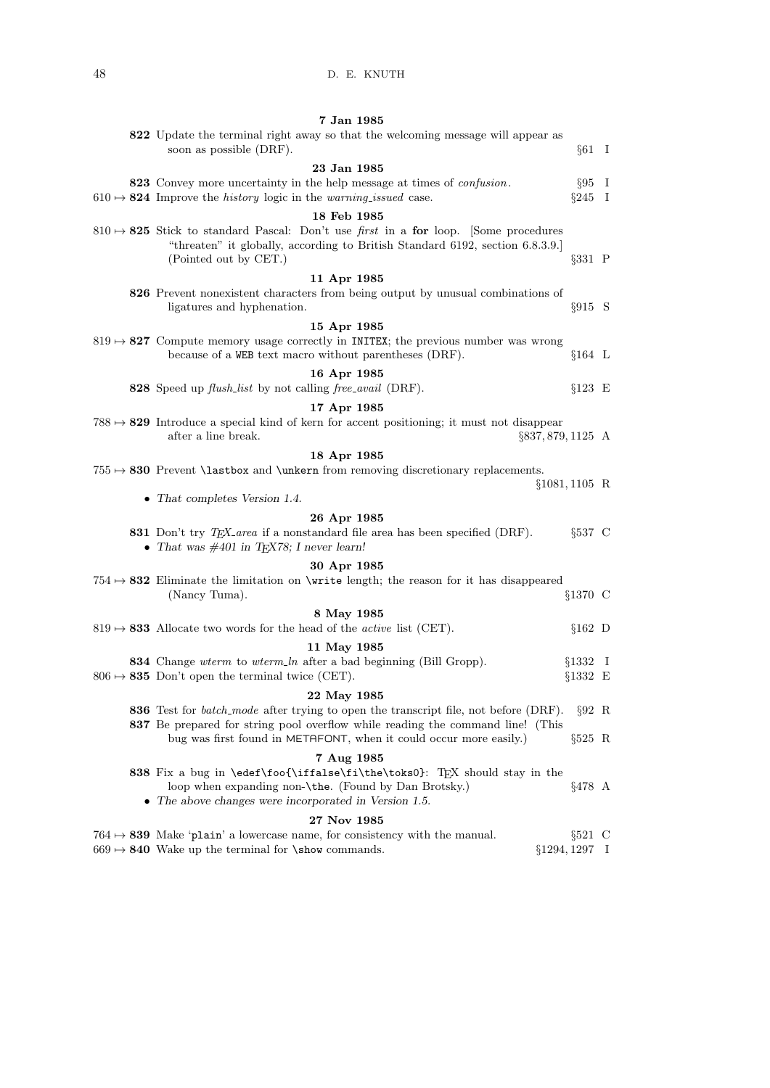| 7 Jan 1985                                                                                                                                                                                                     |                   |              |
|----------------------------------------------------------------------------------------------------------------------------------------------------------------------------------------------------------------|-------------------|--------------|
| 822 Update the terminal right away so that the welcoming message will appear as<br>soon as possible (DRF).                                                                                                     | $§61$ I           |              |
| 23 Jan 1985                                                                                                                                                                                                    |                   |              |
| 823 Convey more uncertainty in the help message at times of <i>confusion</i> .                                                                                                                                 | $\S 95$ I         |              |
| $610 \rightarrow 824$ Improve the <i>history</i> logic in the <i>warning_issued</i> case.                                                                                                                      | §245              | $\mathbf{I}$ |
| 18 Feb 1985                                                                                                                                                                                                    |                   |              |
| $810 \rightarrow 825$ Stick to standard Pascal: Don't use <i>first</i> in a for loop. Some procedures<br>"threaten" it globally, according to British Standard 6192, section 6.8.3.9.<br>(Pointed out by CET.) | $\S 331$ P        |              |
| 11 Apr 1985                                                                                                                                                                                                    |                   |              |
| 826 Prevent nonexistent characters from being output by unusual combinations of<br>ligatures and hyphenation.                                                                                                  | $§915$ S          |              |
| 15 Apr 1985                                                                                                                                                                                                    |                   |              |
| $819 \rightarrow 827$ Compute memory usage correctly in INITEX; the previous number was wrong<br>because of a WEB text macro without parentheses (DRF).                                                        | $§164$ L          |              |
| 16 Apr 1985                                                                                                                                                                                                    |                   |              |
| 828 Speed up flush_list by not calling free_avail (DRF).                                                                                                                                                       | $§123 \tE$        |              |
| 17 Apr 1985                                                                                                                                                                                                    |                   |              |
| $788 \rightarrow 829$ Introduce a special kind of kern for accent positioning; it must not disappear<br>after a line break.<br>$\S 837, 879, 1125 \; A$                                                        |                   |              |
| 18 Apr 1985                                                                                                                                                                                                    |                   |              |
| $755 \rightarrow 830$ Prevent \lastbox and \unkern from removing discretionary replacements.                                                                                                                   |                   |              |
| • That completes Version 1.4.                                                                                                                                                                                  | $§1081, 1105$ R   |              |
| 26 Apr 1985                                                                                                                                                                                                    |                   |              |
| 831 Don't try TFX_area if a nonstandard file area has been specified (DRF).<br>• That was $\#401$ in T <sub>F</sub> X78; I never learn!                                                                        | $§537$ C          |              |
| 30 Apr 1985                                                                                                                                                                                                    |                   |              |
| 754 $\mapsto$ 832 Eliminate the limitation on \write length; the reason for it has disappeared                                                                                                                 |                   |              |
| (Nancy Tuma).                                                                                                                                                                                                  | §1370 C           |              |
| 8 May 1985                                                                                                                                                                                                     |                   |              |
| $819 \rightarrow 833$ Allocate two words for the head of the <i>active</i> list (CET).                                                                                                                         | $§162$ D          |              |
| 11 May 1985                                                                                                                                                                                                    |                   |              |
| <b>834</b> Change wterm to wterm_ln after a bad beginning (Bill Gropp).                                                                                                                                        | §1332             | $\perp$      |
| $806 \rightarrow 835$ Don't open the terminal twice (CET).                                                                                                                                                     | $§1332 \t E$      |              |
| 22 May 1985                                                                                                                                                                                                    |                   |              |
| <b>836</b> Test for <i>batch_mode</i> after trying to open the transcript file, not before (DRF).                                                                                                              | $\S 92$ R         |              |
| 837 Be prepared for string pool overflow while reading the command line! (This<br>bug was first found in METAFONT, when it could occur more easily.)                                                           | $\S525$ R         |              |
| 7 Aug 1985                                                                                                                                                                                                     |                   |              |
| 838 Fix a bug in \edef\foo{\iffalse\fi\the\toks0}: T <sub>F</sub> X should stay in the<br>loop when expanding non- $\theta$ . (Found by Dan Brotsky.)<br>• The above changes were incorporated in Version 1.5. | §478 A            |              |
| 27 Nov 1985                                                                                                                                                                                                    |                   |              |
| $764 \rightarrow 839$ Make 'plain' a lowercase name, for consistency with the manual.                                                                                                                          | $\S521$ C         |              |
| $669 \rightarrow 840$ Wake up the terminal for \show commands.                                                                                                                                                 | $\S 1294, 1297$ I |              |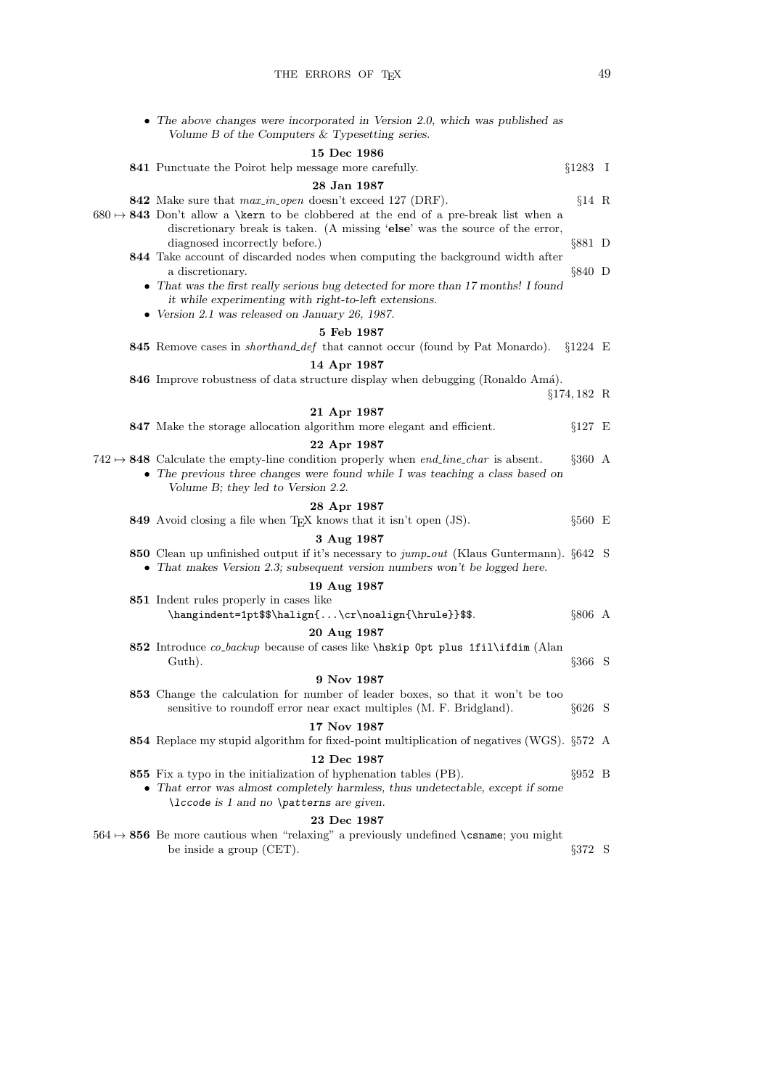• The above changes were incorporated in Version 2.0, which was published as

|  | Volume $B$ of the Computers $\&$ Typesetting series.                                                                                                                  |                  |  |
|--|-----------------------------------------------------------------------------------------------------------------------------------------------------------------------|------------------|--|
|  | $15$ Dec $1986\,$                                                                                                                                                     |                  |  |
|  | 841 Punctuate the Poirot help message more carefully.                                                                                                                 | $§1283$ I        |  |
|  | 28 Jan 1987                                                                                                                                                           |                  |  |
|  | 842 Make sure that max-in-open doesn't exceed 127 (DRF).                                                                                                              | $§14$ R          |  |
|  | $680 \rightarrow 843$ Don't allow a \kern to be clobbered at the end of a pre-break list when a                                                                       |                  |  |
|  | discretionary break is taken. (A missing 'else' was the source of the error,<br>diagnosed incorrectly before.)                                                        | $§881$ D         |  |
|  | 844 Take account of discarded nodes when computing the background width after                                                                                         |                  |  |
|  | a discretionary.                                                                                                                                                      | $§840$ D         |  |
|  | • That was the first really serious bug detected for more than 17 months! I found                                                                                     |                  |  |
|  | it while experimenting with right-to-left extensions.                                                                                                                 |                  |  |
|  | $\bullet$ Version 2.1 was released on January 26, 1987.                                                                                                               |                  |  |
|  | 5 Feb 1987<br>845 Remove cases in <i>shorthand_def</i> that cannot occur (found by Pat Monardo). $\S 1224 \to$                                                        |                  |  |
|  |                                                                                                                                                                       |                  |  |
|  | 14 Apr 1987<br>846 Improve robustness of data structure display when debugging (Ronaldo Amá).                                                                         |                  |  |
|  |                                                                                                                                                                       | $§174, 182$ R    |  |
|  | 21 Apr 1987                                                                                                                                                           |                  |  |
|  | 847 Make the storage allocation algorithm more elegant and efficient.                                                                                                 | $§127 \t E$      |  |
|  | 22 Apr 1987                                                                                                                                                           |                  |  |
|  | $742 \rightarrow 848$ Calculate the empty-line condition properly when <i>end_line_char</i> is absent.                                                                | $§360 \; A$      |  |
|  | • The previous three changes were found while I was teaching a class based on                                                                                         |                  |  |
|  | Volume B; they led to Version 2.2.                                                                                                                                    |                  |  |
|  | 28 Apr 1987                                                                                                                                                           |                  |  |
|  | 849 Avoid closing a file when TEX knows that it isn't open (JS).                                                                                                      | $§560 \t E$      |  |
|  | 3 Aug 1987                                                                                                                                                            |                  |  |
|  | 850 Clean up unfinished output if it's necessary to jump_out (Klaus Guntermann). §642 S<br>• That makes Version 2.3; subsequent version numbers won't be logged here. |                  |  |
|  | 19 Aug 1987                                                                                                                                                           |                  |  |
|  | 851 Indent rules properly in cases like                                                                                                                               |                  |  |
|  | \hangindent=1pt\$\$\halign{\cr\noalign{\hrule}}\$\$.                                                                                                                  | §806 A           |  |
|  | 20 Aug 1987                                                                                                                                                           |                  |  |
|  | 852 Introduce co.backup because of cases like \hskip Opt plus 1fil\ifdim (Alan                                                                                        |                  |  |
|  | Guth).                                                                                                                                                                | $\S 366$ S       |  |
|  | 9 Nov 1987                                                                                                                                                            |                  |  |
|  | 853 Change the calculation for number of leader boxes, so that it won't be too                                                                                        |                  |  |
|  | sensitive to roundoff error near exact multiples (M. F. Bridgland).                                                                                                   | $§626$ S         |  |
|  | 17 Nov 1987<br>854 Replace my stupid algorithm for fixed-point multiplication of negatives (WGS). §572 A                                                              |                  |  |
|  | 12 Dec 1987                                                                                                                                                           |                  |  |
|  | 855 Fix a typo in the initialization of hyphenation tables (PB).                                                                                                      | $\S 952 \quad B$ |  |
|  | • That error was almost completely harmless, thus undetectable, except if some                                                                                        |                  |  |
|  | \lccode is 1 and no \patterns are given.                                                                                                                              |                  |  |
|  | 23 Dec 1987                                                                                                                                                           |                  |  |
|  | $564 \rightarrow 856$ Be more cautious when "relaxing" a previously undefined \csname; you might                                                                      |                  |  |
|  | be inside a group (CET).                                                                                                                                              | $\S 372$ S       |  |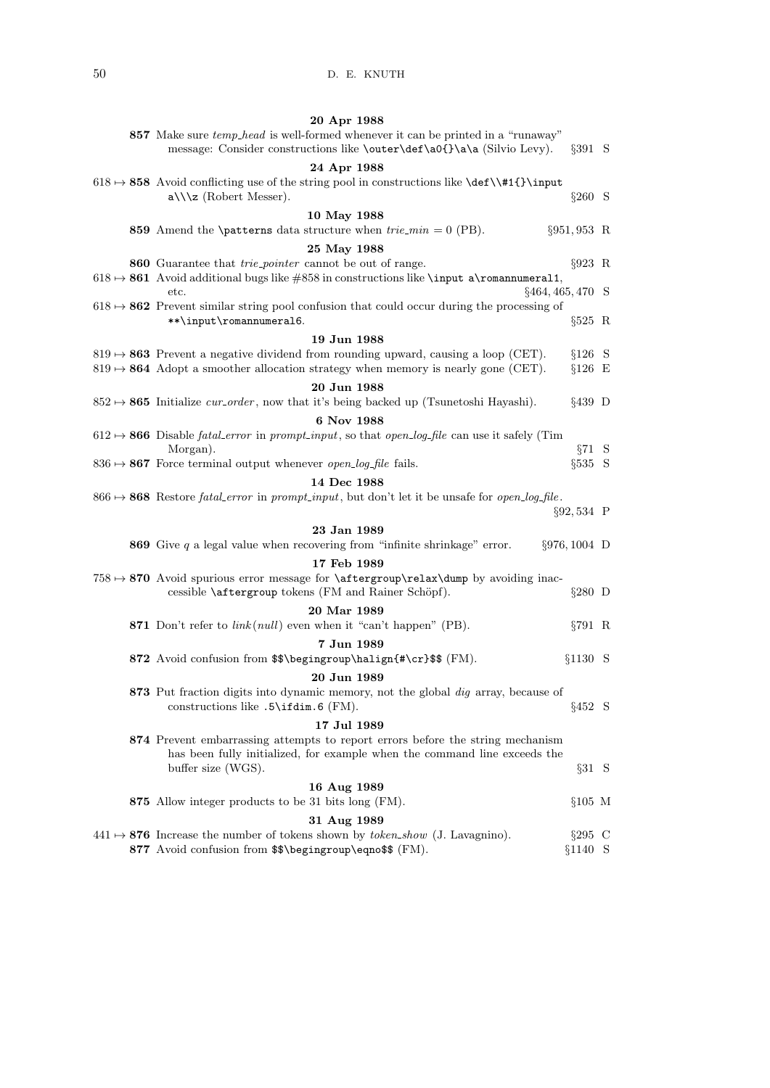| 20 Apr 1988                                                                                                                                                                                   |                       |  |
|-----------------------------------------------------------------------------------------------------------------------------------------------------------------------------------------------|-----------------------|--|
| 857 Make sure <i>temp-head</i> is well-formed whenever it can be printed in a "runaway"<br>message: Consider constructions like \outer\def\a0{}\a\a (Silvio Levy).                            | $\S 391$ S            |  |
| 24 Apr 1988                                                                                                                                                                                   |                       |  |
| $618 \rightarrow 858$ Avoid conflicting use of the string pool in constructions like $\det\left\{\frac{1}{\input}\right\}$<br>$a\angle\angle z$ (Robert Messer).                              | $\S 260$ S            |  |
| 10 May 1988                                                                                                                                                                                   |                       |  |
| 859 Amend the <b>\patterns</b> data structure when $trie\_min = 0$ (PB).                                                                                                                      | $\S 951, 953$ R       |  |
| 25 May 1988                                                                                                                                                                                   |                       |  |
| <b>860</b> Guarantee that <i>trie-pointer</i> cannot be out of range.<br>$618 \mapsto 861$ Avoid additional bugs like #858 in constructions like \input a\romannumeral1,                      | $\S 923$ R            |  |
| $\S 464, 465, 470$ S<br>etc.                                                                                                                                                                  |                       |  |
| $618 \rightarrow 862$ Prevent similar string pool confusion that could occur during the processing of<br>**\input\romannumeral6.                                                              | $\S 525$ R            |  |
| 19 Jun 1988                                                                                                                                                                                   |                       |  |
| $819 \rightarrow 863$ Prevent a negative dividend from rounding upward, causing a loop (CET).<br>$819 \rightarrow 864$ Adopt a smoother allocation strategy when memory is nearly gone (CET). | $§126$ S<br>$§126$ E  |  |
| 20 Jun 1988                                                                                                                                                                                   |                       |  |
| $852 \rightarrow 865$ Initialize <i>cur_order</i> , now that it's being backed up (Tsunetoshi Hayashi).                                                                                       | $§439$ D              |  |
| 6 Nov 1988                                                                                                                                                                                    |                       |  |
| $612 \rightarrow 866$ Disable <i>fatal_error</i> in <i>prompt_input</i> , so that <i>open_log_file</i> can use it safely (Tim<br>Morgan).                                                     | $\S 71 \quad S$       |  |
| $836 \rightarrow 867$ Force terminal output whenever <i>open_log_file</i> fails.                                                                                                              | $§535$ S              |  |
| 14 Dec 1988                                                                                                                                                                                   |                       |  |
| $866 \rightarrow 868$ Restore <i>fatal_error</i> in <i>prompt_input</i> , but don't let it be unsafe for <i>open_log_file</i> .                                                               | $\S 92,534 \text{ P}$ |  |
| 23 Jan 1989                                                                                                                                                                                   |                       |  |
|                                                                                                                                                                                               |                       |  |
| <b>869</b> Give $q$ a legal value when recovering from "infinite shrinkage" error.                                                                                                            | $\S 976, 1004$ D      |  |
| 17 Feb 1989                                                                                                                                                                                   |                       |  |
| 758 $\rightarrow$ 870 Avoid spurious error message for $\after group\relax\dump$ by avoiding inac-<br>cessible <i>\aftergroup</i> tokens (FM and Rainer Schöpf).                              | $\S 280$ D            |  |
| 20 Mar 1989                                                                                                                                                                                   |                       |  |
| 871 Don't refer to $link(null)$ even when it "can't happen" (PB).                                                                                                                             | $\S 791$ R            |  |
| 7 Jun 1989                                                                                                                                                                                    |                       |  |
| 872 Avoid confusion from \$\$\begingroup\halign{#\cr}\$\$ (FM).                                                                                                                               | §1130 S               |  |
| 20 Jun 1989<br>873 Put fraction digits into dynamic memory, not the global dig array, because of<br>constructions like $.5\iff .6$ (FM).                                                      | $§452$ S              |  |
| 17 Jul 1989                                                                                                                                                                                   |                       |  |
| 874 Prevent embarrassing attempts to report errors before the string mechanism<br>has been fully initialized, for example when the command line exceeds the<br>buffer size (WGS).             | $\S 31 S$             |  |
|                                                                                                                                                                                               |                       |  |
| 16 Aug 1989<br>875 Allow integer products to be 31 bits long (FM).                                                                                                                            | $§105$ M              |  |
|                                                                                                                                                                                               |                       |  |
| 31 Aug 1989<br>$441 \rightarrow 876$ Increase the number of tokens shown by <i>token_show</i> (J. Lavagnino).                                                                                 | $\S 295$ C            |  |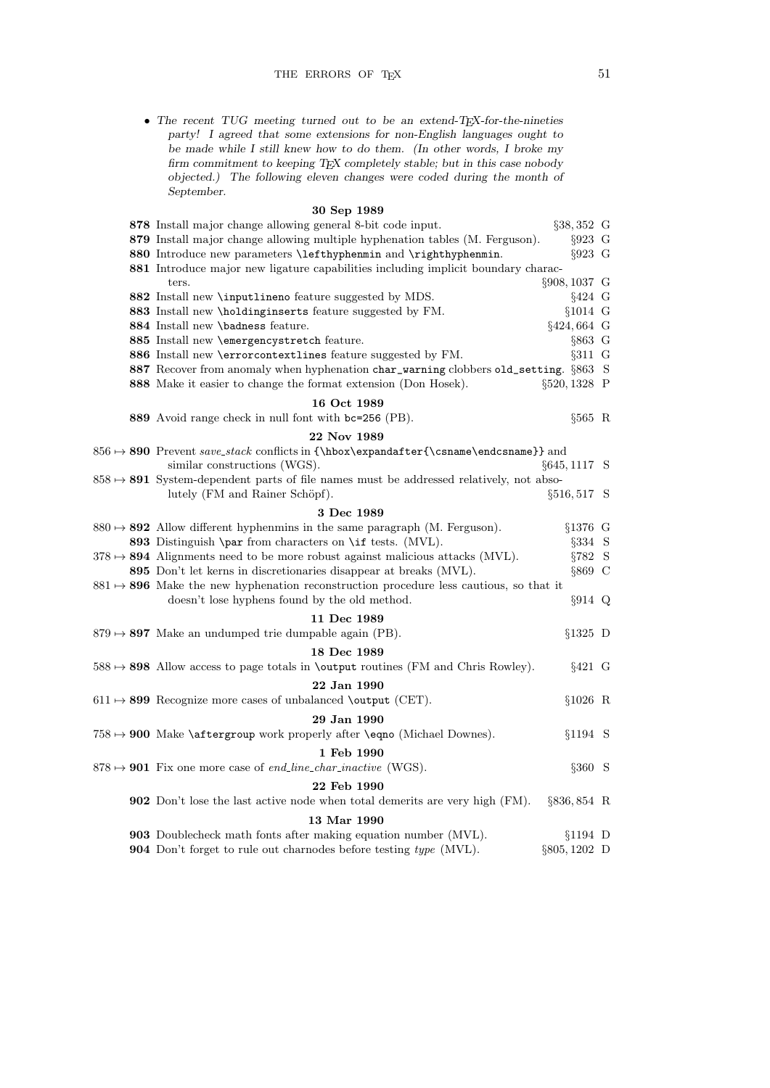• The recent TUG meeting turned out to be an extend-TEX-for-the-nineties party! I agreed that some extensions for non-English languages ought to be made while I still knew how to do them. (In other words, I broke my firm commitment to keeping TEX completely stable; but in this case nobody objected.) The following eleven changes were coded during the month of September.

## 30 Sep 1989

|  | 878 Install major change allowing general 8-bit code input.                                         | $§38,352$ G     |  |
|--|-----------------------------------------------------------------------------------------------------|-----------------|--|
|  | 879 Install major change allowing multiple hyphenation tables (M. Ferguson).                        | $§923$ G        |  |
|  | 880 Introduce new parameters \lefthyphenmin and \righthyphenmin.                                    | $§923$ G        |  |
|  | 881 Introduce major new ligature capabilities including implicit boundary charac-                   |                 |  |
|  | ters.                                                                                               | §908, 1037 G    |  |
|  | 882 Install new \inputlineno feature suggested by MDS.                                              | $§424$ G        |  |
|  | 883 Install new \holdinginserts feature suggested by FM.                                            | $§1014$ G       |  |
|  | 884 Install new \badness feature.                                                                   | §424,664 G      |  |
|  | 885 Install new \emergencystretch feature.                                                          | §863 G          |  |
|  | 886 Install new \errorcontextlines feature suggested by FM.                                         | $§311$ G        |  |
|  | 887 Recover from anomaly when hyphenation char_warning clobbers old_setting. §863 S                 |                 |  |
|  | 888 Make it easier to change the format extension (Don Hosek).                                      | $\S520, 1328$ P |  |
|  | 16 Oct 1989                                                                                         |                 |  |
|  | 889 Avoid range check in null font with bc=256 (PB).                                                | $§565$ R        |  |
|  | 22 Nov 1989                                                                                         |                 |  |
|  | $856 \mapsto$ 890 Prevent save_stack conflicts in {\hbox\expandafter{\csname\endcsname}} and        |                 |  |
|  | similar constructions (WGS).                                                                        | $§645, 1117$ S  |  |
|  | $858 \rightarrow 891$ System-dependent parts of file names must be addressed relatively, not abso-  |                 |  |
|  | lutely (FM and Rainer Schöpf).                                                                      | §516,517 S      |  |
|  | 3 Dec 1989                                                                                          |                 |  |
|  | $880 \rightarrow 892$ Allow different hyphenmins in the same paragraph (M. Ferguson).               | $§1376$ G       |  |
|  | 893 Distinguish \par from characters on \if tests. (MVL).                                           | §334 S          |  |
|  | $378 \rightarrow 894$ Alignments need to be more robust against malicious attacks (MVL).            | $\S 782$ S      |  |
|  | 895 Don't let kerns in discretionaries disappear at breaks (MVL).                                   | $§869$ C        |  |
|  | $881 \rightarrow 896$ Make the new hyphenation reconstruction procedure less cautious, so that it   |                 |  |
|  | doesn't lose hyphens found by the old method.                                                       | $§914$ Q        |  |
|  | 11 Dec 1989                                                                                         |                 |  |
|  | $879 \rightarrow 897$ Make an undumped trie dumpable again (PB).                                    | $§1325$ D       |  |
|  | 18 Dec 1989                                                                                         |                 |  |
|  | $588 \rightarrow 898$ Allow access to page totals in <b>\output</b> routines (FM and Chris Rowley). | $§421$ G        |  |
|  |                                                                                                     |                 |  |
|  | 22 Jan 1990                                                                                         |                 |  |
|  | $611 \rightarrow 899$ Recognize more cases of unbalanced \output (CET).                             | $$1026$ R       |  |
|  | 29 Jan 1990                                                                                         |                 |  |
|  | $758 \mapsto 900$ Make \aftergroup work properly after \eqno (Michael Downes).                      | $§1194$ S       |  |
|  | 1 Feb 1990                                                                                          |                 |  |
|  | $878 \rightarrow 901$ Fix one more case of end_line_char_inactive (WGS).                            | $§360$ S        |  |
|  | 22 Feb 1990                                                                                         |                 |  |
|  | 902 Don't lose the last active node when total demerits are very high (FM).                         | $\S 836, 854$ R |  |
|  | 13 Mar 1990                                                                                         |                 |  |
|  | 903 Doublecheck math fonts after making equation number (MVL).                                      | $§1194$ D       |  |
|  | <b>904</b> Don't forget to rule out charnodes before testing type (MVL).                            | §805, 1202 D    |  |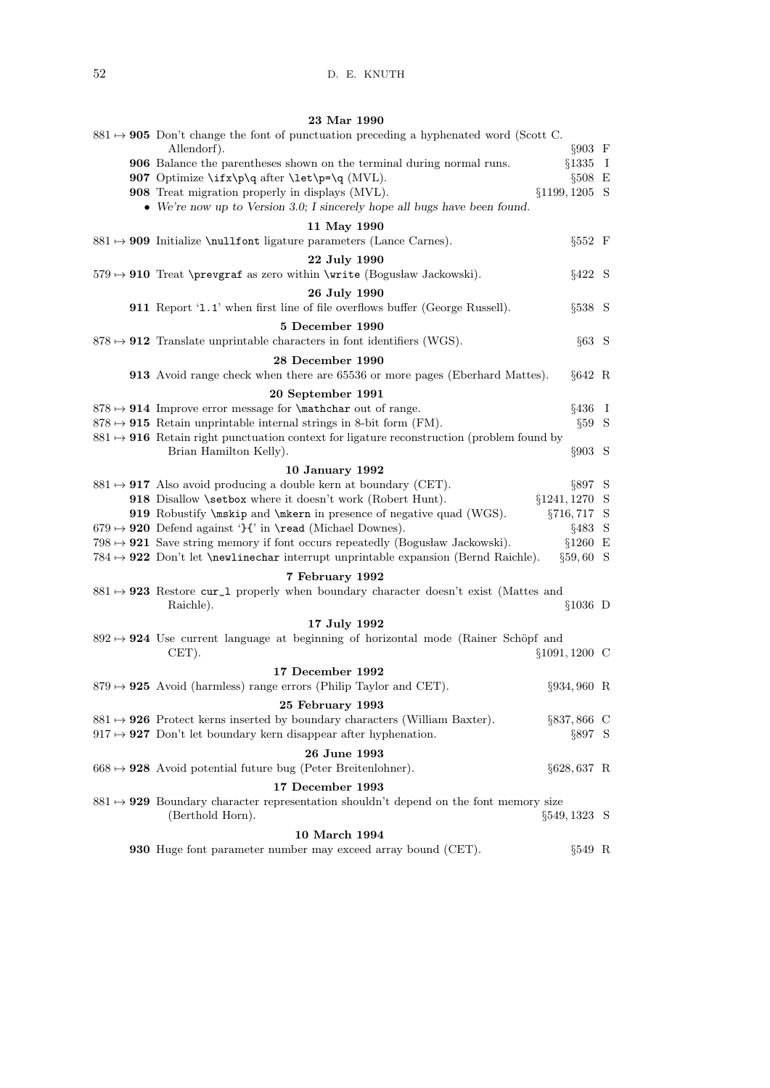| 23 Mar 1990                                                                                                           |  |
|-----------------------------------------------------------------------------------------------------------------------|--|
| $881 \rightarrow 905$ Don't change the font of punctuation preceding a hyphenated word (Scott C.                      |  |
| Allendorf).<br>$§903 \t F$                                                                                            |  |
| $§1335$ I<br>906 Balance the parentheses shown on the terminal during normal runs.                                    |  |
| 907 Optimize $\if{x\p\q}$ after $\let\p-\q(MVL)$ .<br>$§508 \t E$                                                     |  |
| 908 Treat migration properly in displays (MVL).<br>$§1199, 1205$ S                                                    |  |
| • We're now up to Version 3.0; I sincerely hope all bugs have been found.                                             |  |
| 11 May 1990                                                                                                           |  |
| $§552 \quad F$<br>$881 \rightarrow 909$ Initialize \nullfont ligature parameters (Lance Carnes).                      |  |
|                                                                                                                       |  |
| 22 July 1990                                                                                                          |  |
| $579 \rightarrow 910$ Treat \prevgraf as zero within \write (Bogusław Jackowski).<br>§422 S                           |  |
| 26 July 1990                                                                                                          |  |
| 911 Report '1.1' when first line of file overflows buffer (George Russell).<br>$§538$ S                               |  |
| 5 December 1990                                                                                                       |  |
| $878 \rightarrow 912$ Translate unprintable characters in font identifiers (WGS).<br>$§63$ S                          |  |
| 28 December 1990                                                                                                      |  |
|                                                                                                                       |  |
| <b>913</b> Avoid range check when there are 65536 or more pages (Eberhard Mattes).<br>$§642 \ R$                      |  |
| 20 September 1991                                                                                                     |  |
| $878 \rightarrow 914$ Improve error message for <i>\mathchar</i> out of range.<br>$§436$ I                            |  |
| $878 \rightarrow 915$ Retain unprintable internal strings in 8-bit form (FM).<br>$\S59$ S                             |  |
| $881 \rightarrow 916$ Retain right punctuation context for ligature reconstruction (problem found by                  |  |
| Brian Hamilton Kelly).<br>$\S 903$ S                                                                                  |  |
| <b>10 January 1992</b>                                                                                                |  |
| $881 \rightarrow 917$ Also avoid producing a double kern at boundary (CET).<br>$\S 897$ S                             |  |
| 918 Disallow \setbox where it doesn't work (Robert Hunt).<br>$§1241, 1270$ S                                          |  |
| 919 Robustify \mskip and \mkern in presence of negative quad (WGS).<br>$\S 716, 717$ S                                |  |
| $679 \rightarrow 920$ Defend against 'H' in \read (Michael Downes).<br>§483 S                                         |  |
| $798 \rightarrow 921$ Save string memory if font occurs repeatedly (Bogusław Jackowski).<br>$§1260$ E                 |  |
| $784 \rightarrow 922$ Don't let <b>\newlinechar</b> interrupt unprintable expansion (Bernd Raichle).<br>$\S 59, 60$ S |  |
|                                                                                                                       |  |
| 7 February 1992                                                                                                       |  |
| $881 \rightarrow 923$ Restore cur_1 properly when boundary character doesn't exist (Mattes and                        |  |
| Raichle).<br>$§1036$ D                                                                                                |  |
| 17 July 1992                                                                                                          |  |
| $892 \rightarrow 924$ Use current language at beginning of horizontal mode (Rainer Schöpf and                         |  |
| $CET$ ).<br>$§1091, 1200$ C                                                                                           |  |
| 17 December 1992                                                                                                      |  |
| $879 \rightarrow 925$ Avoid (harmless) range errors (Philip Taylor and CET).<br>§934,960 R                            |  |
|                                                                                                                       |  |
| 25 February 1993                                                                                                      |  |
| $881 \rightarrow 926$ Protect kerns inserted by boundary characters (William Baxter).<br>$\S 837, 866$ C              |  |
| $917 \rightarrow 927$ Don't let boundary kern disappear after hyphenation.<br>$\S 897$ S                              |  |
| 26 June 1993                                                                                                          |  |
| $668 \rightarrow 928$ Avoid potential future bug (Peter Breitenlohner).<br>$\S628,637$ R                              |  |
| 17 December 1993                                                                                                      |  |
| $881 \rightarrow 929$ Boundary character representation shouldn't depend on the font memory size                      |  |
| (Berthold Horn).<br>$\S 549, 1323$ S                                                                                  |  |
|                                                                                                                       |  |
| 10 March 1994                                                                                                         |  |
| <b>930</b> Huge font parameter number may exceed array bound (CET).<br>§549 R                                         |  |